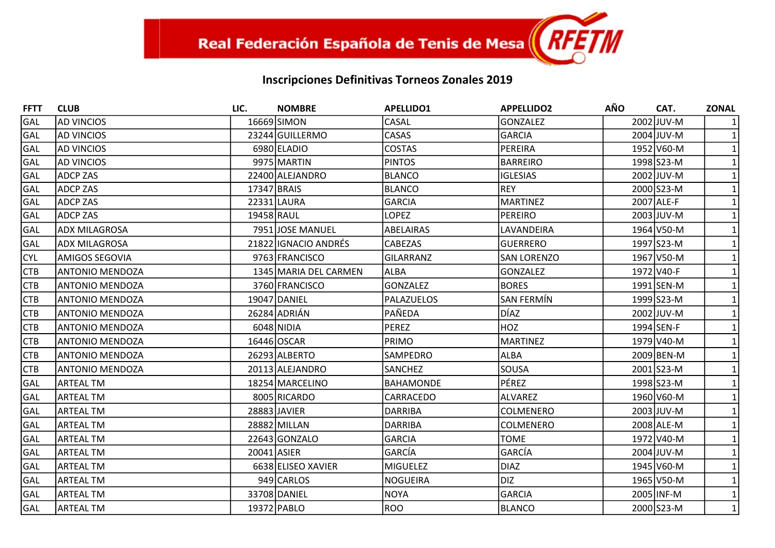| <b>FFTT</b> | <b>CLUB</b>            | LIC.        | <b>NOMBRE</b>         | <b>APELLIDO1</b> | <b>APPELLIDO2</b>  | <b>AÑO</b> | CAT.       | <b>ZONAL</b> |
|-------------|------------------------|-------------|-----------------------|------------------|--------------------|------------|------------|--------------|
| GAL         | <b>AD VINCIOS</b>      |             | 16669 SIMON           | CASAL            | <b>GONZALEZ</b>    |            | 2002 JUV-M |              |
| GAL         | <b>AD VINCIOS</b>      |             | 23244 GUILLERMO       | <b>CASAS</b>     | <b>GARCIA</b>      |            | 2004 JUV-M |              |
| GAL         | <b>AD VINCIOS</b>      |             | 6980 ELADIO           | <b>COSTAS</b>    | PEREIRA            |            | 1952 V60-M |              |
| GAL         | <b>AD VINCIOS</b>      |             | 9975 MARTIN           | <b>PINTOS</b>    | <b>BARREIRO</b>    |            | 1998 S23-M |              |
| GAL         | <b>ADCP ZAS</b>        |             | 22400 ALEJANDRO       | <b>BLANCO</b>    | <b>IGLESIAS</b>    |            | 2002 JUV-M |              |
| GAL         | <b>ADCP ZAS</b>        | 17347 BRAIS |                       | <b>BLANCO</b>    | <b>REY</b>         |            | 2000 S23-M |              |
| GAL         | <b>ADCP ZAS</b>        |             | 22331 LAURA           | <b>GARCIA</b>    | <b>MARTINEZ</b>    |            | 2007 ALE-F |              |
| GAL         | <b>ADCP ZAS</b>        | 19458 RAUL  |                       | <b>LOPEZ</b>     | <b>PEREIRO</b>     |            | 2003 JUV-M |              |
| GAL         | <b>ADX MILAGROSA</b>   |             | 7951JJOSE MANUEL      | <b>ABELAIRAS</b> | LAVANDEIRA         |            | 1964 V50-M |              |
| GAL         | ADX MILAGROSA          |             | 21822 IGNACIO ANDRÉS  | CABEZAS          | <b>GUERRERO</b>    |            | 1997 S23-M |              |
| <b>CYL</b>  | <b>AMIGOS SEGOVIA</b>  |             | 9763 FRANCISCO        | GILARRANZ        | <b>SAN LORENZO</b> |            | 1967 V50-M |              |
| <b>CTB</b>  | <b>ANTONIO MENDOZA</b> |             | 1345 MARIA DEL CARMEN | <b>ALBA</b>      | <b>GONZALEZ</b>    |            | 1972 V40-F |              |
| <b>CTB</b>  | <b>ANTONIO MENDOZA</b> |             | 3760 FRANCISCO        | <b>GONZALEZ</b>  | <b>BORES</b>       |            | 1991 SEN-M |              |
| <b>CTB</b>  | <b>ANTONIO MENDOZA</b> |             | 19047 DANIEL          | PALAZUELOS       | SAN FERMÍN         |            | 1999 S23-M |              |
| <b>CTB</b>  | <b>ANTONIO MENDOZA</b> |             | 26284 ADRIÁN          | PAÑEDA           | DÍAZ               |            | 2002 JUV-M |              |
| <b>CTB</b>  | <b>ANTONIO MENDOZA</b> |             | 6048 NIDIA            | <b>PEREZ</b>     | <b>HOZ</b>         |            | 1994 SEN-F |              |
| <b>CTB</b>  | <b>ANTONIO MENDOZA</b> |             | 16446 OSCAR           | PRIMO            | <b>MARTINEZ</b>    |            | 1979 V40-M |              |
| <b>CTB</b>  | <b>ANTONIO MENDOZA</b> |             | 26293 ALBERTO         | SAMPEDRO         | <b>ALBA</b>        |            | 2009 BEN-M |              |
| <b>CTB</b>  | <b>ANTONIO MENDOZA</b> |             | 20113 ALEJANDRO       | SANCHEZ          | SOUSA              |            | 2001 S23-M |              |
| GAL         | <b>ARTEAL TM</b>       |             | 18254 MARCELINO       | <b>BAHAMONDE</b> | PÉREZ              |            | 1998 S23-M |              |
| GAL         | <b>ARTEAL TM</b>       |             | 8005 RICARDO          | CARRACEDO        | <b>ALVAREZ</b>     |            | 1960 V60-M |              |
| GAL         | <b>ARTEAL TM</b>       |             | 28883 JAVIER          | <b>DARRIBA</b>   | COLMENERO          |            | 2003 JUV-M |              |
| GAL         | <b>ARTEAL TM</b>       |             | 28882 MILLAN          | <b>DARRIBA</b>   | COLMENERO          |            | 2008 ALE-M |              |
| GAL         | <b>ARTEAL TM</b>       |             | 22643 GONZALO         | <b>GARCIA</b>    | <b>TOME</b>        |            | 1972 V40-M |              |
| GAL         | <b>ARTEAL TM</b>       |             | 20041 ASIER           | GARCÍA           | GARCÍA             |            | 2004 JUV-M |              |
| GAL         | <b>ARTEAL TM</b>       |             | 6638 ELISEO XAVIER    | <b>MIGUELEZ</b>  | <b>DIAZ</b>        |            | 1945 V60-M |              |
| GAL         | <b>ARTEAL TM</b>       |             | 949 CARLOS            | <b>NOGUEIRA</b>  | <b>DIZ</b>         |            | 1965 V50-M |              |
| GAL         | <b>ARTEAL TM</b>       |             | 33708 DANIEL          | <b>NOYA</b>      | <b>GARCIA</b>      |            | 2005 INF-M |              |
| GAL         | <b>ARTEAL TM</b>       |             | 19372 PABLO           | <b>ROO</b>       | <b>BLANCO</b>      |            | 2000 S23-M | $\mathbf{1}$ |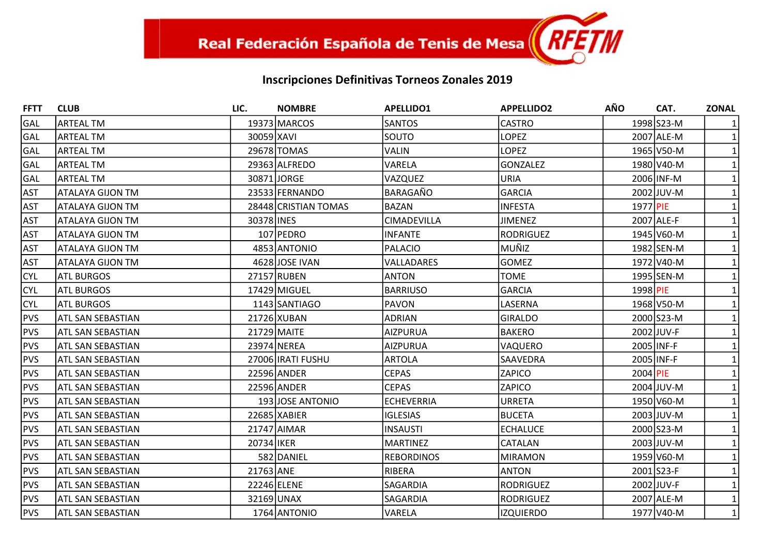| <b>FFTT</b> | <b>CLUB</b>              | LIC.       | <b>NOMBRE</b>        | <b>APELLIDO1</b>  | <b>APPELLIDO2</b> | <b>AÑO</b> | CAT.         | <b>ZONAL</b> |
|-------------|--------------------------|------------|----------------------|-------------------|-------------------|------------|--------------|--------------|
| GAL         | <b>ARTEAL TM</b>         |            | 19373 MARCOS         | <b>SANTOS</b>     | <b>CASTRO</b>     |            | 1998 S23-M   |              |
| <b>GAL</b>  | <b>ARTEAL TM</b>         | 30059 XAVI |                      | SOUTO             | <b>LOPEZ</b>      |            | 2007 ALE-M   |              |
| GAL         | ARTEAL TM                |            | 29678 TOMAS          | <b>VALIN</b>      | <b>LOPEZ</b>      |            | 1965 V50-M   |              |
| GAL         | <b>ARTEAL TM</b>         |            | 29363 ALFREDO        | VARELA            | <b>GONZALEZ</b>   |            | 1980 V40-M   |              |
| GAL         | <b>ARTEAL TM</b>         |            | 30871 JORGE          | VAZQUEZ           | <b>URIA</b>       |            | 2006 INF-M   |              |
| <b>AST</b>  | <b>ATALAYA GIJON TM</b>  |            | 23533 FERNANDO       | BARAGAÑO          | <b>GARCIA</b>     |            | 2002 JUV-M   |              |
| <b>AST</b>  | <b>ATALAYA GIJON TM</b>  |            | 28448 CRISTIAN TOMAS | <b>BAZAN</b>      | <b>INFESTA</b>    | 1977 PIE   |              |              |
| <b>AST</b>  | <b>ATALAYA GIJON TM</b>  | 30378 INES |                      | CIMADEVILLA       | <b>JIMENEZ</b>    |            | 2007 ALE-F   |              |
| <b>AST</b>  | ATALAYA GIJON TM         |            | 107 PEDRO            | <b>INFANTE</b>    | <b>RODRIGUEZ</b>  |            | 1945 V60-M   |              |
| <b>AST</b>  | <b>ATALAYA GIJON TM</b>  |            | 4853 ANTONIO         | PALACIO           | MUÑIZ             |            | 1982 SEN-M   |              |
| <b>AST</b>  | ATALAYA GIJON TM         |            | 4628 JOSE IVAN       | VALLADARES        | <b>GOMEZ</b>      |            | 1972 V40-M   |              |
| <b>CYL</b>  | <b>ATL BURGOS</b>        |            | 27157 RUBEN          | ANTON             | <b>TOME</b>       |            | 1995 SEN-M   |              |
| <b>CYL</b>  | <b>ATL BURGOS</b>        |            | 17429 MIGUEL         | <b>BARRIUSO</b>   | <b>GARCIA</b>     | 1998 PIE   |              |              |
| <b>CYL</b>  | <b>ATL BURGOS</b>        |            | 1143 SANTIAGO        | PAVON             | LASERNA           |            | 1968 V50-M   |              |
| <b>PVS</b>  | ATL SAN SEBASTIAN        |            | 21726 XUBAN          | <b>ADRIAN</b>     | <b>GIRALDO</b>    |            | 2000 S23-M   |              |
| <b>PVS</b>  | <b>ATL SAN SEBASTIAN</b> |            | 21729 MAITE          | AIZPURUA          | <b>BAKERO</b>     |            | 2002 JUV-F   |              |
| PVS         | ATL SAN SEBASTIAN        |            | 23974 NEREA          | <b>AIZPURUA</b>   | VAQUERO           |            | 2005 INF-F   |              |
| <b>PVS</b>  | <b>ATL SAN SEBASTIAN</b> |            | 27006 IRATI FUSHU    | <b>ARTOLA</b>     | <b>SAAVEDRA</b>   |            | 2005 INF-F   |              |
| PVS         | ATL SAN SEBASTIAN        |            | 22596 ANDER          | <b>CEPAS</b>      | ZAPICO            | 2004 PIE   |              |              |
| PVS         | <b>ATL SAN SEBASTIAN</b> |            | 22596 ANDER          | <b>CEPAS</b>      | <b>ZAPICO</b>     |            | $2004$ JUV-M |              |
| <b>PVS</b>  | ATL SAN SEBASTIAN        |            | 193 JOSE ANTONIO     | <b>ECHEVERRIA</b> | <b>URRETA</b>     |            | 1950 V60-M   |              |
| <b>PVS</b>  | <b>ATL SAN SEBASTIAN</b> |            | 22685 XABIER         | <b>IGLESIAS</b>   | <b>BUCETA</b>     |            | 2003 JUV-M   |              |
| PVS         | <b>ATL SAN SEBASTIAN</b> |            | 21747 AIMAR          | INSAUSTI          | <b>ECHALUCE</b>   |            | 2000 S23-M   |              |
| <b>PVS</b>  | <b>ATL SAN SEBASTIAN</b> | 20734 IKER |                      | <b>MARTINEZ</b>   | CATALAN           |            | 2003 JUV-M   |              |
| <b>PVS</b>  | ATL SAN SEBASTIAN        |            | 582 DANIEL           | <b>REBORDINOS</b> | <b>MIRAMON</b>    |            | 1959 V60-M   |              |
| <b>PVS</b>  | <b>ATL SAN SEBASTIAN</b> | 21763 ANE  |                      | RIBERA            | <b>ANTON</b>      |            | 2001 S23-F   |              |
| <b>PVS</b>  | ATL SAN SEBASTIAN        |            | 22246 ELENE          | SAGARDIA          | <b>RODRIGUEZ</b>  |            | 2002 JUV-F   |              |
| <b>PVS</b>  | <b>ATL SAN SEBASTIAN</b> |            | 32169 UNAX           | SAGARDIA          | <b>RODRIGUEZ</b>  |            | 2007 ALE-M   |              |
| <b>PVS</b>  | ATL SAN SEBASTIAN        |            | 1764 ANTONIO         | VARELA            | <b>IZQUIERDO</b>  |            | 1977 V40-M   | $\mathbf{1}$ |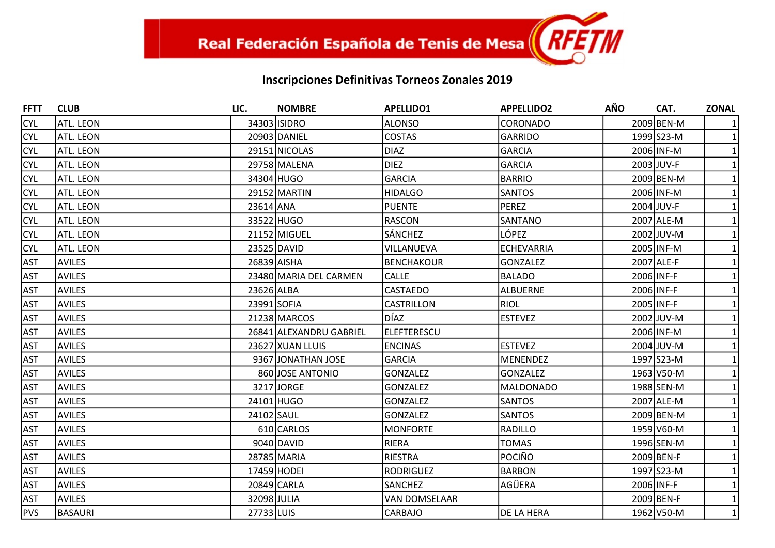| <b>FFTT</b> | <b>CLUB</b>      | LIC.        | <b>NOMBRE</b>           | <b>APELLIDO1</b>     | <b>APPELLIDO2</b> | <b>AÑO</b> | CAT.       | <b>ZONAL</b> |
|-------------|------------------|-------------|-------------------------|----------------------|-------------------|------------|------------|--------------|
| <b>CYL</b>  | ATL. LEON        |             | 34303 ISIDRO            | <b>ALONSO</b>        | <b>CORONADO</b>   |            | 2009 BEN-M |              |
| <b>CYL</b>  | ATL. LEON        |             | 20903 DANIEL            | <b>COSTAS</b>        | GARRIDO           |            | 1999 S23-M |              |
| <b>CYL</b>  | ATL. LEON        |             | 29151 NICOLAS           | <b>DIAZ</b>          | <b>GARCIA</b>     |            | 2006 INF-M |              |
| <b>CYL</b>  | ATL. LEON        |             | 29758 MALENA            | <b>DIEZ</b>          | GARCIA            |            | 2003 JUV-F |              |
| <b>CYL</b>  | ATL. LEON        |             | 34304 HUGO              | <b>GARCIA</b>        | <b>BARRIO</b>     |            | 2009 BEN-M |              |
| <b>CYL</b>  | <b>ATL. LEON</b> |             | 29152 MARTIN            | <b>HIDALGO</b>       | <b>SANTOS</b>     |            | 2006 INF-M |              |
| <b>CYL</b>  | ATL. LEON        | 23614 ANA   |                         | <b>PUENTE</b>        | <b>PEREZ</b>      |            | 2004 JUV-F |              |
| <b>CYL</b>  | ATL. LEON        |             | 33522 HUGO              | <b>RASCON</b>        | SANTANO           |            | 2007 ALE-M |              |
| <b>CYL</b>  | ATL. LEON        |             | 21152 MIGUEL            | SÁNCHEZ              | LÓPEZ             |            | 2002 JUV-M |              |
| <b>CYL</b>  | <b>ATL. LEON</b> |             | 23525 DAVID             | VILLANUEVA           | <b>ECHEVARRIA</b> |            | 2005 INF-M |              |
| <b>AST</b>  | <b>AVILES</b>    |             | 26839 AISHA             | <b>BENCHAKOUR</b>    | <b>GONZALEZ</b>   |            | 2007 ALE-F |              |
| <b>AST</b>  | <b>AVILES</b>    |             | 23480 MARIA DEL CARMEN  | <b>CALLE</b>         | <b>BALADO</b>     |            | 2006 INF-F |              |
| <b>AST</b>  | <b>AVILES</b>    | 23626 ALBA  |                         | <b>CASTAEDO</b>      | <b>ALBUERNE</b>   |            | 2006 INF-F |              |
| <b>AST</b>  | <b>AVILES</b>    | 23991 SOFIA |                         | <b>CASTRILLON</b>    | <b>RIOL</b>       |            | 2005 INF-F |              |
| <b>AST</b>  | <b>AVILES</b>    |             | 21238 MARCOS            | DÍAZ                 | <b>ESTEVEZ</b>    |            | 2002 JUV-M |              |
| <b>AST</b>  | <b>AVILES</b>    |             | 26841 ALEXANDRU GABRIEL | lelefterescu         |                   |            | 2006 INF-M |              |
| <b>AST</b>  | <b>AVILES</b>    |             | 23627 XUAN LLUIS        | <b>ENCINAS</b>       | <b>ESTEVEZ</b>    |            | 2004 JUV-M |              |
| <b>AST</b>  | <b>AVILES</b>    |             | 9367 JONATHAN JOSE      | <b>GARCIA</b>        | <b>MENENDEZ</b>   |            | 1997 S23-M |              |
| <b>AST</b>  | <b>AVILES</b>    |             | 860 JOSE ANTONIO        | <b>GONZALEZ</b>      | <b>GONZALEZ</b>   |            | 1963 V50-M |              |
| <b>AST</b>  | <b>AVILES</b>    |             | 3217 JORGE              | GONZALEZ             | <b>MALDONADO</b>  |            | 1988 SEN-M |              |
| <b>AST</b>  | <b>AVILES</b>    |             | 24101 HUGO              | <b>GONZALEZ</b>      | <b>SANTOS</b>     |            | 2007 ALE-M |              |
| <b>AST</b>  | <b>AVILES</b>    | 24102 SAUL  |                         | GONZALEZ             | <b>SANTOS</b>     |            | 2009 BEN-M |              |
| <b>AST</b>  | <b>AVILES</b>    |             | 610 CARLOS              | <b>MONFORTE</b>      | <b>RADILLO</b>    |            | 1959 V60-M |              |
| <b>AST</b>  | <b>AVILES</b>    |             | 9040 DAVID              | <b>RIERA</b>         | <b>TOMAS</b>      |            | 1996 SEN-M |              |
| <b>AST</b>  | <b>AVILES</b>    |             | 28785 MARIA             | <b>RIESTRA</b>       | POCIÑO            |            | 2009 BEN-F |              |
| <b>AST</b>  | <b>AVILES</b>    |             | 17459 HODEI             | <b>RODRIGUEZ</b>     | <b>BARBON</b>     |            | 1997 S23-M |              |
| <b>AST</b>  | <b>AVILES</b>    |             | 20849 CARLA             | <b>SANCHEZ</b>       | AGÜERA            |            | 2006 INF-F |              |
| <b>AST</b>  | <b>AVILES</b>    | 32098 JULIA |                         | <b>VAN DOMSELAAR</b> |                   |            | 2009 BEN-F |              |
| <b>PVS</b>  | BASAURI          | 27733 LUIS  |                         | CARBAJO              | <b>DE LA HERA</b> |            | 1962 V50-M | $\mathbf{1}$ |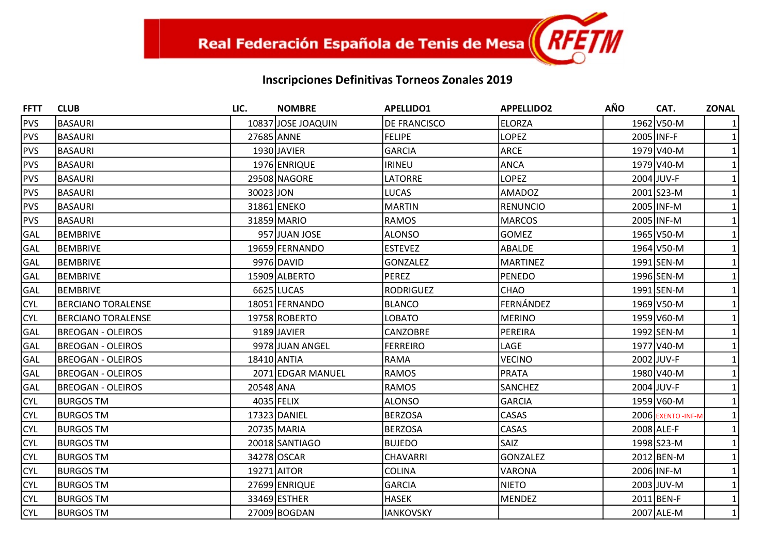| <b>FFTT</b> | <b>CLUB</b>               | LIC.        | <b>NOMBRE</b>      | <b>APELLIDO1</b> | <b>APPELLIDO2</b> | <b>AÑO</b> | CAT.              | <b>ZONAL</b> |
|-------------|---------------------------|-------------|--------------------|------------------|-------------------|------------|-------------------|--------------|
| PVS         | <b>BASAURI</b>            |             | 10837 JOSE JOAQUIN | DE FRANCISCO     | <b>ELORZA</b>     |            | 1962 V50-M        |              |
| PVS         | <b>BASAURI</b>            | 27685 ANNE  |                    | FELIPE           | <b>LOPEZ</b>      |            | 2005 INF-F        |              |
| PVS         | <b>BASAURI</b>            |             | 1930 JAVIER        | <b>GARCIA</b>    | <b>ARCE</b>       |            | 1979 V40-M        |              |
| PVS         | <b>BASAURI</b>            |             | 1976 ENRIQUE       | <b>IRINEU</b>    | ANCA              |            | 1979 V40-M        |              |
| PVS         | <b>BASAURI</b>            |             | 29508 NAGORE       | LATORRE          | <b>LOPEZ</b>      |            | 2004 JUV-F        |              |
| <b>PVS</b>  | <b>BASAURI</b>            | 30023 JON   |                    | <b>LUCAS</b>     | <b>AMADOZ</b>     |            | 2001 S23-M        |              |
| PVS         | <b>BASAURI</b>            |             | 31861 ENEKO        | <b>MARTIN</b>    | RENUNCIO          |            | 2005 INF-M        |              |
| PVS         | <b>BASAURI</b>            |             | 31859 MARIO        | <b>RAMOS</b>     | <b>MARCOS</b>     |            | 2005 INF-M        |              |
| <b>GAL</b>  | BEMBRIVE                  |             | 957 JUAN JOSE      | <b>ALONSO</b>    | <b>GOMEZ</b>      |            | 1965 V50-M        |              |
| GAL         | BEMBRIVE                  |             | 19659 FERNANDO     | <b>ESTEVEZ</b>   | <b>ABALDE</b>     |            | 1964 V50-M        |              |
| <b>GAL</b>  | BEMBRIVE                  |             | 9976 DAVID         | <b>GONZALEZ</b>  | <b>MARTINEZ</b>   |            | 1991 SEN-M        |              |
| <b>GAL</b>  | BEMBRIVE                  |             | 15909 ALBERTO      | <b>PEREZ</b>     | PENEDO            |            | 1996 SEN-M        |              |
| <b>GAL</b>  | <b>BEMBRIVE</b>           |             | 6625 LUCAS         | <b>RODRIGUEZ</b> | <b>CHAO</b>       |            | 1991 SEN-M        |              |
| <b>CYL</b>  | <b>BERCIANO TORALENSE</b> |             | 18051 FERNANDO     | <b>BLANCO</b>    | FERNÁNDEZ         |            | 1969 V50-M        |              |
| <b>CYL</b>  | BERCIANO TORALENSE        |             | 19758 ROBERTO      | LOBATO           | <b>MERINO</b>     |            | 1959 V60-M        |              |
| <b>GAL</b>  | <b>BREOGAN - OLEIROS</b>  |             | 9189 JAVIER        | <b>CANZOBRE</b>  | PEREIRA           |            | 1992 SEN-M        |              |
| <b>GAL</b>  | <b>BREOGAN - OLEIROS</b>  |             | 9978 JUAN ANGEL    | <b>FERREIRO</b>  | LAGE              |            | 1977 V40-M        |              |
| <b>GAL</b>  | <b>BREOGAN - OLEIROS</b>  | 18410 ANTIA |                    | RAMA             | <b>VECINO</b>     |            | 2002 JUV-F        |              |
| <b>GAL</b>  | <b>BREOGAN - OLEIROS</b>  |             | 2071 EDGAR MANUEL  | <b>RAMOS</b>     | <b>PRATA</b>      |            | 1980 V40-M        |              |
| <b>GAL</b>  | <b>BREOGAN - OLEIROS</b>  | 20548 ANA   |                    | RAMOS            | <b>SANCHEZ</b>    |            | 2004 JUV-F        |              |
| <b>CYL</b>  | <b>BURGOS TM</b>          |             | $4035$ FELIX       | <b>ALONSO</b>    | <b>GARCIA</b>     |            | 1959 V60-M        |              |
| <b>CYL</b>  | <b>BURGOS TM</b>          |             | 17323 DANIEL       | <b>BERZOSA</b>   | CASAS             |            | 2006 EXENTO-INF-M |              |
| <b>CYL</b>  | <b>BURGOS TM</b>          |             | 20735 MARIA        | <b>BERZOSA</b>   | CASAS             |            | 2008 ALE-F        |              |
| <b>CYL</b>  | <b>BURGOS TM</b>          |             | 20018 SANTIAGO     | <b>BUJEDO</b>    | <b>SAIZ</b>       |            | 1998 S23-M        |              |
| <b>CYL</b>  | <b>BURGOS TM</b>          |             | 34278 OSCAR        | <b>CHAVARRI</b>  | <b>GONZALEZ</b>   |            | 2012 BEN-M        |              |
| <b>CYL</b>  | <b>BURGOS TM</b>          |             | 19271 AITOR        | COLINA           | <b>VARONA</b>     |            | 2006 INF-M        |              |
| <b>CYL</b>  | <b>BURGOS TM</b>          |             | 27699 ENRIQUE      | <b>GARCIA</b>    | <b>NIETO</b>      |            | 2003 JUV-M        |              |
| <b>CYL</b>  | <b>BURGOS TM</b>          |             | 33469 ESTHER       | <b>HASEK</b>     | <b>MENDEZ</b>     |            | 2011 BEN-F        |              |
| <b>CYL</b>  | <b>BURGOS TM</b>          |             | 27009 BOGDAN       | <b>IANKOVSKY</b> |                   |            | 2007 ALE-M        | $1\vert$     |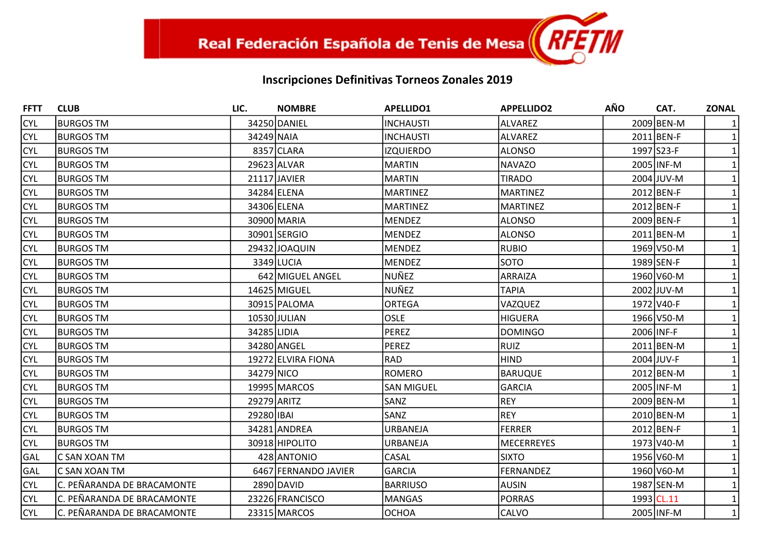| <b>FFTT</b> | <b>CLUB</b>                | LIC.        | <b>NOMBRE</b>        | <b>APELLIDO1</b>  | <b>APPELLIDO2</b> | <b>AÑO</b> | CAT.       | <b>ZONAL</b> |
|-------------|----------------------------|-------------|----------------------|-------------------|-------------------|------------|------------|--------------|
| <b>CYL</b>  | <b>BURGOS TM</b>           |             | 34250 DANIEL         | <b>INCHAUSTI</b>  | <b>ALVAREZ</b>    |            | 2009 BEN-M |              |
| <b>CYL</b>  | <b>BURGOS TM</b>           | 34249 NAIA  |                      | INCHAUSTI         | <b>ALVAREZ</b>    |            | 2011 BEN-F |              |
| <b>CYL</b>  | <b>IBURGOS TM</b>          |             | 8357 CLARA           | <b>IZQUIERDO</b>  | <b>ALONSO</b>     |            | 1997 S23-F |              |
| <b>CYL</b>  | <b>IBURGOS TM</b>          |             | 29623 ALVAR          | <b>MARTIN</b>     | <b>NAVAZO</b>     |            | 2005 INF-M |              |
| <b>CYL</b>  | <b>BURGOS TM</b>           |             | 21117 JAVIER         | <b>MARTIN</b>     | <b>TIRADO</b>     |            | 2004 JUV-M |              |
| <b>CYL</b>  | <b>BURGOS TM</b>           |             | 34284 ELENA          | <b>MARTINEZ</b>   | <b>MARTINEZ</b>   |            | 2012 BEN-F |              |
| <b>CYL</b>  | <b>BURGOS TM</b>           |             | 34306 ELENA          | <b>MARTINEZ</b>   | <b>MARTINEZ</b>   |            | 2012 BEN-F |              |
| <b>CYL</b>  | <b>BURGOS TM</b>           |             | 30900 MARIA          | <b>MENDEZ</b>     | <b>ALONSO</b>     |            | 2009 BEN-F |              |
| <b>CYL</b>  | <b>BURGOS TM</b>           |             | 30901 SERGIO         | MENDEZ            | <b>ALONSO</b>     |            | 2011 BEN-M |              |
| <b>CYL</b>  | <b>BURGOS TM</b>           |             | 29432 JOAQUIN        | MENDEZ            | <b>RUBIO</b>      |            | 1969 V50-M |              |
| <b>CYL</b>  | <b>BURGOS TM</b>           |             | 3349 LUCIA           | <b>MENDEZ</b>     | <b>SOTO</b>       |            | 1989 SEN-F |              |
| <b>CYL</b>  | <b>BURGOS TM</b>           |             | 642 MIGUEL ANGEL     | NUÑEZ             | ARRAIZA           |            | 1960 V60-M |              |
| <b>CYL</b>  | <b>BURGOS TM</b>           |             | 14625 MIGUEL         | NUÑEZ             | <b>TAPIA</b>      |            | 2002 JUV-M |              |
| <b>CYL</b>  | <b>BURGOS TM</b>           |             | 30915 PALOMA         | <b>ORTEGA</b>     | VAZQUEZ           |            | 1972 V40-F |              |
| <b>CYL</b>  | <b>BURGOS TM</b>           |             | 10530 JULIAN         | <b>OSLE</b>       | <b>HIGUERA</b>    |            | 1966 V50-M |              |
| <b>CYL</b>  | <b>BURGOS TM</b>           | 34285 LIDIA |                      | PEREZ             | <b>DOMINGO</b>    |            | 2006 INF-F |              |
| <b>CYL</b>  | <b>BURGOS TM</b>           |             | 34280 ANGEL          | <b>PEREZ</b>      | <b>RUIZ</b>       |            | 2011 BEN-M |              |
| <b>CYL</b>  | <b>BURGOS TM</b>           |             | 19272 ELVIRA FIONA   | RAD               | <b>HIND</b>       |            | 2004 JUV-F |              |
| <b>CYL</b>  | <b>BURGOS TM</b>           | 34279 NICO  |                      | <b>ROMERO</b>     | <b>BARUQUE</b>    |            | 2012 BEN-M |              |
| <b>CYL</b>  | <b>BURGOS TM</b>           |             | 19995 MARCOS         | <b>SAN MIGUEL</b> | <b>GARCIA</b>     |            | 2005 INF-M |              |
| <b>CYL</b>  | <b>BURGOS TM</b>           |             | 29279 ARITZ          | SANZ              | <b>REY</b>        |            | 2009 BEN-M |              |
| <b>CYL</b>  | <b>BURGOS TM</b>           | 29280 IBAI  |                      | SANZ              | <b>REY</b>        |            | 2010 BEN-M |              |
| <b>CYL</b>  | <b>BURGOS TM</b>           |             | 34281 ANDREA         | <b>URBANEJA</b>   | <b>FERRER</b>     |            | 2012 BEN-F |              |
| <b>CYL</b>  | <b>BURGOS TM</b>           |             | 30918 HIPOLITO       | <b>URBANEJA</b>   | <b>MECERREYES</b> |            | 1973 V40-M |              |
| GAL         | C SAN XOAN TM              |             | 428 ANTONIO          | CASAL             | <b>SIXTO</b>      |            | 1956 V60-M |              |
| GAL         | C SAN XOAN TM              |             | 6467 FERNANDO JAVIER | <b>GARCIA</b>     | <b>FERNANDEZ</b>  |            | 1960 V60-M |              |
| <b>CYL</b>  | C. PEÑARANDA DE BRACAMONTE |             | 2890 DAVID           | <b>BARRIUSO</b>   | <b>AUSIN</b>      |            | 1987 SEN-M |              |
| <b>CYL</b>  | C. PEÑARANDA DE BRACAMONTE |             | 23226 FRANCISCO      | MANGAS            | <b>PORRAS</b>     |            | 1993 CL.11 |              |
| <b>CYL</b>  | C. PEÑARANDA DE BRACAMONTE |             | 23315 MARCOS         | <b>OCHOA</b>      | CALVO             |            | 2005 INF-M | $\mathbf{1}$ |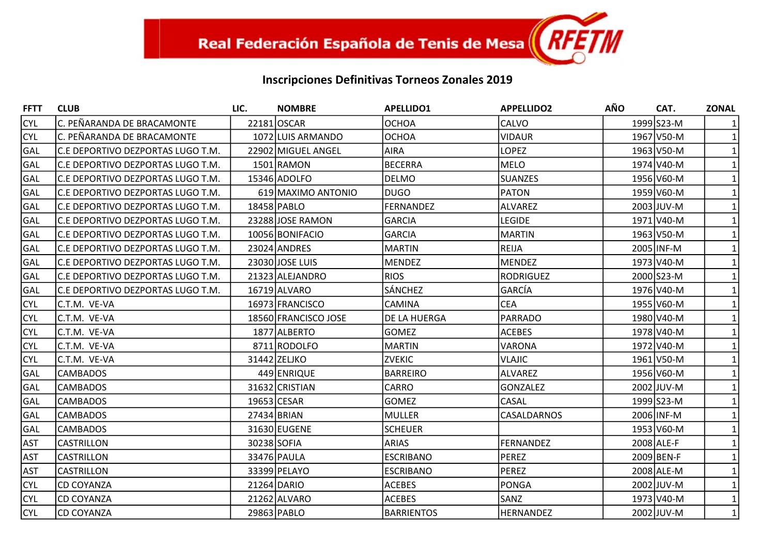| <b>FFTT</b> | <b>CLUB</b>                       | LIC.        | <b>NOMBRE</b>        | <b>APELLIDO1</b> | <b>APPELLIDO2</b>  | AÑO | CAT.       | <b>ZONAL</b> |
|-------------|-----------------------------------|-------------|----------------------|------------------|--------------------|-----|------------|--------------|
| <b>CYL</b>  | C. PEÑARANDA DE BRACAMONTE        |             | 22181 OSCAR          | <b>OCHOA</b>     | <b>CALVO</b>       |     | 1999 S23-M |              |
| <b>CYL</b>  | C. PEÑARANDA DE BRACAMONTE        |             | 1072 LUIS ARMANDO    | OCHOA            | <b>VIDAUR</b>      |     | 1967 V50-M |              |
| <b>GAL</b>  | C.E DEPORTIVO DEZPORTAS LUGO T.M. |             | 22902 MIGUEL ANGEL   | <b>AIRA</b>      | <b>LOPEZ</b>       |     | 1963 V50-M |              |
| GAL         | C.E DEPORTIVO DEZPORTAS LUGO T.M. |             | 1501 RAMON           | BECERRA          | MELO               |     | 1974 V40-M |              |
| <b>GAL</b>  | C.E DEPORTIVO DEZPORTAS LUGO T.M. |             | 15346 ADOLFO         | <b>DELMO</b>     | <b>SUANZES</b>     |     | 1956 V60-M |              |
| <b>GAL</b>  | C.E DEPORTIVO DEZPORTAS LUGO T.M. |             | 619 MAXIMO ANTONIO   | IDUGO            | <b>PATON</b>       |     | 1959 V60-M |              |
| <b>GAL</b>  | C.E DEPORTIVO DEZPORTAS LUGO T.M. |             | 18458 PABLO          | FERNANDEZ        | ALVAREZ            |     | 2003 JUV-M |              |
| <b>GAL</b>  | C.E DEPORTIVO DEZPORTAS LUGO T.M. |             | 23288 JOSE RAMON     | GARCIA           | <b>LEGIDE</b>      |     | 1971 V40-M |              |
| GAL         | C.E DEPORTIVO DEZPORTAS LUGO T.M. |             | 10056 BONIFACIO      | GARCIA           | MARTIN             |     | 1963 V50-M |              |
| <b>GAL</b>  | C.E DEPORTIVO DEZPORTAS LUGO T.M. |             | 23024 ANDRES         | MARTIN           | <b>REIJA</b>       |     | 2005 INF-M |              |
| <b>GAL</b>  | C.E DEPORTIVO DEZPORTAS LUGO T.M. |             | 23030 JOSE LUIS      | MENDEZ           | MENDEZ             |     | 1973 V40-M |              |
| <b>GAL</b>  | C.E DEPORTIVO DEZPORTAS LUGO T.M. |             | 21323 ALEJANDRO      | <b>RIOS</b>      | RODRIGUEZ          |     | 2000 S23-M |              |
| <b>GAL</b>  | C.E DEPORTIVO DEZPORTAS LUGO T.M. |             | 16719 ALVARO         | <b>SÁNCHEZ</b>   | GARCÍA             |     | 1976 V40-M |              |
| <b>CYL</b>  | C.T.M. VE-VA                      |             | 16973 FRANCISCO      | <b>CAMINA</b>    | <b>CEA</b>         |     | 1955 V60-M |              |
| <b>CYL</b>  | C.T.M. VE-VA                      |             | 18560 FRANCISCO JOSE | DE LA HUERGA     | <b>PARRADO</b>     |     | 1980 V40-M |              |
| <b>CYL</b>  | C.T.M. VE-VA                      |             | 1877 ALBERTO         | <b>GOMEZ</b>     | <b>ACEBES</b>      |     | 1978 V40-M |              |
| <b>CYL</b>  | C.T.M. VE-VA                      |             | 8711 RODOLFO         | MARTIN           | <b>VARONA</b>      |     | 1972 V40-M |              |
| <b>CYL</b>  | C.T.M. VE-VA                      |             | 31442 ZELJKO         | <b>ZVEKIC</b>    | <b>VLAJIC</b>      |     | 1961 V50-M |              |
| <b>GAL</b>  | <b>CAMBADOS</b>                   |             | 449 ENRIQUE          | <b>BARREIRO</b>  | lalvarez           |     | 1956 V60-M |              |
| <b>GAL</b>  | <b>CAMBADOS</b>                   |             | 31632 CRISTIAN       | <b>CARRO</b>     | <b>GONZALEZ</b>    |     | 2002 JUV-M |              |
| <b>GAL</b>  | <b>CAMBADOS</b>                   |             | 19653 CESAR          | <b>GOMEZ</b>     | <b>CASAL</b>       |     | 1999 S23-M |              |
| <b>GAL</b>  | <b>CAMBADOS</b>                   |             | 27434 BRIAN          | MULLER           | <b>CASALDARNOS</b> |     | 2006 INF-M |              |
| <b>GAL</b>  | <b>CAMBADOS</b>                   |             | 31630 EUGENE         | lscheuer         |                    |     | 1953 V60-M |              |
| <b>AST</b>  | <b>CASTRILLON</b>                 | 30238 SOFIA |                      | <b>ARIAS</b>     | <b>FERNANDEZ</b>   |     | 2008 ALE-F |              |
| <b>AST</b>  | <b>CASTRILLON</b>                 |             | 33476 PAULA          | <b>ESCRIBANO</b> | PEREZ              |     | 2009 BEN-F |              |
| <b>AST</b>  | <b>CASTRILLON</b>                 |             | 33399 PELAYO         | <b>ESCRIBANO</b> | PEREZ              |     | 2008 ALE-M |              |
| <b>CYL</b>  | <b>CD COYANZA</b>                 |             | 21264 DARIO          | <b>ACEBES</b>    | PONGA              |     | 2002 JUV-M |              |
| <b>CYL</b>  | <b>CD COYANZA</b>                 |             | 21262 ALVARO         | <b>ACEBES</b>    | <b>SANZ</b>        |     | 1973 V40-M |              |
| <b>CYL</b>  | <b>CD COYANZA</b>                 |             | 29863 PABLO          | BARRIENTOS       | <b>HERNANDEZ</b>   |     | 2002 JUV-M | $\mathbf{1}$ |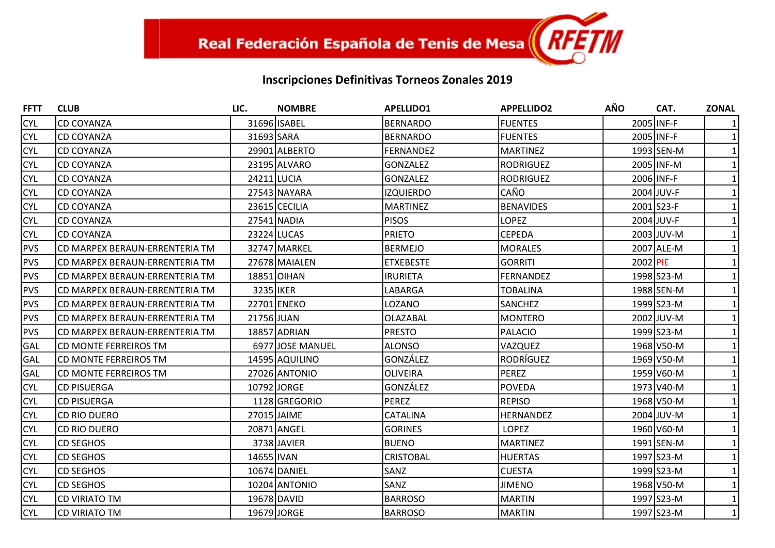| <b>FFTT</b> | <b>CLUB</b>                    | LIC.        | <b>NOMBRE</b>    | <b>APELLIDO1</b> | <b>APPELLIDO2</b> | <b>AÑO</b> | CAT.       | <b>ZONAL</b> |
|-------------|--------------------------------|-------------|------------------|------------------|-------------------|------------|------------|--------------|
| <b>CYL</b>  | <b>CD COYANZA</b>              |             | 31696 ISABEL     | <b>BERNARDO</b>  | <b>FUENTES</b>    |            | 2005 INF-F |              |
| <b>CYL</b>  | <b>CD COYANZA</b>              | 31693 SARA  |                  | <b>BERNARDO</b>  | <b>FUENTES</b>    |            | 2005 INF-F |              |
| <b>CYL</b>  | <b>CD COYANZA</b>              |             | 29901 ALBERTO    | <b>FERNANDEZ</b> | <b>MARTINEZ</b>   |            | 1993 SEN-M |              |
| <b>CYL</b>  | <b>CD COYANZA</b>              |             | 23195 ALVARO     | <b>GONZALEZ</b>  | <b>RODRIGUEZ</b>  |            | 2005 INF-M |              |
| <b>CYL</b>  | <b>CD COYANZA</b>              |             | 24211 LUCIA      | <b>GONZALEZ</b>  | <b>RODRIGUEZ</b>  |            | 2006 INF-F |              |
| <b>CYL</b>  | <b>CD COYANZA</b>              |             | 27543 NAYARA     | <b>IZQUIERDO</b> | CAÑO              |            | 2004 JUV-F |              |
| <b>CYL</b>  | <b>CD COYANZA</b>              |             | 23615 CECILIA    | <b>MARTINEZ</b>  | <b>BENAVIDES</b>  |            | 2001 S23-F |              |
| <b>CYL</b>  | <b>CD COYANZA</b>              |             | 27541 NADIA      | <b>PISOS</b>     | <b>LOPEZ</b>      |            | 2004 JUV-F |              |
| <b>CYL</b>  | <b>CD COYANZA</b>              |             | 23224 LUCAS      | <b>PRIETO</b>    | <b>CEPEDA</b>     |            | 2003 JUV-M |              |
| <b>PVS</b>  | CD MARPEX BERAUN-ERRENTERIA TM |             | 32747 MARKEL     | <b>BERMEJO</b>   | <b>MORALES</b>    |            | 2007 ALE-M |              |
| PVS         | CD MARPEX BERAUN-ERRENTERIA TM |             | 27678 MAIALEN    | <b>ETXEBESTE</b> | <b>GORRITI</b>    |            | 2002 PIE   |              |
| <b>PVS</b>  | CD MARPEX BERAUN-ERRENTERIA TM |             | 18851 OIHAN      | <b>IRURIETA</b>  | <b>FERNANDEZ</b>  |            | 1998 S23-M |              |
| PVS         | CD MARPEX BERAUN-ERRENTERIA TM | 3235 IKER   |                  | LABARGA          | <b>TOBALINA</b>   |            | 1988 SEN-M |              |
| PVS         | CD MARPEX BERAUN-ERRENTERIA TM |             | 22701 ENEKO      | LOZANO           | <b>SANCHEZ</b>    |            | 1999 S23-M |              |
| <b>PVS</b>  | CD MARPEX BERAUN-ERRENTERIA TM | 21756 JUAN  |                  | OLAZABAL         | <b>MONTERO</b>    |            | 2002 JUV-M |              |
| <b>PVS</b>  | CD MARPEX BERAUN-ERRENTERIA TM |             | 18857 ADRIAN     | <b>PRESTO</b>    | <b>PALACIO</b>    |            | 1999 S23-M |              |
| GAL         | CD MONTE FERREIROS TM          |             | 6977 JOSE MANUEL | <b>ALONSO</b>    | VAZQUEZ           |            | 1968 V50-M |              |
| GAL         | CD MONTE FERREIROS TM          |             | 14595 AQUILINO   | GONZÁLEZ         | RODRÍGUEZ         |            | 1969 V50-M |              |
| GAL         | CD MONTE FERREIROS TM          |             | 27026 ANTONIO    | <b>OLIVEIRA</b>  | <b>PEREZ</b>      |            | 1959 V60-M |              |
| <b>CYL</b>  | <b>CD PISUERGA</b>             |             | 10792 JORGE      | GONZÁLEZ         | POVEDA            |            | 1973 V40-M |              |
| <b>CYL</b>  | <b>CD PISUERGA</b>             |             | 1128 GREGORIO    | <b>PEREZ</b>     | <b>REPISO</b>     |            | 1968 V50-M |              |
| <b>CYL</b>  | CD RIO DUERO                   | 27015 JAIME |                  | <b>CATALINA</b>  | <b>HERNANDEZ</b>  |            | 2004 JUV-M |              |
| <b>CYL</b>  | <b>CD RIO DUERO</b>            |             | 20871 ANGEL      | <b>GORINES</b>   | <b>LOPEZ</b>      |            | 1960 V60-M |              |
| <b>CYL</b>  | <b>CD SEGHOS</b>               |             | 3738 JAVIER      | <b>BUENO</b>     | <b>MARTINEZ</b>   |            | 1991 SEN-M |              |
| <b>CYL</b>  | <b>CD SEGHOS</b>               | 14655 IVAN  |                  | <b>CRISTOBAL</b> | <b>HUERTAS</b>    |            | 1997 S23-M |              |
| <b>CYL</b>  | <b>CD SEGHOS</b>               |             | 10674 DANIEL     | <b>SANZ</b>      | <b>CUESTA</b>     |            | 1999 S23-M |              |
| <b>CYL</b>  | <b>CD SEGHOS</b>               |             | 10204 ANTONIO    | SANZ             | <b>JIMENO</b>     |            | 1968 V50-M |              |
| <b>CYL</b>  | <b>CD VIRIATO TM</b>           |             | 19678 DAVID      | <b>BARROSO</b>   | <b>MARTIN</b>     |            | 1997 S23-M |              |
| <b>CYL</b>  | <b>CD VIRIATO TM</b>           |             | 19679 JORGE      | <b>BARROSO</b>   | <b>MARTIN</b>     |            | 1997 S23-M | $\mathbf{1}$ |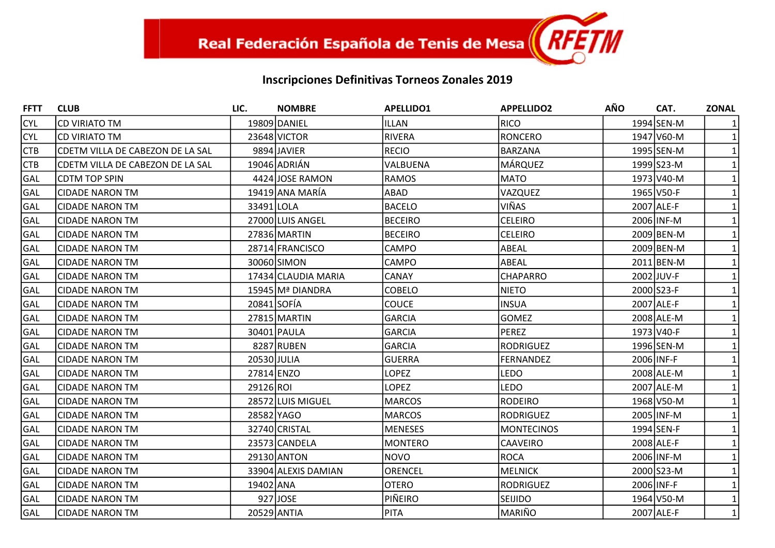| <b>FFTT</b> | <b>CLUB</b>                      | LIC.        | <b>NOMBRE</b>       | <b>APELLIDO1</b> | <b>APPELLIDO2</b> | <b>AÑO</b> | CAT.       | <b>ZONAL</b> |
|-------------|----------------------------------|-------------|---------------------|------------------|-------------------|------------|------------|--------------|
| <b>CYL</b>  | <b>CD VIRIATO TM</b>             |             | 19809 DANIEL        | <b>ILLAN</b>     | <b>RICO</b>       |            | 1994 SEN-M |              |
| <b>CYL</b>  | <b>CD VIRIATO TM</b>             |             | 23648 VICTOR        | RIVERA           | <b>RONCERO</b>    |            | 1947 V60-M |              |
| <b>CTB</b>  | CDETM VILLA DE CABEZON DE LA SAL |             | 9894 JAVIER         | RECIO            | <b>BARZANA</b>    |            | 1995 SEN-M |              |
| <b>CTB</b>  | CDETM VILLA DE CABEZON DE LA SAL |             | 19046 ADRIÁN        | VALBUENA         | <b>MÁRQUEZ</b>    |            | 1999 S23-M |              |
| GAL         | <b>CDTM TOP SPIN</b>             |             | 4424 JOSE RAMON     | <b>RAMOS</b>     | <b>MATO</b>       |            | 1973 V40-M |              |
| GAL         | <b>CIDADE NARON TM</b>           |             | 19419 ANA MARÍA     | ABAD             | VAZQUEZ           |            | 1965 V50-F |              |
| GAL         | <b>CIDADE NARON TM</b>           | 33491 LOLA  |                     | <b>BACELO</b>    | VIÑAS             |            | 2007 ALE-F |              |
| GAL         | <b>CIDADE NARON TM</b>           |             | 27000 LUIS ANGEL    | <b>BECEIRO</b>   | <b>CELEIRO</b>    |            | 2006 INF-M |              |
| GAL         | <b>CIDADE NARON TM</b>           |             | 27836 MARTIN        | <b>BECEIRO</b>   | <b>CELEIRO</b>    |            | 2009 BEN-M |              |
| GAL         | <b>CIDADE NARON TM</b>           |             | 28714 FRANCISCO     | <b>CAMPO</b>     | ABEAL             |            | 2009 BEN-M |              |
| GAL         | <b>CIDADE NARON TM</b>           |             | 30060 SIMON         | <b>CAMPO</b>     | ABEAL             |            | 2011 BEN-M |              |
| GAL         | <b>CIDADE NARON TM</b>           |             | 17434 CLAUDIA MARIA | CANAY            | <b>CHAPARRO</b>   |            | 2002 JUV-F |              |
| GAL         | <b>CIDADE NARON TM</b>           |             | 15945 Mª DIANDRA    | <b>COBELO</b>    | <b>NIETO</b>      |            | 2000 S23-F |              |
| GAL         | <b>CIDADE NARON TM</b>           | 20841 SOFÍA |                     | <b>COUCE</b>     | <b>INSUA</b>      |            | 2007 ALE-F |              |
| GAL         | <b>CIDADE NARON TM</b>           |             | 27815 MARTIN        | <b>GARCIA</b>    | <b>GOMEZ</b>      |            | 2008 ALE-M |              |
| GAL         | <b>CIDADE NARON TM</b>           |             | 30401 PAULA         | <b>GARCIA</b>    | <b>PEREZ</b>      |            | 1973 V40-F |              |
| GAL         | <b>CIDADE NARON TM</b>           |             | 8287 RUBEN          | <b>GARCIA</b>    | <b>RODRIGUEZ</b>  |            | 1996 SEN-M |              |
| GAL         | <b>CIDADE NARON TM</b>           | 20530 JULIA |                     | <b>GUERRA</b>    | <b>FERNANDEZ</b>  |            | 2006 INF-F |              |
| GAL         | <b>CIDADE NARON TM</b>           | 27814 ENZO  |                     | <b>LOPEZ</b>     | <b>LEDO</b>       |            | 2008 ALE-M |              |
| GAL         | <b>CIDADE NARON TM</b>           | 29126 ROI   |                     | <b>LOPEZ</b>     | <b>LEDO</b>       |            | 2007 ALE-M |              |
| GAL         | <b>CIDADE NARON TM</b>           |             | 28572 LUIS MIGUEL   | <b>MARCOS</b>    | <b>RODEIRO</b>    |            | 1968 V50-M |              |
| GAL         | <b>CIDADE NARON TM</b>           | 28582 YAGO  |                     | <b>MARCOS</b>    | <b>RODRIGUEZ</b>  |            | 2005 INF-M |              |
| GAL         | <b>CIDADE NARON TM</b>           |             | 32740 CRISTAL       | <b>MENESES</b>   | <b>MONTECINOS</b> |            | 1994 SEN-F |              |
| GAL         | <b>CIDADE NARON TM</b>           |             | 23573 CANDELA       | <b>MONTERO</b>   | <b>CAAVEIRO</b>   |            | 2008 ALE-F |              |
| GAL         | <b>CIDADE NARON TM</b>           |             | 29130 ANTON         | NOVO             | <b>ROCA</b>       |            | 2006 INF-M |              |
| GAL         | <b>CIDADE NARON TM</b>           |             | 33904 ALEXIS DAMIAN | <b>ORENCEL</b>   | <b>MELNICK</b>    |            | 2000 S23-M |              |
| GAL         | <b>CIDADE NARON TM</b>           | 19402 ANA   |                     | <b>OTERO</b>     | <b>RODRIGUEZ</b>  |            | 2006 INF-F |              |
| GAL         | <b>CIDADE NARON TM</b>           |             | 927 JOSE            | PIÑEIRO          | <b>SEIJIDO</b>    |            | 1964 V50-M |              |
| GAL         | <b>CIDADE NARON TM</b>           |             | 20529 ANTIA         | <b>PITA</b>      | MARIÑO            |            | 2007 ALE-F | $\mathbf{1}$ |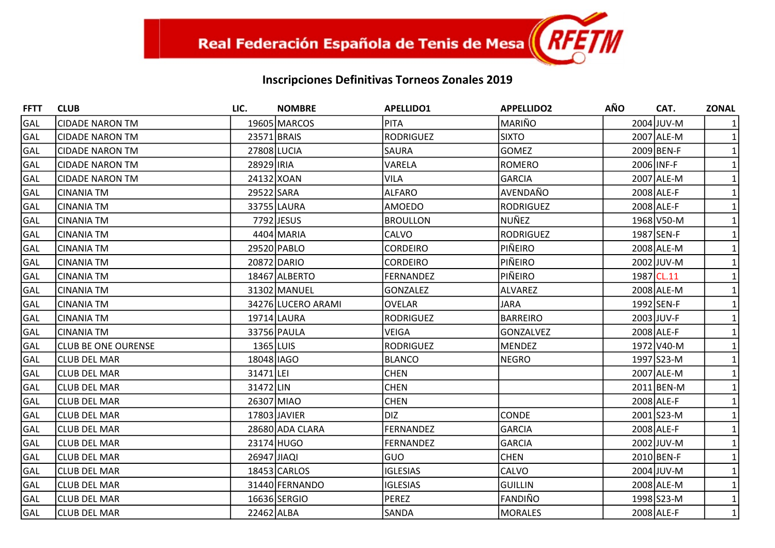| <b>FFTT</b> | <b>CLUB</b>                | LIC.        | <b>NOMBRE</b>      | <b>APELLIDO1</b> | <b>APPELLIDO2</b> | <b>AÑO</b> | CAT.       | <b>ZONAL</b> |
|-------------|----------------------------|-------------|--------------------|------------------|-------------------|------------|------------|--------------|
| GAL         | <b>CIDADE NARON TM</b>     |             | 19605 MARCOS       | <b>PITA</b>      | MARIÑO            |            | 2004 JUV-M |              |
| <b>GAL</b>  | <b>CIDADE NARON TM</b>     | 23571 BRAIS |                    | RODRIGUEZ        | <b>SIXTO</b>      |            | 2007 ALE-M |              |
| GAL         | <b>CIDADE NARON TM</b>     | 27808 LUCIA |                    | <b>SAURA</b>     | <b>GOMEZ</b>      |            | 2009 BEN-F |              |
| GAL         | <b>CIDADE NARON TM</b>     | 28929 IRIA  |                    | VARELA           | <b>ROMERO</b>     |            | 2006 INF-F |              |
| GAL         | <b>CIDADE NARON TM</b>     |             | 24132 XOAN         | <b>VILA</b>      | <b>GARCIA</b>     |            | 2007 ALE-M |              |
| <b>GAL</b>  | <b>CINANIA TM</b>          | 29522 SARA  |                    | <b>ALFARO</b>    | AVENDAÑO          |            | 2008 ALE-F |              |
| GAL         | <b>CINANIA TM</b>          |             | 33755 LAURA        | <b>AMOEDO</b>    | <b>RODRIGUEZ</b>  |            | 2008 ALE-F |              |
| GAL         | <b>CINANIA TM</b>          |             | 7792 JESUS         | <b>BROULLON</b>  | <b>NUÑEZ</b>      |            | 1968 V50-M |              |
| GAL         | <b>CINANIA TM</b>          |             | 4404 MARIA         | <b>CALVO</b>     | <b>RODRIGUEZ</b>  |            | 1987 SEN-F |              |
| <b>GAL</b>  | <b>CINANIA TM</b>          |             | 29520 PABLO        | <b>CORDEIRO</b>  | PIÑEIRO           |            | 2008 ALE-M |              |
| GAL         | <b>CINANIA TM</b>          |             | 20872 DARIO        | <b>CORDEIRO</b>  | PIÑEIRO           |            | 2002 JUV-M |              |
| GAL         | <b>CINANIA TM</b>          |             | 18467 ALBERTO      | FERNANDEZ        | PIÑEIRO           |            | 1987 CL.11 |              |
| GAL         | <b>CINANIA TM</b>          |             | 31302 MANUEL       | <b>GONZALEZ</b>  | <b>ALVAREZ</b>    |            | 2008 ALE-M |              |
| GAL         | <b>CINANIA TM</b>          |             | 34276 LUCERO ARAMI | <b>OVELAR</b>    | <b>JARA</b>       |            | 1992 SEN-F |              |
| GAL         | <b>CINANIA TM</b>          |             | 19714 LAURA        | <b>RODRIGUEZ</b> | <b>BARREIRO</b>   |            | 2003 JUV-F |              |
| GAL         | <b>CINANIA TM</b>          |             | 33756 PAULA        | <b>VEIGA</b>     | <b>GONZALVEZ</b>  |            | 2008 ALE-F |              |
| GAL         | <b>CLUB BE ONE OURENSE</b> | $1365$ LUIS |                    | <b>RODRIGUEZ</b> | <b>MENDEZ</b>     |            | 1972 V40-M |              |
| GAL         | <b>CLUB DEL MAR</b>        | 18048 IAGO  |                    | <b>BLANCO</b>    | <b>NEGRO</b>      |            | 1997 S23-M |              |
| GAL         | CLUB DEL MAR               | 31471 LEI   |                    | <b>CHEN</b>      |                   |            | 2007 ALE-M |              |
| GAL         | <b>CLUB DEL MAR</b>        | 31472 LIN   |                    | <b>CHEN</b>      |                   |            | 2011 BEN-M |              |
| GAL         | <b>CLUB DEL MAR</b>        | 26307 MIAO  |                    | <b>CHEN</b>      |                   |            | 2008 ALE-F |              |
| GAL         | <b>CLUB DEL MAR</b>        |             | 17803 JAVIER       | DIZ.             | <b>CONDE</b>      |            | 2001 S23-M |              |
| GAL         | lCLUB DEL MAR              |             | 28680 ADA CLARA    | <b>FERNANDEZ</b> | <b>GARCIA</b>     |            | 2008 ALE-F |              |
| GAL         | <b>CLUB DEL MAR</b>        |             | 23174 HUGO         | <b>FERNANDEZ</b> | GARCIA            |            | 2002 JUV-M |              |
| GAL         | CLUB DEL MAR               | 26947 JIAQI |                    | <b>GUO</b>       | <b>CHEN</b>       |            | 2010 BEN-F |              |
| GAL         | <b>CLUB DEL MAR</b>        |             | 18453 CARLOS       | <b>IGLESIAS</b>  | CALVO             |            | 2004 JUV-M |              |
| GAL         | <b>CLUB DEL MAR</b>        |             | 31440 FERNANDO     | <b>IGLESIAS</b>  | <b>GUILLIN</b>    |            | 2008 ALE-M |              |
| GAL         | <b>CLUB DEL MAR</b>        |             | 16636 SERGIO       | PEREZ            | FANDIÑO           |            | 1998 S23-M |              |
| GAL         | <b>CLUB DEL MAR</b>        | 22462 ALBA  |                    | SANDA            | <b>MORALES</b>    |            | 2008 ALE-F | $\mathbf{1}$ |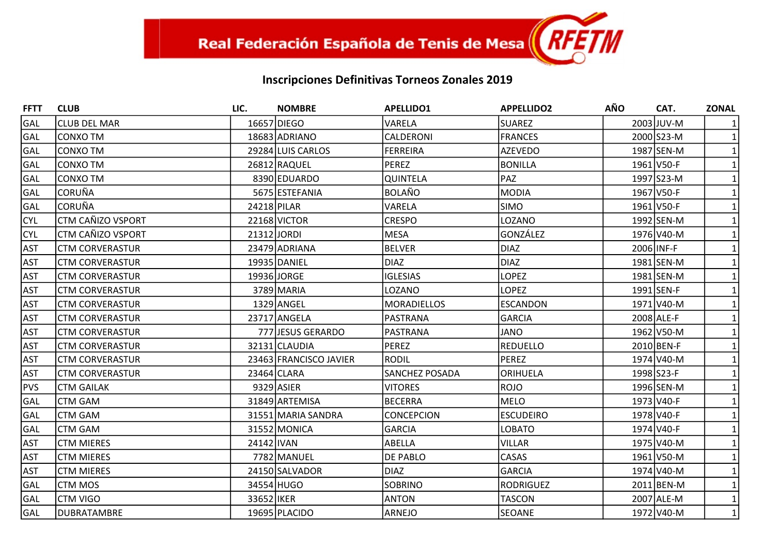| <b>FFTT</b> | <b>CLUB</b>              | LIC.        | <b>NOMBRE</b>          | <b>APELLIDO1</b>      | <b>APPELLIDO2</b> | <b>AÑO</b> | CAT.       | <b>ZONAL</b> |
|-------------|--------------------------|-------------|------------------------|-----------------------|-------------------|------------|------------|--------------|
| GAL         | <b>CLUB DEL MAR</b>      |             | 16657 DIEGO            | VARELA                | <b>SUAREZ</b>     |            | 2003 JUV-M |              |
| <b>GAL</b>  | <b>CONXO TM</b>          |             | 18683 ADRIANO          | CALDERONI             | <b>FRANCES</b>    |            | 2000 S23-M |              |
| GAL         | <b>CONXO TM</b>          |             | 29284 LUIS CARLOS      | <b>FERREIRA</b>       | <b>AZEVEDO</b>    |            | 1987 SEN-M |              |
| GAL         | <b>CONXO TM</b>          |             | 26812 RAQUEL           | <b>PEREZ</b>          | <b>BONILLA</b>    |            | 1961 V50-F |              |
| GAL         | <b>CONXO TM</b>          |             | 8390 EDUARDO           | <b>QUINTELA</b>       | PAZ               |            | 1997 S23-M |              |
| GAL         | <b>CORUÑA</b>            |             | 5675 ESTEFANIA         | BOLAÑO                | <b>MODIA</b>      |            | 1967 V50-F |              |
| GAL         | <b>CORUÑA</b>            | 24218 PILAR |                        | VARELA                | <b>SIMO</b>       |            | 1961 V50-F |              |
| <b>CYL</b>  | <b>CTM CAÑIZO VSPORT</b> |             | 22168 VICTOR           | <b>CRESPO</b>         | LOZANO            |            | 1992 SEN-M |              |
| <b>CYL</b>  | <b>CTM CAÑIZO VSPORT</b> | 21312 JORDI |                        | <b>MESA</b>           | GONZÁLEZ          |            | 1976 V40-M |              |
| <b>AST</b>  | <b>CTM CORVERASTUR</b>   |             | 23479 ADRIANA          | <b>BELVER</b>         | <b>DIAZ</b>       |            | 2006 INF-F |              |
| <b>AST</b>  | <b>CTM CORVERASTUR</b>   |             | 19935 DANIEL           | <b>DIAZ</b>           | <b>DIAZ</b>       |            | 1981 SEN-M |              |
| <b>AST</b>  | <b>CTM CORVERASTUR</b>   |             | 19936 JORGE            | <b>IGLESIAS</b>       | <b>LOPEZ</b>      |            | 1981 SEN-M |              |
| <b>AST</b>  | <b>CTM CORVERASTUR</b>   |             | 3789 MARIA             | LOZANO                | <b>LOPEZ</b>      |            | 1991 SEN-F |              |
| <b>AST</b>  | <b>CTM CORVERASTUR</b>   |             | 1329 ANGEL             | MORADIELLOS           | <b>ESCANDON</b>   |            | 1971 V40-M |              |
| <b>AST</b>  | <b>CTM CORVERASTUR</b>   |             | 23717 ANGELA           | PASTRANA              | <b>GARCIA</b>     |            | 2008 ALE-F |              |
| <b>AST</b>  | <b>CTM CORVERASTUR</b>   |             | 777 JESUS GERARDO      | PASTRANA              | <b>JANO</b>       |            | 1962 V50-M |              |
| <b>AST</b>  | <b>CTM CORVERASTUR</b>   |             | 32131 CLAUDIA          | <b>PEREZ</b>          | <b>REDUELLO</b>   |            | 2010 BEN-F |              |
| <b>AST</b>  | <b>CTM CORVERASTUR</b>   |             | 23463 FRANCISCO JAVIER | RODIL                 | <b>PEREZ</b>      |            | 1974 V40-M |              |
| <b>AST</b>  | <b>CTM CORVERASTUR</b>   |             | 23464 CLARA            | <b>SANCHEZ POSADA</b> | ORIHUELA          |            | 1998 S23-F |              |
| PVS         | <b>CTM GAILAK</b>        |             | 9329 ASIER             | <b>VITORES</b>        | <b>ROJO</b>       |            | 1996 SEN-M |              |
| GAL         | <b>CTM GAM</b>           |             | 31849 ARTEMISA         | <b>BECERRA</b>        | <b>MELO</b>       |            | 1973 V40-F |              |
| GAL         | <b>CTM GAM</b>           |             | 31551 MARIA SANDRA     | <b>CONCEPCION</b>     | <b>ESCUDEIRO</b>  |            | 1978 V40-F |              |
| GAL         | <b>CTM GAM</b>           |             | 31552 MONICA           | <b>GARCIA</b>         | <b>LOBATO</b>     |            | 1974 V40-F |              |
| <b>AST</b>  | <b>CTM MIERES</b>        | 24142 IVAN  |                        | ABELLA                | <b>VILLAR</b>     |            | 1975 V40-M |              |
| <b>AST</b>  | <b>CTM MIERES</b>        |             | 7782 MANUEL            | DE PABLO              | CASAS             |            | 1961 V50-M |              |
| <b>AST</b>  | <b>CTM MIERES</b>        |             | 24150 SALVADOR         | DIAZ                  | <b>GARCIA</b>     |            | 1974 V40-M |              |
| GAL         | <b>CTM MOS</b>           |             | 34554 HUGO             | <b>SOBRINO</b>        | <b>RODRIGUEZ</b>  |            | 2011 BEN-M |              |
| GAL         | <b>CTM VIGO</b>          | 33652 IKER  |                        | <b>ANTON</b>          | <b>TASCON</b>     |            | 2007 ALE-M |              |
| GAL         | <b>DUBRATAMBRE</b>       |             | 19695 PLACIDO          | ARNEJO                | <b>SEOANE</b>     |            | 1972 V40-M | $\mathbf{1}$ |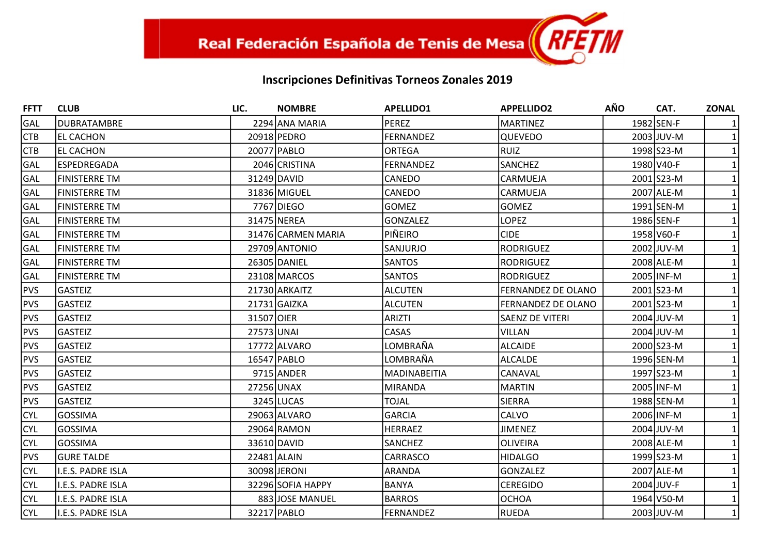| <b>FFTT</b> | <b>CLUB</b>          | LIC.        | <b>NOMBRE</b>      | <b>APELLIDO1</b>    | <b>APPELLIDO2</b>  | <b>AÑO</b> | CAT.       | <b>ZONAL</b> |
|-------------|----------------------|-------------|--------------------|---------------------|--------------------|------------|------------|--------------|
| GAL         | <b>DUBRATAMBRE</b>   |             | 2294 ANA MARIA     | <b>PEREZ</b>        | <b>MARTINEZ</b>    |            | 1982 SEN-F |              |
| <b>CTB</b>  | <b>EL CACHON</b>     |             | 20918 PEDRO        | <b>FERNANDEZ</b>    | <b>QUEVEDO</b>     |            | 2003 JUV-M |              |
| <b>CTB</b>  | <b>EL CACHON</b>     |             | 20077 PABLO        | <b>ORTEGA</b>       | <b>RUIZ</b>        |            | 1998 S23-M |              |
| GAL         | <b>ESPEDREGADA</b>   |             | 2046 CRISTINA      | <b>FERNANDEZ</b>    | <b>SANCHEZ</b>     |            | 1980 V40-F |              |
| GAL         | <b>FINISTERRE TM</b> |             | 31249 DAVID        | CANEDO              | CARMUEJA           |            | 2001 S23-M |              |
| GAL         | <b>FINISTERRE TM</b> |             | 31836 MIGUEL       | CANEDO              | CARMUEJA           |            | 2007 ALE-M |              |
| GAL         | FINISTERRE TM        |             | 7767 DIEGO         | <b>GOMEZ</b>        | <b>GOMEZ</b>       |            | 1991 SEN-M |              |
| GAL         | <b>FINISTERRE TM</b> |             | 31475 NEREA        | <b>GONZALEZ</b>     | <b>LOPEZ</b>       |            | 1986 SEN-F |              |
| GAL         | <b>FINISTERRE TM</b> |             | 31476 CARMEN MARIA | PIÑEIRO             | <b>CIDE</b>        |            | 1958 V60-F |              |
| GAL         | <b>FINISTERRE TM</b> |             | 29709 ANTONIO      | SANJURJO            | <b>RODRIGUEZ</b>   |            | 2002 JUV-M |              |
| GAL         | <b>FINISTERRE TM</b> |             | 26305 DANIEL       | <b>SANTOS</b>       | <b>RODRIGUEZ</b>   |            | 2008 ALE-M |              |
| GAL         | <b>FINISTERRE TM</b> |             | 23108 MARCOS       | <b>SANTOS</b>       | <b>RODRIGUEZ</b>   |            | 2005 INF-M |              |
| PVS         | <b>GASTEIZ</b>       |             | 21730 ARKAITZ      | ALCUTEN             | FERNANDEZ DE OLANO |            | 2001 S23-M |              |
| <b>PVS</b>  | <b>GASTEIZ</b>       |             | 21731 GAIZKA       | <b>ALCUTEN</b>      | FERNANDEZ DE OLANO |            | 2001 S23-M |              |
| <b>PVS</b>  | <b>GASTEIZ</b>       | 31507 OIER  |                    | <b>ARIZTI</b>       | SAENZ DE VITERI    |            | 2004 JUV-M |              |
| <b>PVS</b>  | <b>GASTEIZ</b>       | 27573 UNAI  |                    | <b>CASAS</b>        | <b>VILLAN</b>      |            | 2004 JUV-M |              |
| PVS         | <b>GASTEIZ</b>       |             | 17772 ALVARO       | LOMBRAÑA            | <b>ALCAIDE</b>     |            | 2000 S23-M |              |
| <b>PVS</b>  | <b>GASTEIZ</b>       |             | 16547 PABLO        | LOMBRAÑA            | <b>ALCALDE</b>     |            | 1996 SEN-M |              |
| PVS         | <b>GASTEIZ</b>       |             | 9715 ANDER         | <b>MADINABEITIA</b> | CANAVAL            |            | 1997 S23-M |              |
| <b>PVS</b>  | <b>GASTEIZ</b>       | 27256 UNAX  |                    | MIRANDA             | <b>MARTIN</b>      |            | 2005 INF-M |              |
| <b>PVS</b>  | <b>GASTEIZ</b>       |             | 3245 LUCAS         | <b>TOJAL</b>        | <b>SIERRA</b>      |            | 1988 SEN-M |              |
| <b>CYL</b>  | <b>GOSSIMA</b>       |             | 29063 ALVARO       | <b>GARCIA</b>       | CALVO              |            | 2006 INF-M |              |
| <b>CYL</b>  | <b>GOSSIMA</b>       |             | 29064 RAMON        | <b>HERRAEZ</b>      | <b>JIMENEZ</b>     |            | 2004 JUV-M |              |
| <b>CYL</b>  | <b>GOSSIMA</b>       |             | 33610 DAVID        | SANCHEZ             | <b>OLIVEIRA</b>    |            | 2008 ALE-M |              |
| PVS         | <b>GURE TALDE</b>    | 22481 ALAIN |                    | CARRASCO            | <b>HIDALGO</b>     |            | 1999 S23-M |              |
| <b>CYL</b>  | I.E.S. PADRE ISLA    |             | 30098 JERONI       | ARANDA              | <b>GONZALEZ</b>    |            | 2007 ALE-M |              |
| <b>CYL</b>  | I.E.S. PADRE ISLA    |             | 32296 SOFIA HAPPY  | <b>BANYA</b>        | <b>CEREGIDO</b>    |            | 2004 JUV-F |              |
| <b>CYL</b>  | I.E.S. PADRE ISLA    |             | 883 JOSE MANUEL    | <b>BARROS</b>       | <b>OCHOA</b>       |            | 1964 V50-M |              |
| <b>CYL</b>  | I.E.S. PADRE ISLA    |             | 32217 PABLO        | <b>FERNANDEZ</b>    | <b>RUEDA</b>       |            | 2003 JUV-M | $\mathbf{1}$ |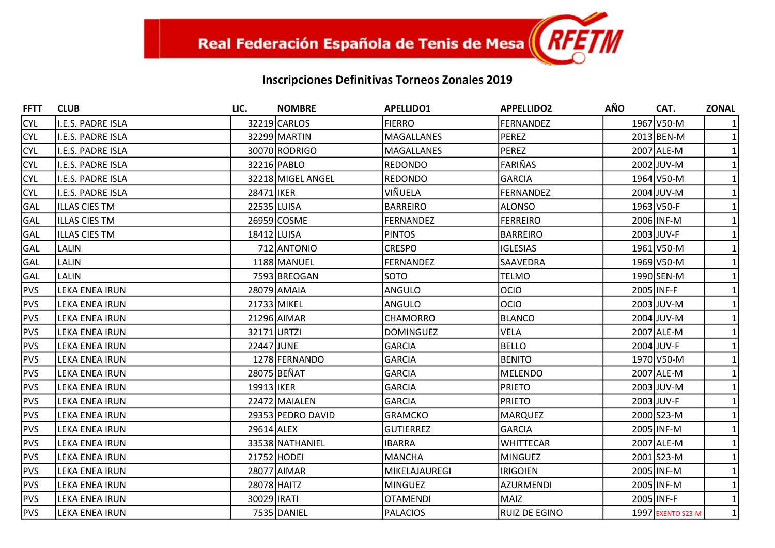| <b>FFTT</b> | <b>CLUB</b>           | LIC.        | <b>NOMBRE</b>     | <b>APELLIDO1</b>  | <b>APPELLIDO2</b>    | <b>AÑO</b> | CAT.              | <b>ZONAL</b> |
|-------------|-----------------------|-------------|-------------------|-------------------|----------------------|------------|-------------------|--------------|
| <b>CYL</b>  | I.E.S. PADRE ISLA     |             | 32219 CARLOS      | <b>FIERRO</b>     | <b>FERNANDEZ</b>     |            | 1967 V50-M        |              |
| <b>CYL</b>  | I.E.S. PADRE ISLA     |             | 32299 MARTIN      | MAGALLANES        | <b>PEREZ</b>         |            | 2013 BEN-M        |              |
| <b>CYL</b>  | I.E.S. PADRE ISLA     |             | 30070 RODRIGO     | <b>MAGALLANES</b> | <b>PEREZ</b>         |            | 2007 ALE-M        |              |
| <b>CYL</b>  | I.E.S. PADRE ISLA     |             | 32216 PABLO       | REDONDO           | <b>FARIÑAS</b>       |            | 2002 JUV-M        |              |
| <b>CYL</b>  | I.E.S. PADRE ISLA     |             | 32218 MIGEL ANGEL | <b>REDONDO</b>    | <b>GARCIA</b>        |            | 1964 V50-M        |              |
| <b>CYL</b>  | I.E.S. PADRE ISLA     | 28471 IKER  |                   | VIÑUELA           | <b>FERNANDEZ</b>     |            | 2004 JUV-M        |              |
| GAL         | IILLAS CIES TM        | 22535 LUISA |                   | BARREIRO          | <b>ALONSO</b>        |            | 1963 V50-F        |              |
| GAL         | IILLAS CIES TM        |             | 26959 COSME       | <b>FERNANDEZ</b>  | <b>FERREIRO</b>      |            | 2006 INF-M        |              |
| GAL         | <b>ILLAS CIES TM</b>  | 18412 LUISA |                   | <b>PINTOS</b>     | <b>BARREIRO</b>      |            | 2003 JUV-F        |              |
| GAL         | <b>LALIN</b>          |             | 712 ANTONIO       | <b>CRESPO</b>     | <b>IGLESIAS</b>      |            | 1961 V50-M        |              |
| GAL         | <b>LALIN</b>          |             | 1188 MANUEL       | <b>FERNANDEZ</b>  | <b>SAAVEDRA</b>      |            | 1969 V50-M        |              |
| GAL         | <b>LALIN</b>          |             | 7593 BREOGAN      | <b>SOTO</b>       | <b>TELMO</b>         |            | 1990 SEN-M        |              |
| PVS         | <b>LEKA ENEA IRUN</b> |             | 28079 AMAIA       | ANGULO            | <b>OCIO</b>          | 2005 INF-F |                   |              |
| <b>PVS</b>  | LEKA ENEA IRUN        |             | 21733 MIKEL       | ANGULO            | <b>OCIO</b>          |            | 2003 JUV-M        |              |
| <b>PVS</b>  | LEKA ENEA IRUN        |             | 21296 AIMAR       | <b>CHAMORRO</b>   | <b>BLANCO</b>        |            | 2004 JUV-M        |              |
| <b>PVS</b>  | LEKA ENEA IRUN        | 32171 URTZI |                   | <b>DOMINGUEZ</b>  | VELA                 |            | 2007 ALE-M        |              |
| PVS         | <b>LEKA ENEA IRUN</b> | 22447 JUNE  |                   | <b>GARCIA</b>     | <b>BELLO</b>         |            | 2004 JUV-F        |              |
| <b>PVS</b>  | <b>LEKA ENEA IRUN</b> |             | 1278 FERNANDO     | <b>GARCIA</b>     | <b>BENITO</b>        |            | 1970 V50-M        |              |
| PVS         | LEKA ENEA IRUN        |             | 28075 BEÑAT       | <b>GARCIA</b>     | <b>MELENDO</b>       |            | 2007 ALE-M        |              |
| PVS         | LEKA ENEA IRUN        | 19913 IKER  |                   | <b>GARCIA</b>     | <b>PRIETO</b>        |            | 2003 JUV-M        |              |
| <b>PVS</b>  | LEKA ENEA IRUN        |             | 22472 MAIALEN     | <b>GARCIA</b>     | <b>PRIETO</b>        |            | 2003 JUV-F        |              |
| <b>PVS</b>  | LEKA ENEA IRUN        |             | 29353 PEDRO DAVID | <b>GRAMCKO</b>    | <b>MARQUEZ</b>       |            | 2000 S23-M        |              |
| PVS         | <b>LEKA ENEA IRUN</b> | 29614 ALEX  |                   | <b>GUTIERREZ</b>  | <b>GARCIA</b>        |            | 2005 INF-M        |              |
| <b>PVS</b>  | LEKA ENEA IRUN        |             | 33538 NATHANIEL   | <b>IBARRA</b>     | <b>WHITTECAR</b>     |            | 2007 ALE-M        |              |
| PVS         | LEKA ENEA IRUN        |             | 21752 HODEI       | MANCHA            | <b>MINGUEZ</b>       |            | 2001 S23-M        |              |
| <b>PVS</b>  | LEKA ENEA IRUN        |             | 28077 AIMAR       | MIKELAJAUREGI     | <b>IRIGOIEN</b>      |            | 2005 INF-M        |              |
| <b>PVS</b>  | LEKA ENEA IRUN        |             | 28078 HAITZ       | MINGUEZ           | <b>AZURMENDI</b>     |            | 2005 INF-M        |              |
| <b>PVS</b>  | LEKA ENEA IRUN        | 30029 IRATI |                   | <b>OTAMENDI</b>   | <b>MAIZ</b>          | 2005 INF-F |                   |              |
| <b>PVS</b>  | <b>LEKA ENEA IRUN</b> |             | 7535 DANIEL       | PALACIOS          | <b>RUIZ DE EGINO</b> |            | 1997 EXENTO S23-M | $\mathbf{1}$ |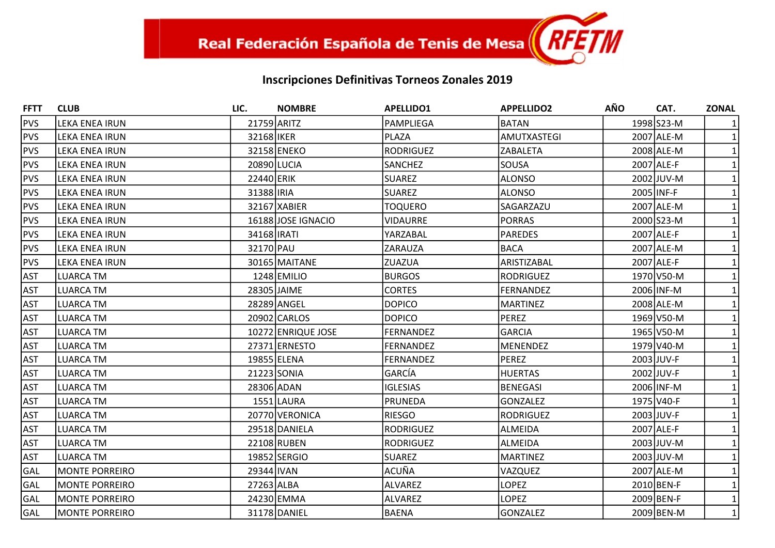| <b>FFTT</b> | <b>CLUB</b>           | LIC.               | <b>NOMBRE</b>      | <b>APELLIDO1</b> | <b>APPELLIDO2</b>  | <b>AÑO</b> | CAT.       | <b>ZONAL</b> |
|-------------|-----------------------|--------------------|--------------------|------------------|--------------------|------------|------------|--------------|
| <b>PVS</b>  | <b>LEKA ENEA IRUN</b> | 21759 ARITZ        |                    | PAMPLIEGA        | <b>BATAN</b>       |            | 1998 S23-M |              |
| PVS         | <b>LEKA ENEA IRUN</b> | 32168 IKER         |                    | PLAZA            | <b>AMUTXASTEGI</b> |            | 2007 ALE-M |              |
| <b>PVS</b>  | LEKA ENEA IRUN        |                    | 32158 ENEKO        | <b>RODRIGUEZ</b> | <b>ZABALETA</b>    |            | 2008 ALE-M |              |
| <b>PVS</b>  | LEKA ENEA IRUN        | 20890 LUCIA        |                    | SANCHEZ          | <b>SOUSA</b>       |            | 2007 ALE-F |              |
| PVS         | <b>LEKA ENEA IRUN</b> | 22440 ERIK         |                    | <b>SUAREZ</b>    | <b>ALONSO</b>      |            | 2002 JUV-M |              |
| <b>PVS</b>  | <b>LEKA ENEA IRUN</b> | 31388 IRIA         |                    | <b>SUAREZ</b>    | <b>ALONSO</b>      |            | 2005 INF-F |              |
| PVS         | LEKA ENEA IRUN        |                    | 32167 XABIER       | <b>TOQUERO</b>   | SAGARZAZU          |            | 2007 ALE-M |              |
| <b>PVS</b>  | LEKA ENEA IRUN        |                    | 16188 JOSE IGNACIO | <b>VIDAURRE</b>  | <b>PORRAS</b>      |            | 2000 S23-M |              |
| <b>PVS</b>  | LEKA ENEA IRUN        | 34168 <b>IRATI</b> |                    | YARZABAL         | <b>PAREDES</b>     |            | 2007 ALE-F |              |
| <b>PVS</b>  | LEKA ENEA IRUN        | 32170 PAU          |                    | <b>ZARAUZA</b>   | <b>BACA</b>        |            | 2007 ALE-M |              |
| PVS         | <b>LEKA ENEA IRUN</b> |                    | 30165 MAITANE      | ZUAZUA           | ARISTIZABAL        |            | 2007 ALE-F |              |
| <b>AST</b>  | <b>LUARCA TM</b>      |                    | 1248 EMILIO        | <b>BURGOS</b>    | <b>RODRIGUEZ</b>   |            | 1970 V50-M |              |
| <b>AST</b>  | <b>LUARCA TM</b>      |                    | 28305 JAIME        | <b>CORTES</b>    | <b>FERNANDEZ</b>   |            | 2006 INF-M |              |
| <b>AST</b>  | <b>LUARCA TM</b>      |                    | 28289 ANGEL        | <b>DOPICO</b>    | <b>MARTINEZ</b>    |            | 2008 ALE-M |              |
| <b>AST</b>  | <b>LUARCA TM</b>      |                    | 20902 CARLOS       | <b>DOPICO</b>    | <b>PEREZ</b>       |            | 1969 V50-M |              |
| <b>AST</b>  | <b>LUARCA TM</b>      |                    | 10272 ENRIQUE JOSE | <b>FERNANDEZ</b> | <b>GARCIA</b>      |            | 1965 V50-M |              |
| <b>AST</b>  | <b>LUARCA TM</b>      |                    | 27371 ERNESTO      | <b>FERNANDEZ</b> | <b>MENENDEZ</b>    |            | 1979 V40-M |              |
| <b>AST</b>  | <b>LUARCA TM</b>      |                    | 19855 ELENA        | <b>FERNANDEZ</b> | <b>PEREZ</b>       |            | 2003 JUV-F |              |
| <b>AST</b>  | LUARCA TM             |                    | 21223 SONIA        | GARCÍA           | <b>HUERTAS</b>     |            | 2002 JUV-F |              |
| <b>AST</b>  | <b>LUARCA TM</b>      | 28306 ADAN         |                    | <b>IGLESIAS</b>  | <b>BENEGASI</b>    |            | 2006 INF-M |              |
| <b>AST</b>  | <b>LUARCA TM</b>      |                    | 1551 LAURA         | <b>PRUNEDA</b>   | <b>GONZALEZ</b>    |            | 1975 V40-F |              |
| <b>AST</b>  | <b>LUARCA TM</b>      |                    | 20770 VERONICA     | <b>RIESGO</b>    | <b>RODRIGUEZ</b>   |            | 2003 JUV-F |              |
| <b>AST</b>  | <b>LUARCA TM</b>      |                    | 29518 DANIELA      | RODRIGUEZ        | <b>ALMEIDA</b>     |            | 2007 ALE-F |              |
| <b>AST</b>  | <b>LUARCA TM</b>      |                    | 22108 RUBEN        | <b>RODRIGUEZ</b> | <b>ALMEIDA</b>     |            | 2003 JUV-M |              |
| <b>AST</b>  | LUARCA TM             |                    | 19852 SERGIO       | <b>SUAREZ</b>    | <b>MARTINEZ</b>    |            | 2003 JUV-M |              |
| GAL         | <b>MONTE PORREIRO</b> | 29344 IVAN         |                    | ACUÑA            | VAZQUEZ            |            | 2007 ALE-M |              |
| GAL         | <b>MONTE PORREIRO</b> | 27263 ALBA         |                    | ALVAREZ          | <b>LOPEZ</b>       |            | 2010 BEN-F |              |
| GAL         | <b>MONTE PORREIRO</b> |                    | 24230 EMMA         | ALVAREZ          | <b>LOPEZ</b>       |            | 2009 BEN-F |              |
| GAL         | <b>MONTE PORREIRO</b> |                    | 31178 DANIEL       | <b>BAENA</b>     | <b>GONZALEZ</b>    |            | 2009 BEN-M | $\mathbf{1}$ |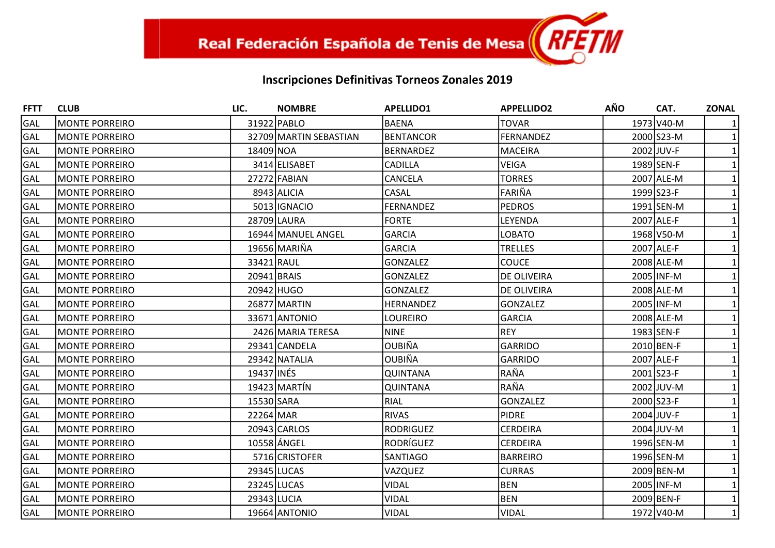| <b>FFTT</b> | <b>CLUB</b>           | LIC.        | <b>NOMBRE</b>          | <b>APELLIDO1</b> | <b>APPELLIDO2</b> | <b>AÑO</b> | CAT.       | <b>ZONAL</b> |
|-------------|-----------------------|-------------|------------------------|------------------|-------------------|------------|------------|--------------|
| GAL         | <b>MONTE PORREIRO</b> |             | 31922 PABLO            | <b>BAENA</b>     | <b>TOVAR</b>      |            | 1973 V40-M |              |
| GAL         | <b>MONTE PORREIRO</b> |             | 32709 MARTIN SEBASTIAN | <b>BENTANCOR</b> | <b>FERNANDEZ</b>  |            | 2000 S23-M |              |
| GAL         | <b>MONTE PORREIRO</b> | 18409 NOA   |                        | <b>BERNARDEZ</b> | <b>MACEIRA</b>    |            | 2002 JUV-F |              |
| GAL         | <b>MONTE PORREIRO</b> |             | 3414 ELISABET          | CADILLA          | <b>VEIGA</b>      |            | 1989 SEN-F |              |
| GAL         | <b>MONTE PORREIRO</b> |             | 27272 FABIAN           | CANCELA          | <b>TORRES</b>     |            | 2007 ALE-M |              |
| <b>GAL</b>  | <b>MONTE PORREIRO</b> |             | 8943 ALICIA            | CASAL            | FARIÑA            |            | 1999 S23-F |              |
| GAL         | <b>MONTE PORREIRO</b> |             | 5013 IGNACIO           | <b>FERNANDEZ</b> | <b>PEDROS</b>     |            | 1991 SEN-M |              |
| GAL         | <b>MONTE PORREIRO</b> |             | 28709 LAURA            | <b>FORTE</b>     | LEYENDA           |            | 2007 ALE-F |              |
| GAL         | <b>MONTE PORREIRO</b> |             | 16944 MANUEL ANGEL     | <b>GARCIA</b>    | <b>LOBATO</b>     |            | 1968 V50-M |              |
| GAL         | <b>MONTE PORREIRO</b> |             | 19656 MARIÑA           | <b>GARCIA</b>    | TRELLES           |            | 2007 ALE-F |              |
| GAL         | <b>MONTE PORREIRO</b> | 33421 RAUL  |                        | <b>GONZALEZ</b>  | <b>COUCE</b>      |            | 2008 ALE-M |              |
| GAL         | <b>MONTE PORREIRO</b> | 20941 BRAIS |                        | <b>GONZALEZ</b>  | DE OLIVEIRA       |            | 2005 INF-M |              |
| GAL         | <b>MONTE PORREIRO</b> |             | 20942 HUGO             | <b>GONZALEZ</b>  | DE OLIVEIRA       |            | 2008 ALE-M |              |
| GAL         | <b>MONTE PORREIRO</b> |             | 26877 MARTIN           | HERNANDEZ        | <b>GONZALEZ</b>   |            | 2005 INF-M |              |
| GAL         | <b>MONTE PORREIRO</b> |             | 33671 ANTONIO          | LOUREIRO         | <b>GARCIA</b>     |            | 2008 ALE-M |              |
| GAL         | <b>MONTE PORREIRO</b> |             | 2426 MARIA TERESA      | <b>NINE</b>      | <b>REY</b>        |            | 1983 SEN-F |              |
| GAL         | <b>MONTE PORREIRO</b> |             | 29341 CANDELA          | <b>OUBIÑA</b>    | <b>GARRIDO</b>    |            | 2010 BEN-F |              |
| <b>GAL</b>  | <b>MONTE PORREIRO</b> |             | 29342 NATALIA          | <b>OUBIÑA</b>    | <b>GARRIDO</b>    |            | 2007 ALE-F |              |
| GAL         | <b>MONTE PORREIRO</b> | 19437 INÉS  |                        | <b>QUINTANA</b>  | RAÑA              |            | 2001 S23-F |              |
| GAL         | <b>MONTE PORREIRO</b> |             | 19423 MARTÍN           | <b>QUINTANA</b>  | RAÑA              |            | 2002 JUV-M |              |
| GAL         | <b>MONTE PORREIRO</b> | 15530 SARA  |                        | <b>RIAL</b>      | <b>GONZALEZ</b>   |            | 2000 S23-F |              |
| GAL         | <b>MONTE PORREIRO</b> | 22264 MAR   |                        | <b>RIVAS</b>     | <b>PIDRE</b>      |            | 2004 JUV-F |              |
| GAL         | <b>MONTE PORREIRO</b> |             | 20943 CARLOS           | <b>RODRIGUEZ</b> | <b>CERDEIRA</b>   |            | 2004 JUV-M |              |
| GAL         | <b>MONTE PORREIRO</b> |             | 10558 ÁNGEL            | RODRÍGUEZ        | <b>CERDEIRA</b>   |            | 1996 SEN-M |              |
| GAL         | <b>MONTE PORREIRO</b> |             | 5716 CRISTOFER         | SANTIAGO         | <b>BARREIRO</b>   |            | 1996 SEN-M |              |
| GAL         | <b>MONTE PORREIRO</b> |             | 29345 LUCAS            | VAZQUEZ          | <b>CURRAS</b>     |            | 2009 BEN-M |              |
| GAL         | <b>MONTE PORREIRO</b> |             | 23245 LUCAS            | <b>VIDAL</b>     | <b>BEN</b>        |            | 2005 INF-M |              |
| GAL         | <b>MONTE PORREIRO</b> |             | 29343 LUCIA            | <b>VIDAL</b>     | <b>BEN</b>        |            | 2009 BEN-F |              |
| GAL         | <b>MONTE PORREIRO</b> |             | 19664 ANTONIO          | <b>VIDAL</b>     | <b>VIDAL</b>      |            | 1972 V40-M | $\mathbf{1}$ |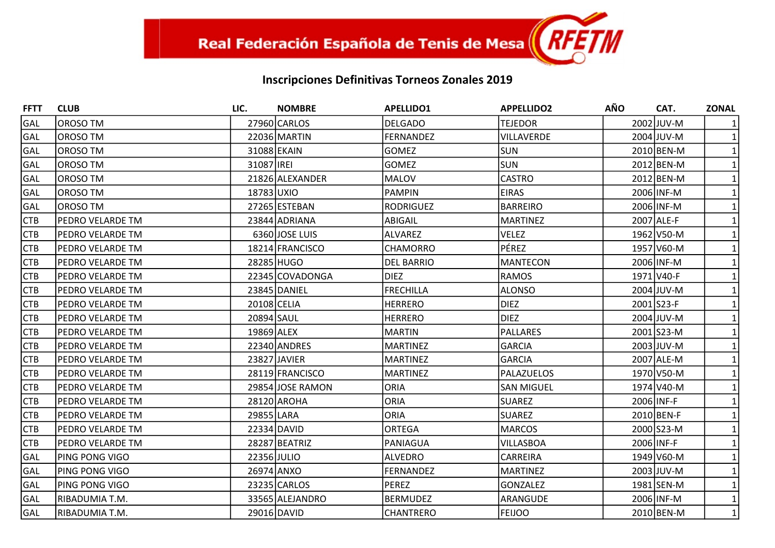| <b>FFTT</b> | <b>CLUB</b>             | LIC.        | <b>NOMBRE</b>    | <b>APELLIDO1</b>  | <b>APPELLIDO2</b> | <b>AÑO</b> | CAT.       | <b>ZONAL</b> |
|-------------|-------------------------|-------------|------------------|-------------------|-------------------|------------|------------|--------------|
| GAL         | OROSO TM                |             | 27960 CARLOS     | <b>DELGADO</b>    | <b>TEJEDOR</b>    |            | 2002 JUV-M |              |
| <b>GAL</b>  | OROSO TM                |             | 22036 MARTIN     | <b>FERNANDEZ</b>  | <b>VILLAVERDE</b> |            | 2004 JUV-M |              |
| GAL         | OROSO TM                |             | 31088 EKAIN      | <b>GOMEZ</b>      | <b>SUN</b>        |            | 2010 BEN-M |              |
| GAL         | OROSO TM                | 31087 IREI  |                  | <b>GOMEZ</b>      | <b>SUN</b>        |            | 2012 BEN-M |              |
| GAL         | OROSO TM                |             | 21826 ALEXANDER  | MALOV             | <b>CASTRO</b>     |            | 2012 BEN-M |              |
| <b>GAL</b>  | OROSO TM                | 18783 UXIO  |                  | <b>PAMPIN</b>     | <b>EIRAS</b>      |            | 2006 INF-M |              |
| GAL         | OROSO TM                |             | 27265 ESTEBAN    | <b>RODRIGUEZ</b>  | <b>BARREIRO</b>   |            | 2006 INF-M |              |
| <b>CTB</b>  | PEDRO VELARDE TM        |             | 23844 ADRIANA    | ABIGAIL           | <b>MARTINEZ</b>   |            | 2007 ALE-F |              |
| <b>CTB</b>  | IPEDRO VELARDE TM       |             | 6360 JOSE LUIS   | ALVAREZ           | <b>VELEZ</b>      |            | 1962 V50-M |              |
| <b>CTB</b>  | <b>PEDRO VELARDE TM</b> |             | 18214 FRANCISCO  | <b>CHAMORRO</b>   | PÉREZ             |            | 1957 V60-M |              |
| <b>CTB</b>  | PEDRO VELARDE TM        | 28285 HUGO  |                  | <b>DEL BARRIO</b> | <b>MANTECON</b>   |            | 2006 INF-M |              |
| <b>CTB</b>  | <b>PEDRO VELARDE TM</b> |             | 22345 COVADONGA  | <b>DIEZ</b>       | <b>RAMOS</b>      |            | 1971 V40-F |              |
| <b>CTB</b>  | <b>PEDRO VELARDE TM</b> |             | 23845 DANIEL     | <b>FRECHILLA</b>  | <b>ALONSO</b>     |            | 2004 JUV-M |              |
| <b>CTB</b>  | PEDRO VELARDE TM        | 20108 CELIA |                  | <b>HERRERO</b>    | <b>DIEZ</b>       |            | 2001 S23-F |              |
| <b>CTB</b>  | IPEDRO VELARDE TM       | 20894 SAUL  |                  | <b>HERRERO</b>    | <b>DIEZ</b>       |            | 2004 JUV-M |              |
| <b>CTB</b>  | IPEDRO VELARDE TM       | 19869 ALEX  |                  | MARTIN            | <b>PALLARES</b>   |            | 2001 S23-M |              |
| <b>CTB</b>  | <b>PEDRO VELARDE TM</b> |             | 22340 ANDRES     | <b>MARTINEZ</b>   | <b>GARCIA</b>     |            | 2003 JUV-M |              |
| <b>CTB</b>  | <b>PEDRO VELARDE TM</b> |             | 23827 JAVIER     | <b>MARTINEZ</b>   | <b>GARCIA</b>     |            | 2007 ALE-M |              |
| <b>CTB</b>  | <b>PEDRO VELARDE TM</b> |             | 28119 FRANCISCO  | MARTINEZ          | PALAZUELOS        |            | 1970 V50-M |              |
| <b>CTB</b>  | <b>PEDRO VELARDE TM</b> |             | 29854 JOSE RAMON | <b>ORIA</b>       | <b>SAN MIGUEL</b> |            | 1974 V40-M |              |
| <b>CTB</b>  | <b>PEDRO VELARDE TM</b> |             | 28120 AROHA      | <b>ORIA</b>       | <b>SUAREZ</b>     |            | 2006 INF-F |              |
| <b>CTB</b>  | <b>PEDRO VELARDE TM</b> | 29855 LARA  |                  | ORIA              | <b>SUAREZ</b>     |            | 2010 BEN-F |              |
| <b>CTB</b>  | PEDRO VELARDE TM        |             | 22334 DAVID      | ORTEGA            | <b>MARCOS</b>     |            | 2000 S23-M |              |
| <b>CTB</b>  | <b>PEDRO VELARDE TM</b> |             | 28287 BEATRIZ    | PANIAGUA          | <b>VILLASBOA</b>  |            | 2006 INF-F |              |
| GAL         | <b>PING PONG VIGO</b>   | 22356 JULIO |                  | ALVEDRO           | CARREIRA          |            | 1949 V60-M |              |
| GAL         | PING PONG VIGO          | 26974 ANXO  |                  | <b>FERNANDEZ</b>  | <b>MARTINEZ</b>   |            | 2003 JUV-M |              |
| GAL         | PING PONG VIGO          |             | 23235 CARLOS     | PEREZ             | <b>GONZALEZ</b>   |            | 1981 SEN-M |              |
| GAL         | RIBADUMIA T.M.          |             | 33565 ALEJANDRO  | <b>BERMUDEZ</b>   | ARANGUDE          |            | 2006 INF-M |              |
| GAL         | RIBADUMIA T.M.          |             | 29016 DAVID      | <b>CHANTRERO</b>  | <b>FEIJOO</b>     |            | 2010 BEN-M | $\mathbf{1}$ |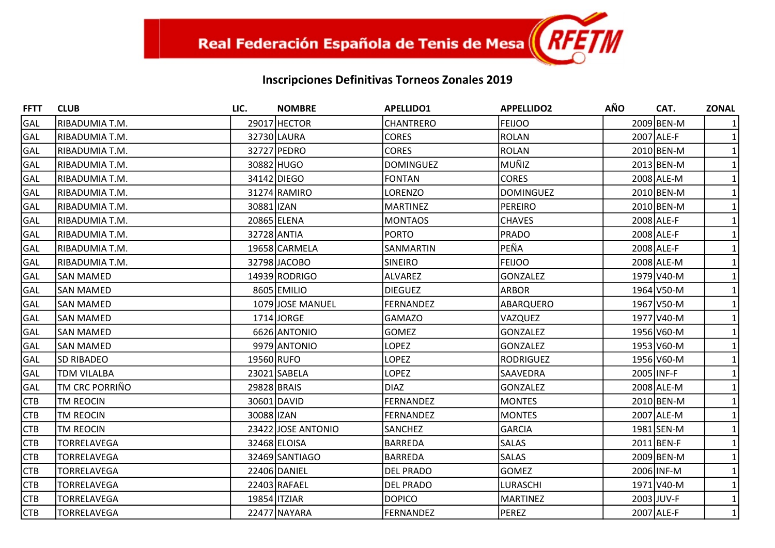| <b>FFTT</b> | <b>CLUB</b>           | LIC.        | <b>NOMBRE</b>      | <b>APELLIDO1</b> | <b>APPELLIDO2</b> | <b>AÑO</b> | CAT.       | <b>ZONAL</b> |
|-------------|-----------------------|-------------|--------------------|------------------|-------------------|------------|------------|--------------|
| GAL         | RIBADUMIA T.M.        |             | 29017 HECTOR       | <b>CHANTRERO</b> | <b>FEIJOO</b>     |            | 2009 BEN-M |              |
| GAL         | IRIBADUMIA T.M.       |             | 32730 LAURA        | <b>CORES</b>     | <b>ROLAN</b>      |            | 2007 ALE-F |              |
| GAL         | RIBADUMIA T.M.        |             | 32727 PEDRO        | <b>CORES</b>     | <b>ROLAN</b>      |            | 2010 BEN-M |              |
| GAL         | RIBADUMIA T.M.        |             | 30882 HUGO         | <b>DOMINGUEZ</b> | MUÑIZ             |            | 2013 BEN-M |              |
| GAL         | RIBADUMIA T.M.        |             | 34142 DIEGO        | <b>FONTAN</b>    | <b>CORES</b>      |            | 2008 ALE-M |              |
| <b>GAL</b>  | RIBADUMIA T.M.        |             | 31274 RAMIRO       | LORENZO          | <b>DOMINGUEZ</b>  |            | 2010 BEN-M |              |
| GAL         | RIBADUMIA T.M.        | 30881 IZAN  |                    | <b>MARTINEZ</b>  | <b>PEREIRO</b>    |            | 2010 BEN-M |              |
| GAL         | RIBADUMIA T.M.        |             | 20865 ELENA        | MONTAOS          | <b>CHAVES</b>     |            | 2008 ALE-F |              |
| GAL         | RIBADUMIA T.M.        |             | 32728 ANTIA        | PORTO            | <b>PRADO</b>      |            | 2008 ALE-F |              |
| GAL         | RIBADUMIA T.M.        |             | 19658 CARMELA      | SANMARTIN        | PEÑA              |            | 2008 ALE-F |              |
| GAL         | RIBADUMIA T.M.        |             | 32798 JACOBO       | <b>SINEIRO</b>   | <b>FEIJOO</b>     |            | 2008 ALE-M |              |
| GAL         | <b>SAN MAMED</b>      |             | 14939 RODRIGO      | ALVAREZ          | <b>GONZALEZ</b>   |            | 1979 V40-M |              |
| GAL         | <b>SAN MAMED</b>      |             | 8605 EMILIO        | DIEGUEZ          | <b>ARBOR</b>      |            | 1964 V50-M |              |
| GAL         | <b>SAN MAMED</b>      |             | 1079 JOSE MANUEL   | <b>FERNANDEZ</b> | ABARQUERO         |            | 1967 V50-M |              |
| GAL         | <b>SAN MAMED</b>      |             | 1714 JORGE         | <b>GAMAZO</b>    | VAZQUEZ           |            | 1977 V40-M |              |
| GAL         | <b>SAN MAMED</b>      |             | 6626 ANTONIO       | <b>GOMEZ</b>     | <b>GONZALEZ</b>   |            | 1956 V60-M |              |
| GAL         | <b>SAN MAMED</b>      |             | 9979 ANTONIO       | <b>LOPEZ</b>     | <b>GONZALEZ</b>   |            | 1953 V60-M |              |
| GAL         | <b>SD RIBADEO</b>     | 19560 RUFO  |                    | <b>LOPEZ</b>     | <b>RODRIGUEZ</b>  |            | 1956 V60-M |              |
| GAL         | <b>TDM VILALBA</b>    |             | 23021 SABELA       | <b>LOPEZ</b>     | SAAVEDRA          | 2005 INF-F |            |              |
| GAL         | <b>TM CRC PORRIÑO</b> | 29828 BRAIS |                    | DIAZ             | <b>GONZALEZ</b>   |            | 2008 ALE-M |              |
| <b>CTB</b>  | TM REOCIN             |             | 30601 DAVID        | FERNANDEZ        | <b>MONTES</b>     |            | 2010 BEN-M |              |
| <b>CTB</b>  | TM REOCIN             | 30088 IZAN  |                    | FERNANDEZ        | <b>MONTES</b>     |            | 2007 ALE-M |              |
| <b>CTB</b>  | <b>TM REOCIN</b>      |             | 23422 JOSE ANTONIO | <b>SANCHEZ</b>   | <b>GARCIA</b>     |            | 1981 SEN-M |              |
| <b>CTB</b>  | <b>TORRELAVEGA</b>    |             | 32468 ELOISA       | <b>BARREDA</b>   | <b>SALAS</b>      |            | 2011 BEN-F |              |
| <b>CTB</b>  | <b>TORRELAVEGA</b>    |             | 32469 SANTIAGO     | <b>BARREDA</b>   | <b>SALAS</b>      |            | 2009 BEN-M |              |
| <b>CTB</b>  | <b>TORRELAVEGA</b>    |             | 22406 DANIEL       | <b>DEL PRADO</b> | <b>GOMEZ</b>      |            | 2006 INF-M |              |
| <b>CTB</b>  | TORRELAVEGA           |             | 22403 RAFAEL       | <b>DEL PRADO</b> | LURASCHI          |            | 1971 V40-M |              |
| <b>CTB</b>  | <b>TORRELAVEGA</b>    |             | 19854 ITZIAR       | <b>DOPICO</b>    | <b>MARTINEZ</b>   |            | 2003 JUV-F |              |
| <b>CTB</b>  | <b>TORRELAVEGA</b>    |             | 22477 NAYARA       | FERNANDEZ        | <b>PEREZ</b>      |            | 2007 ALE-F | $\mathbf{1}$ |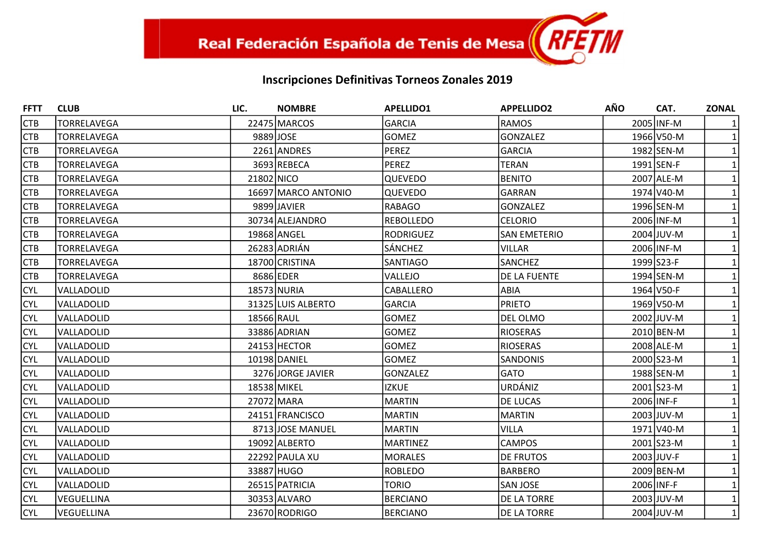| <b>FFTT</b> | <b>CLUB</b>        | LIC.        | <b>NOMBRE</b>       | <b>APELLIDO1</b> | <b>APPELLIDO2</b>   | <b>AÑO</b> | CAT.       | <b>ZONAL</b> |
|-------------|--------------------|-------------|---------------------|------------------|---------------------|------------|------------|--------------|
| <b>CTB</b>  | <b>TORRELAVEGA</b> |             | 22475 MARCOS        | GARCIA           | <b>RAMOS</b>        |            | 2005 INF-M |              |
| <b>CTB</b>  | <b>TORRELAVEGA</b> | 9889 JOSE   |                     | <b>GOMEZ</b>     | <b>GONZALEZ</b>     |            | 1966 V50-M |              |
| <b>CTB</b>  | <b>TORRELAVEGA</b> |             | 2261 ANDRES         | PEREZ            | <b>GARCIA</b>       |            | 1982 SEN-M |              |
| <b>CTB</b>  | <b>TORRELAVEGA</b> |             | 3693 REBECA         | PEREZ            | <b>TERAN</b>        |            | 1991 SEN-F |              |
| <b>CTB</b>  | <b>TORRELAVEGA</b> | 21802 NICO  |                     | <b>QUEVEDO</b>   | <b>BENITO</b>       |            | 2007 ALE-M |              |
| <b>CTB</b>  | <b>TORRELAVEGA</b> |             | 16697 MARCO ANTONIO | <b>QUEVEDO</b>   | <b>GARRAN</b>       |            | 1974 V40-M |              |
| <b>CTB</b>  | <b>TORRELAVEGA</b> |             | 9899 JAVIER         | RABAGO           | <b>GONZALEZ</b>     |            | 1996 SEN-M |              |
| <b>CTB</b>  | <b>TORRELAVEGA</b> |             | 30734 ALEJANDRO     | <b>REBOLLEDO</b> | <b>CELORIO</b>      |            | 2006 INF-M |              |
| <b>CTB</b>  | TORRELAVEGA        |             | 19868 ANGEL         | <b>RODRIGUEZ</b> | <b>SAN EMETERIO</b> |            | 2004 JUV-M |              |
| <b>CTB</b>  | <b>TORRELAVEGA</b> |             | 26283 ADRIÁN        | SÁNCHEZ          | <b>VILLAR</b>       |            | 2006 INF-M |              |
| <b>CTB</b>  | TORRELAVEGA        |             | 18700 CRISTINA      | <b>SANTIAGO</b>  | SANCHEZ             |            | 1999 S23-F |              |
| <b>CTB</b>  | <b>TORRELAVEGA</b> |             | 8686 EDER           | VALLEJO          | DE LA FUENTE        |            | 1994 SEN-M |              |
| <b>CYL</b>  | VALLADOLID         |             | 18573 NURIA         | CABALLERO        | ABIA                |            | 1964 V50-F |              |
| <b>CYL</b>  | VALLADOLID         |             | 31325 LUIS ALBERTO  | GARCIA           | <b>PRIETO</b>       |            | 1969 V50-M |              |
| <b>CYL</b>  | VALLADOLID         | 18566 RAUL  |                     | <b>GOMEZ</b>     | DEL OLMO            |            | 2002 JUV-M |              |
| <b>CYL</b>  | VALLADOLID         |             | 33886 ADRIAN        | <b>GOMEZ</b>     | <b>RIOSERAS</b>     |            | 2010 BEN-M |              |
| <b>CYL</b>  | VALLADOLID         |             | 24153 HECTOR        | <b>GOMEZ</b>     | <b>RIOSERAS</b>     |            | 2008 ALE-M |              |
| <b>CYL</b>  | VALLADOLID         |             | 10198 DANIEL        | lgomez           | SANDONIS            |            | 2000 S23-M |              |
| <b>CYL</b>  | VALLADOLID         |             | 3276 JORGE JAVIER   | GONZALEZ         | <b>GATO</b>         |            | 1988 SEN-M |              |
| <b>CYL</b>  | VALLADOLID         | 18538 MIKEL |                     | <b>IZKUE</b>     | URDÁNIZ             |            | 2001 S23-M |              |
| <b>CYL</b>  | VALLADOLID         |             | 27072 MARA          | <b>MARTIN</b>    | DE LUCAS            |            | 2006 INF-F |              |
| <b>CYL</b>  | VALLADOLID         |             | 24151 FRANCISCO     | MARTIN           | <b>MARTIN</b>       |            | 2003 JUV-M |              |
| <b>CYL</b>  | VALLADOLID         |             | 8713JJOSE MANUEL    | MARTIN           | <b>VILLA</b>        |            | 1971 V40-M |              |
| <b>CYL</b>  | VALLADOLID         |             | 19092 ALBERTO       | <b>MARTINEZ</b>  | <b>CAMPOS</b>       |            | 2001 S23-M |              |
| <b>CYL</b>  | VALLADOLID         |             | 22292 PAULA XU      | MORALES          | DE FRUTOS           |            | 2003 JUV-F |              |
| <b>CYL</b>  | VALLADOLID         |             | 33887 HUGO          | ROBLEDO          | <b>BARBERO</b>      |            | 2009 BEN-M |              |
| <b>CYL</b>  | VALLADOLID         |             | 26515 PATRICIA      | <b>TORIO</b>     | <b>SAN JOSE</b>     |            | 2006 INF-F |              |
| <b>CYL</b>  | VEGUELLINA         |             | 30353 ALVARO        | <b>BERCIANO</b>  | DE LA TORRE         |            | 2003 JUV-M |              |
| <b>CYL</b>  | VEGUELLINA         |             | 23670 RODRIGO       | BERCIANO         | DE LA TORRE         |            | 2004 JUV-M | $\mathbf{1}$ |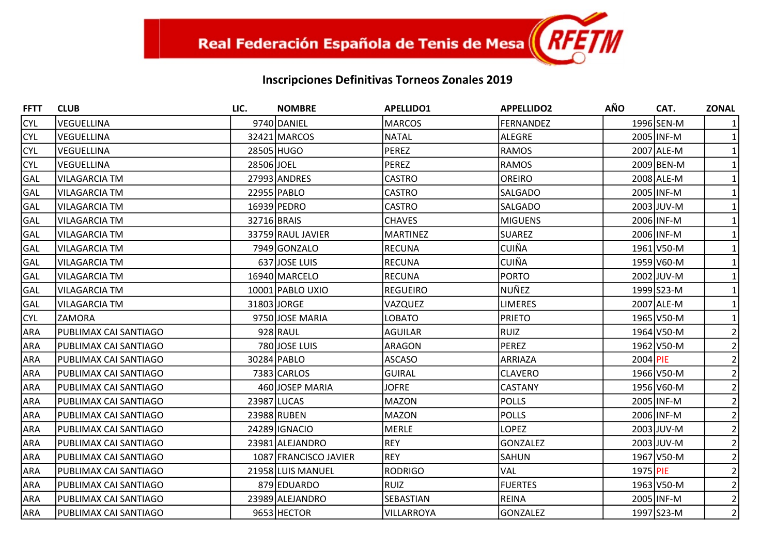| <b>FFTT</b> | <b>CLUB</b>           | LIC.        | <b>NOMBRE</b>         | <b>APELLIDO1</b> | <b>APPELLIDO2</b> | <b>AÑO</b> | CAT.       | <b>ZONAL</b>   |
|-------------|-----------------------|-------------|-----------------------|------------------|-------------------|------------|------------|----------------|
| <b>CYL</b>  | VEGUELLINA            |             | 9740 DANIEL           | <b>MARCOS</b>    | <b>FERNANDEZ</b>  |            | 1996 SEN-M |                |
| <b>CYL</b>  | <b>VEGUELLINA</b>     |             | 32421 MARCOS          | NATAL            | <b>ALEGRE</b>     |            | 2005 INF-M |                |
| <b>CYL</b>  | <b>VEGUELLINA</b>     |             | 28505 HUGO            | PEREZ            | <b>RAMOS</b>      |            | 2007 ALE-M |                |
| <b>CYL</b>  | VEGUELLINA            | 28506JJOEL  |                       | PEREZ            | <b>RAMOS</b>      |            | 2009 BEN-M |                |
| GAL         | <b>VILAGARCIA TM</b>  |             | 27993 ANDRES          | <b>CASTRO</b>    | <b>OREIRO</b>     |            | 2008 ALE-M |                |
| GAL         | <b>VILAGARCIA TM</b>  |             | 22955 PABLO           | <b>CASTRO</b>    | SALGADO           |            | 2005 INF-M |                |
| GAL         | <b>VILAGARCIA TM</b>  |             | 16939 PEDRO           | <b>CASTRO</b>    | SALGADO           |            | 2003 JUV-M |                |
| GAL         | <b>VILAGARCIA TM</b>  | 32716 BRAIS |                       | <b>CHAVES</b>    | <b>MIGUENS</b>    |            | 2006 INF-M |                |
| GAL         | <b>VILAGARCIA TM</b>  |             | 33759 RAUL JAVIER     | <b>MARTINEZ</b>  | <b>SUAREZ</b>     |            | 2006 INF-M |                |
| GAL         | <b>VILAGARCIA TM</b>  |             | 7949 GONZALO          | RECUNA           | <b>CUIÑA</b>      |            | 1961 V50-M |                |
| GAL         | <b>VILAGARCIA TM</b>  |             | 637 JOSE LUIS         | <b>RECUNA</b>    | <b>CUIÑA</b>      |            | 1959 V60-M |                |
| GAL         | <b>VILAGARCIA TM</b>  |             | 16940 MARCELO         | RECUNA           | <b>PORTO</b>      |            | 2002 JUV-M |                |
| GAL         | <b>VILAGARCIA TM</b>  |             | 10001 PABLO UXIO      | REGUEIRO         | NUÑEZ             |            | 1999 S23-M |                |
| GAL         | <b>VILAGARCIA TM</b>  |             | 31803 JORGE           | VAZQUEZ          | <b>LIMERES</b>    |            | 2007 ALE-M |                |
| <b>CYL</b>  | ZAMORA                |             | 9750 JOSE MARIA       | <b>LOBATO</b>    | <b>PRIETO</b>     |            | 1965 V50-M |                |
| <b>ARA</b>  | PUBLIMAX CAI SANTIAGO |             | 928 RAUL              | <b>AGUILAR</b>   | <b>RUIZ</b>       |            | 1964 V50-M |                |
| <b>ARA</b>  | PUBLIMAX CAI SANTIAGO |             | 780 JOSE LUIS         | ARAGON           | <b>PEREZ</b>      |            | 1962 V50-M |                |
| <b>ARA</b>  | PUBLIMAX CAI SANTIAGO |             | 30284 PABLO           | <b>ASCASO</b>    | ARRIAZA           | 2004 PIE   |            | 2              |
| <b>ARA</b>  | PUBLIMAX CAI SANTIAGO |             | 7383 CARLOS           | <b>GUIRAL</b>    | <b>CLAVERO</b>    |            | 1966 V50-M |                |
| <b>ARA</b>  | PUBLIMAX CAI SANTIAGO |             | 460 JOSEP MARIA       | <b>JOFRE</b>     | <b>CASTANY</b>    |            | 1956 V60-M |                |
| ARA         | PUBLIMAX CAI SANTIAGO |             | 23987 LUCAS           | MAZON            | <b>POLLS</b>      |            | 2005 INF-M |                |
| <b>ARA</b>  | PUBLIMAX CAI SANTIAGO |             | 23988 RUBEN           | MAZON            | <b>POLLS</b>      |            | 2006 INF-M | 2              |
| <b>ARA</b>  | PUBLIMAX CAI SANTIAGO |             | 24289 IGNACIO         | MERLE            | <b>LOPEZ</b>      |            | 2003 JUV-M |                |
| <b>ARA</b>  | PUBLIMAX CAI SANTIAGO |             | 23981 ALEJANDRO       | REY              | <b>GONZALEZ</b>   |            | 2003 JUV-M |                |
| ARA         | PUBLIMAX CAI SANTIAGO |             | 1087 FRANCISCO JAVIER | REY              | SAHUN             |            | 1967 V50-M |                |
| <b>ARA</b>  | PUBLIMAX CAI SANTIAGO |             | 21958 LUIS MANUEL     | <b>RODRIGO</b>   | <b>VAL</b>        | 1975 PIE   |            | 2              |
| ARA         | PUBLIMAX CAI SANTIAGO |             | 879 EDUARDO           | RUIZ             | <b>FUERTES</b>    |            | 1963 V50-M |                |
| ARA         | PUBLIMAX CAI SANTIAGO |             | 23989 ALEJANDRO       | SEBASTIAN        | <b>REINA</b>      |            | 2005 INF-M | $\overline{2}$ |
| <b>ARA</b>  | PUBLIMAX CAI SANTIAGO |             | 9653 HECTOR           | VILLARROYA       | <b>GONZALEZ</b>   |            | 1997 S23-M | $\overline{2}$ |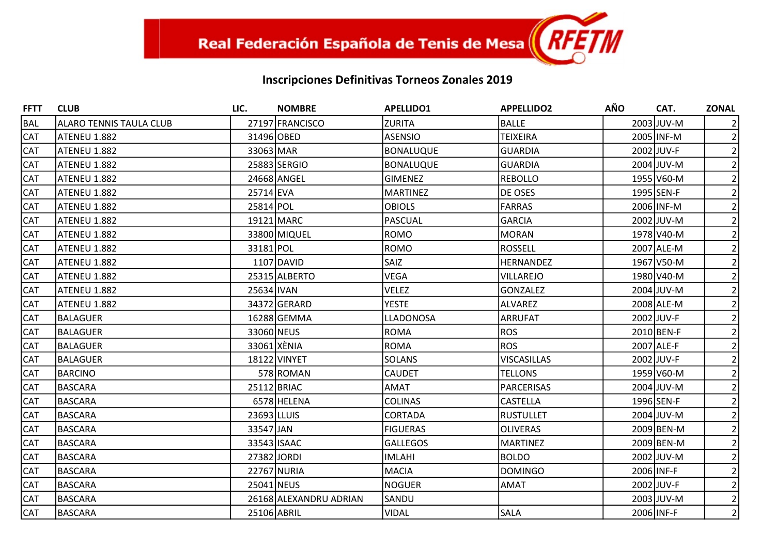| <b>FFTT</b> | <b>CLUB</b>                    | LIC.        | <b>NOMBRE</b>          | <b>APELLIDO1</b> | <b>APPELLIDO2</b>  | <b>AÑO</b> | CAT.         | <b>ZONAL</b>   |
|-------------|--------------------------------|-------------|------------------------|------------------|--------------------|------------|--------------|----------------|
| <b>BAL</b>  | <b>ALARO TENNIS TAULA CLUB</b> |             | 27197 FRANCISCO        | <b>ZURITA</b>    | <b>BALLE</b>       |            | 2003 JUV-M   |                |
| <b>CAT</b>  | ATENEU 1.882                   | 31496 OBED  |                        | ASENSIO          | <b>TEIXEIRA</b>    |            | 2005 INF-M   | $\overline{2}$ |
| <b>CAT</b>  | ATENEU 1.882                   | 33063 MAR   |                        | BONALUQUE        | <b>GUARDIA</b>     |            | 2002 JUV-F   | $\overline{2}$ |
| <b>CAT</b>  | ATENEU 1.882                   |             | 25883 SERGIO           | <b>BONALUQUE</b> | <b>GUARDIA</b>     |            | $2004$ JUV-M |                |
| <b>CAT</b>  | ATENEU 1.882                   |             | 24668 ANGEL            | <b>GIMENEZ</b>   | <b>REBOLLO</b>     |            | 1955 V60-M   |                |
| <b>CAT</b>  | ATENEU 1.882                   | 25714 EVA   |                        | MARTINEZ         | <b>DE OSES</b>     |            | 1995 SEN-F   | 2              |
| <b>CAT</b>  | ATENEU 1.882                   | 25814 POL   |                        | <b>OBIOLS</b>    | <b>FARRAS</b>      |            | 2006 INF-M   |                |
| <b>CAT</b>  | ATENEU 1.882                   |             | 19121 MARC             | PASCUAL          | <b>GARCIA</b>      |            | 2002 JUV-M   |                |
| <b>CAT</b>  | ATENEU 1.882                   |             | 33800 MIQUEL           | ROMO             | <b>MORAN</b>       |            | 1978 V40-M   |                |
| CAT         | ATENEU 1.882                   | 33181 POL   |                        | ROMO             | <b>ROSSELL</b>     |            | 2007 ALE-M   | 2              |
| <b>CAT</b>  | ATENEU 1.882                   |             | 1107 DAVID             | <b>SAIZ</b>      | <b>HERNANDEZ</b>   |            | 1967 V50-M   |                |
| <b>CAT</b>  | ATENEU 1.882                   |             | 25315 ALBERTO          | <b>VEGA</b>      | <b>VILLAREJO</b>   |            | 1980 V40-M   |                |
| <b>CAT</b>  | ATENEU 1.882                   | 25634 IVAN  |                        | <b>VELEZ</b>     | <b>GONZALEZ</b>    |            | 2004 JUV-M   |                |
| <b>CAT</b>  | ATENEU 1.882                   |             | 34372 GERARD           | <b>YESTE</b>     | ALVAREZ            |            | 2008 ALE-M   |                |
| <b>CAT</b>  | <b>BALAGUER</b>                |             | 16288 GEMMA            | LLADONOSA        | <b>ARRUFAT</b>     |            | 2002 JUV-F   |                |
| <b>CAT</b>  | <b>BALAGUER</b>                | 33060 NEUS  |                        | ROMA             | <b>ROS</b>         |            | 2010 BEN-F   |                |
| <b>CAT</b>  | <b>BALAGUER</b>                |             | 33061 XÈNIA            | ROMA             | <b>ROS</b>         |            | 2007 ALE-F   |                |
| CAT         | <b>BALAGUER</b>                |             | 18122 VINYET           | SOLANS           | <b>VISCASILLAS</b> |            | 2002 JUV-F   |                |
| <b>CAT</b>  | <b>BARCINO</b>                 |             | 578 ROMAN              | <b>CAUDET</b>    | <b>TELLONS</b>     |            | 1959 V60-M   |                |
| <b>CAT</b>  | <b>BASCARA</b>                 |             | 25112 BRIAC            | AMAT             | <b>PARCERISAS</b>  |            | 2004 JUV-M   |                |
| <b>CAT</b>  | <b>BASCARA</b>                 |             | 6578 HELENA            | <b>COLINAS</b>   | <b>CASTELLA</b>    |            | 1996 SEN-F   |                |
| <b>CAT</b>  | <b>BASCARA</b>                 | 23693 LLUIS |                        | <b>CORTADA</b>   | <b>RUSTULLET</b>   |            | 2004 JUV-M   |                |
| <b>CAT</b>  | <b>BASCARA</b>                 | 33547 JAN   |                        | <b>FIGUERAS</b>  | <b>OLIVERAS</b>    |            | 2009 BEN-M   |                |
| <b>CAT</b>  | <b>BASCARA</b>                 |             | 33543 ISAAC            | <b>GALLEGOS</b>  | <b>MARTINEZ</b>    |            | 2009 BEN-M   | $\overline{2}$ |
| <b>CAT</b>  | <b>BASCARA</b>                 |             | 27382 JORDI            | IMLAHI           | <b>BOLDO</b>       |            | 2002 JUV-M   |                |
| <b>CAT</b>  | <b>BASCARA</b>                 |             | 22767 NURIA            | MACIA            | <b>DOMINGO</b>     | 2006 INF-F |              | $\overline{2}$ |
| <b>CAT</b>  | <b>BASCARA</b>                 | 25041 NEUS  |                        | NOGUER           | <b>AMAT</b>        |            | 2002 JUV-F   | $\overline{2}$ |
| <b>CAT</b>  | <b>BASCARA</b>                 |             | 26168 ALEXANDRU ADRIAN | SANDU            |                    |            | 2003 JUV-M   | $\overline{2}$ |
| <b>CAT</b>  | <b>BASCARA</b>                 |             | 25106 ABRIL            | <b>VIDAL</b>     | <b>SALA</b>        | 2006 INF-F |              | $\overline{2}$ |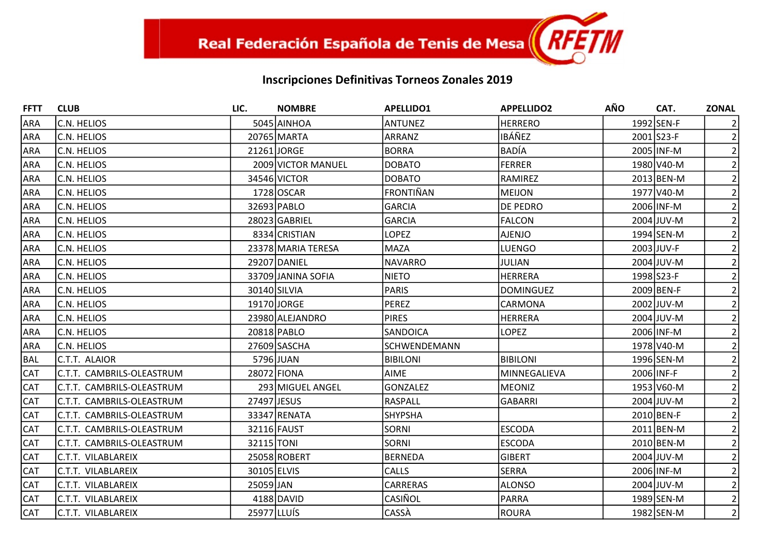| <b>FFTT</b> | <b>CLUB</b>               | LIC.        | <b>NOMBRE</b>      | <b>APELLIDO1</b> | <b>APPELLIDO2</b> | <b>AÑO</b> | CAT.         | <b>ZONAL</b>   |
|-------------|---------------------------|-------------|--------------------|------------------|-------------------|------------|--------------|----------------|
| <b>ARA</b>  | C.N. HELIOS               |             | 5045 AINHOA        | <b>ANTUNEZ</b>   | <b>HERRERO</b>    |            | 1992 SEN-F   |                |
| <b>ARA</b>  | C.N. HELIOS               |             | 20765 MARTA        | ARRANZ           | IBÁÑEZ            |            | 2001 S23-F   | $\overline{2}$ |
| <b>ARA</b>  | C.N. HELIOS               |             | 21261 JORGE        | BORRA            | <b>BADÍA</b>      |            | 2005 INF-M   |                |
| <b>ARA</b>  | C.N. HELIOS               |             | 2009 VICTOR MANUEL | <b>DOBATO</b>    | <b>FERRER</b>     |            | 1980 V40-M   |                |
| <b>ARA</b>  | C.N. HELIOS               |             | 34546 VICTOR       | <b>DOBATO</b>    | RAMIREZ           |            | 2013 BEN-M   |                |
| <b>ARA</b>  | C.N. HELIOS               |             | 1728 OSCAR         | FRONTIÑAN        | <b>MEIJON</b>     |            | 1977 V40-M   |                |
| <b>ARA</b>  | C.N. HELIOS               |             | 32693 PABLO        | GARCIA           | DE PEDRO          |            | 2006 INF-M   |                |
| <b>ARA</b>  | C.N. HELIOS               |             | 28023 GABRIEL      | GARCIA           | <b>FALCON</b>     |            | $2004$ JUV-M |                |
| <b>ARA</b>  | C.N. HELIOS               |             | 8334 CRISTIAN      | <b>LOPEZ</b>     | <b>AJENJO</b>     |            | 1994 SEN-M   |                |
| <b>ARA</b>  | C.N. HELIOS               |             | 23378 MARIA TERESA | MAZA             | <b>LUENGO</b>     |            | 2003 JUV-F   | 2              |
| <b>ARA</b>  | C.N. HELIOS               |             | 29207 DANIEL       | INAVARRO         | JULIAN            |            | 2004 JUV-M   |                |
| <b>ARA</b>  | C.N. HELIOS               |             | 33709 JANINA SOFIA | <b>NIETO</b>     | <b>HERRERA</b>    |            | 1998 S23-F   |                |
| <b>ARA</b>  | C.N. HELIOS               |             | 30140 SILVIA       | PARIS            | <b>DOMINGUEZ</b>  |            | 2009 BEN-F   |                |
| <b>ARA</b>  | C.N. HELIOS               |             | 19170 JORGE        | PEREZ            | CARMONA           |            | 2002 JUV-M   |                |
| <b>ARA</b>  | C.N. HELIOS               |             | 23980 ALEJANDRO    | <b>PIRES</b>     | <b>HERRERA</b>    |            | 2004 JUV-M   |                |
| <b>ARA</b>  | C.N. HELIOS               |             | 20818 PABLO        | <b>SANDOICA</b>  | <b>LOPEZ</b>      |            | 2006 INF-M   |                |
| <b>ARA</b>  | C.N. HELIOS               |             | 27609 SASCHA       | SCHWENDEMANN     |                   |            | 1978 V40-M   |                |
| <b>BAL</b>  | C.T.T. ALAIOR             |             | 5796 JUAN          | <b>BIBILONI</b>  | <b>BIBILONI</b>   |            | 1996 SEN-M   |                |
| <b>CAT</b>  | C.T.T. CAMBRILS-OLEASTRUM |             | 28072 FIONA        | <b>AIME</b>      | MINNEGALIEVA      |            | 2006 INF-F   | $\overline{2}$ |
| <b>CAT</b>  | C.T.T. CAMBRILS-OLEASTRUM |             | 293 MIGUEL ANGEL   | GONZALEZ         | <b>MEONIZ</b>     |            | 1953 V60-M   |                |
| <b>CAT</b>  | C.T.T. CAMBRILS-OLEASTRUM | 27497 JESUS |                    | RASPALL          | <b>GABARRI</b>    |            | 2004 JUV-M   |                |
| <b>CAT</b>  | C.T.T. CAMBRILS-OLEASTRUM |             | 33347 RENATA       | <b>SHYPSHA</b>   |                   |            | 2010 BEN-F   | 2              |
| <b>CAT</b>  | C.T.T. CAMBRILS-OLEASTRUM |             | 32116 FAUST        | <b>SORNI</b>     | <b>ESCODA</b>     |            | 2011 BEN-M   |                |
| <b>CAT</b>  | C.T.T. CAMBRILS-OLEASTRUM | 32115 TONI  |                    | <b>SORNI</b>     | <b>ESCODA</b>     |            | 2010 BEN-M   |                |
| <b>CAT</b>  | C.T.T. VILABLAREIX        |             | 25058 ROBERT       | BERNEDA          | <b>GIBERT</b>     |            | 2004 JUV-M   |                |
| <b>CAT</b>  | C.T.T. VILABLAREIX        | 30105 ELVIS |                    | <b>CALLS</b>     | <b>SERRA</b>      |            | 2006 INF-M   | $\overline{2}$ |
| <b>CAT</b>  | C.T.T. VILABLAREIX        | 25059 JAN   |                    | <b>CARRERAS</b>  | <b>ALONSO</b>     |            | 2004 JUV-M   |                |
| <b>CAT</b>  | C.T.T. VILABLAREIX        |             | 4188 DAVID         | <b>CASIÑOL</b>   | <b>PARRA</b>      |            | 1989 SEN-M   | $\overline{2}$ |
| <b>CAT</b>  | C.T.T. VILABLAREIX        | 25977 LLUÍS |                    | CASSA            | <b>ROURA</b>      |            | 1982 SEN-M   | $\overline{2}$ |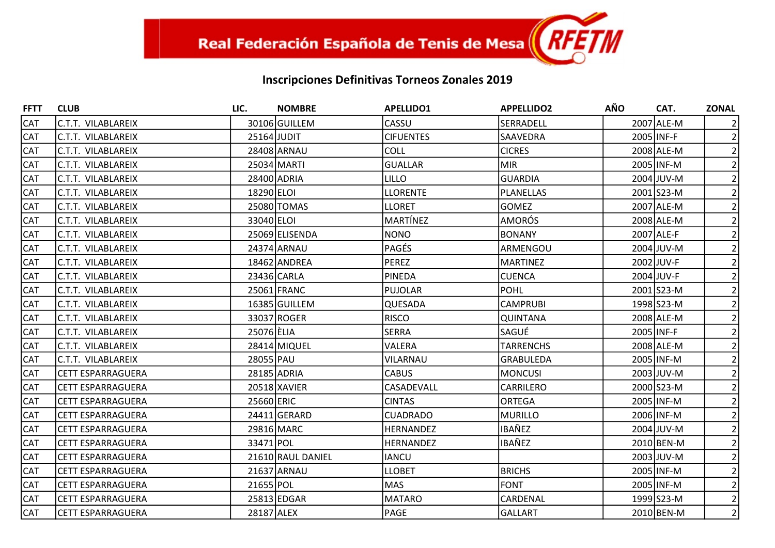| <b>FFTT</b> | <b>CLUB</b>              | LIC.        | <b>NOMBRE</b>     | <b>APELLIDO1</b> | <b>APPELLIDO2</b> | <b>AÑO</b> | CAT.        | <b>ZONAL</b>   |
|-------------|--------------------------|-------------|-------------------|------------------|-------------------|------------|-------------|----------------|
| <b>CAT</b>  | C.T.T. VILABLAREIX       |             | 30106 GUILLEM     | CASSU            | SERRADELL         |            | 2007 ALE-M  |                |
| <b>CAT</b>  | lc.t.t. vilablareix      | 25164 JUDIT |                   | <b>CIFUENTES</b> | SAAVEDRA          | 2005 INF-F |             | 2              |
| CAT         | C.T.T. VILABLAREIX       |             | 28408 ARNAU       | <b>COLL</b>      | <b>CICRES</b>     |            | 2008 ALE-M  |                |
| CAT         | C.T.T. VILABLAREIX       |             | 25034 MARTI       | <b>GUALLAR</b>   | <b>MIR</b>        |            | 2005 INF-M  |                |
| <b>CAT</b>  | C.T.T. VILABLAREIX       |             | 28400 ADRIA       | <b>LILLO</b>     | GUARDIA           |            | 2004 JUV-M  |                |
| CAT         | IC.T.T. VILABLAREIX      | 18290 ELOI  |                   | <b>LLORENTE</b>  | PLANELLAS         |            | 2001 S23-M  | 2              |
| <b>CAT</b>  | C.T.T. VILABLAREIX       |             | 25080 TOMAS       | <b>LLORET</b>    | <b>GOMEZ</b>      |            | 2007 ALE-M  | $\overline{2}$ |
| <b>CAT</b>  | IC.T.T. VILABLAREIX      | 33040 ELOI  |                   | <b>MARTÍNEZ</b>  | <b>AMORÓS</b>     |            | 2008 ALE-M  |                |
| CAT         | IC.T.T. VILABLAREIX      |             | 25069 ELISENDA    | <b>NONO</b>      | IBONANY           |            | 2007 ALE-F  |                |
| CAT         | C.T.T. VILABLAREIX       |             | 24374 ARNAU       | PAGÉS            | ARMENGOU          |            | 2004 JUV-M  | 2              |
| <b>CAT</b>  | IC.T.T. VILABLAREIX      |             | 18462 ANDREA      | <b>PEREZ</b>     | <b>MARTINEZ</b>   |            | 2002 JUV-F  | $\overline{2}$ |
| CAT         | IC.T.T. VILABLAREIX      |             | 23436 CARLA       | <b>PINEDA</b>    | <b>CUENCA</b>     |            | 2004 JUV-F  |                |
| CAT         | C.T.T. VILABLAREIX       |             | 25061 FRANC       | PUJOLAR          | <b>POHL</b>       |            | 2001 S23-M  |                |
| <b>CAT</b>  | C.T.T. VILABLAREIX       |             | 16385 GUILLEM     | QUESADA          | <b>CAMPRUBI</b>   |            | 1998 S23-M  | 2 <sup>1</sup> |
| CAT         | IC.T.T. VILABLAREIX      |             | 33037 ROGER       | <b>RISCO</b>     | QUINTANA          |            | 2008 ALE-M  |                |
| CAT         | C.T.T. VILABLAREIX       | 25076 ELIA  |                   | <b>SERRA</b>     | lsagué            | 2005 INF-F |             |                |
| <b>CAT</b>  | C.T.T. VILABLAREIX       |             | 28414 MIQUEL      | VALERA           | <b>TARRENCHS</b>  |            | 2008 ALE-M  |                |
| CAT         | IC.T.T. VILABLAREIX      | 28055 PAU   |                   | VILARNAU         | <b>GRABULEDA</b>  |            | 2005 INF-M  | 2              |
| <b>CAT</b>  | CETT ESPARRAGUERA        |             | 28185 ADRIA       | <b>CABUS</b>     | <b>MONCUSI</b>    |            | 2003 JJUV-M |                |
| <b>CAT</b>  | lCETT ESPARRAGUERA       |             | 20518 XAVIER      | CASADEVALL       | <b>CARRILERO</b>  |            | 2000 S23-M  |                |
| CAT         | lCETT ESPARRAGUERA       | 25660 ERIC  |                   | <b>CINTAS</b>    | <b>ORTEGA</b>     |            | 2005 INF-M  |                |
| CAT         | CETT ESPARRAGUERA        |             | 24411 GERARD      | <b>CUADRADO</b>  | MURILLO           |            | 2006 INF-M  | 2              |
| <b>CAT</b>  | CETT ESPARRAGUERA        |             | 29816 MARC        | <b>HERNANDEZ</b> | <b>IBAÑEZ</b>     |            | 2004 JUV-M  | $\overline{2}$ |
| CAT         | lCETT ESPARRAGUERA       | 33471 POL   |                   | <b>HERNANDEZ</b> | IBAÑEZ            |            | 2010 BEN-M  |                |
| CAT         | CETT ESPARRAGUERA        |             | 21610 RAUL DANIEL | <b>IANCU</b>     |                   |            | 2003 JUV-M  |                |
| <b>CAT</b>  | CETT ESPARRAGUERA        |             | 21637 ARNAU       | <b>LLOBET</b>    | <b>BRICHS</b>     |            | 2005 INF-M  | $\overline{2}$ |
| CAT         | <b>CETT ESPARRAGUERA</b> | 21655 POL   |                   | <b>MAS</b>       | <b>FONT</b>       |            | 2005 INF-M  | 2              |
| <b>CAT</b>  | CETT ESPARRAGUERA        |             | 25813 EDGAR       | <b>MATARO</b>    | <b>CARDENAL</b>   |            | 1999 S23-M  | $\overline{2}$ |
| CAT         | CETT ESPARRAGUERA        | 28187 ALEX  |                   | PAGE             | <b>GALLART</b>    |            | 2010 BEN-M  | $\overline{2}$ |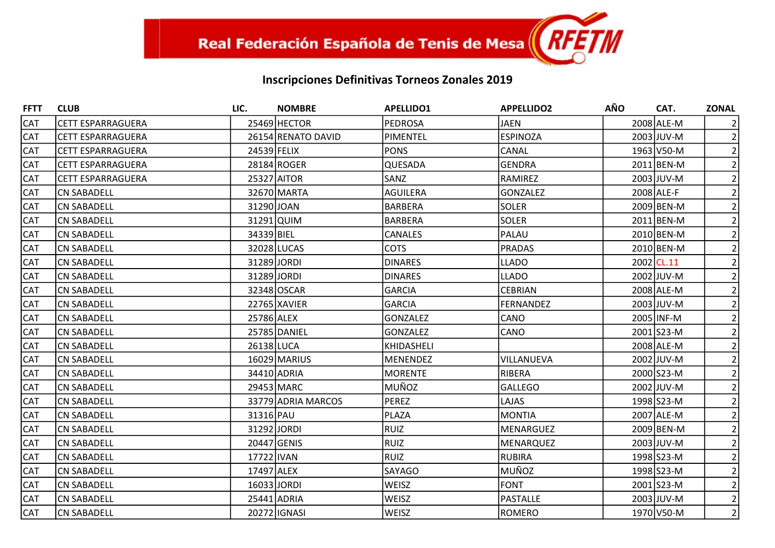| <b>FFTT</b> | <b>CLUB</b>        | LIC.        | <b>NOMBRE</b>      | <b>APELLIDO1</b> | <b>APPELLIDO2</b> | <b>AÑO</b> | CAT.       | <b>ZONAL</b>   |
|-------------|--------------------|-------------|--------------------|------------------|-------------------|------------|------------|----------------|
| <b>CAT</b>  | CETT ESPARRAGUERA  |             | 25469 HECTOR       | <b>PEDROSA</b>   | <b>JAEN</b>       |            | 2008 ALE-M |                |
| <b>CAT</b>  | CETT ESPARRAGUERA  |             | 26154 RENATO DAVID | PIMENTEL         | <b>ESPINOZA</b>   |            | 2003 JUV-M | $\overline{2}$ |
| <b>CAT</b>  | CETT ESPARRAGUERA  | 24539 FELIX |                    | <b>PONS</b>      | CANAL             |            | 1963 V50-M | 2              |
| <b>CAT</b>  | CETT ESPARRAGUERA  |             | 28184 ROGER        | QUESADA          | <b>GENDRA</b>     |            | 2011 BEN-M |                |
| <b>CAT</b>  | CETT ESPARRAGUERA  |             | 25327 AITOR        | SANZ             | <b>RAMIREZ</b>    |            | 2003 JUV-M |                |
| CAT         | CN SABADELL        |             | 32670 MARTA        | <b>AGUILERA</b>  | GONZALEZ          |            | 2008 ALE-F | $\overline{2}$ |
| <b>CAT</b>  | ICN SABADELL       | 31290 JOAN  |                    | <b>BARBERA</b>   | <b>SOLER</b>      |            | 2009 BEN-M |                |
| CAT         | CN SABADELL        | 31291 QUIM  |                    | <b>BARBERA</b>   | <b>SOLER</b>      |            | 2011 BEN-M |                |
| <b>CAT</b>  | <b>CN SABADELL</b> | 34339 BIEL  |                    | <b>CANALES</b>   | PALAU             |            | 2010 BEN-M |                |
| <b>CAT</b>  | CN SABADELL        |             | 32028 LUCAS        | <b>COTS</b>      | PRADAS            |            | 2010 BEN-M |                |
| <b>CAT</b>  | CN SABADELL        | 31289 JORDI |                    | <b>DINARES</b>   | <b>LLADO</b>      |            | 2002 CL.11 | 2              |
| <b>CAT</b>  | CN SABADELL        | 31289 JORDI |                    | <b>DINARES</b>   | <b>LLADO</b>      |            | 2002 JUV-M |                |
| <b>CAT</b>  | <b>CN SABADELL</b> |             | 32348 OSCAR        | <b>GARCIA</b>    | <b>CEBRIAN</b>    |            | 2008 ALE-M |                |
| CAT         | CN SABADELL        |             | 22765 XAVIER       | <b>GARCIA</b>    | FERNANDEZ         |            | 2003 JUV-M | $\overline{2}$ |
| <b>CAT</b>  | CN SABADELL        | 25786 ALEX  |                    | <b>GONZALEZ</b>  | CANO              |            | 2005 INF-M | $\overline{2}$ |
| <b>CAT</b>  | <b>CN SABADELL</b> |             | 25785 DANIEL       | <b>GONZALEZ</b>  | <b>CANO</b>       |            | 2001 S23-M |                |
| <b>CAT</b>  | CN SABADELL        | 26138 LUCA  |                    | KHIDASHELI       |                   |            | 2008 ALE-M |                |
| CAT         | CN SABADELL        |             | 16029 MARIUS       | <b>MENENDEZ</b>  | VILLANUEVA        |            | 2002 JUV-M | $\overline{2}$ |
| <b>CAT</b>  | CN SABADELL        |             | 34410 ADRIA        | <b>MORENTE</b>   | RIBERA            |            | 2000 S23-M |                |
| <b>CAT</b>  | CN SABADELL        |             | 29453 MARC         | <b>MUÑOZ</b>     | <b>GALLEGO</b>    |            | 2002 JUV-M |                |
| <b>CAT</b>  | CN SABADELL        |             | 33779 ADRIA MARCOS | <b>PEREZ</b>     | LAJAS             |            | 1998 S23-M |                |
| CAT         | CN SABADELL        | 31316 PAU   |                    | <b>PLAZA</b>     | <b>MONTIA</b>     |            | 2007 ALE-M | $\overline{2}$ |
| <b>CAT</b>  | <b>CN SABADELL</b> | 31292 JORDI |                    | <b>RUIZ</b>      | <b>MENARGUEZ</b>  |            | 2009 BEN-M | $\overline{2}$ |
| <b>CAT</b>  | <b>CN SABADELL</b> | 20447 GENIS |                    | <b>RUIZ</b>      | MENARQUEZ         |            | 2003 JUV-M |                |
| CAT         | CN SABADELL        | 17722 IVAN  |                    | <b>RUIZ</b>      | RUBIRA            |            | 1998 S23-M |                |
| <b>CAT</b>  | CN SABADELL        | 17497 ALEX  |                    | <b>SAYAGO</b>    | MUÑOZ             |            | 1998 S23-M | 2              |
| <b>CAT</b>  | <b>CN SABADELL</b> | 16033 JORDI |                    | <b>WEISZ</b>     | <b>FONT</b>       |            | 2001 S23-M | $\overline{2}$ |
| <b>CAT</b>  | CN SABADELL        |             | 25441 ADRIA        | <b>WEISZ</b>     | PASTALLE          |            | 2003 JUV-M | $\overline{2}$ |
| CAT         | <b>CN SABADELL</b> |             | 20272 GNASI        | WEISZ            | ROMERO            |            | 1970 V50-M | $\overline{2}$ |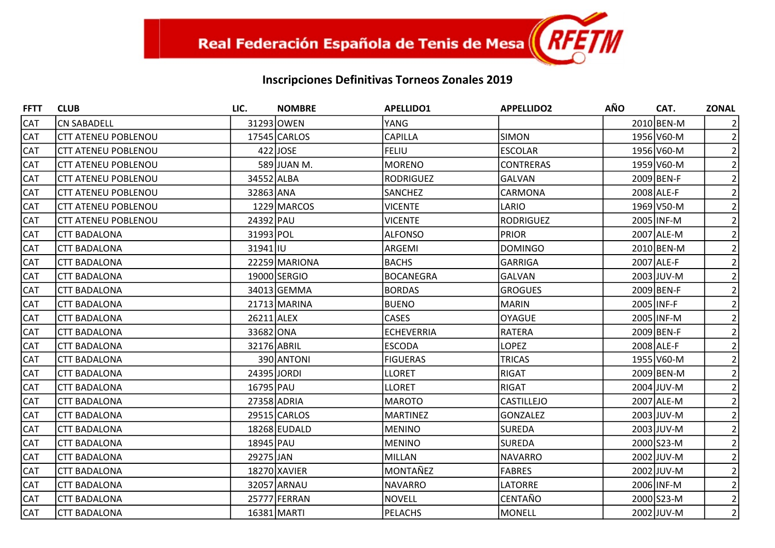| <b>FFTT</b> | <b>CLUB</b>                | LIC.        | <b>NOMBRE</b> | <b>APELLIDO1</b>  | <b>APPELLIDO2</b> | <b>AÑO</b> | CAT.         | <b>ZONAL</b>   |
|-------------|----------------------------|-------------|---------------|-------------------|-------------------|------------|--------------|----------------|
| <b>CAT</b>  | <b>CN SABADELL</b>         |             | 31293 OWEN    | <b>YANG</b>       |                   |            | 2010 BEN-M   |                |
| <b>CAT</b>  | <b>CTT ATENEU POBLENOU</b> |             | 17545 CARLOS  | CAPILLA           | <b>SIMON</b>      |            | 1956 V60-M   |                |
| <b>CAT</b>  | <b>CTT ATENEU POBLENOU</b> |             | $422$ JOSE    | <b>FELIU</b>      | <b>ESCOLAR</b>    |            | 1956 V60-M   |                |
| <b>CAT</b>  | <b>CTT ATENEU POBLENOU</b> |             | 589 JUAN M.   | MORENO            | <b>CONTRERAS</b>  |            | 1959 V60-M   |                |
| <b>CAT</b>  | <b>CTT ATENEU POBLENOU</b> | 34552 ALBA  |               | <b>RODRIGUEZ</b>  | <b>GALVAN</b>     |            | 2009 BEN-F   |                |
| <b>CAT</b>  | <b>CTT ATENEU POBLENOU</b> | 32863 ANA   |               | SANCHEZ           | CARMONA           |            | 2008 ALE-F   |                |
| <b>CAT</b>  | <b>CTT ATENEU POBLENOU</b> |             | 1229 MARCOS   | <b>VICENTE</b>    | LARIO             |            | 1969 V50-M   |                |
| <b>CAT</b>  | <b>CTT ATENEU POBLENOU</b> | 24392 PAU   |               | <b>VICENTE</b>    | <b>RODRIGUEZ</b>  |            | 2005 INF-M   |                |
| <b>CAT</b>  | <b>CTT BADALONA</b>        | 31993 POL   |               | <b>ALFONSO</b>    | <b>PRIOR</b>      |            | 2007 ALE-M   |                |
| <b>CAT</b>  | <b>CTT BADALONA</b>        | 31941 IU    |               | ARGEMI            | <b>DOMINGO</b>    |            | 2010 BEN-M   |                |
| <b>CAT</b>  | <b>CTT BADALONA</b>        |             | 22259 MARIONA | <b>BACHS</b>      | <b>GARRIGA</b>    |            | 2007 ALE-F   | $\overline{2}$ |
| <b>CAT</b>  | <b>CTT BADALONA</b>        |             | 19000 SERGIO  | BOCANEGRA         | <b>GALVAN</b>     |            | 2003 JUV-M   |                |
| <b>CAT</b>  | <b>CTT BADALONA</b>        |             | 34013 GEMMA   | <b>BORDAS</b>     | <b>GROGUES</b>    |            | 2009 BEN-F   |                |
| <b>CAT</b>  | <b>CTT BADALONA</b>        |             | 21713 MARINA  | <b>BUENO</b>      | <b>MARIN</b>      | 2005 INF-F |              |                |
| <b>CAT</b>  | <b>CTT BADALONA</b>        | 26211 ALEX  |               | <b>CASES</b>      | <b>OYAGUE</b>     |            | 2005 INF-M   |                |
| <b>CAT</b>  | <b>CTT BADALONA</b>        | 33682 ONA   |               | <b>ECHEVERRIA</b> | <b>RATERA</b>     |            | 2009 BEN-F   |                |
| <b>CAT</b>  | <b>CTT BADALONA</b>        | 32176 ABRIL |               | <b>ESCODA</b>     | <b>LOPEZ</b>      |            | 2008 ALE-F   |                |
| <b>CAT</b>  | <b>CTT BADALONA</b>        |             | 390 ANTONI    | <b>FIGUERAS</b>   | <b>TRICAS</b>     |            | 1955 V60-M   |                |
| <b>CAT</b>  | <b>CTT BADALONA</b>        | 24395 JORDI |               | <b>LLORET</b>     | <b>RIGAT</b>      |            | 2009 BEN-M   |                |
| <b>CAT</b>  | <b>CTT BADALONA</b>        | 16795 PAU   |               | <b>LLORET</b>     | <b>RIGAT</b>      |            | $2004$ JUV-M |                |
| <b>CAT</b>  | <b>CTT BADALONA</b>        |             | 27358 ADRIA   | <b>MAROTO</b>     | CASTILLEJO        |            | 2007 ALE-M   |                |
| <b>CAT</b>  | <b>CTT BADALONA</b>        |             | 29515 CARLOS  | <b>MARTINEZ</b>   | <b>GONZALEZ</b>   |            | 2003 JUV-M   | 2              |
| <b>CAT</b>  | <b>CTT BADALONA</b>        |             | 18268 EUDALD  | <b>MENINO</b>     | <b>SUREDA</b>     |            | 2003 JUV-M   |                |
| <b>CAT</b>  | <b>CTT BADALONA</b>        | 18945 PAU   |               | MENINO            | <b>SUREDA</b>     |            | 2000 S23-M   |                |
| <b>CAT</b>  | <b>CTT BADALONA</b>        | 29275 JAN   |               | MILLAN            | <b>NAVARRO</b>    |            | 2002 JUV-M   |                |
| <b>CAT</b>  | <b>CTT BADALONA</b>        |             | 18270 XAVIER  | lMONTAÑEZ         | <b>FABRES</b>     |            | 2002 JUV-M   |                |
| <b>CAT</b>  | <b>CTT BADALONA</b>        |             | 32057 ARNAU   | <b>NAVARRO</b>    | LATORRE           |            | 2006 INF-M   |                |
| <b>CAT</b>  | <b>CTT BADALONA</b>        |             | 25777 FERRAN  | <b>NOVELL</b>     | CENTAÑO           |            | 2000 S23-M   | $\overline{2}$ |
| <b>CAT</b>  | <b>CTT BADALONA</b>        |             | 16381 MARTI   | PELACHS           | <b>MONELL</b>     |            | 2002 JUV-M   | $\overline{2}$ |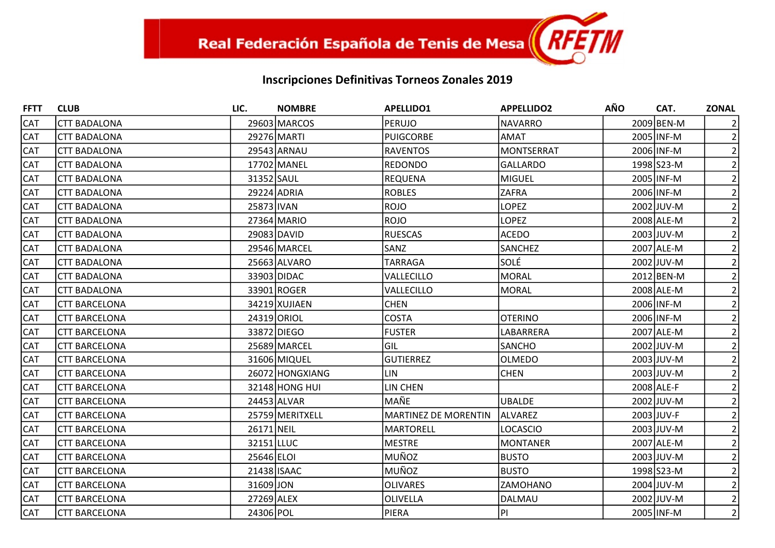| <b>FFTT</b> | <b>CLUB</b>          | LIC.        | <b>NOMBRE</b>   | <b>APELLIDO1</b>     | <b>APPELLIDO2</b> | <b>AÑO</b> | CAT.       | <b>ZONAL</b>   |
|-------------|----------------------|-------------|-----------------|----------------------|-------------------|------------|------------|----------------|
| <b>CAT</b>  | <b>CTT BADALONA</b>  |             | 29603 MARCOS    | PERUJO               | <b>NAVARRO</b>    |            | 2009 BEN-M |                |
| <b>CAT</b>  | <b>CTT BADALONA</b>  |             | 29276 MARTI     | PUIGCORBE            | <b>AMAT</b>       |            | 2005 INF-M | $\overline{2}$ |
| <b>CAT</b>  | <b>CTT BADALONA</b>  |             | 29543 ARNAU     | RAVENTOS             | <b>MONTSERRAT</b> |            | 2006 INF-M |                |
| <b>CAT</b>  | <b>CTT BADALONA</b>  |             | 17702 MANEL     | <b>IREDONDO</b>      | <b>GALLARDO</b>   |            | 1998 S23-M |                |
| <b>CAT</b>  | <b>CTT BADALONA</b>  | 31352 SAUL  |                 | <b>REQUENA</b>       | <b>MIGUEL</b>     |            | 2005 INF-M |                |
| CAT         | <b>CTT BADALONA</b>  |             | 29224 ADRIA     | <b>ROBLES</b>        | <b>ZAFRA</b>      |            | 2006 INF-M |                |
| <b>CAT</b>  | <b>CTT BADALONA</b>  | 25873 IVAN  |                 | <b>ROJO</b>          | <b>LOPEZ</b>      |            | 2002 JUV-M |                |
| <b>CAT</b>  | <b>CTT BADALONA</b>  |             | 27364 MARIO     | <b>ROJO</b>          | <b>LOPEZ</b>      |            | 2008 ALE-M |                |
| <b>CAT</b>  | <b>CTT BADALONA</b>  |             | 29083 DAVID     | <b>RUESCAS</b>       | <b>ACEDO</b>      |            | 2003 JUV-M |                |
| <b>CAT</b>  | <b>CTT BADALONA</b>  |             | 29546 MARCEL    | <b>SANZ</b>          | SANCHEZ           |            | 2007 ALE-M |                |
| <b>CAT</b>  | <b>CTT BADALONA</b>  |             | 25663 ALVARO    | TARRAGA              | SOLÉ              |            | 2002 JUV-M |                |
| <b>CAT</b>  | <b>CTT BADALONA</b>  |             | 33903 DIDAC     | VALLECILLO           | <b>MORAL</b>      |            | 2012 BEN-M |                |
| CAT         | <b>CTT BADALONA</b>  |             | 33901 ROGER     | VALLECILLO           | <b>MORAL</b>      |            | 2008 ALE-M |                |
| <b>CAT</b>  | <b>CTT BARCELONA</b> |             | 34219 XUJIAEN   | <b>CHEN</b>          |                   |            | 2006 INF-M |                |
| <b>CAT</b>  | <b>CTT BARCELONA</b> |             | 24319 ORIOL     | <b>COSTA</b>         | <b>OTERINO</b>    |            | 2006 INF-M |                |
| <b>CAT</b>  | <b>CTT BARCELONA</b> |             | 33872 DIEGO     | <b>FUSTER</b>        | LABARRERA         |            | 2007 ALE-M |                |
| <b>CAT</b>  | <b>CTT BARCELONA</b> |             | 25689 MARCEL    | IGIL                 | <b>SANCHO</b>     |            | 2002 JUV-M |                |
| <b>CAT</b>  | <b>CTT BARCELONA</b> |             | 31606 MIQUEL    | <b>GUTIERREZ</b>     | <b>OLMEDO</b>     |            | 2003 JUV-M |                |
| CAT         | <b>CTT BARCELONA</b> |             | 26072 HONGXIANG | LIN                  | <b>CHEN</b>       |            | 2003 JUV-M |                |
| <b>CAT</b>  | <b>CTT BARCELONA</b> |             | 32148 HONG HUI  | LIN CHEN             |                   |            | 2008 ALE-F |                |
| <b>CAT</b>  | <b>CTT BARCELONA</b> |             | 24453 ALVAR     | lMAÑE                | <b>UBALDE</b>     |            | 2002 JUV-M |                |
| <b>CAT</b>  | <b>CTT BARCELONA</b> |             | 25759 MERITXELL | MARTINEZ DE MORENTIN | ALVAREZ           |            | 2003 JUV-F |                |
| <b>CAT</b>  | <b>CTT BARCELONA</b> | 26171 NEIL  |                 | MARTORELL            | <b>LOCASCIO</b>   |            | 2003 JUV-M |                |
| CAT         | <b>CTT BARCELONA</b> | 32151 LLUC  |                 | MESTRE               | <b>MONTANER</b>   |            | 2007 ALE-M |                |
| <b>CAT</b>  | <b>CTT BARCELONA</b> | 25646 ELOI  |                 | MUÑOZ                | <b>BUSTO</b>      |            | 2003 JUV-M |                |
| <b>CAT</b>  | <b>CTT BARCELONA</b> | 21438 ISAAC |                 | MUÑOZ                | <b>BUSTO</b>      |            | 1998 S23-M |                |
| <b>CAT</b>  | <b>CTT BARCELONA</b> | 31609 JON   |                 | <b>OLIVARES</b>      | ZAMOHANO          |            | 2004 JUV-M |                |
| CAT         | <b>CTT BARCELONA</b> | 27269 ALEX  |                 | <b>OLIVELLA</b>      | DALMAU            |            | 2002 JUV-M |                |
| <b>CAT</b>  | <b>CTT BARCELONA</b> | 24306 POL   |                 | PIERA                | PI                |            | 2005 INF-M | $\overline{2}$ |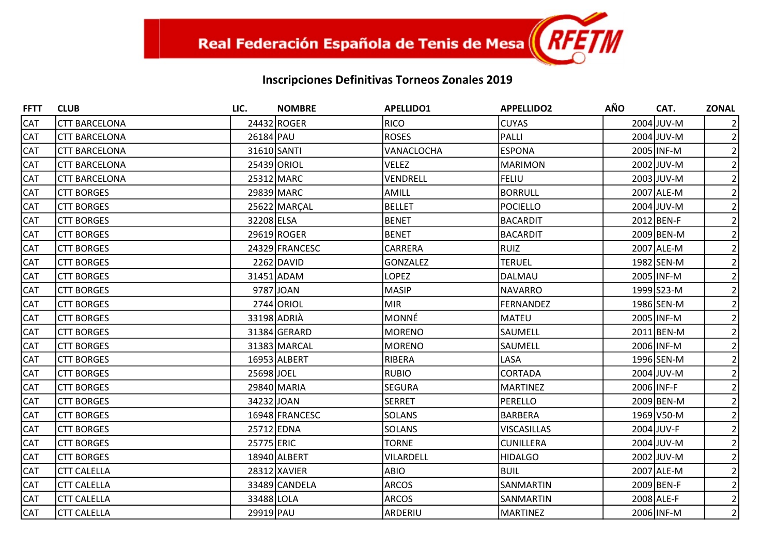| <b>FFTT</b> | <b>CLUB</b>          | LIC.        | <b>NOMBRE</b>  | <b>APELLIDO1</b>  | <b>APPELLIDO2</b>  | <b>AÑO</b> | CAT.       | <b>ZONAL</b>   |
|-------------|----------------------|-------------|----------------|-------------------|--------------------|------------|------------|----------------|
| <b>CAT</b>  | <b>CTT BARCELONA</b> |             | 24432 ROGER    | <b>RICO</b>       | <b>CUYAS</b>       |            | 2004 JUV-M |                |
| <b>CAT</b>  | <b>CTT BARCELONA</b> | 26184 PAU   |                | <b>ROSES</b>      | PALLI              |            | 2004 JUV-M | 2              |
| <b>CAT</b>  | <b>CTT BARCELONA</b> | 31610 SANTI |                | <b>VANACLOCHA</b> | <b>ESPONA</b>      |            | 2005 INF-M |                |
| <b>CAT</b>  | <b>CTT BARCELONA</b> |             | 25439 ORIOL    | VELEZ             | <b>MARIMON</b>     |            | 2002 JUV-M |                |
| <b>CAT</b>  | <b>CTT BARCELONA</b> |             | 25312 MARC     | VENDRELL          | <b>FELIU</b>       |            | 2003 JUV-M |                |
| <b>CAT</b>  | <b>CTT BORGES</b>    |             | 29839 MARC     | AMILL             | <b>BORRULL</b>     |            | 2007 ALE-M |                |
| <b>CAT</b>  | <b>CTT BORGES</b>    |             | 25622 MARCAL   | BELLET            | <b>POCIELLO</b>    |            | 2004 JUV-M |                |
| <b>CAT</b>  | <b>CTT BORGES</b>    | 32208 ELSA  |                | <b>BENET</b>      | <b>BACARDIT</b>    |            | 2012 BEN-F |                |
| <b>CAT</b>  | <b>CTT BORGES</b>    |             | 29619 ROGER    | <b>BENET</b>      | <b>BACARDIT</b>    |            | 2009 BEN-M |                |
| <b>CAT</b>  | <b>CTT BORGES</b>    |             | 24329 FRANCESC | <b>CARRERA</b>    | RUIZ               |            | 2007 ALE-M | 2              |
| <b>CAT</b>  | <b>CTT BORGES</b>    |             | $2262$ DAVID   | GONZALEZ          | <b>TERUEL</b>      |            | 1982 SEN-M |                |
| <b>CAT</b>  | <b>CTT BORGES</b>    |             | 31451 ADAM     | <b>LOPEZ</b>      | DALMAU             |            | 2005 INF-M |                |
| <b>CAT</b>  | <b>CTT BORGES</b>    |             | 9787JJOAN      | MASIP             | <b>NAVARRO</b>     |            | 1999 S23-M |                |
| <b>CAT</b>  | <b>CTT BORGES</b>    |             | 2744 ORIOL     | <b>MIR</b>        | <b>FERNANDEZ</b>   |            | 1986 SEN-M |                |
| <b>CAT</b>  | <b>CTT BORGES</b>    |             | 33198 ADRIA    | MONNÉ             | <b>MATEU</b>       |            | 2005 INF-M |                |
| <b>CAT</b>  | <b>CTT BORGES</b>    |             | 31384 GERARD   | MORENO            | SAUMELL            |            | 2011 BEN-M |                |
| <b>CAT</b>  | <b>CTT BORGES</b>    |             | 31383 MARCAL   | <b>MORENO</b>     | SAUMELL            |            | 2006 INF-M |                |
| <b>CAT</b>  | <b>CTT BORGES</b>    |             | 16953 ALBERT   | RIBERA            | LASA               |            | 1996 SEN-M |                |
| <b>CAT</b>  | <b>CTT BORGES</b>    | 25698JOEL   |                | <b>RUBIO</b>      | <b>CORTADA</b>     |            | 2004 JUV-M |                |
| <b>CAT</b>  | <b>CTT BORGES</b>    |             | 29840 MARIA    | <b>SEGURA</b>     | <b>MARTINEZ</b>    |            | 2006 INF-F |                |
| <b>CAT</b>  | <b>CTT BORGES</b>    | 34232 JOAN  |                | SERRET            | PERELLO            |            | 2009 BEN-M |                |
| <b>CAT</b>  | <b>CTT BORGES</b>    |             | 16948 FRANCESC | <b>SOLANS</b>     | <b>BARBERA</b>     |            | 1969 V50-M |                |
| <b>CAT</b>  | <b>CTT BORGES</b>    | 25712 EDNA  |                | <b>SOLANS</b>     | <b>VISCASILLAS</b> |            | 2004 JUV-F | $\overline{2}$ |
| <b>CAT</b>  | <b>CTT BORGES</b>    | 25775 ERIC  |                | <b>TORNE</b>      | <b>CUNILLERA</b>   |            | 2004 JUV-M |                |
| <b>CAT</b>  | <b>CTT BORGES</b>    |             | 18940 ALBERT   | VILARDELL         | <b>HIDALGO</b>     |            | 2002 JUV-M |                |
| <b>CAT</b>  | <b>CTT CALELLA</b>   |             | 28312 XAVIER   | ABIO              | <b>BUIL</b>        |            | 2007 ALE-M |                |
| <b>CAT</b>  | <b>CTT CALELLA</b>   |             | 33489 CANDELA  | <b>ARCOS</b>      | SANMARTIN          |            | 2009 BEN-F |                |
| <b>CAT</b>  | <b>CTT CALELLA</b>   | 33488 LOLA  |                | <b>ARCOS</b>      | SANMARTIN          |            | 2008 ALE-F | $\overline{2}$ |
| <b>CAT</b>  | <b>CTT CALELLA</b>   | 29919 PAU   |                | ARDERIU           | <b>MARTINEZ</b>    |            | 2006 INF-M | $\overline{2}$ |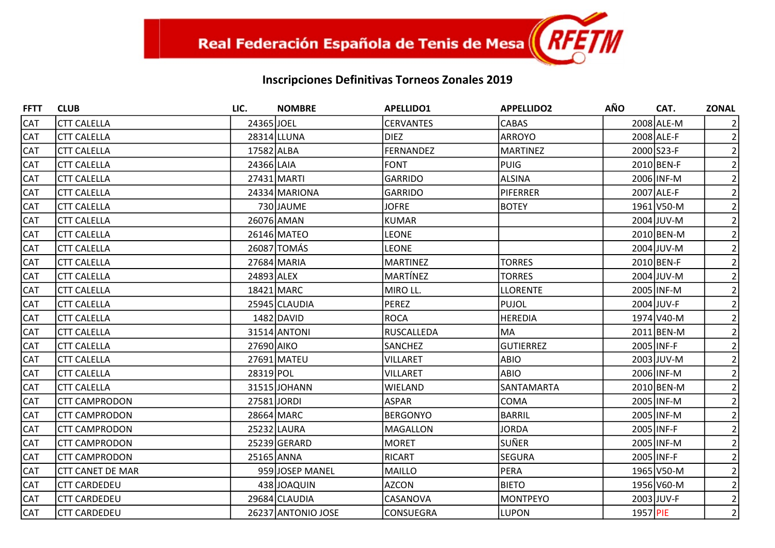| <b>FFTT</b> | <b>CLUB</b>             | LIC.        | <b>NOMBRE</b>      | <b>APELLIDO1</b>  | <b>APPELLIDO2</b> | <b>AÑO</b> | CAT.       | <b>ZONAL</b>   |
|-------------|-------------------------|-------------|--------------------|-------------------|-------------------|------------|------------|----------------|
| <b>CAT</b>  | <b>CTT CALELLA</b>      | 24365 JOEL  |                    | <b>CERVANTES</b>  | <b>CABAS</b>      |            | 2008 ALE-M |                |
| <b>CAT</b>  | <b>CTT CALELLA</b>      |             | 28314 LLUNA        | <b>DIEZ</b>       | <b>ARROYO</b>     |            | 2008 ALE-F |                |
| <b>CAT</b>  | <b>CTT CALELLA</b>      | 17582 ALBA  |                    | <b>FERNANDEZ</b>  | <b>MARTINEZ</b>   |            | 2000 S23-F |                |
| <b>CAT</b>  | <b>CTT CALELLA</b>      | 24366 LAIA  |                    | <b>FONT</b>       | <b>PUIG</b>       |            | 2010 BEN-F |                |
| <b>CAT</b>  | <b>CTT CALELLA</b>      |             | 27431 MARTI        | <b>GARRIDO</b>    | <b>ALSINA</b>     |            | 2006 INF-M |                |
| <b>CAT</b>  | <b>CTT CALELLA</b>      |             | 24334 MARIONA      | GARRIDO           | <b>PIFERRER</b>   |            | 2007 ALE-F |                |
| <b>CAT</b>  | <b>CTT CALELLA</b>      |             | 730 JAUME          | <b>JOFRE</b>      | <b>BOTEY</b>      |            | 1961 V50-M |                |
| <b>CAT</b>  | <b>CTT CALELLA</b>      |             | 26076 AMAN         | <b>KUMAR</b>      |                   |            | 2004 JUV-M |                |
| <b>CAT</b>  | <b>CTT CALELLA</b>      |             | 26146 MATEO        | <b>LEONE</b>      |                   |            | 2010 BEN-M |                |
| <b>CAT</b>  | <b>CTT CALELLA</b>      |             | 26087 TOMÁS        | <b>LEONE</b>      |                   |            | 2004 JUV-M |                |
| <b>CAT</b>  | <b>CTT CALELLA</b>      |             | 27684 MARIA        | <b>MARTINEZ</b>   | <b>TORRES</b>     |            | 2010 BEN-F |                |
| <b>CAT</b>  | <b>CTT CALELLA</b>      | 24893 ALEX  |                    | MARTÍNEZ          | <b>TORRES</b>     |            | 2004 JUV-M |                |
| <b>CAT</b>  | <b>CTT CALELLA</b>      |             | 18421 MARC         | MIRO LL.          | <b>LLORENTE</b>   |            | 2005 INF-M |                |
| <b>CAT</b>  | <b>CTT CALELLA</b>      |             | 25945 CLAUDIA      | PEREZ             | <b>PUJOL</b>      |            | 2004 JUV-F |                |
| <b>CAT</b>  | <b>CTT CALELLA</b>      |             | 1482 DAVID         | <b>ROCA</b>       | <b>HEREDIA</b>    |            | 1974 V40-M |                |
| <b>CAT</b>  | <b>CTT CALELLA</b>      |             | 31514 ANTONI       | <b>RUSCALLEDA</b> | <b>IMA</b>        |            | 2011 BEN-M |                |
| <b>CAT</b>  | <b>CTT CALELLA</b>      | 27690 AIKO  |                    | SANCHEZ           | <b>GUTIERREZ</b>  |            | 2005 INF-F |                |
| <b>CAT</b>  | <b>CTT CALELLA</b>      |             | 27691 MATEU        | VILLARET          | ABIO              |            | 2003 JUV-M |                |
| <b>CAT</b>  | <b>CTT CALELLA</b>      | 28319 POL   |                    | <b>VILLARET</b>   | <b>ABIO</b>       |            | 2006 INF-M |                |
| <b>CAT</b>  | <b>CTT CALELLA</b>      |             | 31515 JOHANN       | WIELAND           | SANTAMARTA        |            | 2010 BEN-M |                |
| <b>CAT</b>  | <b>CTT CAMPRODON</b>    | 27581 JORDI |                    | <b>ASPAR</b>      | <b>COMA</b>       |            | 2005 INF-M |                |
| <b>CAT</b>  | <b>CTT CAMPRODON</b>    |             | 28664 MARC         | <b>BERGONYO</b>   | <b>BARRIL</b>     |            | 2005 INF-M |                |
| <b>CAT</b>  | <b>CTT CAMPRODON</b>    |             | 25232 LAURA        | <b>MAGALLON</b>   | <b>JORDA</b>      |            | 2005 INF-F | $\overline{2}$ |
| <b>CAT</b>  | <b>CTT CAMPRODON</b>    |             | 25239 GERARD       | <b>MORET</b>      | SUÑER             |            | 2005 INF-M |                |
| <b>CAT</b>  | <b>CTT CAMPRODON</b>    |             | 25165 ANNA         | <b>RICART</b>     | <b>SEGURA</b>     |            | 2005 INF-F |                |
| <b>CAT</b>  | <b>CTT CANET DE MAR</b> |             | 959JJOSEP MANEL    | MAILLO            | PERA              |            | 1965 V50-M |                |
| <b>CAT</b>  | <b>CTT CARDEDEU</b>     |             | 438 JOAQUIN        | <b>AZCON</b>      | <b>BIETO</b>      |            | 1956 V60-M |                |
| <b>CAT</b>  | <b>CTT CARDEDEU</b>     |             | 29684 CLAUDIA      | CASANOVA          | <b>MONTPEYO</b>   |            | 2003 JUV-F | $\overline{2}$ |
| <b>CAT</b>  | <b>CTT CARDEDEU</b>     |             | 26237 ANTONIO JOSE | <b>CONSUEGRA</b>  | <b>LUPON</b>      | 1957 PIE   |            | $\overline{2}$ |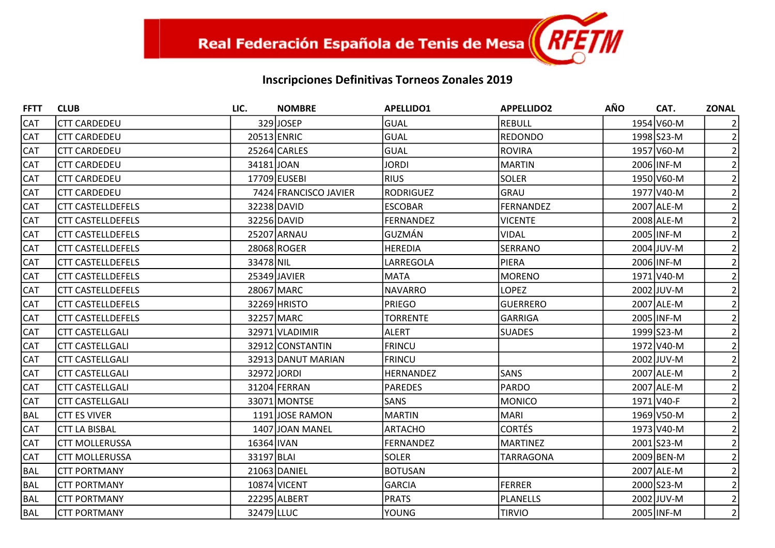| <b>FFTT</b> | <b>CLUB</b>              | LIC.       | <b>NOMBRE</b>         | <b>APELLIDO1</b> | <b>APPELLIDO2</b> | <b>AÑO</b> | CAT.       | <b>ZONAL</b>   |
|-------------|--------------------------|------------|-----------------------|------------------|-------------------|------------|------------|----------------|
| <b>CAT</b>  | <b>CTT CARDEDEU</b>      |            | 329JJOSEP             | GUAL             | <b>REBULL</b>     |            | 1954 V60-M |                |
| <b>CAT</b>  | <b>CTT CARDEDEU</b>      |            | 20513 ENRIC           | <b>GUAL</b>      | <b>REDONDO</b>    |            | 1998 S23-M |                |
| <b>CAT</b>  | <b>CTT CARDEDEU</b>      |            | 25264 CARLES          | <b>GUAL</b>      | <b>ROVIRA</b>     |            | 1957 V60-M |                |
| <b>CAT</b>  | <b>CTT CARDEDEU</b>      | 34181JOAN  |                       | <b>JORDI</b>     | <b>MARTIN</b>     |            | 2006 INF-M |                |
| <b>CAT</b>  | <b>CTT CARDEDEU</b>      |            | 17709 EUSEBI          | <b>RIUS</b>      | <b>SOLER</b>      |            | 1950 V60-M |                |
| <b>CAT</b>  | <b>CTT CARDEDEU</b>      |            | 7424 FRANCISCO JAVIER | RODRIGUEZ        | <b>GRAU</b>       |            | 1977 V40-M |                |
| <b>CAT</b>  | <b>CTT CASTELLDEFELS</b> |            | 32238 DAVID           | <b>ESCOBAR</b>   | <b>FERNANDEZ</b>  |            | 2007 ALE-M |                |
| <b>CAT</b>  | <b>CTT CASTELLDEFELS</b> |            | 32256 DAVID           | <b>FERNANDEZ</b> | <b>VICENTE</b>    |            | 2008 ALE-M |                |
| <b>CAT</b>  | <b>CTT CASTELLDEFELS</b> |            | 25207 ARNAU           | GUZMÁN           | <b>VIDAL</b>      |            | 2005 INF-M |                |
| <b>CAT</b>  | <b>CTT CASTELLDEFELS</b> |            | 28068 ROGER           | <b>HEREDIA</b>   | <b>SERRANO</b>    |            | 2004 JUV-M |                |
| <b>CAT</b>  | <b>CTT CASTELLDEFELS</b> | 33478 NIL  |                       | LARREGOLA        | <b>PIERA</b>      |            | 2006 INF-M |                |
| <b>CAT</b>  | <b>CTT CASTELLDEFELS</b> |            | 25349 JAVIER          | MATA             | <b>MORENO</b>     |            | 1971 V40-M |                |
| <b>CAT</b>  | <b>CTT CASTELLDEFELS</b> |            | 28067 MARC            | <b>NAVARRO</b>   | <b>LOPEZ</b>      |            | 2002 JUV-M |                |
| <b>CAT</b>  | <b>CTT CASTELLDEFELS</b> |            | 32269 HRISTO          | PRIEGO           | <b>GUERRERO</b>   |            | 2007 ALE-M |                |
| <b>CAT</b>  | <b>CTT CASTELLDEFELS</b> |            | 32257 MARC            | <b>TORRENTE</b>  | <b>GARRIGA</b>    |            | 2005 INF-M |                |
| <b>CAT</b>  | <b>CTT CASTELLGALI</b>   |            | 32971 VLADIMIR        | ALERT            | <b>SUADES</b>     |            | 1999 S23-M |                |
| <b>CAT</b>  | <b>CTT CASTELLGALI</b>   |            | 32912 CONSTANTIN      | <b>FRINCU</b>    |                   |            | 1972 V40-M |                |
| <b>CAT</b>  | <b>CTT CASTELLGALI</b>   |            | 32913 DANUT MARIAN    | <b>FRINCU</b>    |                   |            | 2002 JUV-M |                |
| <b>CAT</b>  | <b>CTT CASTELLGALI</b>   |            | 32972 JORDI           | <b>HERNANDEZ</b> | <b>SANS</b>       |            | 2007 ALE-M |                |
| <b>CAT</b>  | <b>CTT CASTELLGALI</b>   |            | 31204 FERRAN          | <b>PAREDES</b>   | PARDO             |            | 2007 ALE-M |                |
| <b>CAT</b>  | <b>CTT CASTELLGALI</b>   |            | 33071 MONTSE          | <b>SANS</b>      | <b>MONICO</b>     |            | 1971 V40-F |                |
| <b>BAL</b>  | <b>CTT ES VIVER</b>      |            | 1191 JOSE RAMON       | MARTIN           | MARI              |            | 1969 V50-M |                |
| <b>CAT</b>  | <b>CTT LA BISBAL</b>     |            | 1407 JOAN MANEL       | <b>ARTACHO</b>   | <b>CORTÉS</b>     |            | 1973 V40-M |                |
| <b>CAT</b>  | <b>CTT MOLLERUSSA</b>    | 16364 IVAN |                       | <b>FERNANDEZ</b> | <b>MARTINEZ</b>   |            | 2001 S23-M |                |
| <b>CAT</b>  | <b>CTT MOLLERUSSA</b>    | 33197 BLAI |                       | <b>SOLER</b>     | TARRAGONA         |            | 2009 BEN-M |                |
| <b>BAL</b>  | <b>CTT PORTMANY</b>      |            | 21063 DANIEL          | <b>BOTUSAN</b>   |                   |            | 2007 ALE-M |                |
| <b>BAL</b>  | <b>CTT PORTMANY</b>      |            | 10874 VICENT          | <b>GARCIA</b>    | <b>FERRER</b>     |            | 2000 S23-M |                |
| <b>BAL</b>  | <b>CTT PORTMANY</b>      |            | 22295 ALBERT          | <b>PRATS</b>     | <b>PLANELLS</b>   |            | 2002 JUV-M |                |
| <b>BAL</b>  | <b>CTT PORTMANY</b>      | 32479 LLUC |                       | YOUNG            | <b>TIRVIO</b>     |            | 2005 INF-M | $\overline{2}$ |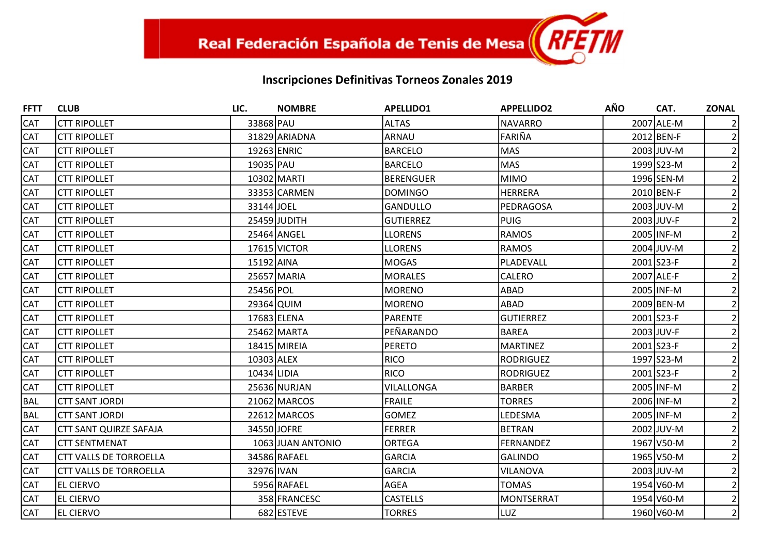| <b>FFTT</b> | <b>CLUB</b>                   | LIC.        | <b>NOMBRE</b>     | <b>APELLIDO1</b> | <b>APPELLIDO2</b> | <b>AÑO</b> | CAT.       | <b>ZONAL</b>   |
|-------------|-------------------------------|-------------|-------------------|------------------|-------------------|------------|------------|----------------|
| <b>CAT</b>  | <b>CTT RIPOLLET</b>           | 33868 PAU   |                   | ALTAS            | <b>NAVARRO</b>    |            | 2007 ALE-M |                |
| <b>CAT</b>  | <b>CTT RIPOLLET</b>           |             | 31829 ARIADNA     | ARNAU            | <b>FARIÑA</b>     |            | 2012 BEN-F | $\overline{2}$ |
| <b>CAT</b>  | <b>CTT RIPOLLET</b>           | 19263 ENRIC |                   | BARCELO          | <b>MAS</b>        |            | 2003 JUV-M |                |
| <b>CAT</b>  | <b>CTT RIPOLLET</b>           | 19035 PAU   |                   | <b>BARCELO</b>   | <b>MAS</b>        |            | 1999 S23-M |                |
| <b>CAT</b>  | <b>CTT RIPOLLET</b>           |             | 10302 MARTI       | <b>BERENGUER</b> | <b>MIMO</b>       |            | 1996 SEN-M |                |
| <b>CAT</b>  | <b>CTT RIPOLLET</b>           |             | 33353 CARMEN      | DOMINGO          | <b>HERRERA</b>    |            | 2010 BEN-F |                |
| <b>CAT</b>  | <b>CTT RIPOLLET</b>           | 33144 JOEL  |                   | <b>GANDULLO</b>  | PEDRAGOSA         |            | 2003 JUV-M |                |
| <b>CAT</b>  | <b>CTT RIPOLLET</b>           |             | 25459 JUDITH      | <b>GUTIERREZ</b> | <b>PUIG</b>       |            | 2003 JUV-F |                |
| <b>CAT</b>  | <b>CTT RIPOLLET</b>           |             | 25464 ANGEL       | <b>LLORENS</b>   | <b>RAMOS</b>      |            | 2005 INF-M |                |
| <b>CAT</b>  | <b>CTT RIPOLLET</b>           |             | 17615 VICTOR      | <b>LLORENS</b>   | <b>RAMOS</b>      |            | 2004 JUV-M |                |
| <b>CAT</b>  | <b>CTT RIPOLLET</b>           | 15192 AINA  |                   | MOGAS            | PLADEVALL         |            | 2001 S23-F |                |
| <b>CAT</b>  | <b>CTT RIPOLLET</b>           |             | 25657 MARIA       | MORALES          | <b>CALERO</b>     |            | 2007 ALE-F |                |
| <b>CAT</b>  | <b>CTT RIPOLLET</b>           | 25456 POL   |                   | <b>MORENO</b>    | ABAD              |            | 2005 INF-M |                |
| <b>CAT</b>  | <b>CTT RIPOLLET</b>           | 29364 QUIM  |                   | MORENO           | <b>ABAD</b>       |            | 2009 BEN-M |                |
| <b>CAT</b>  | <b>CTT RIPOLLET</b>           |             | 17683 ELENA       | <b>PARENTE</b>   | <b>GUTIERREZ</b>  |            | 2001 S23-F |                |
| <b>CAT</b>  | <b>CTT RIPOLLET</b>           |             | 25462 MARTA       | PEÑARANDO        | <b>BAREA</b>      |            | 2003 JUV-F |                |
| <b>CAT</b>  | <b>CTT RIPOLLET</b>           |             | 18415 MIREIA      | PERETO           | <b>MARTINEZ</b>   |            | 2001 S23-F |                |
| <b>CAT</b>  | <b>CTT RIPOLLET</b>           | 10303 ALEX  |                   | RICO             | <b>RODRIGUEZ</b>  |            | 1997 S23-M |                |
| <b>CAT</b>  | <b>CTT RIPOLLET</b>           | 10434 LIDIA |                   | RICO             | <b>RODRIGUEZ</b>  |            | 2001 S23-F |                |
| <b>CAT</b>  | <b>CTT RIPOLLET</b>           |             | 25636 NURJAN      | VILALLONGA       | <b>BARBER</b>     |            | 2005 INF-M |                |
| <b>BAL</b>  | <b>CTT SANT JORDI</b>         |             | 21062 MARCOS      | FRAILE           | <b>TORRES</b>     |            | 2006 INF-M |                |
| <b>BAL</b>  | <b>CTT SANT JORDI</b>         |             | 22612 MARCOS      | <b>GOMEZ</b>     | LEDESMA           |            | 2005 INF-M |                |
| <b>CAT</b>  | <b>CTT SANT QUIRZE SAFAJA</b> |             | 34550 JOFRE       | <b>FERRER</b>    | <b>BETRAN</b>     |            | 2002 JUV-M |                |
| <b>CAT</b>  | <b>CTT SENTMENAT</b>          |             | 1063 JUAN ANTONIO | ORTEGA           | FERNANDEZ         |            | 1967 V50-M |                |
| <b>CAT</b>  | <b>CTT VALLS DE TORROELLA</b> |             | 34586 RAFAEL      | <b>GARCIA</b>    | <b>GALINDO</b>    |            | 1965 V50-M |                |
| <b>CAT</b>  | <b>CTT VALLS DE TORROELLA</b> | 32976 IVAN  |                   | GARCIA           | <b>VILANOVA</b>   |            | 2003 JUV-M |                |
| <b>CAT</b>  | <b>EL CIERVO</b>              |             | 5956 RAFAEL       | AGEA             | <b>TOMAS</b>      |            | 1954 V60-M |                |
| <b>CAT</b>  | <b>EL CIERVO</b>              |             | 358 FRANCESC      | <b>CASTELLS</b>  | <b>MONTSERRAT</b> |            | 1954 V60-M |                |
| <b>CAT</b>  | <b>EL CIERVO</b>              |             | 682 ESTEVE        | <b>TORRES</b>    | LUZ               |            | 1960 V60-M | $\overline{2}$ |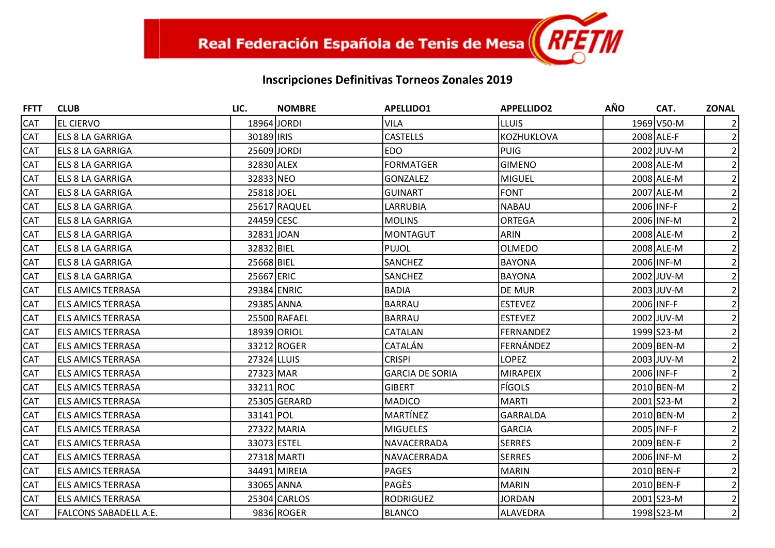| <b>FFTT</b> | <b>CLUB</b>                  | LIC.        | <b>NOMBRE</b> | <b>APELLIDO1</b>       | <b>APPELLIDO2</b> | <b>AÑO</b> | CAT.       | <b>ZONAL</b>   |
|-------------|------------------------------|-------------|---------------|------------------------|-------------------|------------|------------|----------------|
| <b>CAT</b>  | <b>IEL CIERVO</b>            | 18964 JORDI |               | <b>VILA</b>            | <b>LLUIS</b>      |            | 1969 V50-M |                |
| <b>CAT</b>  | <b>ELS 8 LA GARRIGA</b>      | 30189 IRIS  |               | <b>CASTELLS</b>        | KOZHUKLOVA        |            | 2008 ALE-F | $\overline{2}$ |
| CAT         | <b>IELS 8 LA GARRIGA</b>     | 25609 JORDI |               | <b>EDO</b>             | PUIG              |            | 2002 JUV-M |                |
| <b>CAT</b>  | <b>IELS 8 LA GARRIGA</b>     | 32830 ALEX  |               | <b>FORMATGER</b>       | <b>GIMENO</b>     |            | 2008 ALE-M |                |
| <b>CAT</b>  | <b>ELS 8 LA GARRIGA</b>      | 32833 NEO   |               | <b>GONZALEZ</b>        | <b>MIGUEL</b>     |            | 2008 ALE-M |                |
| CAT         | <b>ELS 8 LA GARRIGA</b>      | 25818JOEL   |               | <b>GUINART</b>         | <b>FONT</b>       |            | 2007 ALE-M | 2              |
| <b>CAT</b>  | <b>IELS 8 LA GARRIGA</b>     |             | 25617 RAQUEL  | LARRUBIA               | <b>NABAU</b>      |            | 2006 INF-F | $\overline{2}$ |
| <b>CAT</b>  | <b>ELS 8 LA GARRIGA</b>      | 24459 CESC  |               | <b>MOLINS</b>          | <b>ORTEGA</b>     |            | 2006 INF-M |                |
| CAT         | <b>ELS 8 LA GARRIGA</b>      | 32831JOAN   |               | <b>MONTAGUT</b>        | <b>ARIN</b>       |            | 2008 ALE-M |                |
| CAT         | <b>IELS 8 LA GARRIGA</b>     | 32832 BIEL  |               | <b>PUJOL</b>           | <b>OLMEDO</b>     |            | 2008 ALE-M | $\overline{2}$ |
| <b>CAT</b>  | <b>ELS 8 LA GARRIGA</b>      | 25668 BIEL  |               | <b>SANCHEZ</b>         | <b>BAYONA</b>     |            | 2006 INF-M | $\overline{2}$ |
| CAT         | <b>ELS 8 LA GARRIGA</b>      | 25667 ERIC  |               | SANCHEZ                | <b>BAYONA</b>     |            | 2002 JUV-M |                |
| <b>CAT</b>  | <b>ELS AMICS TERRASA</b>     | 29384 ENRIC |               | <b>BADIA</b>           | <b>DE MUR</b>     |            | 2003 JUV-M |                |
| <b>CAT</b>  | <b>ELS AMICS TERRASA</b>     | 29385 ANNA  |               | BARRAU                 | <b>ESTEVEZ</b>    |            | 2006 INF-F | 2 <sup>1</sup> |
| CAT         | <b>IELS AMICS TERRASA</b>    |             | 25500 RAFAEL  | <b>BARRAU</b>          | <b>ESTEVEZ</b>    |            | 2002 JUV-M |                |
| <b>CAT</b>  | <b>IELS AMICS TERRASA</b>    |             | 18939 ORIOL   | CATALAN                | FERNANDEZ         |            | 1999 S23-M |                |
| <b>CAT</b>  | <b>ELS AMICS TERRASA</b>     |             | 33212 ROGER   | CATALÁN                | FERNÁNDEZ         |            | 2009 BEN-M |                |
| CAT         | <b>ELS AMICS TERRASA</b>     | 27324 LLUIS |               | <b>CRISPI</b>          | <b>LOPEZ</b>      |            | 2003 JUV-M | 2              |
| <b>CAT</b>  | <b>ELS AMICS TERRASA</b>     | 27323 MAR   |               | <b>GARCIA DE SORIA</b> | <b>MIRAPEIX</b>   |            | 2006 INF-F | $\overline{2}$ |
| <b>CAT</b>  | <b>IELS AMICS TERRASA</b>    | 33211 ROC   |               | <b>GIBERT</b>          | <b>FÍGOLS</b>     |            | 2010 BEN-M |                |
| CAT         | <b>ELS AMICS TERRASA</b>     |             | 25305 GERARD  | <b>MADICO</b>          | MARTI             |            | 2001 S23-M |                |
| <b>CAT</b>  | <b>ELS AMICS TERRASA</b>     | 33141 POL   |               | <b>MARTÍNEZ</b>        | <b>GARRALDA</b>   |            | 2010 BEN-M | $\overline{2}$ |
| <b>CAT</b>  | <b>ELS AMICS TERRASA</b>     |             | 27322 MARIA   | <b>MIGUELES</b>        | <b>GARCIA</b>     |            | 2005 INF-F | 2 <sup>1</sup> |
| CAT         | <b>IELS AMICS TERRASA</b>    | 33073 ESTEL |               | NAVACERRADA            | SERRES            |            | 2009 BEN-F |                |
| <b>CAT</b>  | <b>ELS AMICS TERRASA</b>     |             | 27318 MARTI   | NAVACERRADA            | <b>SERRES</b>     |            | 2006 INF-M |                |
| <b>CAT</b>  | <b>ELS AMICS TERRASA</b>     |             | 34491 MIREIA  | PAGES                  | MARIN             |            | 2010 BEN-F | 2 <sup>1</sup> |
| CAT         | <b>ELS AMICS TERRASA</b>     | 33065 ANNA  |               | <b>PAGÈS</b>           | <b>MARIN</b>      |            | 2010 BEN-F |                |
| <b>CAT</b>  | <b>ELS AMICS TERRASA</b>     |             | 25304 CARLOS  | <b>RODRIGUEZ</b>       | <b>JORDAN</b>     |            | 2001 S23-M | $\overline{2}$ |
| <b>CAT</b>  | <b>FALCONS SABADELL A.E.</b> |             | 9836 ROGER    | <b>BLANCO</b>          | ALAVEDRA          |            | 1998 S23-M | $\overline{2}$ |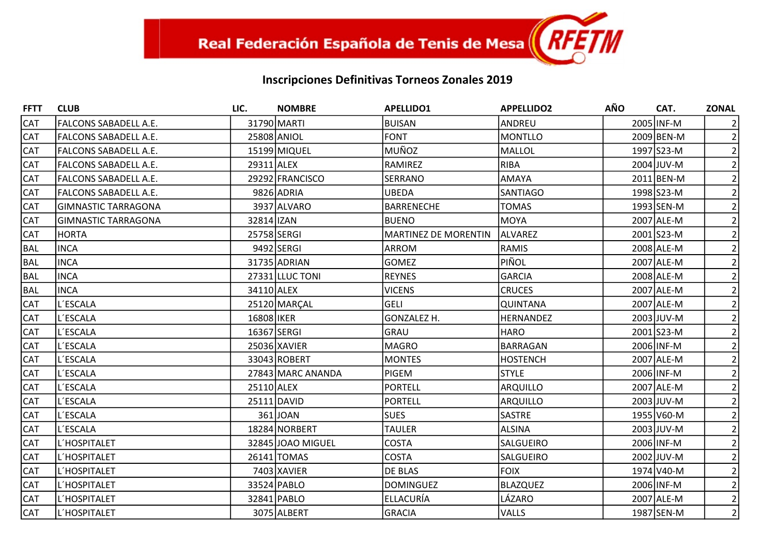| <b>FFTT</b> | <b>CLUB</b>                  | LIC.        | <b>NOMBRE</b>     | <b>APELLIDO1</b>            | <b>APPELLIDO2</b> | <b>AÑO</b> | CAT.       | <b>ZONAL</b>   |
|-------------|------------------------------|-------------|-------------------|-----------------------------|-------------------|------------|------------|----------------|
| <b>CAT</b>  | FALCONS SABADELL A.E.        |             | 31790 MARTI       | <b>BUISAN</b>               | ANDREU            |            | 2005 INF-M |                |
| <b>CAT</b>  | <b>FALCONS SABADELL A.E.</b> |             | 25808 ANIOL       | <b>FONT</b>                 | MONTLLO           |            | 2009 BEN-M |                |
| <b>CAT</b>  | FALCONS SABADELL A.E.        |             | 15199 MIQUEL      | MUÑOZ                       | MALLOL            |            | 1997 S23-M |                |
| <b>CAT</b>  | FALCONS SABADELL A.E.        | 29311 ALEX  |                   | RAMIREZ                     | RIBA              |            | 2004 JUV-M |                |
| <b>CAT</b>  | <b>FALCONS SABADELL A.E.</b> |             | 29292 FRANCISCO   | SERRANO                     | AMAYA             |            | 2011 BEN-M |                |
| <b>CAT</b>  | FALCONS SABADELL A.E.        |             | 9826 ADRIA        | <b>UBEDA</b>                | SANTIAGO          |            | 1998 S23-M |                |
| <b>CAT</b>  | <b>GIMNASTIC TARRAGONA</b>   |             | 3937 ALVARO       | <b>BARRENECHE</b>           | <b>TOMAS</b>      |            | 1993 SEN-M |                |
| <b>CAT</b>  | GIMNASTIC TARRAGONA          | 32814 IZAN  |                   | <b>BUENO</b>                | MOYA              |            | 2007 ALE-M |                |
| <b>CAT</b>  | <b>HORTA</b>                 | 25758 SERGI |                   | <b>MARTINEZ DE MORENTIN</b> | ALVAREZ           |            | 2001 S23-M |                |
| BAL         | <b>INCA</b>                  |             | 9492 SERGI        | ARROM                       | RAMIS             |            | 2008 ALE-M |                |
| <b>BAL</b>  | <b>INCA</b>                  |             | 31735 ADRIAN      | <b>GOMEZ</b>                | PIÑOL             |            | 2007 ALE-M |                |
| BAL         | <b>INCA</b>                  |             | 27331 LLUC TONI   | <b>REYNES</b>               | GARCIA            |            | 2008 ALE-M |                |
| <b>BAL</b>  | <b>INCA</b>                  | 34110 ALEX  |                   | <b>VICENS</b>               | <b>CRUCES</b>     |            | 2007 ALE-M |                |
| <b>CAT</b>  | L'ESCALA                     |             | 25120 MARÇAL      | <b>GELI</b>                 | <b>QUINTANA</b>   |            | 2007 ALE-M |                |
| <b>CAT</b>  | L'ESCALA                     | 16808 IKER  |                   | GONZALEZ H.                 | <b>HERNANDEZ</b>  |            | 2003 JUV-M |                |
| <b>CAT</b>  | L'ESCALA                     | 16367 SERGI |                   | <b>GRAU</b>                 | <b>HARO</b>       |            | 2001 S23-M |                |
| <b>CAT</b>  | ll´ESCALA                    |             | 25036 XAVIER      | <b>MAGRO</b>                | BARRAGAN          |            | 2006 INF-M |                |
| <b>CAT</b>  | L'ESCALA                     |             | 33043 ROBERT      | <b>MONTES</b>               | <b>HOSTENCH</b>   |            | 2007 ALE-M |                |
| <b>CAT</b>  | ll´ESCALA                    |             | 27843 MARC ANANDA | <b>PIGEM</b>                | <b>STYLE</b>      |            | 2006 INF-M |                |
| <b>CAT</b>  | L'ESCALA                     | 25110 ALEX  |                   | <b>PORTELL</b>              | <b>ARQUILLO</b>   |            | 2007 ALE-M |                |
| <b>CAT</b>  | L'ESCALA                     |             | 25111 DAVID       | <b>PORTELL</b>              | ARQUILLO          |            | 2003 JUV-M |                |
| CAT         | L'ESCALA                     |             | 361J0AN           | <b>SUES</b>                 | <b>SASTRE</b>     |            | 1955 V60-M |                |
| <b>CAT</b>  | L'ESCALA                     |             | 18284 NORBERT     | <b>TAULER</b>               | <b>ALSINA</b>     |            | 2003 JUV-M | $\overline{2}$ |
| <b>CAT</b>  | L'HOSPITALET                 |             | 32845 JOAO MIGUEL | <b>COSTA</b>                | SALGUEIRO         |            | 2006 INF-M |                |
| <b>CAT</b>  | L'HOSPITALET                 |             | 26141 TOMAS       | <b>COSTA</b>                | <b>SALGUEIRO</b>  |            | 2002 JUV-M |                |
| <b>CAT</b>  | L'HOSPITALET                 |             | 7403 XAVIER       | <b>DE BLAS</b>              | <b>FOIX</b>       |            | 1974 V40-M |                |
| <b>CAT</b>  | L'HOSPITALET                 |             | 33524 PABLO       | <b>DOMINGUEZ</b>            | <b>BLAZQUEZ</b>   |            | 2006 INF-M |                |
| <b>CAT</b>  | L'HOSPITALET                 |             | 32841 PABLO       | ELLACURÍA                   | LÁZARO            |            | 2007 ALE-M | $\overline{2}$ |
| CAT         | L'HOSPITALET                 |             | 3075 ALBERT       | <b>GRACIA</b>               | <b>VALLS</b>      |            | 1987 SEN-M | $\overline{2}$ |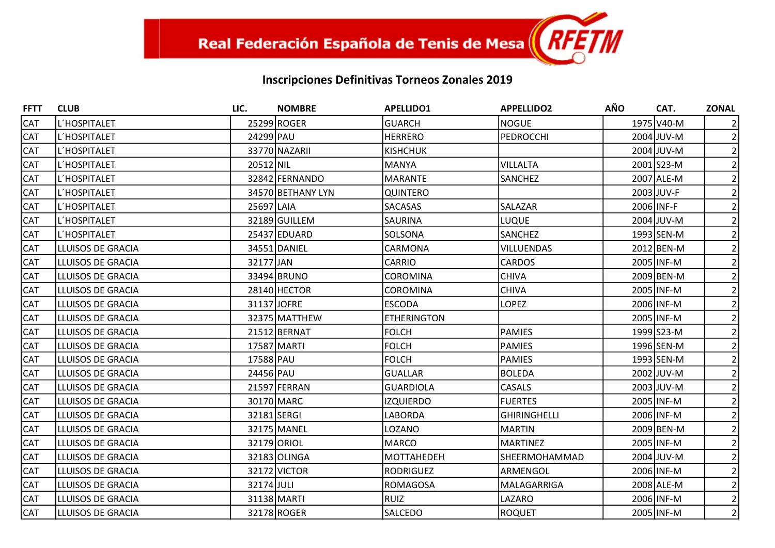| <b>FFTT</b> | <b>CLUB</b>              | LIC.        | <b>NOMBRE</b>     | <b>APELLIDO1</b>   | <b>APPELLIDO2</b>   | AÑO | CAT.       | <b>ZONAL</b>   |
|-------------|--------------------------|-------------|-------------------|--------------------|---------------------|-----|------------|----------------|
| <b>CAT</b>  | L'HOSPITALET             |             | 25299 ROGER       | <b>GUARCH</b>      | <b>NOGUE</b>        |     | 1975 V40-M |                |
| <b>CAT</b>  | L'HOSPITALET             | 24299 PAU   |                   | <b>HERRERO</b>     | <b>PEDROCCHI</b>    |     | 2004 JUV-M |                |
| <b>CAT</b>  | L'HOSPITALET             |             | 33770 NAZARII     | <b>KISHCHUK</b>    |                     |     | 2004 JUV-M |                |
| <b>CAT</b>  | L'HOSPITALET             | 20512 NIL   |                   | MANYA              | <b>VILLALTA</b>     |     | 2001 S23-M |                |
| <b>CAT</b>  | L'HOSPITALET             |             | 32842 FERNANDO    | MARANTE            | SANCHEZ             |     | 2007 ALE-M |                |
| <b>CAT</b>  | L'HOSPITALET             |             | 34570 BETHANY LYN | <b>QUINTERO</b>    |                     |     | 2003 JUV-F |                |
| <b>CAT</b>  | L'HOSPITALET             | 25697 LAIA  |                   | <b>SACASAS</b>     | SALAZAR             |     | 2006 INF-F |                |
| <b>CAT</b>  | L'HOSPITALET             |             | 32189 GUILLEM     | <b>SAURINA</b>     | <b>LUQUE</b>        |     | 2004 JUV-M |                |
| <b>CAT</b>  | L'HOSPITALET             |             | 25437 EDUARD      | SOLSONA            | <b>SANCHEZ</b>      |     | 1993 SEN-M |                |
| <b>CAT</b>  | LLUISOS DE GRACIA        |             | 34551 DANIEL      | CARMONA            | <b>VILLUENDAS</b>   |     | 2012 BEN-M |                |
| <b>CAT</b>  | LLUISOS DE GRACIA        | 32177 JAN   |                   | <b>CARRIO</b>      | <b>CARDOS</b>       |     | 2005 INF-M |                |
| <b>CAT</b>  | LLUISOS DE GRACIA        |             | 33494 BRUNO       | <b>COROMINA</b>    | <b>CHIVA</b>        |     | 2009 BEN-M |                |
| <b>CAT</b>  | LLUISOS DE GRACIA        |             | 28140 HECTOR      | <b>COROMINA</b>    | <b>CHIVA</b>        |     | 2005 INF-M |                |
| <b>CAT</b>  | LLUISOS DE GRACIA        | 31137 JOFRE |                   | <b>ESCODA</b>      | <b>LOPEZ</b>        |     | 2006 INF-M |                |
| <b>CAT</b>  | LLUISOS DE GRACIA        |             | 32375 MATTHEW     | <b>ETHERINGTON</b> |                     |     | 2005 INF-M |                |
| <b>CAT</b>  | LLUISOS DE GRACIA        |             | 21512 BERNAT      | <b>FOLCH</b>       | PAMIES              |     | 1999 S23-M |                |
| <b>CAT</b>  | LLUISOS DE GRACIA        |             | 17587 MARTI       | <b>FOLCH</b>       | <b>PAMIES</b>       |     | 1996 SEN-M |                |
| <b>CAT</b>  | LLUISOS DE GRACIA        | 17588 PAU   |                   | <b>FOLCH</b>       | <b>PAMIES</b>       |     | 1993 SEN-M |                |
| <b>CAT</b>  | LLUISOS DE GRACIA        | 24456 PAU   |                   | <b>GUALLAR</b>     | <b>BOLEDA</b>       |     | 2002 JUV-M |                |
| <b>CAT</b>  | LLUISOS DE GRACIA        |             | 21597 FERRAN      | <b>GUARDIOLA</b>   | CASALS              |     | 2003 JUV-M |                |
| <b>CAT</b>  | LLUISOS DE GRACIA        |             | 30170 MARC        | <b>IZQUIERDO</b>   | <b>FUERTES</b>      |     | 2005 INF-M |                |
| <b>CAT</b>  | LLUISOS DE GRACIA        | 32181 SERGI |                   | <b>LABORDA</b>     | <b>GHIRINGHELLI</b> |     | 2006 INF-M |                |
| <b>CAT</b>  | LLUISOS DE GRACIA        |             | 32175 MANEL       | LOZANO             | <b>MARTIN</b>       |     | 2009 BEN-M |                |
| <b>CAT</b>  | LLUISOS DE GRACIA        |             | 32179 ORIOL       | MARCO              | <b>MARTINEZ</b>     |     | 2005 INF-M |                |
| <b>CAT</b>  | LLUISOS DE GRACIA        |             | 32183 OLINGA      | MOTTAHEDEH         | SHEERMOHAMMAD       |     | 2004 JUV-M |                |
| <b>CAT</b>  | LLUISOS DE GRACIA        |             | 32172 VICTOR      | <b>RODRIGUEZ</b>   | ARMENGOL            |     | 2006 INF-M |                |
| <b>CAT</b>  | LLUISOS DE GRACIA        | 32174 JULI  |                   | ROMAGOSA           | MALAGARRIGA         |     | 2008 ALE-M |                |
| <b>CAT</b>  | LLUISOS DE GRACIA        |             | 31138 MARTI       | RUIZ               | LAZARO              |     | 2006 INF-M |                |
| <b>CAT</b>  | <b>LLUISOS DE GRACIA</b> |             | 32178 ROGER       | <b>SALCEDO</b>     | <b>ROQUET</b>       |     | 2005 INF-M | $\overline{2}$ |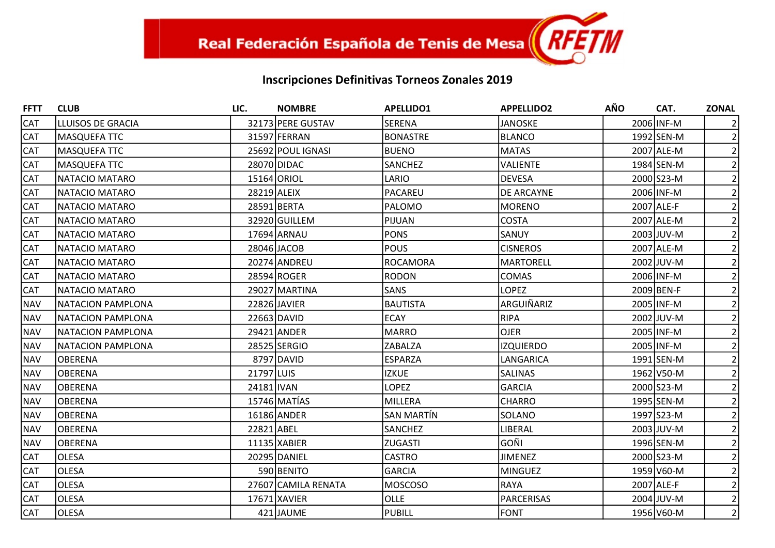| <b>FFTT</b> | <b>CLUB</b>              | LIC.        | <b>NOMBRE</b>       | <b>APELLIDO1</b> | <b>APPELLIDO2</b> | <b>AÑO</b> | CAT.       | <b>ZONAL</b>   |
|-------------|--------------------------|-------------|---------------------|------------------|-------------------|------------|------------|----------------|
| <b>CAT</b>  | LLUISOS DE GRACIA        |             | 32173 PERE GUSTAV   | <b>SERENA</b>    | <b>JANOSKE</b>    |            | 2006 INF-M |                |
| <b>CAT</b>  | <b>MASQUEFA TTC</b>      |             | 31597 FERRAN        | <b>BONASTRE</b>  | <b>BLANCO</b>     |            | 1992 SEN-M |                |
| <b>CAT</b>  | MASQUEFA TTC             |             | 25692 POUL IGNASI   | <b>BUENO</b>     | <b>MATAS</b>      |            | 2007 ALE-M |                |
| <b>CAT</b>  | <b>MASQUEFA TTC</b>      |             | 28070 DIDAC         | SANCHEZ          | <b>VALIENTE</b>   |            | 1984 SEN-M |                |
| <b>CAT</b>  | NATACIO MATARO           |             | 15164 ORIOL         | LARIO            | <b>DEVESA</b>     |            | 2000 S23-M |                |
| <b>CAT</b>  | NATACIO MATARO           | 28219 ALEIX |                     | PACAREU          | DE ARCAYNE        |            | 2006 INF-M |                |
| <b>CAT</b>  | NATACIO MATARO           |             | 28591 BERTA         | <b>PALOMO</b>    | <b>MORENO</b>     |            | 2007 ALE-F |                |
| <b>CAT</b>  | NATACIO MATARO           |             | 32920 GUILLEM       | PIJUAN           | <b>COSTA</b>      |            | 2007 ALE-M |                |
| <b>CAT</b>  | NATACIO MATARO           |             | 17694 ARNAU         | <b>PONS</b>      | SANUY             |            | 2003 JUV-M |                |
| <b>CAT</b>  | NATACIO MATARO           |             | 28046 JACOB         | <b>POUS</b>      | <b>CISNEROS</b>   |            | 2007 ALE-M |                |
| <b>CAT</b>  | NATACIO MATARO           |             | 20274 ANDREU        | ROCAMORA         | <b>MARTORELL</b>  |            | 2002 JUV-M |                |
| <b>CAT</b>  | NATACIO MATARO           |             | 28594 ROGER         | RODON            | COMAS             |            | 2006 INF-M |                |
| <b>CAT</b>  | NATACIO MATARO           |             | 29027 MARTINA       | SANS             | <b>LOPEZ</b>      |            | 2009 BEN-F |                |
| <b>NAV</b>  | NATACION PAMPLONA        |             | 22826 JAVIER        | <b>BAUTISTA</b>  | ARGUIÑARIZ        |            | 2005 INF-M |                |
| <b>NAV</b>  | <b>NATACION PAMPLONA</b> |             | 22663 DAVID         | <b>ECAY</b>      | <b>RIPA</b>       |            | 2002 JUV-M |                |
| <b>NAV</b>  | NATACION PAMPLONA        |             | 29421 ANDER         | MARRO            | <b>OJER</b>       |            | 2005 INF-M |                |
| <b>NAV</b>  | <b>NATACION PAMPLONA</b> |             | 28525 SERGIO        | <b>ZABALZA</b>   | <b>IZQUIERDO</b>  |            | 2005 INF-M |                |
| <b>NAV</b>  | <b>OBERENA</b>           |             | 8797 DAVID          | <b>ESPARZA</b>   | LANGARICA         |            | 1991 SEN-M |                |
| <b>NAV</b>  | <b>OBERENA</b>           | 21797 LUIS  |                     | <b>IZKUE</b>     | <b>SALINAS</b>    |            | 1962 V50-M |                |
| <b>NAV</b>  | <b>OBERENA</b>           | 24181 IVAN  |                     | <b>LOPEZ</b>     | <b>GARCIA</b>     |            | 2000 S23-M |                |
| <b>NAV</b>  | <b>OBERENA</b>           |             | 15746 MATÍAS        | MILLERA          | <b>CHARRO</b>     |            | 1995 SEN-M |                |
| <b>NAV</b>  | <b>OBERENA</b>           |             | 16186 ANDER         | SAN MARTÍN       | SOLANO            |            | 1997 S23-M |                |
| <b>NAV</b>  | <b>OBERENA</b>           | 22821 ABEL  |                     | <b>SANCHEZ</b>   | LIBERAL           |            | 2003 JUV-M |                |
| <b>NAV</b>  | <b>OBERENA</b>           |             | 11135 XABIER        | <b>ZUGASTI</b>   | GOÑI              |            | 1996 SEN-M |                |
| <b>CAT</b>  | <b>OLESA</b>             |             | 20295 DANIEL        | <b>CASTRO</b>    | <b>JIMENEZ</b>    |            | 2000 S23-M |                |
| <b>CAT</b>  | <b>OLESA</b>             |             | 590 BENITO          | GARCIA           | <b>MINGUEZ</b>    |            | 1959 V60-M |                |
| <b>CAT</b>  | <b>OLESA</b>             |             | 27607 CAMILA RENATA | <b>MOSCOSO</b>   | RAYA              |            | 2007 ALE-F |                |
| <b>CAT</b>  | <b>OLESA</b>             |             | 17671 XAVIER        | <b>OLLE</b>      | <b>PARCERISAS</b> |            | 2004 JUV-M |                |
| <b>CAT</b>  | <b>OLESA</b>             |             | 421 JAUME           | PUBILL           | <b>FONT</b>       |            | 1956 V60-M | $\overline{2}$ |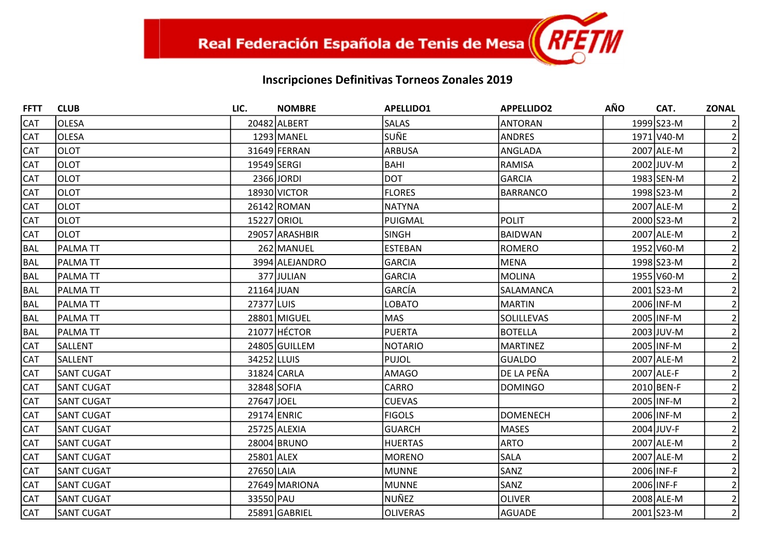| <b>FFTT</b> | <b>CLUB</b>       | LIC.        | <b>NOMBRE</b>  | <b>APELLIDO1</b> | <b>APPELLIDO2</b> | <b>AÑO</b> | CAT.       | <b>ZONAL</b>   |
|-------------|-------------------|-------------|----------------|------------------|-------------------|------------|------------|----------------|
| <b>CAT</b>  | <b>OLESA</b>      |             | 20482 ALBERT   | <b>SALAS</b>     | <b>ANTORAN</b>    |            | 1999 S23-M |                |
| <b>CAT</b>  | <b>OLESA</b>      |             | 1293 MANEL     | lsuñe.           | <b>ANDRES</b>     |            | 1971 V40-M |                |
| <b>CAT</b>  | <b>OLOT</b>       |             | 31649 FERRAN   | <b>ARBUSA</b>    | ANGLADA           |            | 2007 ALE-M |                |
| <b>CAT</b>  | <b>OLOT</b>       | 19549 SERGI |                | <b>BAHI</b>      | <b>RAMISA</b>     |            | 2002 JUV-M |                |
| <b>CAT</b>  | <b>OLOT</b>       |             | 2366JORDI      | <b>DOT</b>       | <b>GARCIA</b>     |            | 1983 SEN-M |                |
| <b>CAT</b>  | <b>OLOT</b>       |             | 18930 VICTOR   | <b>FLORES</b>    | <b>BARRANCO</b>   |            | 1998 S23-M |                |
| <b>CAT</b>  | <b>OLOT</b>       |             | 26142 ROMAN    | <b>NATYNA</b>    |                   |            | 2007 ALE-M |                |
| <b>CAT</b>  | <b>OLOT</b>       |             | 15227 ORIOL    | PUIGMAL          | POLIT             |            | 2000 S23-M |                |
| <b>CAT</b>  | <b>OLOT</b>       |             | 29057 ARASHBIR | <b>SINGH</b>     | <b>BAIDWAN</b>    |            | 2007 ALE-M |                |
| BAL         | <b>PALMATT</b>    |             | 262 MANUEL     | <b>ESTEBAN</b>   | <b>ROMERO</b>     |            | 1952 V60-M |                |
| BAL         | <b>PALMATT</b>    |             | 3994 ALEJANDRO | <b>GARCIA</b>    | <b>MENA</b>       |            | 1998 S23-M |                |
| BAL         | <b>PALMATT</b>    |             | 377 JULIAN     | <b>GARCIA</b>    | <b>MOLINA</b>     |            | 1955 V60-M |                |
| <b>BAL</b>  | <b>PALMATT</b>    | 21164 JUAN  |                | GARCÍA           | SALAMANCA         |            | 2001 S23-M |                |
| BAL         | <b>PALMATT</b>    | 27377 LUIS  |                | <b>LOBATO</b>    | <b>MARTIN</b>     |            | 2006 INF-M |                |
| BAL         | <b>PALMATT</b>    |             | 28801 MIGUEL   | MAS              | <b>SOLILLEVAS</b> |            | 2005 INF-M |                |
| <b>BAL</b>  | <b>PALMATT</b>    |             | 21077 HÉCTOR   | PUERTA           | <b>BOTELLA</b>    |            | 2003 JUV-M |                |
| <b>CAT</b>  | <b>SALLENT</b>    |             | 24805 GUILLEM  | NOTARIO          | <b>MARTINEZ</b>   |            | 2005 INF-M |                |
| <b>CAT</b>  | SALLENT           | 34252 LLUIS |                | PUJOL            | <b>GUALDO</b>     |            | 2007 ALE-M |                |
| <b>CAT</b>  | <b>SANT CUGAT</b> |             | 31824 CARLA    | <b>AMAGO</b>     | DE LA PEÑA        |            | 2007 ALE-F |                |
| <b>CAT</b>  | <b>SANT CUGAT</b> | 32848 SOFIA |                | <b>CARRO</b>     | <b>DOMINGO</b>    |            | 2010 BEN-F |                |
| <b>CAT</b>  | <b>SANT CUGAT</b> | 27647 JOEL  |                | <b>CUEVAS</b>    |                   |            | 2005 INF-M |                |
| <b>CAT</b>  | <b>SANT CUGAT</b> | 29174 ENRIC |                | <b>FIGOLS</b>    | <b>DOMENECH</b>   |            | 2006 INF-M |                |
| <b>CAT</b>  | <b>SANT CUGAT</b> |             | 25725 ALEXIA   | <b>GUARCH</b>    | <b>MASES</b>      |            | 2004 JUV-F |                |
| <b>CAT</b>  | <b>SANT CUGAT</b> |             | 28004 BRUNO    | HUERTAS          | <b>ARTO</b>       |            | 2007 ALE-M |                |
| <b>CAT</b>  | <b>SANT CUGAT</b> | 25801 ALEX  |                | <b>MORENO</b>    | <b>SALA</b>       |            | 2007 ALE-M |                |
| <b>CAT</b>  | <b>SANT CUGAT</b> | 27650 LAIA  |                | MUNNE            | SANZ              |            | 2006 INF-F |                |
| <b>CAT</b>  | <b>SANT CUGAT</b> |             | 27649 MARIONA  | MUNNE            | SANZ              |            | 2006 INF-F |                |
| <b>CAT</b>  | <b>SANT CUGAT</b> | 33550 PAU   |                | NUÑEZ            | <b>OLIVER</b>     |            | 2008 ALE-M |                |
| <b>CAT</b>  | <b>SANT CUGAT</b> |             | 25891 GABRIEL  | <b>OLIVERAS</b>  | <b>AGUADE</b>     |            | 2001 S23-M | $\overline{2}$ |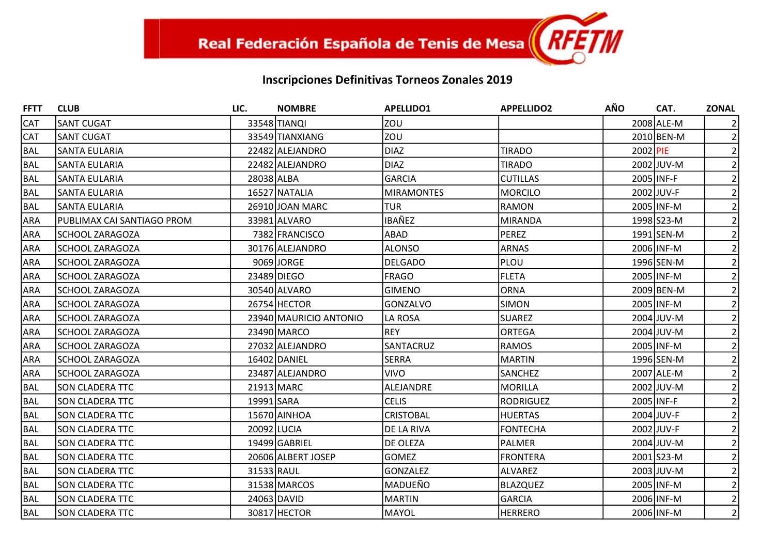| <b>FFTT</b> | <b>CLUB</b>                | LIC.        | <b>NOMBRE</b>          | <b>APELLIDO1</b>  | <b>APPELLIDO2</b> | <b>AÑO</b> | CAT.       | <b>ZONAL</b>   |
|-------------|----------------------------|-------------|------------------------|-------------------|-------------------|------------|------------|----------------|
| <b>CAT</b>  | <b>SANT CUGAT</b>          |             | 33548 TIANQI           | <b>ZOU</b>        |                   |            | 2008 ALE-M |                |
| <b>CAT</b>  | <b>SANT CUGAT</b>          |             | 33549 TIANXIANG        | Izou              |                   |            | 2010 BEN-M | $\overline{2}$ |
| <b>BAL</b>  | <b>SANTA EULARIA</b>       |             | 22482 ALEJANDRO        | <b>DIAZ</b>       | <b>TIRADO</b>     | 2002 PIE   |            | 2              |
| <b>BAL</b>  | <b>SANTA EULARIA</b>       |             | 22482 ALEJANDRO        | <b>DIAZ</b>       | <b>TIRADO</b>     |            | 2002 JUV-M |                |
| <b>BAL</b>  | <b>SANTA EULARIA</b>       | 28038 ALBA  |                        | <b>GARCIA</b>     | <b>CUTILLAS</b>   |            | 2005 INF-F |                |
| <b>BAL</b>  | <b>SANTA EULARIA</b>       |             | 16527 NATALIA          | <b>MIRAMONTES</b> | MORCILO           |            | 2002 JUV-F | 2              |
| <b>BAL</b>  | ISANTA EULARIA             |             | 26910 JOAN MARC        | <b>TUR</b>        | <b>RAMON</b>      |            | 2005 INF-M | $\overline{2}$ |
| ARA         | PUBLIMAX CAI SANTIAGO PROM |             | 33981 ALVARO           | <b>IBAÑEZ</b>     | MIRANDA           |            | 1998 S23-M |                |
| <b>ARA</b>  | <b>SCHOOL ZARAGOZA</b>     |             | 7382 FRANCISCO         | ABAD              | PEREZ             |            | 1991 SEN-M |                |
| <b>ARA</b>  | <b>SCHOOL ZARAGOZA</b>     |             | 30176 ALEJANDRO        | <b>ALONSO</b>     | ARNAS             |            | 2006 INF-M | $\overline{2}$ |
| ARA         | <b>SCHOOL ZARAGOZA</b>     |             | 9069 JORGE             | <b>DELGADO</b>    | PLOU              |            | 1996 SEN-M |                |
| <b>ARA</b>  | <b>SCHOOL ZARAGOZA</b>     |             | 23489 DIEGO            | <b>FRAGO</b>      | FLETA             |            | 2005 INF-M |                |
| ARA         | <b>SCHOOL ZARAGOZA</b>     |             | 30540 ALVARO           | <b>GIMENO</b>     | ORNA              |            | 2009 BEN-M |                |
| <b>ARA</b>  | <b>SCHOOL ZARAGOZA</b>     |             | 26754 HECTOR           | GONZALVO          | <b>SIMON</b>      |            | 2005 INF-M | 2              |
| <b>ARA</b>  | <b>SCHOOL ZARAGOZA</b>     |             | 23940 MAURICIO ANTONIO | LA ROSA           | <b>SUAREZ</b>     |            | 2004 JUV-M |                |
| ARA         | <b>SCHOOL ZARAGOZA</b>     |             | 23490 MARCO            | REY               | ORTEGA            |            | 2004 JUV-M |                |
| <b>ARA</b>  | <b>SCHOOL ZARAGOZA</b>     |             | 27032 ALEJANDRO        | SANTACRUZ         | RAMOS             |            | 2005 INF-M |                |
| <b>ARA</b>  | <b>SCHOOL ZARAGOZA</b>     |             | 16402 DANIEL           | <b>SERRA</b>      | <b>MARTIN</b>     |            | 1996 SEN-M |                |
| ARA         | <b>SCHOOL ZARAGOZA</b>     |             | 23487 ALEJANDRO        | <b>VIVO</b>       | <b>SANCHEZ</b>    |            | 2007 ALE-M |                |
| <b>BAL</b>  | <b>SON CLADERA TTC</b>     |             | 21913 MARC             | ALEJANDRE         | MORILLA           |            | 2002 JUV-M |                |
| <b>BAL</b>  | <b>SON CLADERA TTC</b>     | 19991 SARA  |                        | <b>CELIS</b>      | <b>RODRIGUEZ</b>  |            | 2005 INF-F |                |
| <b>BAL</b>  | <b>SON CLADERA TTC</b>     |             | 15670 AINHOA           | <b>CRISTOBAL</b>  | <b>HUERTAS</b>    |            | 2004 JUV-F |                |
| <b>BAL</b>  | <b>SON CLADERA TTC</b>     | 20092 LUCIA |                        | DE LA RIVA        | <b>FONTECHA</b>   |            | 2002 JUV-F |                |
| <b>BAL</b>  | <b>SON CLADERA TTC</b>     |             | 19499 GABRIEL          | <b>DE OLEZA</b>   | PALMER            |            | 2004 JUV-M |                |
| <b>BAL</b>  | <b>SON CLADERA TTC</b>     |             | 20606 ALBERT JOSEP     | <b>GOMEZ</b>      | <b>FRONTERA</b>   |            | 2001 S23-M |                |
| <b>BAL</b>  | <b>SON CLADERA TTC</b>     | 31533 RAUL  |                        | GONZALEZ          | ALVAREZ           |            | 2003 JUV-M |                |
| <b>BAL</b>  | <b>SON CLADERA TTC</b>     |             | 31538 MARCOS           | MADUEÑO           | <b>BLAZQUEZ</b>   |            | 2005 INF-M |                |
| <b>BAL</b>  | <b>SON CLADERA TTC</b>     |             | 24063 DAVID            | MARTIN            | <b>GARCIA</b>     |            | 2006 INF-M |                |
| <b>BAL</b>  | <b>SON CLADERA TTC</b>     |             | 30817 HECTOR           | MAYOL             | <b>HERRERO</b>    |            | 2006 INF-M | $\overline{2}$ |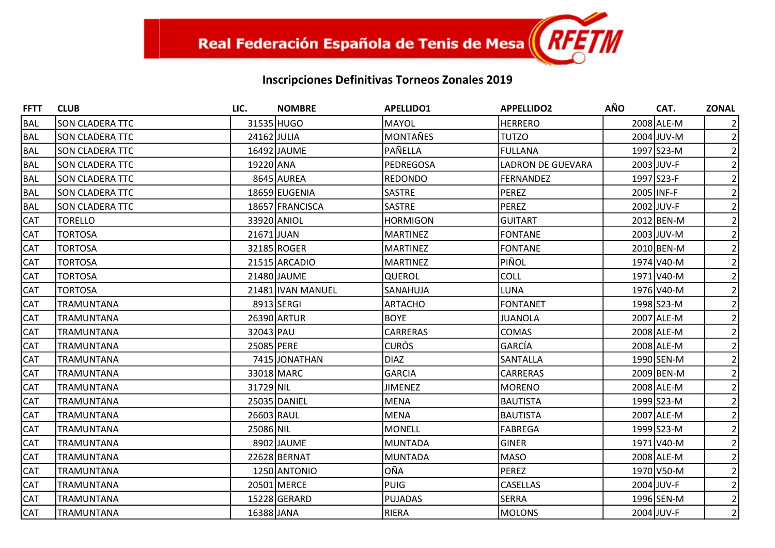| <b>FFTT</b> | <b>CLUB</b>            | LIC.        | <b>NOMBRE</b>     | <b>APELLIDO1</b> | <b>APPELLIDO2</b>        | <b>AÑO</b> | CAT.       | <b>ZONAL</b>   |
|-------------|------------------------|-------------|-------------------|------------------|--------------------------|------------|------------|----------------|
| BAL         | <b>SON CLADERA TTC</b> |             | 31535 HUGO        | MAYOL            | <b>HERRERO</b>           |            | 2008 ALE-M |                |
| BAL         | <b>SON CLADERA TTC</b> | 24162 JULIA |                   | MONTAÑES         | <b>TUTZO</b>             |            | 2004 JUV-M | $\overline{2}$ |
| <b>BAL</b>  | <b>SON CLADERA TTC</b> |             | 16492 JAUME       | PAÑELLA          | <b>FULLANA</b>           |            | 1997 S23-M |                |
| BAL         | <b>SON CLADERA TTC</b> | 19220 ANA   |                   | <b>PEDREGOSA</b> | <b>LADRON DE GUEVARA</b> |            | 2003 JUV-F |                |
| BAL         | <b>SON CLADERA TTC</b> |             | 8645 AUREA        | <b>REDONDO</b>   | <b>FERNANDEZ</b>         |            | 1997 S23-F |                |
| <b>BAL</b>  | <b>SON CLADERA TTC</b> |             | 18659 EUGENIA     | SASTRE           | <b>PEREZ</b>             |            | 2005 INF-F |                |
| <b>BAL</b>  | <b>SON CLADERA TTC</b> |             | 18657 FRANCISCA   | <b>SASTRE</b>    | <b>PEREZ</b>             |            | 2002 JUV-F |                |
| <b>CAT</b>  | <b>TORELLO</b>         |             | 33920 ANIOL       | <b>HORMIGON</b>  | <b>GUITART</b>           |            | 2012 BEN-M |                |
| <b>CAT</b>  | <b>TORTOSA</b>         | 21671 JUAN  |                   | <b>MARTINEZ</b>  | <b>FONTANE</b>           |            | 2003 JUV-M |                |
| <b>CAT</b>  | <b>TORTOSA</b>         |             | 32185 ROGER       | <b>MARTINEZ</b>  | <b>FONTANE</b>           |            | 2010 BEN-M | 2              |
| <b>CAT</b>  | <b>TORTOSA</b>         |             | 21515 ARCADIO     | <b>MARTINEZ</b>  | PIÑOL                    |            | 1974 V40-M |                |
| <b>CAT</b>  | <b>TORTOSA</b>         |             | 21480 JAUME       | QUEROL           | <b>COLL</b>              |            | 1971 V40-M |                |
| <b>CAT</b>  | <b>TORTOSA</b>         |             | 21481 IVAN MANUEL | SANAHUJA         | LUNA                     |            | 1976 V40-M |                |
| <b>CAT</b>  | <b>TRAMUNTANA</b>      |             | 8913 SERGI        | <b>ARTACHO</b>   | <b>FONTANET</b>          |            | 1998 S23-M | 2 <sup>1</sup> |
| <b>CAT</b>  | <b>TRAMUNTANA</b>      |             | 26390 ARTUR       | <b>BOYE</b>      | JUANOLA                  |            | 2007 ALE-M |                |
| <b>CAT</b>  | <b>TRAMUNTANA</b>      | 32043 PAU   |                   | <b>CARRERAS</b>  | <b>COMAS</b>             |            | 2008 ALE-M |                |
| <b>CAT</b>  | <b>TRAMUNTANA</b>      | 25085 PERE  |                   | <b>CURÓS</b>     | GARCÍA                   |            | 2008 ALE-M |                |
| <b>CAT</b>  | TRAMUNTANA             |             | 7415 JONATHAN     | <b>DIAZ</b>      | SANTALLA                 |            | 1990 SEN-M |                |
| <b>CAT</b>  | <b>TRAMUNTANA</b>      |             | 33018 MARC        | <b>GARCIA</b>    | <b>CARRERAS</b>          |            | 2009 BEN-M |                |
| <b>CAT</b>  | <b>TRAMUNTANA</b>      | 31729 NIL   |                   | <b>JIMENEZ</b>   | <b>MORENO</b>            |            | 2008 ALE-M |                |
| <b>CAT</b>  | <b>TRAMUNTANA</b>      |             | 25035 DANIEL      | <b>MENA</b>      | <b>BAUTISTA</b>          |            | 1999 S23-M |                |
| <b>CAT</b>  | <b>TRAMUNTANA</b>      | 26603 RAUL  |                   | MENA             | <b>BAUTISTA</b>          |            | 2007 ALE-M | 2              |
| <b>CAT</b>  | <b>TRAMUNTANA</b>      | 25086 NIL   |                   | MONELL           | <b>FABREGA</b>           |            | 1999 S23-M |                |
| <b>CAT</b>  | TRAMUNTANA             |             | 8902 JAUME        | MUNTADA          | <b>GINER</b>             |            | 1971 V40-M |                |
| <b>CAT</b>  | <b>TRAMUNTANA</b>      |             | 22628 BERNAT      | MUNTADA          | <b>MASO</b>              |            | 2008 ALE-M |                |
| <b>CAT</b>  | <b>TRAMUNTANA</b>      |             | 1250 ANTONIO      | loña             | <b>PEREZ</b>             |            | 1970 V50-M |                |
| <b>CAT</b>  | <b>TRAMUNTANA</b>      |             | 20501 MERCE       | <b>PUIG</b>      | <b>CASELLAS</b>          |            | 2004 JUV-F |                |
| <b>CAT</b>  | <b>TRAMUNTANA</b>      |             | 15228 GERARD      | PUJADAS          | <b>SERRA</b>             |            | 1996 SEN-M | $\overline{2}$ |
| <b>CAT</b>  | <b>TRAMUNTANA</b>      | 16388 JANA  |                   | RIERA            | <b>MOLONS</b>            |            | 2004 JUV-F | $\overline{2}$ |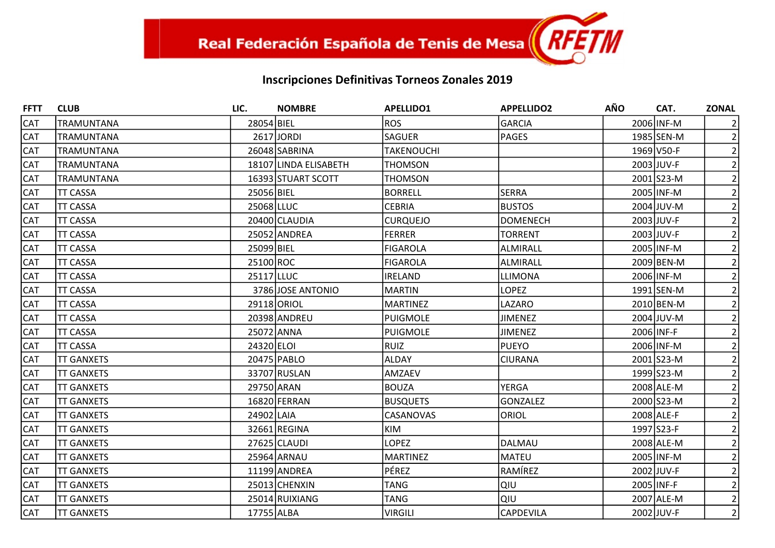| <b>FFTT</b> | <b>CLUB</b>        | LIC.       | <b>NOMBRE</b>         | <b>APELLIDO1</b>  | <b>APPELLIDO2</b> | <b>AÑO</b> | CAT.       | <b>ZONAL</b>   |
|-------------|--------------------|------------|-----------------------|-------------------|-------------------|------------|------------|----------------|
| <b>CAT</b>  | <b>TRAMUNTANA</b>  | 28054 BIEL |                       | <b>ROS</b>        | GARCIA            |            | 2006 INF-M |                |
| <b>CAT</b>  | <b>TRAMUNTANA</b>  |            | 2617 JORDI            | SAGUER            | PAGES             |            | 1985 SEN-M |                |
| <b>CAT</b>  | TRAMUNTANA         |            | 26048 SABRINA         | <b>TAKENOUCHI</b> |                   |            | 1969 V50-F | $\overline{2}$ |
| <b>CAT</b>  | <b>TRAMUNTANA</b>  |            | 18107 LINDA ELISABETH | <b>THOMSON</b>    |                   |            | 2003 JUV-F |                |
| <b>CAT</b>  | <b>TRAMUNTANA</b>  |            | 16393 STUART SCOTT    | <b>THOMSON</b>    |                   |            | 2001 S23-M |                |
| CAT         | <b>TT CASSA</b>    | 25056 BIEL |                       | <b>BORRELL</b>    | SERRA             |            | 2005 INF-M | $\overline{2}$ |
| <b>CAT</b>  | <b>TT CASSA</b>    | 25068 LLUC |                       | <b>CEBRIA</b>     | <b>BUSTOS</b>     |            | 2004 JUV-M |                |
| CAT         | <b>TT CASSA</b>    |            | 20400 CLAUDIA         | <b>CURQUEJO</b>   | <b>DOMENECH</b>   |            | 2003 JUV-F |                |
| <b>CAT</b>  | <b>TT CASSA</b>    |            | 25052 ANDREA          | <b>FERRER</b>     | <b>TORRENT</b>    |            | 2003 JUV-F |                |
| <b>CAT</b>  | <b>TT CASSA</b>    | 25099 BIEL |                       | <b>FIGAROLA</b>   | ALMIRALL          |            | 2005 INF-M |                |
| <b>CAT</b>  | <b>TT CASSA</b>    | 25100 ROC  |                       | <b>FIGAROLA</b>   | ALMIRALL          |            | 2009 BEN-M |                |
| <b>CAT</b>  | <b>TT CASSA</b>    | 25117 LLUC |                       | <b>IRELAND</b>    | LLIMONA           |            | 2006 INF-M |                |
| <b>CAT</b>  | <b>TT CASSA</b>    |            | 3786 JOSE ANTONIO     | <b>MARTIN</b>     | <b>LOPEZ</b>      |            | 1991 SEN-M |                |
| CAT         | <b>TT CASSA</b>    |            | 29118 ORIOL           | <b>MARTINEZ</b>   | LAZARO            |            | 2010 BEN-M | 2              |
| <b>CAT</b>  | <b>TT CASSA</b>    |            | 20398 ANDREU          | PUIGMOLE          | <b>JIMENEZ</b>    |            | 2004 JUV-M | $\overline{2}$ |
| <b>CAT</b>  | <b>TT CASSA</b>    | 25072 ANNA |                       | <b>PUIGMOLE</b>   | <b>JIMENEZ</b>    |            | 2006 INF-F |                |
| <b>CAT</b>  | <b>TT CASSA</b>    | 24320 ELOI |                       | <b>RUIZ</b>       | <b>PUEYO</b>      |            | 2006 INF-M |                |
| CAT         | <b>TT GANXETS</b>  |            | 20475 PABLO           | <b>ALDAY</b>      | <b>CIURANA</b>    |            | 2001 S23-M | $\overline{2}$ |
| <b>CAT</b>  | <b>ITT GANXETS</b> |            | 33707 RUSLAN          | AMZAEV            |                   |            | 1999 S23-M |                |
| <b>CAT</b>  | <b>TT GANXETS</b>  | 29750 ARAN |                       | <b>BOUZA</b>      | YERGA             |            | 2008 ALE-M |                |
| <b>CAT</b>  | <b>TT GANXETS</b>  |            | 16820 FERRAN          | <b>BUSQUETS</b>   | <b>GONZALEZ</b>   |            | 2000 S23-M |                |
| CAT         | <b>TT GANXETS</b>  | 24902 LAIA |                       | CASANOVAS         | <b>ORIOL</b>      |            | 2008 ALE-F | 2              |
| <b>CAT</b>  | <b>TT GANXETS</b>  |            | 32661 REGINA          | <b>KIM</b>        |                   |            | 1997 S23-F | $\overline{2}$ |
| <b>CAT</b>  | <b>TT GANXETS</b>  |            | 27625 CLAUDI          | <b>LOPEZ</b>      | <b>DALMAU</b>     |            | 2008 ALE-M |                |
| CAT         | <b>ITT GANXETS</b> |            | 25964 ARNAU           | <b>MARTINEZ</b>   | MATEU             |            | 2005 INF-M |                |
| <b>CAT</b>  | <b>TT GANXETS</b>  |            | 11199 ANDREA          | PÉREZ             | RAMÍREZ           |            | 2002 JUV-F | 2              |
| <b>CAT</b>  | <b>TT GANXETS</b>  |            | 25013 CHENXIN         | <b>TANG</b>       | QIU               |            | 2005 INF-F |                |
| <b>CAT</b>  | <b>ITT GANXETS</b> |            | 25014 RUIXIANG        | <b>TANG</b>       | Ιαιυ              |            | 2007 ALE-M | $\overline{2}$ |
| CAT         | <b>TT GANXETS</b>  | 17755 ALBA |                       | <b>VIRGILI</b>    | <b>CAPDEVILA</b>  |            | 2002 JUV-F | $\overline{2}$ |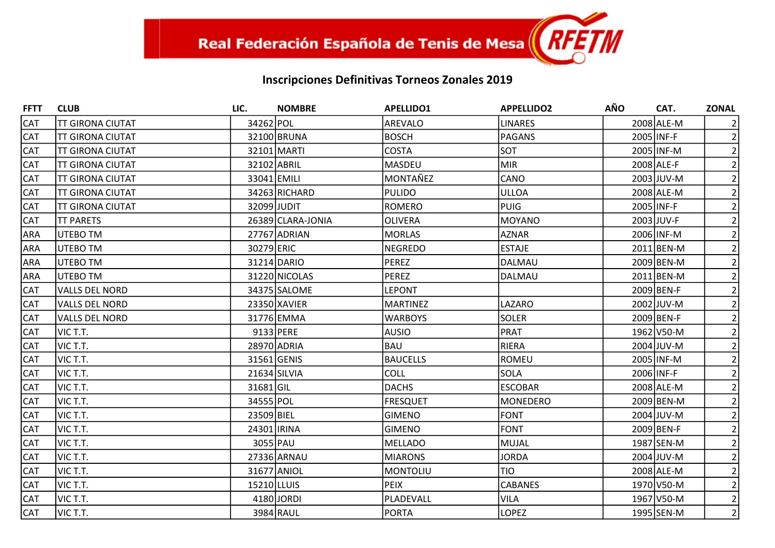| <b>FFTT</b> | <b>CLUB</b>             | LIC.        | <b>NOMBRE</b>     | <b>APELLIDO1</b> | <b>APPELLIDO2</b> | <b>AÑO</b> | CAT.         | <b>ZONAL</b>   |
|-------------|-------------------------|-------------|-------------------|------------------|-------------------|------------|--------------|----------------|
| <b>CAT</b>  | <b>TT GIRONA CIUTAT</b> | 34262 POL   |                   | AREVALO          | <b>LINARES</b>    |            | 2008 ALE-M   |                |
| <b>CAT</b>  | <b>TT GIRONA CIUTAT</b> |             | 32100 BRUNA       | <b>BOSCH</b>     | PAGANS            |            | 2005 INF-F   |                |
| <b>CAT</b>  | <b>TT GIRONA CIUTAT</b> |             | 32101 MARTI       | <b>COSTA</b>     | SOT               |            | 2005 INF-M   |                |
| <b>CAT</b>  | <b>TT GIRONA CIUTAT</b> | 32102 ABRIL |                   | MASDEU           | <b>MIR</b>        |            | 2008 ALE-F   |                |
| <b>CAT</b>  | <b>TT GIRONA CIUTAT</b> | 33041 EMILI |                   | MONTAÑEZ         | CANO              |            | 2003 JUV-M   |                |
| <b>CAT</b>  | <b>TT GIRONA CIUTAT</b> |             | 34263 RICHARD     | PULIDO           | <b>ULLOA</b>      |            | 2008 ALE-M   |                |
| <b>CAT</b>  | <b>TT GIRONA CIUTAT</b> | 32099 JUDIT |                   | ROMERO           | <b>PUIG</b>       |            | 2005 INF-F   |                |
| <b>CAT</b>  | <b>TT PARETS</b>        |             | 26389 CLARA-JONIA | <b>OLIVERA</b>   | MOYANO            |            | 2003 JUV-F   |                |
| <b>ARA</b>  | <b>UTEBO TM</b>         |             | 27767 ADRIAN      | <b>MORLAS</b>    | <b>AZNAR</b>      |            | 2006 INF-M   |                |
| <b>ARA</b>  | <b>UTEBO TM</b>         | 30279 ERIC  |                   | NEGREDO          | <b>ESTAJE</b>     |            | 2011 BEN-M   |                |
| <b>ARA</b>  | UTEBO TM                |             | 31214 DARIO       | PEREZ            | DALMAU            |            | 2009 BEN-M   |                |
| <b>ARA</b>  | <b>UTEBO TM</b>         |             | 31220 NICOLAS     | <b>PEREZ</b>     | DALMAU            |            | 2011 BEN-M   |                |
| <b>CAT</b>  | <b>VALLS DEL NORD</b>   |             | 34375 SALOME      | <b>LEPONT</b>    |                   |            | 2009 BEN-F   |                |
| <b>CAT</b>  | <b>VALLS DEL NORD</b>   |             | 23350 XAVIER      | <b>MARTINEZ</b>  | LAZARO            |            | 2002 JUV-M   |                |
| <b>CAT</b>  | <b>VALLS DEL NORD</b>   |             | 31776 EMMA        | <b>WARBOYS</b>   | <b>SOLER</b>      |            | 2009 BEN-F   |                |
| <b>CAT</b>  | VIC T.T.                |             | 9133 PERE         | AUSIO            | <b>PRAT</b>       |            | 1962 V50-M   |                |
| <b>CAT</b>  | VIC T.T.                |             | 28970 ADRIA       | <b>BAU</b>       | <b>RIERA</b>      |            | 2004 JUV-M   |                |
| <b>CAT</b>  | VIC T.T.                |             | 31561 GENIS       | <b>BAUCELLS</b>  | ROMEU             |            | 2005 INF-M   |                |
| <b>CAT</b>  | VIC T.T.                |             | 21634 SILVIA      | <b>COLL</b>      | <b>SOLA</b>       |            | 2006 INF-F   |                |
| <b>CAT</b>  | VIC T.T.                | 31681 GIL   |                   | <b>DACHS</b>     | <b>ESCOBAR</b>    |            | 2008 ALE-M   |                |
| <b>CAT</b>  | VIC T.T.                | 34555 POL   |                   | <b>FRESQUET</b>  | <b>MONEDERO</b>   |            | 2009 BEN-M   |                |
| <b>CAT</b>  | VIC T.T.                | 23509 BIEL  |                   | <b>GIMENO</b>    | <b>FONT</b>       |            | 2004 JUV-M   |                |
| <b>CAT</b>  | VIC T.T.                | 24301 IRINA |                   | <b>GIMENO</b>    | <b>FONT</b>       |            | 2009 BEN-F   | $\overline{2}$ |
| <b>CAT</b>  | VIC T.T.                | 3055 PAU    |                   | MELLADO          | <b>MUJAL</b>      |            | 1987 SEN-M   |                |
| <b>CAT</b>  | VIC T.T.                |             | 27336 ARNAU       | <b>MIARONS</b>   | <b>JORDA</b>      |            | $2004$ JUV-M |                |
| <b>CAT</b>  | VIC T.T.                |             | 31677 ANIOL       | MONTOLIU         | ltio              |            | 2008 ALE-M   |                |
| <b>CAT</b>  | VIC T.T.                | 15210 LLUIS |                   | <b>PEIX</b>      | <b>CABANES</b>    |            | 1970 V50-M   |                |
| <b>CAT</b>  | VIC T.T.                |             | 4180 JORDI        | PLADEVALL        | <b>VILA</b>       |            | 1967 V50-M   |                |
| <b>CAT</b>  | VIC T.T.                |             | 3984 RAUL         | <b>PORTA</b>     | <b>LOPEZ</b>      |            | 1995 SEN-M   | $\overline{2}$ |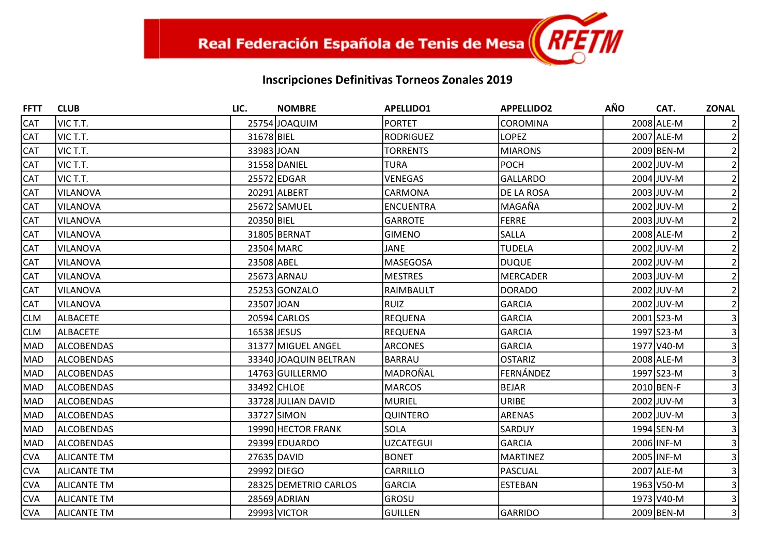| <b>FFTT</b> | <b>CLUB</b>        | LIC.        | <b>NOMBRE</b>         | <b>APELLIDO1</b> | <b>APPELLIDO2</b> | <b>AÑO</b> | CAT.       | <b>ZONAL</b>   |
|-------------|--------------------|-------------|-----------------------|------------------|-------------------|------------|------------|----------------|
| <b>CAT</b>  | VIC T.T.           |             | 25754 JOAQUIM         | <b>PORTET</b>    | <b>COROMINA</b>   |            | 2008 ALE-M |                |
| <b>CAT</b>  | VIC T.T.           | 31678 BIEL  |                       | <b>RODRIGUEZ</b> | <b>LOPEZ</b>      |            | 2007 ALE-M | $\overline{2}$ |
| <b>CAT</b>  | VIC T.T.           | 33983 JOAN  |                       | <b>TORRENTS</b>  | <b>MIARONS</b>    |            | 2009 BEN-M |                |
| <b>CAT</b>  | VIC T.T.           |             | 31558 DANIEL          | <b>TURA</b>      | <b>POCH</b>       |            | 2002 JUV-M |                |
| <b>CAT</b>  | VIC T.T.           |             | 25572 EDGAR           | <b>VENEGAS</b>   | <b>GALLARDO</b>   |            | 2004 JUV-M |                |
| CAT         | VILANOVA           |             | 20291 ALBERT          | CARMONA          | <b>DE LA ROSA</b> |            | 2003 JUV-M |                |
| <b>CAT</b>  | VILANOVA           |             | 25672 SAMUEL          | <b>ENCUENTRA</b> | MAGAÑA            |            | 2002 JUV-M |                |
| <b>CAT</b>  | VILANOVA           | 20350 BIEL  |                       | <b>GARROTE</b>   | <b>FERRE</b>      |            | 2003 JUV-M |                |
| CAT         | VILANOVA           |             | 31805 BERNAT          | <b>GIMENO</b>    | <b>SALLA</b>      |            | 2008 ALE-M |                |
| CAT         | VILANOVA           |             | 23504 MARC            | <b>JANE</b>      | <b>TUDELA</b>     |            | 2002 JUV-M |                |
| <b>CAT</b>  | VILANOVA           | 23508 ABEL  |                       | MASEGOSA         | <b>DUQUE</b>      |            | 2002 JUV-M |                |
| CAT         | VILANOVA           |             | 25673 ARNAU           | <b>MESTRES</b>   | <b>MERCADER</b>   |            | 2003 JUV-M |                |
| <b>CAT</b>  | VILANOVA           |             | 25253 GONZALO         | RAIMBAULT        | <b>DORADO</b>     |            | 2002 JUV-M |                |
| <b>CAT</b>  | VILANOVA           | 23507 JOAN  |                       | RUIZ             | GARCIA            |            | 2002 JUV-M | $\overline{2}$ |
| CLM         | <b>ALBACETE</b>    |             | 20594 CARLOS          | <b>REQUENA</b>   | <b>GARCIA</b>     |            | 2001 S23-M |                |
| CLM         | <b>ALBACETE</b>    | 16538 JESUS |                       | <b>REQUENA</b>   | <b>GARCIA</b>     |            | 1997 S23-M |                |
| MAD         | <b>ALCOBENDAS</b>  |             | 31377 MIGUEL ANGEL    | <b>ARCONES</b>   | GARCIA            |            | 1977 V40-M |                |
| MAD         | <b>ALCOBENDAS</b>  |             | 33340 JOAQUIN BELTRAN | <b>BARRAU</b>    | <b>OSTARIZ</b>    |            | 2008 ALE-M |                |
| MAD         | <b>ALCOBENDAS</b>  |             | 14763 GUILLERMO       | MADROÑAL         | FERNÁNDEZ         |            | 1997 S23-M |                |
| MAD         | <b>ALCOBENDAS</b>  |             | 33492 CHLOE           | <b>MARCOS</b>    | <b>BEJAR</b>      |            | 2010 BEN-F |                |
| MAD         | <b>ALCOBENDAS</b>  |             | 33728 JULIAN DAVID    | <b>MURIEL</b>    | <b>URIBE</b>      |            | 2002 JUV-M |                |
| MAD         | <b>ALCOBENDAS</b>  |             | 33727 SIMON           | <b>QUINTERO</b>  | ARENAS            |            | 2002 JUV-M |                |
| MAD         | <b>ALCOBENDAS</b>  |             | 19990 HECTOR FRANK    | <b>SOLA</b>      | <b>SARDUY</b>     |            | 1994 SEN-M |                |
| <b>MAD</b>  | <b>ALCOBENDAS</b>  |             | 29399 EDUARDO         | <b>UZCATEGUI</b> | GARCIA            |            | 2006 INF-M |                |
| <b>CVA</b>  | <b>ALICANTE TM</b> |             | 27635 DAVID           | <b>BONET</b>     | <b>MARTINEZ</b>   |            | 2005 INF-M |                |
| <b>CVA</b>  | <b>ALICANTE TM</b> |             | 29992 DIEGO           | CARRILLO         | PASCUAL           |            | 2007 ALE-M |                |
| <b>CVA</b>  | <b>ALICANTE TM</b> |             | 28325 DEMETRIO CARLOS | <b>GARCIA</b>    | <b>ESTEBAN</b>    |            | 1963 V50-M |                |
| <b>CVA</b>  | <b>ALICANTE TM</b> |             | 28569 ADRIAN          | GROSU            |                   |            | 1973 V40-M |                |
| CVA         | <b>ALICANTE TM</b> |             | 29993 VICTOR          | <b>GUILLEN</b>   | GARRIDO           |            | 2009 BEN-M | $\overline{3}$ |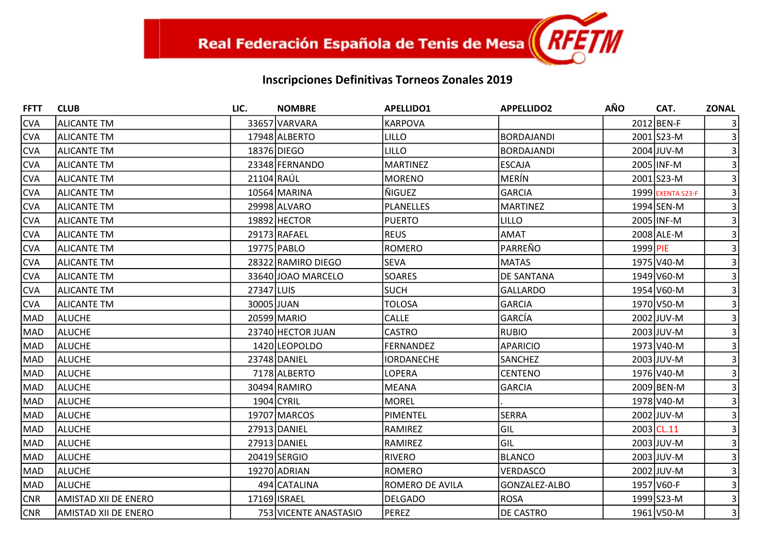| <b>FFTT</b> | <b>CLUB</b>                 | LIC.       | <b>NOMBRE</b>         | <b>APELLIDO1</b>  | <b>APPELLIDO2</b> | <b>AÑO</b> | CAT.              | <b>ZONAL</b>   |
|-------------|-----------------------------|------------|-----------------------|-------------------|-------------------|------------|-------------------|----------------|
| <b>CVA</b>  | <b>ALICANTE TM</b>          |            | 33657 VARVARA         | <b>KARPOVA</b>    |                   |            | 2012 BEN-F        |                |
| <b>CVA</b>  | <b>ALICANTE TM</b>          |            | 17948 ALBERTO         | LILLO             | <b>BORDAJANDI</b> |            | 2001 S23-M        | $\overline{3}$ |
| <b>CVA</b>  | lalicante TM                |            | 18376 DIEGO           | <b>LILLO</b>      | <b>BORDAJANDI</b> |            | 2004 JUV-M        |                |
| <b>CVA</b>  | ALICANTE TM                 |            | 23348 FERNANDO        | <b>MARTINEZ</b>   | <b>ESCAJA</b>     |            | 2005 INF-M        |                |
| <b>CVA</b>  | ALICANTE TM                 | 21104 RAÚL |                       | <b>MORENO</b>     | MERÍN             |            | 2001 S23-M        |                |
| <b>CVA</b>  | <b>ALICANTE TM</b>          |            | 10564 MARINA          | ÑIGUEZ            | <b>GARCIA</b>     |            | 1999 EXENTA S23-F | 3              |
| <b>CVA</b>  | <b>ALICANTE TM</b>          |            | 29998 ALVARO          | <b>PLANELLES</b>  | <b>MARTINEZ</b>   |            | 1994 SEN-M        |                |
| <b>CVA</b>  | ALICANTE TM                 |            | 19892 HECTOR          | <b>PUERTO</b>     | <b>LILLO</b>      |            | 2005 INF-M        |                |
| <b>CVA</b>  | ALICANTE TM                 |            | 29173 RAFAEL          | <b>REUS</b>       | <b>AMAT</b>       |            | 2008 ALE-M        |                |
| <b>CVA</b>  | <b>ALICANTE TM</b>          |            | 19775 PABLO           | ROMERO            | PARREÑO           | 1999 PIE   |                   |                |
| <b>CVA</b>  | <b>ALICANTE TM</b>          |            | 28322 RAMIRO DIEGO    | <b>SEVA</b>       | <b>MATAS</b>      |            | 1975 V40-M        |                |
| <b>CVA</b>  | <b>ALICANTE TM</b>          |            | 33640 JOAO MARCELO    | <b>SOARES</b>     | DE SANTANA        |            | 1949 V60-M        |                |
| <b>CVA</b>  | ALICANTE TM                 | 27347 LUIS |                       | <b>SUCH</b>       | <b>GALLARDO</b>   |            | 1954 V60-M        |                |
| <b>CVA</b>  | <b>ALICANTE TM</b>          | 30005 JUAN |                       | <b>TOLOSA</b>     | <b>GARCIA</b>     |            | 1970 V50-M        |                |
| MAD         | <b>ALUCHE</b>               |            | 20599 MARIO           | <b>CALLE</b>      | GARCÍA            |            | 2002 JUV-M        |                |
| <b>MAD</b>  | ALUCHE                      |            | 23740 HECTOR JUAN     | <b>CASTRO</b>     | <b>RUBIO</b>      |            | 2003 JUV-M        |                |
| MAD         | ALUCHE                      |            | 1420 LEOPOLDO         | <b>FERNANDEZ</b>  | <b>APARICIO</b>   |            | 1973 V40-M        |                |
| MAD         | ALUCHE                      |            | 23748 DANIEL          | <b>IORDANECHE</b> | <b>SANCHEZ</b>    |            | 2003 JUV-M        |                |
| <b>MAD</b>  | ALUCHE                      |            | 7178 ALBERTO          | LOPERA            | <b>CENTENO</b>    |            | 1976 V40-M        |                |
| MAD         | ALUCHE                      |            | 30494 RAMIRO          | MEANA             | <b>GARCIA</b>     |            | 2009 BEN-M        |                |
| MAD         | ALUCHE                      |            | 1904 CYRIL            | <b>MOREL</b>      |                   |            | 1978 V40-M        |                |
| <b>MAD</b>  | ALUCHE                      |            | 19707 MARCOS          | PIMENTEL          | <b>SERRA</b>      |            | 2002 JUV-M        |                |
| <b>MAD</b>  | ALUCHE                      |            | 27913 DANIEL          | RAMIREZ           | GIL               |            | 2003 CL.11        |                |
| MAD         | ALUCHE                      |            | 27913 DANIEL          | RAMIREZ           | GIL               |            | 2003 JUV-M        |                |
| MAD         | <b>ALUCHE</b>               |            | 20419 SERGIO          | <b>RIVERO</b>     | <b>BLANCO</b>     |            | 2003 JUV-M        |                |
| MAD         | ALUCHE                      |            | 19270 ADRIAN          | ROMERO            | <b>VERDASCO</b>   |            | 2002 JUV-M        |                |
| MAD         | ALUCHE                      |            | 494 CATALINA          | ROMERO DE AVILA   | GONZALEZ-ALBO     |            | 1957 V60-F        |                |
| <b>CNR</b>  | <b>AMISTAD XII DE ENERO</b> |            | 17169 ISRAEL          | <b>DELGADO</b>    | <b>ROSA</b>       |            | 1999 S23-M        |                |
| <b>CNR</b>  | AMISTAD XII DE ENERO        |            | 753 VICENTE ANASTASIO | PEREZ             | <b>DE CASTRO</b>  |            | 1961 V50-M        | $\overline{3}$ |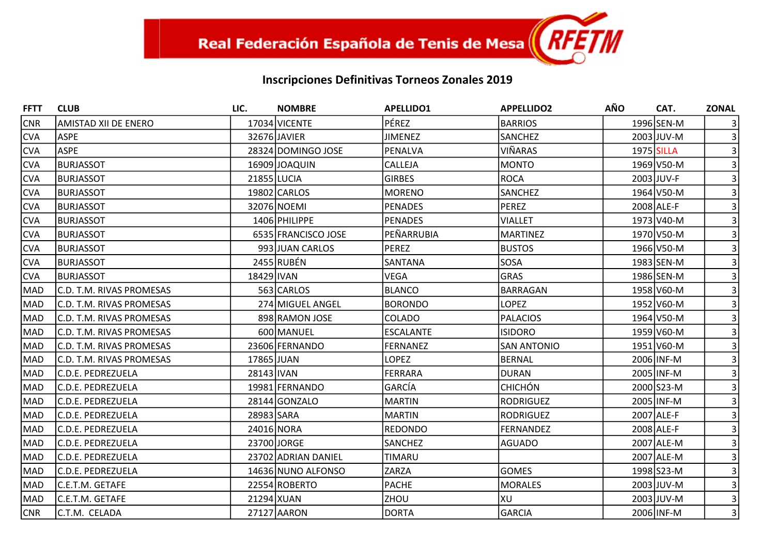| <b>FFTT</b> | <b>CLUB</b>              | LIC.        | <b>NOMBRE</b>       | <b>APELLIDO1</b> | <b>APPELLIDO2</b>  | AÑO        | CAT.       | <b>ZONAL</b>    |
|-------------|--------------------------|-------------|---------------------|------------------|--------------------|------------|------------|-----------------|
| <b>CNR</b>  | AMISTAD XII DE ENERO     |             | 17034 VICENTE       | <b>PÉREZ</b>     | <b>BARRIOS</b>     |            | 1996 SEN-M |                 |
| <b>CVA</b>  | <b>ASPE</b>              |             | 32676 JAVIER        | <b>JIMENEZ</b>   | SANCHEZ            |            | 2003 JUV-M |                 |
| <b>CVA</b>  | <b>ASPE</b>              |             | 28324 DOMINGO JOSE  | PENALVA          | <b>VIÑARAS</b>     | 1975 SILLA |            |                 |
| <b>CVA</b>  | <b>BURJASSOT</b>         |             | 16909 JOAQUIN       | CALLEJA          | MONTO              |            | 1969 V50-M |                 |
| <b>CVA</b>  | <b>BURJASSOT</b>         | 21855 LUCIA |                     | <b>GIRBES</b>    | <b>ROCA</b>        |            | 2003 JUV-F |                 |
| <b>CVA</b>  | <b>BURJASSOT</b>         |             | 19802 CARLOS        | MORENO           | SANCHEZ            |            | 1964 V50-M |                 |
| <b>CVA</b>  | <b>BURJASSOT</b>         |             | 32076 NOEMI         | PENADES          | <b>PEREZ</b>       |            | 2008 ALE-F |                 |
| <b>CVA</b>  | <b>BURJASSOT</b>         |             | 1406 PHILIPPE       | PENADES          | <b>VIALLET</b>     |            | 1973 V40-M |                 |
| <b>CVA</b>  | <b>BURJASSOT</b>         |             | 6535 FRANCISCO JOSE | PEÑARRUBIA       | <b>MARTINEZ</b>    |            | 1970 V50-M |                 |
| <b>CVA</b>  | <b>BURJASSOT</b>         |             | 993 JUAN CARLOS     | PEREZ            | <b>BUSTOS</b>      |            | 1966 V50-M |                 |
| <b>CVA</b>  | <b>BURJASSOT</b>         |             | 2455 RUBÉN          | SANTANA          | SOSA               |            | 1983 SEN-M |                 |
| <b>CVA</b>  | <b>BURJASSOT</b>         | 18429 IVAN  |                     | <b>VEGA</b>      | <b>GRAS</b>        |            | 1986 SEN-M |                 |
| <b>MAD</b>  | C.D. T.M. RIVAS PROMESAS |             | 563 CARLOS          | <b>BLANCO</b>    | <b>BARRAGAN</b>    |            | 1958 V60-M |                 |
| MAD         | C.D. T.M. RIVAS PROMESAS |             | 274 MIGUEL ANGEL    | <b>BORONDO</b>   | <b>LOPEZ</b>       |            | 1952 V60-M |                 |
| MAD         | C.D. T.M. RIVAS PROMESAS |             | 898 RAMON JOSE      | <b>COLADO</b>    | <b>PALACIOS</b>    |            | 1964 V50-M |                 |
| MAD         | C.D. T.M. RIVAS PROMESAS |             | 600 MANUEL          | <b>ESCALANTE</b> | <b>ISIDORO</b>     |            | 1959 V60-M |                 |
| MAD         | C.D. T.M. RIVAS PROMESAS |             | 23606 FERNANDO      | FERNANEZ         | <b>SAN ANTONIO</b> |            | 1951 V60-M |                 |
| <b>MAD</b>  | C.D. T.M. RIVAS PROMESAS | 17865 JUAN  |                     | <b>LOPEZ</b>     | <b>BERNAL</b>      |            | 2006 INF-M |                 |
| MAD         | C.D.E. PEDREZUELA        | 28143 IVAN  |                     | <b>FERRARA</b>   | <b>DURAN</b>       |            | 2005 INF-M |                 |
| <b>MAD</b>  | C.D.E. PEDREZUELA        |             | 19981 FERNANDO      | <b>GARCÍA</b>    | <b>CHICHÓN</b>     |            | 2000 S23-M |                 |
| <b>MAD</b>  | C.D.E. PEDREZUELA        |             | 28144 GONZALO       | <b>MARTIN</b>    | <b>RODRIGUEZ</b>   |            | 2005 INF-M |                 |
| MAD         | C.D.E. PEDREZUELA        | 28983 SARA  |                     | MARTIN           | <b>RODRIGUEZ</b>   |            | 2007 ALE-F |                 |
| <b>MAD</b>  | C.D.E. PEDREZUELA        |             | 24016 NORA          | REDONDO          | <b>FERNANDEZ</b>   |            | 2008 ALE-F |                 |
| <b>MAD</b>  | C.D.E. PEDREZUELA        |             | 23700 JORGE         | <b>SANCHEZ</b>   | <b>AGUADO</b>      |            | 2007 ALE-M |                 |
| <b>MAD</b>  | C.D.E. PEDREZUELA        |             | 23702 ADRIAN DANIEL | <b>TIMARU</b>    |                    |            | 2007 ALE-M |                 |
| MAD         | C.D.E. PEDREZUELA        |             | 14636 NUNO ALFONSO  | ZARZA            | <b>GOMES</b>       |            | 1998 S23-M |                 |
| <b>MAD</b>  | C.E.T.M. GETAFE          |             | 22554 ROBERTO       | PACHE            | <b>MORALES</b>     |            | 2003 JUV-M |                 |
| MAD         | lC.E.T.M. GETAFE         | 21294 XUAN  |                     | <b>ZHOU</b>      | XU                 |            | 2003 JUV-M |                 |
| <b>CNR</b>  | C.T.M. CELADA            |             | 27127 AARON         | DORTA            | <b>GARCIA</b>      |            | 2006 INF-M | $\vert 3 \vert$ |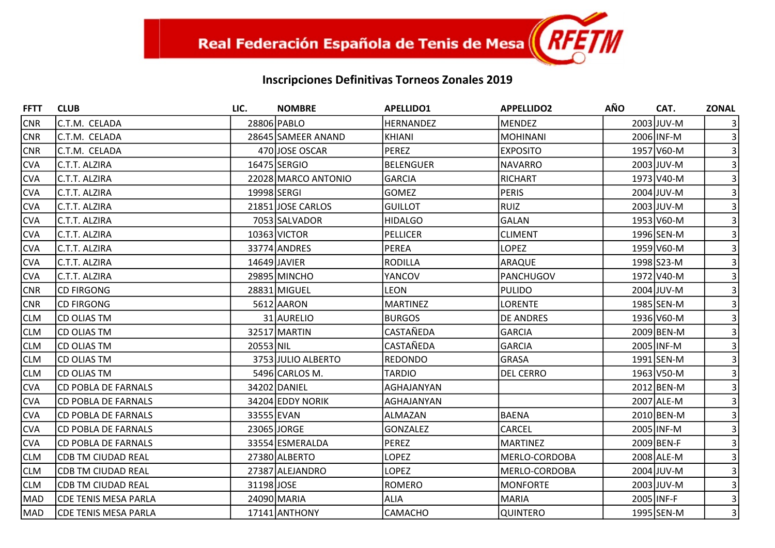| <b>FFTT</b> | <b>CLUB</b>                  | LIC.        | <b>NOMBRE</b>       | <b>APELLIDO1</b> | <b>APPELLIDO2</b> | <b>AÑO</b> | CAT.       | <b>ZONAL</b>   |
|-------------|------------------------------|-------------|---------------------|------------------|-------------------|------------|------------|----------------|
| <b>CNR</b>  | C.T.M. CELADA                |             | 28806 PABLO         | <b>HERNANDEZ</b> | <b>MENDEZ</b>     |            | 2003 JUV-M |                |
| <b>CNR</b>  | C.T.M. CELADA                |             | 28645 SAMEER ANAND  | <b>KHIANI</b>    | MOHINANI          |            | 2006 INF-M |                |
| <b>CNR</b>  | IC.T.M. CELADA               |             | 470 JOSE OSCAR      | <b>PEREZ</b>     | <b>EXPOSITO</b>   |            | 1957 V60-M |                |
| <b>CVA</b>  | <b>C.T.T. ALZIRA</b>         |             | 16475 SERGIO        | <b>BELENGUER</b> | <b>NAVARRO</b>    |            | 2003 JUV-M |                |
| <b>CVA</b>  | <b>C.T.T. ALZIRA</b>         |             | 22028 MARCO ANTONIO | <b>GARCIA</b>    | RICHART           |            | 1973 V40-M |                |
| CVA         | C.T.T. ALZIRA                | 19998 SERGI |                     | <b>GOMEZ</b>     | <b>PERIS</b>      |            | 2004 JUV-M |                |
| <b>CVA</b>  | <b>C.T.T. ALZIRA</b>         |             | 21851 JOSE CARLOS   | <b>GUILLOT</b>   | RUIZ              |            | 2003 JUV-M |                |
| <b>CVA</b>  | C.T.T. ALZIRA                |             | 7053 SALVADOR       | <b>HIDALGO</b>   | GALAN             |            | 1953 V60-M |                |
| CVA         | C.T.T. ALZIRA                |             | 10363 VICTOR        | <b>PELLICER</b>  | <b>CLIMENT</b>    |            | 1996 SEN-M |                |
| CVA         | C.T.T. ALZIRA                |             | 33774 ANDRES        | <b>PEREA</b>     | <b>LOPEZ</b>      |            | 1959 V60-M |                |
| <b>CVA</b>  | IC.T.T. ALZIRA               |             | 14649 JAVIER        | <b>RODILLA</b>   | <b>ARAQUE</b>     |            | 1998 S23-M |                |
| CVA         | C.T.T. ALZIRA                |             | 29895 MINCHO        | YANCOV           | <b>PANCHUGOV</b>  |            | 1972 V40-M |                |
| <b>CNR</b>  | <b>CD FIRGONG</b>            |             | 28831 MIGUEL        | <b>LEON</b>      | PULIDO            |            | 2004 JUV-M |                |
| <b>CNR</b>  | <b>CD FIRGONG</b>            |             | 5612 AARON          | <b>MARTINEZ</b>  | <b>LORENTE</b>    |            | 1985 SEN-M |                |
| CLM         | <b>ICD OLIAS TM</b>          |             | 31 AURELIO          | <b>BURGOS</b>    | <b>DE ANDRES</b>  |            | 1936 V60-M |                |
| CLM         | <b>ICD OLIAS TM</b>          |             | 32517 MARTIN        | CASTAÑEDA        | GARCIA            |            | 2009 BEN-M |                |
| CLM         | <b>CD OLIAS TM</b>           | 20553 NIL   |                     | CASTAÑEDA        | <b>GARCIA</b>     |            | 2005 INF-M |                |
| CLM         | <b>ICD OLIAS TM</b>          |             | 3753 JULIO ALBERTO  | <b>REDONDO</b>   | GRASA             |            | 1991 SEN-M |                |
| CLM         | ICD OLIAS TM                 |             | 5496 CARLOS M.      | <b>TARDIO</b>    | <b>DEL CERRO</b>  |            | 1963 V50-M |                |
| <b>CVA</b>  | <b>CD POBLA DE FARNALS</b>   |             | 34202 DANIEL        | AGHAJANYAN       |                   |            | 2012 BEN-M |                |
| CVA         | <b>CD POBLA DE FARNALS</b>   |             | 34204 EDDY NORIK    | AGHAJANYAN       |                   |            | 2007 ALE-M |                |
| CVA         | <b>CD POBLA DE FARNALS</b>   | 33555 EVAN  |                     | ALMAZAN          | <b>BAENA</b>      |            | 2010 BEN-M |                |
| <b>CVA</b>  | <b>CD POBLA DE FARNALS</b>   |             | 23065 JORGE         | <b>GONZALEZ</b>  | <b>CARCEL</b>     |            | 2005 INF-M |                |
| CVA         | ICD POBLA DE FARNALS         |             | 33554 ESMERALDA     | <b>PEREZ</b>     | <b>MARTINEZ</b>   |            | 2009 BEN-F |                |
| CLM         | CDB TM CIUDAD REAL           |             | 27380 ALBERTO       | <b>LOPEZ</b>     | MERLO-CORDOBA     |            | 2008 ALE-M |                |
| CLM         | <b>CDB TM CIUDAD REAL</b>    |             | 27387 ALEJANDRO     | <b>LOPEZ</b>     | MERLO-CORDOBA     |            | 2004 JUV-M |                |
| CLM         | CDB TM CIUDAD REAL           | 31198 JOSE  |                     | ROMERO           | <b>MONFORTE</b>   |            | 2003 JUV-M |                |
| <b>MAD</b>  | <b> CDE TENIS MESA PARLA</b> |             | 24090 MARIA         | <b>ALIA</b>      | <b>MARIA</b>      |            | 2005 INF-F |                |
| MAD         | <b>CDE TENIS MESA PARLA</b>  |             | 17141 ANTHONY       | CAMACHO          | <b>QUINTERO</b>   |            | 1995 SEN-M | $\overline{3}$ |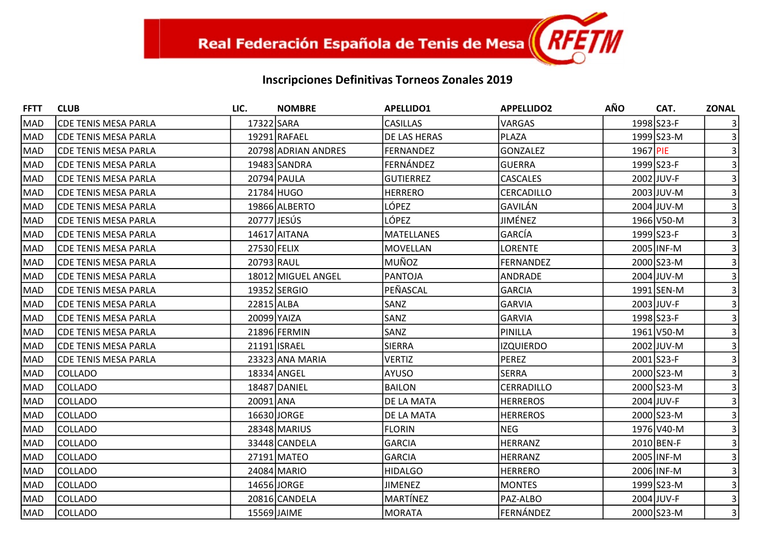| <b>FFTT</b> | <b>CLUB</b>                  | LIC.        | <b>NOMBRE</b>       | <b>APELLIDO1</b>  | <b>APPELLIDO2</b> | <b>AÑO</b> | CAT.       | <b>ZONAL</b>   |
|-------------|------------------------------|-------------|---------------------|-------------------|-------------------|------------|------------|----------------|
| MAD         | <b> CDE TENIS MESA PARLA</b> | 17322 SARA  |                     | <b>CASILLAS</b>   | <b>VARGAS</b>     |            | 1998 S23-F |                |
| <b>MAD</b>  | <b>CDE TENIS MESA PARLA</b>  |             | 19291 RAFAEL        | DE LAS HERAS      | <b>PLAZA</b>      |            | 1999 S23-M |                |
| MAD         | <b>CDE TENIS MESA PARLA</b>  |             | 20798 ADRIAN ANDRES | FERNANDEZ         | <b>GONZALEZ</b>   | 1967 PIE   |            |                |
| <b>MAD</b>  | <b> CDE TENIS MESA PARLA</b> |             | 19483 SANDRA        | FERNÁNDEZ         | <b>GUERRA</b>     |            | 1999 S23-F |                |
| MAD         | <b> CDE TENIS MESA PARLA</b> |             | 20794 PAULA         | <b>GUTIERREZ</b>  | <b>CASCALES</b>   |            | 2002 JUV-F |                |
| MAD         | <b>CDE TENIS MESA PARLA</b>  |             | 21784 HUGO          | <b>HERRERO</b>    | CERCADILLO        |            | 2003 JUV-M |                |
| MAD         | <b> CDE TENIS MESA PARLA</b> |             | 19866 ALBERTO       | LÓPEZ             | GAVILÁN           |            | 2004 JUV-M |                |
| <b>MAD</b>  | <b> CDE TENIS MESA PARLA</b> | 20777 JESÚS |                     | LÓPEZ             | JIMÉNEZ           |            | 1966 V50-M |                |
| MAD         | <b>CDE TENIS MESA PARLA</b>  |             | 14617 AITANA        | <b>MATELLANES</b> | <b>GARCÍA</b>     |            | 1999 S23-F |                |
| <b>MAD</b>  | <b>CDE TENIS MESA PARLA</b>  | 27530 FELIX |                     | MOVELLAN          | <b>LORENTE</b>    |            | 2005 INF-M |                |
| MAD         | <b>CDE TENIS MESA PARLA</b>  | 20793 RAUL  |                     | <b>MUÑOZ</b>      | <b>FERNANDEZ</b>  |            | 2000 S23-M |                |
| MAD         | <b>CDE TENIS MESA PARLA</b>  |             | 18012 MIGUEL ANGEL  | <b>PANTOJA</b>    | ANDRADE           |            | 2004 JUV-M |                |
| MAD         | <b> CDE TENIS MESA PARLA</b> |             | 19352 SERGIO        | PEÑASCAL          | <b>GARCIA</b>     |            | 1991 SEN-M |                |
| <b>MAD</b>  | <b> CDE TENIS MESA PARLA</b> | 22815 ALBA  |                     | SANZ              | <b>GARVIA</b>     |            | 2003 JUV-F |                |
| MAD         | <b>CDE TENIS MESA PARLA</b>  | 20099 YAIZA |                     | SANZ              | <b>GARVIA</b>     |            | 1998 S23-F |                |
| <b>MAD</b>  | <b> CDE TENIS MESA PARLA</b> |             | 21896 FERMIN        | SANZ              | PINILLA           |            | 1961 V50-M |                |
| MAD         | <b>CDE TENIS MESA PARLA</b>  |             | 21191 ISRAEL        | <b>SIERRA</b>     | <b>IZQUIERDO</b>  |            | 2002 JUV-M |                |
| MAD         | <b>CDE TENIS MESA PARLA</b>  |             | 23323 ANA MARIA     | <b>VERTIZ</b>     | PEREZ             |            | 2001 S23-F |                |
| MAD         | <b>COLLADO</b>               |             | 18334 ANGEL         | <b>AYUSO</b>      | <b>SERRA</b>      |            | 2000 S23-M |                |
| <b>MAD</b>  | COLLADO                      |             | 18487 DANIEL        | <b>BAILON</b>     | <b>CERRADILLO</b> |            | 2000 S23-M |                |
| MAD         | COLLADO                      | 20091 ANA   |                     | DE LA MATA        | <b>HERREROS</b>   |            | 2004 JUV-F |                |
| <b>MAD</b>  | COLLADO                      |             | 16630 JORGE         | DE LA MATA        | <b>HERREROS</b>   |            | 2000 S23-M |                |
| MAD         | COLLADO                      |             | 28348 MARIUS        | <b>FLORIN</b>     | <b>NEG</b>        |            | 1976 V40-M |                |
| <b>MAD</b>  | <b>COLLADO</b>               |             | 33448 CANDELA       | <b>GARCIA</b>     | <b>HERRANZ</b>    |            | 2010 BEN-F |                |
| MAD         | <b>COLLADO</b>               |             | 27191 MATEO         | <b>GARCIA</b>     | <b>HERRANZ</b>    |            | 2005 INF-M |                |
| <b>MAD</b>  | COLLADO                      |             | 24084 MARIO         | <b>HIDALGO</b>    | <b>HERRERO</b>    |            | 2006 INF-M |                |
| <b>MAD</b>  | COLLADO                      |             | 14656 JORGE         | <b>JIMENEZ</b>    | <b>MONTES</b>     |            | 1999 S23-M |                |
| <b>MAD</b>  | COLLADO                      |             | 20816 CANDELA       | MARTÍNEZ          | PAZ-ALBO          |            | 2004 JUV-F |                |
| MAD         | <b>COLLADO</b>               |             | 15569 JAIME         | <b>MORATA</b>     | FERNÁNDEZ         |            | 2000 S23-M | $\overline{3}$ |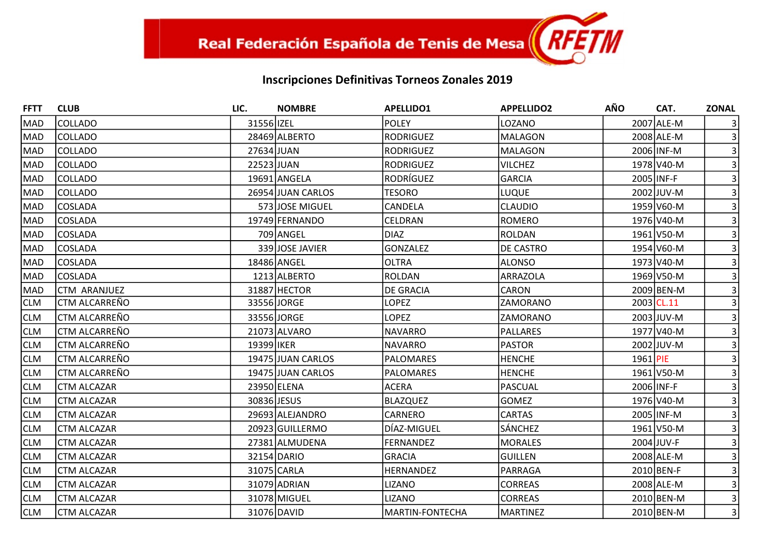| <b>FFTT</b> | <b>CLUB</b>          | LIC.        | <b>NOMBRE</b>     | <b>APELLIDO1</b> | <b>APPELLIDO2</b> | <b>AÑO</b> | CAT.       | <b>ZONAL</b>    |
|-------------|----------------------|-------------|-------------------|------------------|-------------------|------------|------------|-----------------|
| MAD         | <b>COLLADO</b>       | 31556 IZEL  |                   | <b>POLEY</b>     | LOZANO            |            | 2007 ALE-M |                 |
| MAD         | <b>COLLADO</b>       |             | 28469 ALBERTO     | <b>RODRIGUEZ</b> | <b>MALAGON</b>    |            | 2008 ALE-M |                 |
| MAD         | <b>COLLADO</b>       | 27634 JUAN  |                   | RODRIGUEZ        | <b>MALAGON</b>    |            | 2006 INF-M |                 |
| MAD         | <b>COLLADO</b>       | 22523 JUAN  |                   | RODRIGUEZ        | <b>VILCHEZ</b>    |            | 1978 V40-M |                 |
| <b>MAD</b>  | <b>COLLADO</b>       |             | 19691 ANGELA      | RODRÍGUEZ        | <b>GARCIA</b>     |            | 2005 INF-F |                 |
| MAD         | <b>COLLADO</b>       |             | 26954 JUAN CARLOS | <b>TESORO</b>    | LUQUE             |            | 2002 JUV-M |                 |
| <b>MAD</b>  | <b>COSLADA</b>       |             | 573 JOSE MIGUEL   | CANDELA          | <b>CLAUDIO</b>    |            | 1959 V60-M |                 |
| MAD         | <b>COSLADA</b>       |             | 19749 FERNANDO    | CELDRAN          | <b>ROMERO</b>     |            | 1976 V40-M |                 |
| <b>MAD</b>  | <b>COSLADA</b>       |             | 709 ANGEL         | DIAZ             | <b>ROLDAN</b>     |            | 1961 V50-M |                 |
| MAD         | <b>COSLADA</b>       |             | 339 JOSE JAVIER   | <b>GONZALEZ</b>  | <b>DE CASTRO</b>  |            | 1954 V60-M |                 |
| <b>MAD</b>  | <b>COSLADA</b>       |             | 18486 ANGEL       | <b>OLTRA</b>     | <b>ALONSO</b>     |            | 1973 V40-M |                 |
| MAD         | <b>COSLADA</b>       |             | 1213 ALBERTO      | <b>ROLDAN</b>    | <b>ARRAZOLA</b>   |            | 1969 V50-M |                 |
| <b>MAD</b>  | <b>CTM ARANJUEZ</b>  |             | 31887 HECTOR      | <b>DE GRACIA</b> | CARON             |            | 2009 BEN-M |                 |
| <b>CLM</b>  | <b>CTM ALCARREÑO</b> |             | 33556JJORGE       | <b>LOPEZ</b>     | ZAMORANO          | 2003 CL.11 |            | $\vert$ 3       |
| <b>CLM</b>  | CTM ALCARREÑO        |             | 33556 JORGE       | LOPEZ            | ZAMORANO          |            | 2003 JUV-M |                 |
| <b>CLM</b>  | CTM ALCARREÑO        |             | 21073 ALVARO      | <b>NAVARRO</b>   | <b>PALLARES</b>   |            | 1977 V40-M |                 |
| <b>CLM</b>  | CTM ALCARREÑO        | 19399 IKER  |                   | <b>NAVARRO</b>   | <b>PASTOR</b>     |            | 2002 JUV-M |                 |
| <b>CLM</b>  | <b>CTM ALCARREÑO</b> |             | 19475 JUAN CARLOS | <b>PALOMARES</b> | <b>HENCHE</b>     | 1961 PIE   |            |                 |
| <b>CLM</b>  | CTM ALCARREÑO        |             | 19475 JUAN CARLOS | <b>PALOMARES</b> | <b>HENCHE</b>     |            | 1961 V50-M |                 |
| <b>CLM</b>  | <b>CTM ALCAZAR</b>   |             | 23950 ELENA       | <b>ACERA</b>     | <b>PASCUAL</b>    | 2006 INF-F |            |                 |
| <b>CLM</b>  | <b>CTM ALCAZAR</b>   | 30836 JESUS |                   | BLAZQUEZ         | <b>GOMEZ</b>      |            | 1976 V40-M |                 |
| <b>CLM</b>  | <b>CTM ALCAZAR</b>   |             | 29693 ALEJANDRO   | CARNERO          | <b>CARTAS</b>     |            | 2005 INF-M |                 |
| <b>CLM</b>  | <b>CTM ALCAZAR</b>   |             | 20923 GUILLERMO   | DIAZ-MIGUEL      | SÁNCHEZ           |            | 1961 V50-M |                 |
| <b>CLM</b>  | <b>CTM ALCAZAR</b>   |             | 27381 ALMUDENA    | <b>FERNANDEZ</b> | <b>MORALES</b>    |            | 2004 JUV-F |                 |
| <b>CLM</b>  | <b>CTM ALCAZAR</b>   |             | 32154 DARIO       | <b>GRACIA</b>    | <b>GUILLEN</b>    |            | 2008 ALE-M |                 |
| <b>CLM</b>  | <b>CTM ALCAZAR</b>   |             | 31075 CARLA       | HERNANDEZ        | PARRAGA           |            | 2010 BEN-F |                 |
| <b>CLM</b>  | <b>CTM ALCAZAR</b>   |             | 31079 ADRIAN      | <b>LIZANO</b>    | <b>CORREAS</b>    |            | 2008 ALE-M |                 |
| <b>CLM</b>  | <b>CTM ALCAZAR</b>   |             | 31078 MIGUEL      | <b>LIZANO</b>    | <b>CORREAS</b>    |            | 2010 BEN-M |                 |
| <b>CLM</b>  | <b>CTM ALCAZAR</b>   |             | 31076 DAVID       | MARTIN-FONTECHA  | <b>MARTINEZ</b>   |            | 2010 BEN-M | $\vert 3 \vert$ |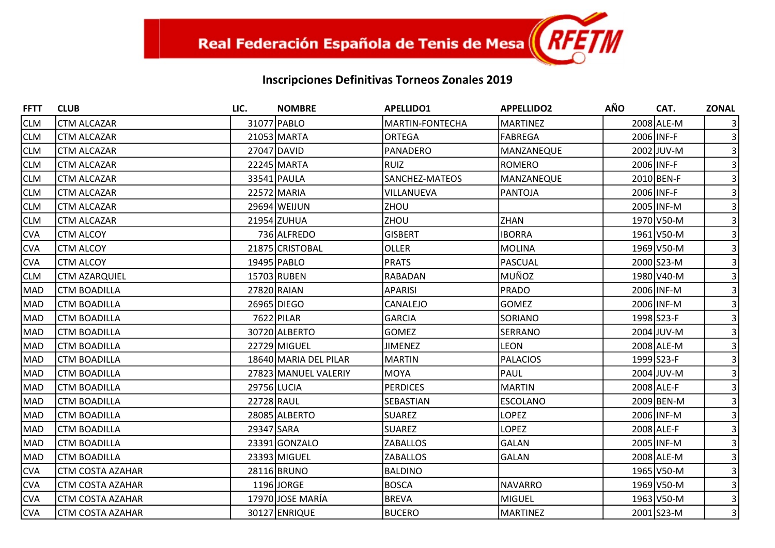| <b>FFTT</b> | <b>CLUB</b>             | LIC.        | <b>NOMBRE</b>         | <b>APELLIDO1</b>       | <b>APPELLIDO2</b> | <b>AÑO</b> | CAT.         | <b>ZONAL</b>   |
|-------------|-------------------------|-------------|-----------------------|------------------------|-------------------|------------|--------------|----------------|
| <b>CLM</b>  | <b>CTM ALCAZAR</b>      |             | 31077 PABLO           | <b>MARTIN-FONTECHA</b> | <b>MARTINEZ</b>   |            | 2008 ALE-M   |                |
| <b>CLM</b>  | <b>CTM ALCAZAR</b>      |             | 21053 MARTA           | <b>ORTEGA</b>          | <b>FABREGA</b>    |            | 2006 INF-F   |                |
| <b>CLM</b>  | <b>CTM ALCAZAR</b>      |             | 27047 DAVID           | PANADERO               | MANZANEQUE        |            | 2002 JUV-M   |                |
| <b>CLM</b>  | <b>CTM ALCAZAR</b>      |             | 22245 MARTA           | RUIZ                   | ROMERO            |            | 2006 INF-F   |                |
| <b>CLM</b>  | <b>CTM ALCAZAR</b>      |             | 33541 PAULA           | SANCHEZ-MATEOS         | MANZANEQUE        |            | $2010$ BEN-F |                |
| <b>CLM</b>  | <b>CTM ALCAZAR</b>      |             | 22572 MARIA           | VILLANUEVA             | <b>PANTOJA</b>    |            | 2006 INF-F   |                |
| <b>CLM</b>  | <b>CTM ALCAZAR</b>      |             | 29694 WEIJUN          | <b>ZHOU</b>            |                   |            | 2005 INF-M   |                |
| <b>CLM</b>  | <b>CTM ALCAZAR</b>      |             | 21954 ZUHUA           | <b>ZHOU</b>            | <b>ZHAN</b>       |            | 1970 V50-M   |                |
| <b>CVA</b>  | <b>CTM ALCOY</b>        |             | 736 ALFREDO           | <b>GISBERT</b>         | <b>IBORRA</b>     |            | 1961 V50-M   |                |
| <b>CVA</b>  | <b>CTM ALCOY</b>        |             | 21875 CRISTOBAL       | <b>OLLER</b>           | <b>MOLINA</b>     |            | 1969 V50-M   |                |
| <b>CVA</b>  | <b>CTM ALCOY</b>        |             | 19495 PABLO           | <b>PRATS</b>           | <b>PASCUAL</b>    |            | 2000 S23-M   |                |
| <b>CLM</b>  | <b>CTM AZARQUIEL</b>    |             | 15703 RUBEN           | RABADAN                | <b>MUÑOZ</b>      |            | 1980 V40-M   |                |
| <b>MAD</b>  | <b>CTM BOADILLA</b>     |             | 27820 RAIAN           | APARISI                | PRADO             |            | 2006 INF-M   |                |
| <b>MAD</b>  | <b>CTM BOADILLA</b>     |             | 26965 DIEGO           | CANALEJO               | <b>GOMEZ</b>      |            | 2006 INF-M   |                |
| <b>MAD</b>  | <b>CTM BOADILLA</b>     |             | 7622 PILAR            | <b>GARCIA</b>          | SORIANO           |            | 1998 S23-F   |                |
| <b>MAD</b>  | <b>CTM BOADILLA</b>     |             | 30720 ALBERTO         | <b>GOMEZ</b>           | <b>SERRANO</b>    |            | 2004 JUV-M   |                |
| <b>MAD</b>  | <b>CTM BOADILLA</b>     |             | 22729 MIGUEL          | <b>JIMENEZ</b>         | <b>LEON</b>       |            | 2008 ALE-M   |                |
| <b>MAD</b>  | <b>CTM BOADILLA</b>     |             | 18640 MARIA DEL PILAR | MARTIN                 | <b>PALACIOS</b>   |            | 1999 S23-F   |                |
| <b>MAD</b>  | <b>CTM BOADILLA</b>     |             | 27823 MANUEL VALERIY  | MOYA                   | PAUL              |            | 2004 JUV-M   |                |
| <b>MAD</b>  | <b>CTM BOADILLA</b>     | 29756 LUCIA |                       | <b>PERDICES</b>        | <b>MARTIN</b>     |            | 2008 ALE-F   |                |
| <b>MAD</b>  | <b>CTM BOADILLA</b>     | 22728 RAUL  |                       | SEBASTIAN              | <b>ESCOLANO</b>   |            | 2009 BEN-M   |                |
| <b>MAD</b>  | <b>CTM BOADILLA</b>     |             | 28085 ALBERTO         | <b>SUAREZ</b>          | <b>LOPEZ</b>      |            | 2006 INF-M   |                |
| <b>MAD</b>  | <b>CTM BOADILLA</b>     | 29347 SARA  |                       | <b>SUAREZ</b>          | <b>LOPEZ</b>      |            | 2008 ALE-F   |                |
| <b>MAD</b>  | <b>CTM BOADILLA</b>     |             | 23391 GONZALO         | <b>ZABALLOS</b>        | <b>GALAN</b>      |            | 2005 INF-M   |                |
| <b>MAD</b>  | <b>CTM BOADILLA</b>     |             | 23393 MIGUEL          | <b>ZABALLOS</b>        | <b>GALAN</b>      |            | 2008 ALE-M   |                |
| <b>CVA</b>  | <b>CTM COSTA AZAHAR</b> |             | 28116 BRUNO           | BALDINO                |                   |            | 1965 V50-M   |                |
| <b>CVA</b>  | <b>CTM COSTA AZAHAR</b> |             | 1196 JORGE            | <b>BOSCA</b>           | <b>NAVARRO</b>    |            | 1969 V50-M   |                |
| <b>CVA</b>  | <b>CTM COSTA AZAHAR</b> |             | 17970 JOSE MARÍA      | <b>BREVA</b>           | <b>MIGUEL</b>     |            | 1963 V50-M   |                |
| <b>CVA</b>  | CTM COSTA AZAHAR        |             | 30127 ENRIQUE         | <b>BUCERO</b>          | <b>MARTINEZ</b>   |            | 2001 S23-M   | $\overline{3}$ |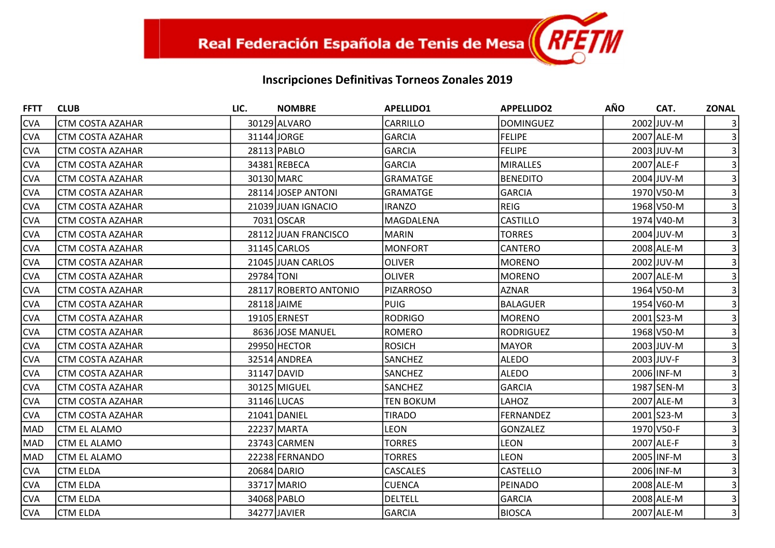| <b>FFTT</b> | <b>CLUB</b>             | LIC.        | <b>NOMBRE</b>         | <b>APELLIDO1</b> | <b>APPELLIDO2</b> | <b>AÑO</b> | CAT.       | <b>ZONAL</b>   |
|-------------|-------------------------|-------------|-----------------------|------------------|-------------------|------------|------------|----------------|
| <b>CVA</b>  | <b>CTM COSTA AZAHAR</b> |             | 30129 ALVARO          | <b>CARRILLO</b>  | <b>DOMINGUEZ</b>  |            | 2002 JUV-M |                |
| <b>CVA</b>  | <b>CTM COSTA AZAHAR</b> |             | 31144 JORGE           | <b>GARCIA</b>    | FELIPE            |            | 2007 ALE-M |                |
| <b>CVA</b>  | CTM COSTA AZAHAR        |             | 28113 PABLO           | <b>GARCIA</b>    | <b>FELIPE</b>     |            | 2003 JUV-M |                |
| <b>CVA</b>  | <b>CTM COSTA AZAHAR</b> |             | 34381 REBECA          | <b>GARCIA</b>    | MIRALLES          |            | 2007 ALE-F |                |
| <b>CVA</b>  | CTM COSTA AZAHAR        |             | 30130 MARC            | <b>GRAMATGE</b>  | <b>BENEDITO</b>   |            | 2004 JUV-M |                |
| <b>CVA</b>  | <b>CTM COSTA AZAHAR</b> |             | 28114 JOSEP ANTONI    | <b>GRAMATGE</b>  | GARCIA            |            | 1970 V50-M |                |
| <b>CVA</b>  | CTM COSTA AZAHAR        |             | 21039 JUAN IGNACIO    | <b>IRANZO</b>    | REIG              |            | 1968 V50-M |                |
| <b>CVA</b>  | <b>CTM COSTA AZAHAR</b> |             | 7031 OSCAR            | MAGDALENA        | <b>CASTILLO</b>   |            | 1974 V40-M |                |
| <b>CVA</b>  | <b>CTM COSTA AZAHAR</b> |             | 28112 JUAN FRANCISCO  | <b>MARIN</b>     | <b>TORRES</b>     |            | 2004 JUV-M |                |
| <b>CVA</b>  | CTM COSTA AZAHAR        |             | 31145 CARLOS          | MONFORT          | CANTERO           |            | 2008 ALE-M |                |
| <b>CVA</b>  | CTM COSTA AZAHAR        |             | 21045 JUAN CARLOS     | <b>OLIVER</b>    | MORENO            |            | 2002 JUV-M |                |
| <b>CVA</b>  | <b>CTM COSTA AZAHAR</b> | 29784 TONI  |                       | <b>OLIVER</b>    | MORENO            |            | 2007 ALE-M |                |
| <b>CVA</b>  | CTM COSTA AZAHAR        |             | 28117 ROBERTO ANTONIO | PIZARROSO        | <b>AZNAR</b>      |            | 1964 V50-M |                |
| <b>CVA</b>  | <b>CTM COSTA AZAHAR</b> | 28118 JAIME |                       | <b>PUIG</b>      | BALAGUER          |            | 1954 V60-M |                |
| <b>CVA</b>  | CTM COSTA AZAHAR        |             | 19105 ERNEST          | RODRIGO          | MORENO            |            | 2001 S23-M |                |
| <b>CVA</b>  | <b>CTM COSTA AZAHAR</b> |             | 8636 JOSE MANUEL      | ROMERO           | RODRIGUEZ         |            | 1968 V50-M |                |
| <b>CVA</b>  | CTM COSTA AZAHAR        |             | 29950 HECTOR          | <b>ROSICH</b>    | MAYOR             |            | 2003 JUV-M |                |
| <b>CVA</b>  | CTM COSTA AZAHAR        |             | 32514 ANDREA          | <b>SANCHEZ</b>   | <b>ALEDO</b>      |            | 2003 JUV-F |                |
| <b>CVA</b>  | CTM COSTA AZAHAR        |             | 31147 DAVID           | <b>SANCHEZ</b>   | ALEDO             |            | 2006 INF-M |                |
| <b>CVA</b>  | CTM COSTA AZAHAR        |             | 30125 MIGUEL          | <b>SANCHEZ</b>   | GARCIA            |            | 1987 SEN-M |                |
| <b>CVA</b>  | CTM COSTA AZAHAR        |             | 31146 LUCAS           | <b>TEN BOKUM</b> | LAHOZ             |            | 2007 ALE-M |                |
| <b>CVA</b>  | <b>CTM COSTA AZAHAR</b> |             | 21041 DANIEL          | <b>TIRADO</b>    | FERNANDEZ         |            | 2001 S23-M |                |
| <b>MAD</b>  | CTM EL ALAMO            |             | 22237 MARTA           | <b>LEON</b>      | <b>GONZALEZ</b>   |            | 1970 V50-F |                |
| <b>MAD</b>  | ICTM EL ALAMO           |             | 23743 CARMEN          | <b>TORRES</b>    | <b>LEON</b>       |            | 2007 ALE-F |                |
| <b>MAD</b>  | CTM EL ALAMO            |             | 22238 FERNANDO        | <b>TORRES</b>    | <b>LEON</b>       |            | 2005 INF-M |                |
| <b>CVA</b>  | <b>CTM ELDA</b>         |             | 20684 DARIO           | <b>CASCALES</b>  | CASTELLO          |            | 2006 INF-M |                |
| <b>CVA</b>  | <b>CTM ELDA</b>         |             | 33717 MARIO           | <b>CUENCA</b>    | PEINADO           |            | 2008 ALE-M |                |
| <b>CVA</b>  | <b>CTM ELDA</b>         |             | 34068 PABLO           | <b>DELTELL</b>   | GARCIA            |            | 2008 ALE-M |                |
| <b>CVA</b>  | <b>CTM ELDA</b>         |             | 34277 JAVIER          | GARCIA           | <b>BIOSCA</b>     |            | 2007 ALE-M | $\overline{3}$ |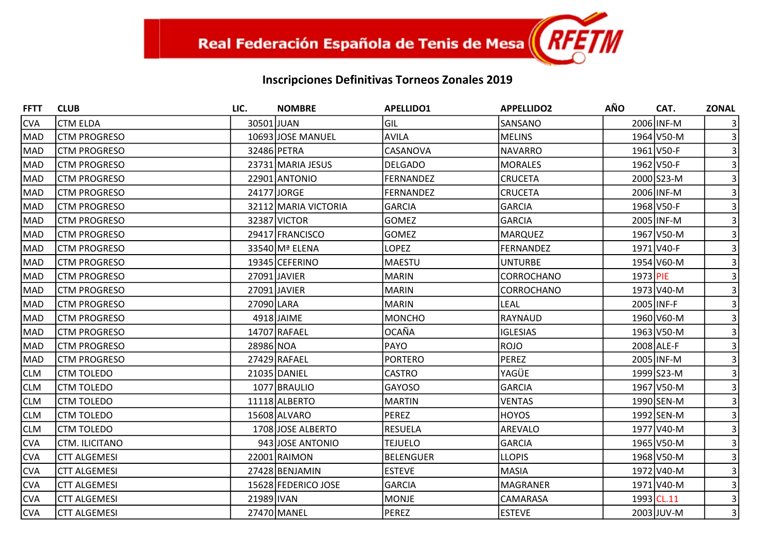| <b>FFTT</b> | <b>CLUB</b>         | LIC.       | <b>NOMBRE</b>        | <b>APELLIDO1</b> | <b>APPELLIDO2</b> | <b>AÑO</b> | CAT.       | <b>ZONAL</b>   |
|-------------|---------------------|------------|----------------------|------------------|-------------------|------------|------------|----------------|
| <b>CVA</b>  | <b>CTM ELDA</b>     | 30501 JUAN |                      | Gil              | SANSANO           |            | 2006 INF-M |                |
| MAD         | <b>CTM PROGRESO</b> |            | 10693 JOSE MANUEL    | <b>AVILA</b>     | <b>MELINS</b>     |            | 1964 V50-M |                |
| <b>MAD</b>  | <b>CTM PROGRESO</b> |            | 32486 PETRA          | CASANOVA         | <b>NAVARRO</b>    |            | 1961 V50-F |                |
| MAD         | <b>CTM PROGRESO</b> |            | 23731 MARIA JESUS    | <b>DELGADO</b>   | <b>MORALES</b>    |            | 1962 V50-F |                |
| MAD         | <b>CTM PROGRESO</b> |            | 22901 ANTONIO        | FERNANDEZ        | <b>CRUCETA</b>    |            | 2000 S23-M |                |
| MAD         | <b>CTM PROGRESO</b> |            | 24177 JORGE          | <b>FERNANDEZ</b> | <b>CRUCETA</b>    |            | 2006 INF-M |                |
| MAD         | <b>CTM PROGRESO</b> |            | 32112 MARIA VICTORIA | <b>GARCIA</b>    | <b>GARCIA</b>     |            | 1968 V50-F |                |
| MAD         | <b>CTM PROGRESO</b> |            | 32387 VICTOR         | <b>GOMEZ</b>     | <b>GARCIA</b>     |            | 2005 INF-M |                |
| <b>MAD</b>  | <b>CTM PROGRESO</b> |            | 29417 FRANCISCO      | <b>GOMEZ</b>     | <b>MARQUEZ</b>    |            | 1967 V50-M |                |
| MAD         | <b>CTM PROGRESO</b> |            | 33540 Mª ELENA       | <b>LOPEZ</b>     | <b>FERNANDEZ</b>  |            | 1971 V40-F |                |
| <b>MAD</b>  | <b>CTM PROGRESO</b> |            | 19345 CEFERINO       | MAESTU           | <b>UNTURBE</b>    |            | 1954 V60-M |                |
| <b>MAD</b>  | <b>CTM PROGRESO</b> |            | 27091 JAVIER         | MARIN            | <b>CORROCHANO</b> | 1973 PIE   |            |                |
| MAD         | <b>CTM PROGRESO</b> |            | 27091 JAVIER         | <b>MARIN</b>     | CORROCHANO        |            | 1973 V40-M |                |
| <b>MAD</b>  | <b>CTM PROGRESO</b> | 27090 LARA |                      | <b>MARIN</b>     | <b>LEAL</b>       | 2005 INF-F |            |                |
| MAD         | <b>CTM PROGRESO</b> |            | 4918 JAIME           | <b>MONCHO</b>    | RAYNAUD           |            | 1960 V60-M |                |
| MAD         | <b>CTM PROGRESO</b> |            | 14707 RAFAEL         | <b>OCAÑA</b>     | <b>IGLESIAS</b>   |            | 1963 V50-M |                |
| <b>MAD</b>  | <b>CTM PROGRESO</b> | 28986 NOA  |                      | PAYO             | <b>ROJO</b>       |            | 2008 ALE-F |                |
| MAD         | <b>CTM PROGRESO</b> |            | 27429 RAFAEL         | <b>PORTERO</b>   | <b>PEREZ</b>      |            | 2005 INF-M |                |
| <b>CLM</b>  | <b>CTM TOLEDO</b>   |            | 21035 DANIEL         | <b>CASTRO</b>    | YAGÜE             |            | 1999 S23-M |                |
| <b>CLM</b>  | <b>CTM TOLEDO</b>   |            | 1077 BRAULIO         | <b>GAYOSO</b>    | <b>GARCIA</b>     |            | 1967 V50-M |                |
| <b>CLM</b>  | <b>CTM TOLEDO</b>   |            | 11118 ALBERTO        | <b>MARTIN</b>    | <b>VENTAS</b>     |            | 1990 SEN-M |                |
| <b>CLM</b>  | <b>CTM TOLEDO</b>   |            | 15608 ALVARO         | PEREZ            | <b>HOYOS</b>      |            | 1992 SEN-M |                |
| <b>CLM</b>  | <b>CTM TOLEDO</b>   |            | 1708 JOSE ALBERTO    | <b>RESUELA</b>   | AREVALO           |            | 1977 V40-M |                |
| <b>CVA</b>  | CTM. ILICITANO      |            | 943 JOSE ANTONIO     | <b>TEJUELO</b>   | <b>GARCIA</b>     |            | 1965 V50-M |                |
| <b>CVA</b>  | <b>CTT ALGEMESI</b> |            | 22001 RAIMON         | <b>BELENGUER</b> | <b>LLOPIS</b>     |            | 1968 V50-M |                |
| <b>CVA</b>  | <b>CTT ALGEMESI</b> |            | 27428 BENJAMIN       | <b>ESTEVE</b>    | <b>MASIA</b>      |            | 1972 V40-M |                |
| <b>CVA</b>  | <b>CTT ALGEMESI</b> |            | 15628 FEDERICO JOSE  | <b>GARCIA</b>    | <b>MAGRANER</b>   |            | 1971 V40-M |                |
| <b>CVA</b>  | <b>CTT ALGEMESI</b> | 21989 IVAN |                      | MONJE            | CAMARASA          | 1993 CL.11 |            |                |
| <b>CVA</b>  | <b>CTT ALGEMESI</b> |            | 27470 MANEL          | PEREZ            | <b>ESTEVE</b>     |            | 2003 JUV-M | $\overline{3}$ |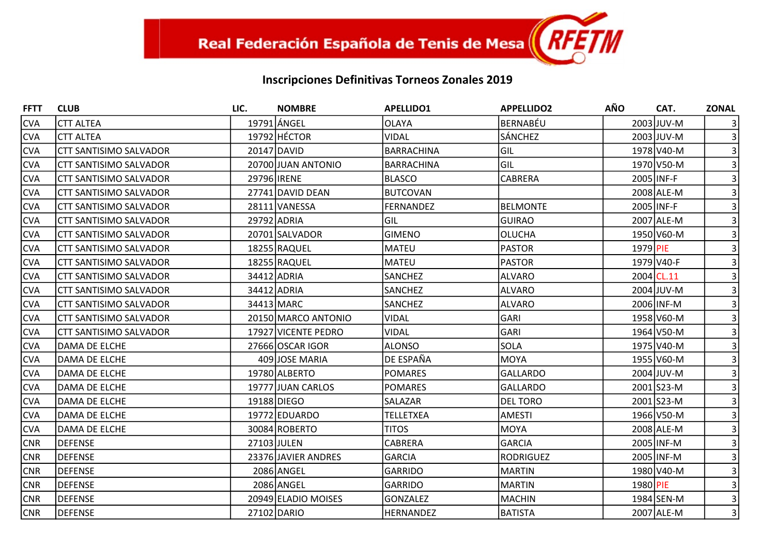| <b>FFTT</b> | <b>CLUB</b>                   | LIC.               | <b>NOMBRE</b>       | <b>APELLIDO1</b>  | <b>APPELLIDO2</b> | <b>AÑO</b> | CAT.         | <b>ZONAL</b>   |
|-------------|-------------------------------|--------------------|---------------------|-------------------|-------------------|------------|--------------|----------------|
| <b>CVA</b>  | <b>CTT ALTEA</b>              |                    | 19791 LÁNGEL        | <b>OLAYA</b>      | <b>BERNABÉU</b>   |            | 2003 JUV-M   |                |
| <b>CVA</b>  | <b>CTT ALTEA</b>              |                    | 19792 HÉCTOR        | <b>VIDAL</b>      | <b>SÁNCHEZ</b>    |            | 2003 JUV-M   |                |
| <b>CVA</b>  | <b>CTT SANTISIMO SALVADOR</b> |                    | 20147 DAVID         | <b>BARRACHINA</b> | GIL               |            | 1978 V40-M   |                |
| <b>CVA</b>  | <b>CTT SANTISIMO SALVADOR</b> |                    | 20700 JUAN ANTONIO  | <b>BARRACHINA</b> | GIL               |            | 1970 V50-M   |                |
| <b>CVA</b>  | <b>CTT SANTISIMO SALVADOR</b> | 29796 <b>IRENE</b> |                     | BLASCO            | CABRERA           |            | 2005 INF-F   |                |
| <b>CVA</b>  | <b>CTT SANTISIMO SALVADOR</b> |                    | 27741 DAVID DEAN    | <b>BUTCOVAN</b>   |                   |            | 2008 ALE-M   |                |
| <b>CVA</b>  | <b>CTT SANTISIMO SALVADOR</b> |                    | 28111 VANESSA       | <b>FERNANDEZ</b>  | <b>BELMONTE</b>   |            | 2005 INF-F   |                |
| <b>CVA</b>  | <b>CTT SANTISIMO SALVADOR</b> |                    | 29792 ADRIA         | Gil               | <b>GUIRAO</b>     |            | 2007 ALE-M   |                |
| <b>CVA</b>  | <b>CTT SANTISIMO SALVADOR</b> |                    | 20701 SALVADOR      | <b>GIMENO</b>     | <b>OLUCHA</b>     |            | 1950 V60-M   |                |
| CVA         | <b>CTT SANTISIMO SALVADOR</b> |                    | 18255 RAQUEL        | MATEU             | <b>PASTOR</b>     | 1979 PIE   |              |                |
| <b>CVA</b>  | <b>CTT SANTISIMO SALVADOR</b> |                    | 18255 RAQUEL        | <b>MATEU</b>      | <b>PASTOR</b>     |            | 1979 V40-F   |                |
| <b>CVA</b>  | <b>CTT SANTISIMO SALVADOR</b> |                    | 34412 ADRIA         | SANCHEZ           | <b>ALVARO</b>     |            | $2004$ CL.11 |                |
| <b>CVA</b>  | <b>CTT SANTISIMO SALVADOR</b> |                    | 34412 ADRIA         | <b>SANCHEZ</b>    | <b>ALVARO</b>     |            | 2004 JUV-M   |                |
| <b>CVA</b>  | <b>CTT SANTISIMO SALVADOR</b> |                    | 34413 MARC          | <b>SANCHEZ</b>    | ALVARO            |            | 2006 INF-M   |                |
| <b>CVA</b>  | CTT SANTISIMO SALVADOR        |                    | 20150 MARCO ANTONIO | <b>VIDAL</b>      | <b>GARI</b>       |            | 1958 V60-M   |                |
| <b>CVA</b>  | <b>CTT SANTISIMO SALVADOR</b> |                    | 17927 VICENTE PEDRO | <b>VIDAL</b>      | <b>GARI</b>       |            | 1964 V50-M   |                |
| <b>CVA</b>  | DAMA DE ELCHE                 |                    | 27666 OSCAR IGOR    | <b>ALONSO</b>     | <b>SOLA</b>       |            | 1975 V40-M   |                |
| CVA         | DAMA DE ELCHE                 |                    | 409 JOSE MARIA      | DE ESPAÑA         | <b>MOYA</b>       |            | 1955 V60-M   |                |
| <b>CVA</b>  | DAMA DE ELCHE                 |                    | 19780 ALBERTO       | <b>POMARES</b>    | <b>GALLARDO</b>   |            | 2004 JUV-M   |                |
| <b>CVA</b>  | DAMA DE ELCHE                 |                    | 19777 JUAN CARLOS   | <b>POMARES</b>    | <b>GALLARDO</b>   |            | 2001 S23-M   |                |
| <b>CVA</b>  | DAMA DE ELCHE                 |                    | 19188 DIEGO         | SALAZAR           | <b>DEL TORO</b>   |            | 2001 S23-M   |                |
| <b>CVA</b>  | DAMA DE ELCHE                 |                    | 19772 EDUARDO       | <b>TELLETXEA</b>  | <b>AMESTI</b>     |            | 1966 V50-M   |                |
| <b>CVA</b>  | DAMA DE ELCHE                 |                    | 30084 ROBERTO       | <b>TITOS</b>      | <b>MOYA</b>       |            | 2008 ALE-M   |                |
| <b>CNR</b>  | <b>DEFENSE</b>                |                    | 27103 JULEN         | <b>CABRERA</b>    | <b>GARCIA</b>     |            | 2005 INF-M   |                |
| <b>CNR</b>  | <b>DEFENSE</b>                |                    | 23376 JAVIER ANDRES | <b>GARCIA</b>     | <b>RODRIGUEZ</b>  |            | 2005 INF-M   |                |
| <b>CNR</b>  | <b>DEFENSE</b>                |                    | 2086 ANGEL          | <b>GARRIDO</b>    | <b>MARTIN</b>     |            | 1980 V40-M   |                |
| <b>CNR</b>  | <b>DEFENSE</b>                |                    | 2086 ANGEL          | <b>GARRIDO</b>    | <b>MARTIN</b>     | 1980 PIE   |              | 3 <sup>1</sup> |
| <b>CNR</b>  | <b>DEFENSE</b>                |                    | 20949 ELADIO MOISES | <b>GONZALEZ</b>   | <b>MACHIN</b>     |            | 1984 SEN-M   |                |
| <b>CNR</b>  | <b>DEFENSE</b>                |                    | 27102 DARIO         | <b>HERNANDEZ</b>  | <b>BATISTA</b>    |            | 2007 ALE-M   | $\overline{3}$ |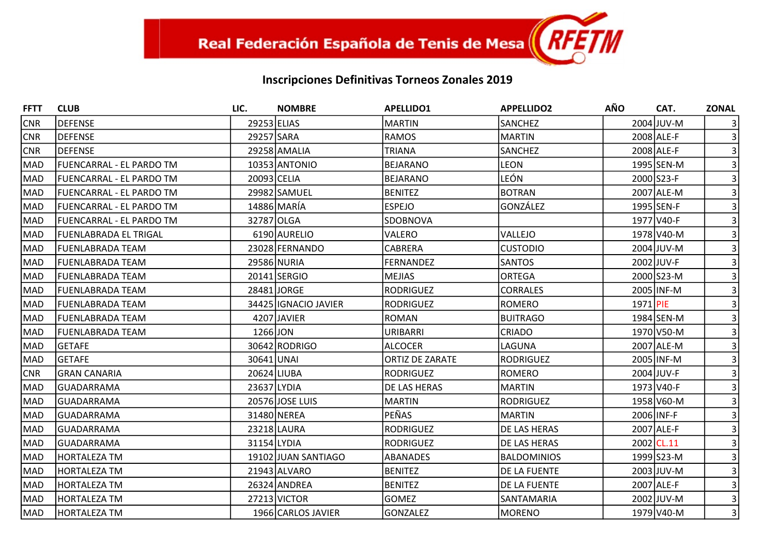| <b>FFTT</b> | <b>CLUB</b>                     | LIC.        | <b>NOMBRE</b>        | <b>APELLIDO1</b>       | <b>APPELLIDO2</b>   | <b>AÑO</b> | CAT.       | <b>ZONAL</b>   |
|-------------|---------------------------------|-------------|----------------------|------------------------|---------------------|------------|------------|----------------|
| <b>CNR</b>  | DEFENSE                         | 29253 ELIAS |                      | <b>MARTIN</b>          | <b>SANCHEZ</b>      |            | 2004 JUV-M |                |
| <b>CNR</b>  | <b>IDEFENSE</b>                 | 29257 SARA  |                      | <b>RAMOS</b>           | MARTIN              |            | 2008 ALE-F |                |
| CNR         | <b>DEFENSE</b>                  |             | 29258 AMALIA         | <b>TRIANA</b>          | <b>SANCHEZ</b>      |            | 2008 ALE-F |                |
| MAD         | FUENCARRAL - EL PARDO TM        |             | 10353 ANTONIO        | <b>BEJARANO</b>        | <b>LEON</b>         |            | 1995 SEN-M |                |
| MAD         | FUENCARRAL - EL PARDO TM        | 20093 CELIA |                      | <b>BEJARANO</b>        | LEÓN                |            | 2000 S23-F |                |
| MAD         | <b>FUENCARRAL - EL PARDO TM</b> |             | 29982 SAMUEL         | <b>BENITEZ</b>         | <b>BOTRAN</b>       |            | 2007 ALE-M |                |
| MAD         | FUENCARRAL - EL PARDO TM        |             | 14886 MARÍA          | <b>ESPEJO</b>          | GONZÁLEZ            |            | 1995 SEN-F |                |
| MAD         | FUENCARRAL - EL PARDO TM        | 32787 OLGA  |                      | SDOBNOVA               |                     |            | 1977 V40-F |                |
| MAD         | lFUENLABRADA EL TRIGAL          |             | 6190 AURELIO         | VALERO                 | VALLEJO             |            | 1978 V40-M |                |
| MAD         | FUENLABRADA TEAM                |             | 23028 FERNANDO       | CABRERA                | Icustodio           |            | 2004 JUV-M |                |
| MAD         | lFUENLABRADA TEAM               |             | 29586 NURIA          | <b>FERNANDEZ</b>       | <b>SANTOS</b>       |            | 2002 JUV-F |                |
| MAD         | lFUENLABRADA TEAM               |             | 20141 SERGIO         | <b>MEJIAS</b>          | <b>ORTEGA</b>       |            | 2000 S23-M |                |
| MAD         | FUENLABRADA TEAM                |             | 28481JORGE           | <b>RODRIGUEZ</b>       | <b>CORRALES</b>     |            | 2005 INF-M |                |
| MAD         | FUENLABRADA TEAM                |             | 34425 IGNACIO JAVIER | <b>RODRIGUEZ</b>       | ROMERO              | 1971 PIE   |            |                |
| MAD         | FUENLABRADA TEAM                |             | 4207 JAVIER          | <b>ROMAN</b>           | <b>BUITRAGO</b>     |            | 1984 SEN-M |                |
| MAD         | FUENLABRADA TEAM                | 1266 JON    |                      | URIBARRI               | <b>CRIADO</b>       |            | 1970 V50-M |                |
| MAD         | lGETAFE                         |             | 30642 RODRIGO        | <b>ALCOCER</b>         | <b>LAGUNA</b>       |            | 2007 ALE-M |                |
| MAD         | <b>SETAFE</b>                   | 30641 UNAI  |                      | <b>ORTIZ DE ZARATE</b> | RODRIGUEZ           |            | 2005 INF-M |                |
| <b>CNR</b>  | <b>GRAN CANARIA</b>             | 20624 LIUBA |                      | <b>RODRIGUEZ</b>       | <b>ROMERO</b>       |            | 2004 JUV-F |                |
| MAD         | IGUADARRAMA                     | 23637 LYDIA |                      | DE LAS HERAS           | <b>MARTIN</b>       |            | 1973 V40-F |                |
| MAD         | <b>GUADARRAMA</b>               |             | 20576 JOSE LUIS      | <b>MARTIN</b>          | RODRIGUEZ           |            | 1958 V60-M |                |
| MAD         | <b>GUADARRAMA</b>               |             | 31480 NEREA          | PEÑAS                  | IMARTIN             |            | 2006 INF-F |                |
| MAD         | <b>GUADARRAMA</b>               |             | 23218 LAURA          | <b>RODRIGUEZ</b>       | <b>DE LAS HERAS</b> |            | 2007 ALE-F |                |
| MAD         | IGUADARRAMA                     | 31154 LYDIA |                      | <b>RODRIGUEZ</b>       | <b>DE LAS HERAS</b> |            | 2002 CL.11 |                |
| MAD         | HORTALEZA TM                    |             | 19102 JUAN SANTIAGO  | <b>ABANADES</b>        | <b>BALDOMINIOS</b>  |            | 1999 S23-M |                |
| MAD         | HORTALEZA TM                    |             | 21943 ALVARO         | <b>BENITEZ</b>         | <b>DE LA FUENTE</b> |            | 2003 JUV-M |                |
| MAD         | HORTALEZA TM                    |             | 26324 ANDREA         | <b>BENITEZ</b>         | <b>DE LA FUENTE</b> |            | 2007 ALE-F |                |
| MAD         | HORTALEZA TM                    |             | 27213 VICTOR         | <b>GOMEZ</b>           | <b>SANTAMARIA</b>   |            | 2002 JUV-M |                |
| MAD         | <b>HORTALEZA TM</b>             |             | 1966 CARLOS JAVIER   | <b>GONZALEZ</b>        | MORENO              |            | 1979 V40-M | $\overline{3}$ |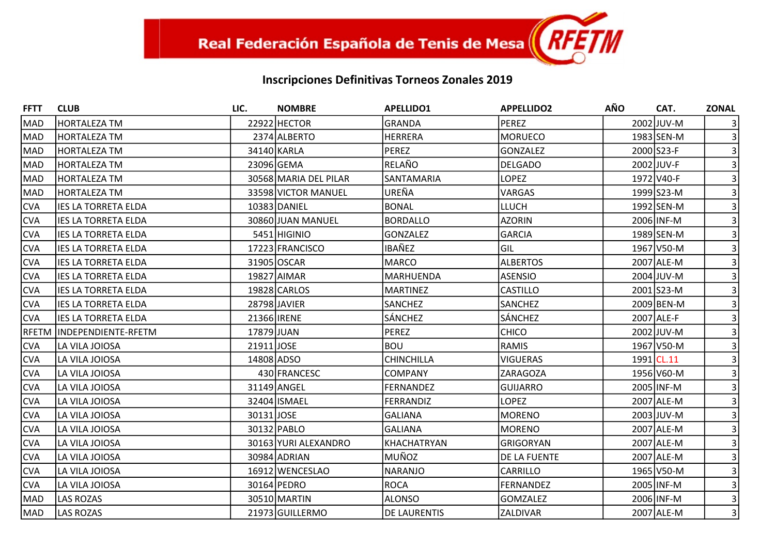| <b>FFTT</b> | <b>CLUB</b>                | LIC.               | <b>NOMBRE</b>         | <b>APELLIDO1</b>    | <b>APPELLIDO2</b> | <b>AÑO</b> | CAT.       | <b>ZONAL</b>   |
|-------------|----------------------------|--------------------|-----------------------|---------------------|-------------------|------------|------------|----------------|
| MAD         | <b>HORTALEZA TM</b>        |                    | 22922 HECTOR          | <b>GRANDA</b>       | <b>PEREZ</b>      |            | 2002 JUV-M |                |
| MAD         | <b>HORTALEZA TM</b>        |                    | 2374 ALBERTO          | <b>HERRERA</b>      | <b>MORUECO</b>    |            | 1983 SEN-M |                |
| MAD         | <b>HORTALEZA TM</b>        |                    | 34140 KARLA           | <b>PEREZ</b>        | <b>GONZALEZ</b>   |            | 2000 S23-F |                |
| MAD         | <b>HORTALEZA TM</b>        |                    | 23096 GEMA            | RELAÑO              | <b>DELGADO</b>    |            | 2002 JUV-F |                |
| MAD         | <b>HORTALEZA TM</b>        |                    | 30568 MARIA DEL PILAR | SANTAMARIA          | <b>LOPEZ</b>      |            | 1972 V40-F |                |
| MAD         | <b>HORTALEZA TM</b>        |                    | 33598 VICTOR MANUEL   | UREÑA               | <b>VARGAS</b>     |            | 1999 S23-M |                |
| <b>CVA</b>  | <b>IES LA TORRETA ELDA</b> |                    | 10383 DANIEL          | <b>BONAL</b>        | <b>LLUCH</b>      |            | 1992 SEN-M |                |
| <b>CVA</b>  | <b>IES LA TORRETA ELDA</b> |                    | 30860 JUAN MANUEL     | <b>BORDALLO</b>     | <b>AZORIN</b>     |            | 2006 INF-M |                |
| <b>CVA</b>  | <b>IES LA TORRETA ELDA</b> |                    | 5451 HIGINIO          | <b>GONZALEZ</b>     | <b>GARCIA</b>     |            | 1989 SEN-M |                |
| <b>CVA</b>  | <b>IES LA TORRETA ELDA</b> |                    | 17223 FRANCISCO       | <b>IBAÑEZ</b>       | GIL               |            | 1967 V50-M |                |
| <b>CVA</b>  | <b>IES LA TORRETA ELDA</b> |                    | 31905 OSCAR           | <b>MARCO</b>        | <b>ALBERTOS</b>   |            | 2007 ALE-M |                |
| <b>CVA</b>  | <b>IES LA TORRETA ELDA</b> |                    | 19827 AIMAR           | MARHUENDA           | <b>ASENSIO</b>    |            | 2004 JUV-M |                |
| <b>CVA</b>  | <b>IES LA TORRETA ELDA</b> |                    | 19828 CARLOS          | <b>MARTINEZ</b>     | <b>CASTILLO</b>   |            | 2001 S23-M |                |
| <b>CVA</b>  | <b>IES LA TORRETA ELDA</b> |                    | 28798 JAVIER          | <b>SANCHEZ</b>      | <b>SANCHEZ</b>    |            | 2009 BEN-M |                |
| <b>CVA</b>  | <b>IES LA TORRETA ELDA</b> | 21366 <b>IRENE</b> |                       | SÁNCHEZ             | SÁNCHEZ           |            | 2007 ALE-F |                |
| IRFETM      | INDEPENDIENTE-RFETM        | 17879 JUAN         |                       | <b>PEREZ</b>        | <b>CHICO</b>      |            | 2002 JUV-M |                |
| <b>CVA</b>  | LA VILA JOIOSA             | 21911 JOSE         |                       | <b>BOU</b>          | <b>RAMIS</b>      |            | 1967 V50-M |                |
| <b>CVA</b>  | LA VILA JOIOSA             | 14808 ADSO         |                       | CHINCHILLA          | <b>VIGUERAS</b>   |            | 1991 CL.11 |                |
| <b>CVA</b>  | LA VILA JOIOSA             |                    | 430 FRANCESC          | <b>COMPANY</b>      | <b>ZARAGOZA</b>   |            | 1956 V60-M |                |
| <b>CVA</b>  | LA VILA JOIOSA             |                    | 31149 ANGEL           | <b>FERNANDEZ</b>    | <b>GUIJARRO</b>   |            | 2005 INF-M |                |
| <b>CVA</b>  | LA VILA JOIOSA             |                    | 32404 ISMAEL          | <b>FERRANDIZ</b>    | <b>LOPEZ</b>      |            | 2007 ALE-M |                |
| <b>CVA</b>  | LA VILA JOIOSA             | 30131JOSE          |                       | GALIANA             | <b>MORENO</b>     |            | 2003 JUV-M |                |
| <b>CVA</b>  | LA VILA JOIOSA             |                    | 30132 PABLO           | <b>GALIANA</b>      | <b>MORENO</b>     |            | 2007 ALE-M |                |
| <b>CVA</b>  | LA VILA JOIOSA             |                    | 30163 YURI ALEXANDRO  | KHACHATRYAN         | <b>GRIGORYAN</b>  |            | 2007 ALE-M |                |
| <b>CVA</b>  | LA VILA JOIOSA             |                    | 30984 ADRIAN          | MUÑOZ               | DE LA FUENTE      |            | 2007 ALE-M |                |
| <b>CVA</b>  | LA VILA JOIOSA             |                    | 16912 WENCESLAO       | NARANJO             | CARRILLO          |            | 1965 V50-M |                |
| <b>CVA</b>  | LA VILA JOIOSA             |                    | 30164 PEDRO           | <b>ROCA</b>         | <b>FERNANDEZ</b>  |            | 2005 INF-M |                |
| MAD         | <b>LAS ROZAS</b>           |                    | 30510 MARTIN          | <b>ALONSO</b>       | GOMZALEZ          |            | 2006 INF-M |                |
| MAD         | <b>LAS ROZAS</b>           |                    | 21973 GUILLERMO       | <b>DE LAURENTIS</b> | <b>ZALDIVAR</b>   |            | 2007 ALE-M | $\overline{3}$ |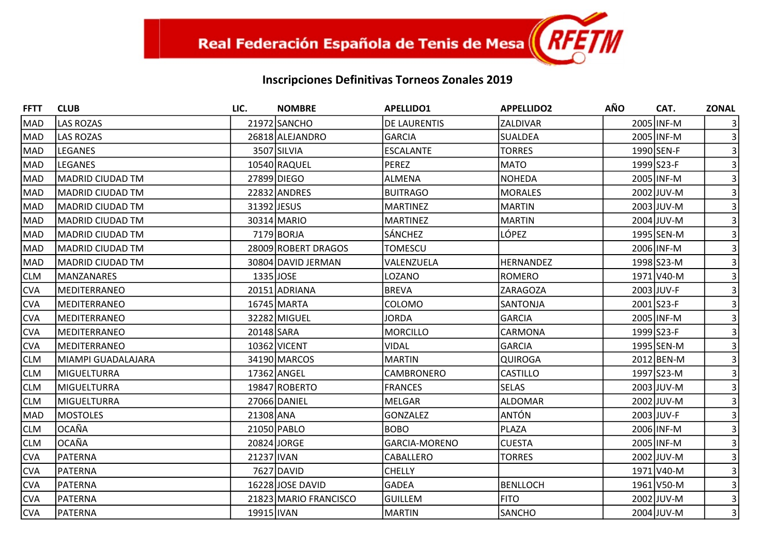| <b>FFTT</b> | <b>CLUB</b>             | LIC.        | <b>NOMBRE</b>         | <b>APELLIDO1</b>     | <b>APPELLIDO2</b> | <b>AÑO</b> | CAT.         | <b>ZONAL</b>   |
|-------------|-------------------------|-------------|-----------------------|----------------------|-------------------|------------|--------------|----------------|
| <b>MAD</b>  | <b>LAS ROZAS</b>        |             | 21972 SANCHO          | <b>DE LAURENTIS</b>  | ZALDIVAR          |            | 2005 INF-M   |                |
| <b>MAD</b>  | <b>LAS ROZAS</b>        |             | 26818 ALEJANDRO       | GARCIA               | <b>SUALDEA</b>    |            | 2005 INF-M   |                |
| MAD         | <b>LEGANES</b>          |             | 3507 SILVIA           | <b>ESCALANTE</b>     | <b>TORRES</b>     |            | 1990 SEN-F   |                |
| MAD         | <b>LEGANES</b>          |             | 10540 RAQUEL          | PEREZ                | <b>MATO</b>       |            | 1999 S23-F   |                |
| MAD         | <b>MADRID CIUDAD TM</b> |             | 27899 DIEGO           | ALMENA               | <b>NOHEDA</b>     |            | 2005 INF-M   |                |
| MAD         | MADRID CIUDAD TM        |             | 22832 ANDRES          | <b>BUITRAGO</b>      | <b>MORALES</b>    |            | 2002 JUV-M   |                |
| MAD         | <b>MADRID CIUDAD TM</b> | 31392 JESUS |                       | <b>MARTINEZ</b>      | <b>MARTIN</b>     |            | 2003 JUV-M   |                |
| <b>MAD</b>  | IMADRID CIUDAD TM       |             | 30314 MARIO           | <b>MARTINEZ</b>      | <b>MARTIN</b>     |            | $2004$ JUV-M |                |
| <b>MAD</b>  | <b>MADRID CIUDAD TM</b> |             | 7179 BORJA            | SÁNCHEZ              | LÓPEZ             |            | 1995 SEN-M   |                |
| MAD         | MADRID CIUDAD TM        |             | 28009 ROBERT DRAGOS   | <b>TOMESCU</b>       |                   |            | 2006 INF-M   |                |
| MAD         | <b>MADRID CIUDAD TM</b> |             | 30804 DAVID JERMAN    | VALENZUELA           | <b>HERNANDEZ</b>  |            | 1998 S23-M   |                |
| <b>CLM</b>  | MANZANARES              | 1335 JOSE   |                       | LOZANO               | <b>ROMERO</b>     |            | 1971 V40-M   |                |
| <b>CVA</b>  | <b>MEDITERRANEO</b>     |             | 20151 ADRIANA         | <b>BREVA</b>         | <b>ZARAGOZA</b>   |            | 2003 JUV-F   |                |
| <b>CVA</b>  | <b>MEDITERRANEO</b>     |             | 16745 MARTA           | COLOMO               | SANTONJA          |            | 2001 S23-F   |                |
| <b>CVA</b>  | <b>MEDITERRANEO</b>     |             | 32282 MIGUEL          | <b>JORDA</b>         | <b>GARCIA</b>     |            | 2005 INF-M   |                |
| <b>CVA</b>  | <b>MEDITERRANEO</b>     | 20148 SARA  |                       | MORCILLO             | CARMONA           |            | 1999 S23-F   |                |
| <b>CVA</b>  | <b>MEDITERRANEO</b>     |             | 10362 VICENT          | <b>VIDAL</b>         | <b>GARCIA</b>     |            | 1995 SEN-M   |                |
| <b>CLM</b>  | MIAMPI GUADALAJARA      |             | 34190 MARCOS          | <b>MARTIN</b>        | <b>QUIROGA</b>    |            | 2012 BEN-M   |                |
| <b>CLM</b>  | MIGUELTURRA             |             | 17362 ANGEL           | CAMBRONERO           | <b>CASTILLO</b>   |            | 1997 S23-M   |                |
| <b>CLM</b>  | MIGUELTURRA             |             | 19847 ROBERTO         | <b>FRANCES</b>       | <b>SELAS</b>      |            | 2003 JUV-M   |                |
| <b>CLM</b>  | <b>MIGUELTURRA</b>      |             | 27066 DANIEL          | MELGAR               | <b>ALDOMAR</b>    |            | 2002 JUV-M   |                |
| MAD         | <b>MOSTOLES</b>         | 21308 ANA   |                       | GONZALEZ             | <b>ANTÓN</b>      |            | 2003 JUV-F   |                |
| <b>CLM</b>  | <b>OCAÑA</b>            |             | 21050 PABLO           | <b>BOBO</b>          | PLAZA             |            | 2006 INF-M   |                |
| <b>CLM</b>  | <b>OCAÑA</b>            |             | 20824 JORGE           | <b>GARCIA-MORENO</b> | <b>CUESTA</b>     |            | 2005 INF-M   |                |
| <b>CVA</b>  | <b>PATERNA</b>          | 21237 IVAN  |                       | CABALLERO            | <b>TORRES</b>     |            | 2002 JUV-M   |                |
| <b>CVA</b>  | <b>PATERNA</b>          |             | 7627 DAVID            | <b>CHELLY</b>        |                   |            | 1971 V40-M   |                |
| <b>CVA</b>  | PATERNA                 |             | 16228 JOSE DAVID      | GADEA                | <b>BENLLOCH</b>   |            | 1961 V50-M   |                |
| <b>CVA</b>  | PATERNA                 |             | 21823 MARIO FRANCISCO | İguillem             | <b>FITO</b>       |            | 2002 JUV-M   |                |
| <b>CVA</b>  | PATERNA                 | 19915 IVAN  |                       | MARTIN               | <b>SANCHO</b>     |            | 2004 JUV-M   | $\overline{3}$ |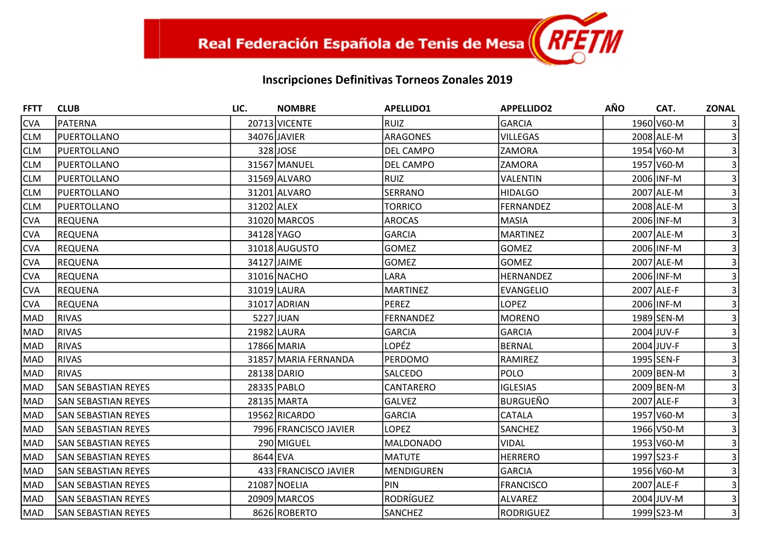| <b>FFTT</b> | <b>CLUB</b>                | LIC.       | <b>NOMBRE</b>         | <b>APELLIDO1</b> | <b>APPELLIDO2</b> | <b>AÑO</b> | CAT.       | <b>ZONAL</b>   |
|-------------|----------------------------|------------|-----------------------|------------------|-------------------|------------|------------|----------------|
| <b>CVA</b>  | <b>PATERNA</b>             |            | 20713 VICENTE         | RUIZ             | <b>GARCIA</b>     |            | 1960 V60-M |                |
| <b>CLM</b>  | IPUERTOLLANO               |            | 34076 JAVIER          | ARAGONES         | <b>VILLEGAS</b>   |            | 2008 ALE-M |                |
| <b>CLM</b>  | PUERTOLLANO                |            | 328 JOSE              | DEL CAMPO        | ZAMORA            |            | 1954 V60-M |                |
| <b>CLM</b>  | PUERTOLLANO                |            | 31567 MANUEL          | DEL CAMPO        | <b>ZAMORA</b>     |            | 1957 V60-M |                |
| <b>CLM</b>  | PUERTOLLANO                |            | 31569 ALVARO          | RUIZ             | VALENTIN          |            | 2006 INF-M |                |
| <b>CLM</b>  | PUERTOLLANO                |            | 31201 ALVARO          | <b>SERRANO</b>   | <b>HIDALGO</b>    |            | 2007 ALE-M |                |
| <b>CLM</b>  | PUERTOLLANO                | 31202 ALEX |                       | <b>TORRICO</b>   | <b>FERNANDEZ</b>  |            | 2008 ALE-M |                |
| <b>CVA</b>  | <b>REQUENA</b>             |            | 31020 MARCOS          | <b>AROCAS</b>    | <b>MASIA</b>      |            | 2006 INF-M |                |
| <b>CVA</b>  | <b>REQUENA</b>             | 34128 YAGO |                       | <b>GARCIA</b>    | <b>MARTINEZ</b>   |            | 2007 ALE-M |                |
| <b>CVA</b>  | <b>REQUENA</b>             |            | 31018 AUGUSTO         | <b>GOMEZ</b>     | <b>GOMEZ</b>      |            | 2006 INF-M |                |
| <b>CVA</b>  | REQUENA                    |            | 34127 JAIME           | <b>GOMEZ</b>     | <b>GOMEZ</b>      |            | 2007 ALE-M |                |
| <b>CVA</b>  | <b>REQUENA</b>             |            | 31016 NACHO           | LARA             | <b>HERNANDEZ</b>  |            | 2006 INF-M |                |
| <b>CVA</b>  | <b>REQUENA</b>             |            | 31019 LAURA           | <b>MARTINEZ</b>  | <b>EVANGELIO</b>  |            | 2007 ALE-F |                |
| <b>CVA</b>  | <b>REQUENA</b>             |            | 31017 ADRIAN          | PEREZ            | <b>LOPEZ</b>      |            | 2006 INF-M |                |
| MAD         | <b>RIVAS</b>               |            | 5227 JUAN             | <b>FERNANDEZ</b> | <b>MORENO</b>     |            | 1989 SEN-M |                |
| MAD         | <b>RIVAS</b>               |            | 21982 LAURA           | <b>GARCIA</b>    | <b>GARCIA</b>     |            | 2004 JUV-F |                |
| MAD         | <b>RIVAS</b>               |            | 17866 MARIA           | <b>LOPÉZ</b>     | <b>BERNAL</b>     |            | 2004 JUV-F |                |
| MAD         | <b>RIVAS</b>               |            | 31857 MARIA FERNANDA  | <b>PERDOMO</b>   | <b>RAMIREZ</b>    |            | 1995 SEN-F |                |
| MAD         | <b>RIVAS</b>               |            | 28138 DARIO           | SALCEDO          | <b>POLO</b>       |            | 2009 BEN-M |                |
| MAD         | <b>SAN SEBASTIAN REYES</b> |            | 28335 PABLO           | CANTARERO        | <b>IGLESIAS</b>   |            | 2009 BEN-M |                |
| <b>MAD</b>  | <b>SAN SEBASTIAN REYES</b> |            | 28135 MARTA           | <b>GALVEZ</b>    | <b>BURGUEÑO</b>   |            | 2007 ALE-F |                |
| MAD         | <b>SAN SEBASTIAN REYES</b> |            | 19562 RICARDO         | GARCIA           | CATALA            |            | 1957 V60-M |                |
| MAD         | <b>SAN SEBASTIAN REYES</b> |            | 7996 FRANCISCO JAVIER | <b>LOPEZ</b>     | <b>SANCHEZ</b>    |            | 1966 V50-M |                |
| <b>MAD</b>  | <b>SAN SEBASTIAN REYES</b> |            | 290 MIGUEL            | MALDONADO        | <b>VIDAL</b>      |            | 1953 V60-M |                |
| MAD         | <b>SAN SEBASTIAN REYES</b> | 8644 EVA   |                       | MATUTE           | <b>HERRERO</b>    |            | 1997 S23-F |                |
| MAD         | <b>SAN SEBASTIAN REYES</b> |            | 433 FRANCISCO JAVIER  | MENDIGUREN       | <b>GARCIA</b>     |            | 1956 V60-M |                |
| <b>MAD</b>  | <b>SAN SEBASTIAN REYES</b> |            | 21087 NOELIA          | PIN              | <b>FRANCISCO</b>  |            | 2007 ALE-F |                |
| MAD         | <b>SAN SEBASTIAN REYES</b> |            | 20909 MARCOS          | RODRÍGUEZ        | <b>ALVAREZ</b>    |            | 2004 JUV-M |                |
| MAD         | <b>SAN SEBASTIAN REYES</b> |            | 8626 ROBERTO          | <b>SANCHEZ</b>   | <b>RODRIGUEZ</b>  |            | 1999 S23-M | $\overline{3}$ |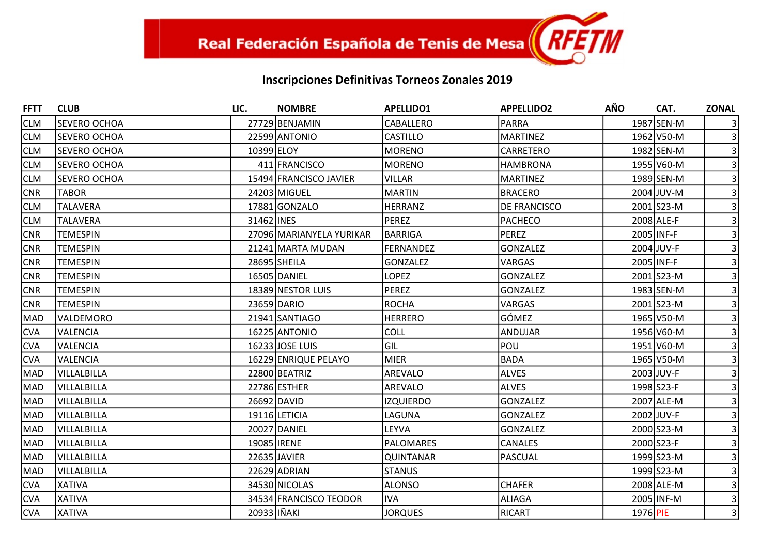| <b>FFTT</b> | <b>CLUB</b>         | LIC.               | <b>NOMBRE</b>            | <b>APELLIDO1</b> | <b>APPELLIDO2</b> | <b>AÑO</b> | CAT.       | <b>ZONAL</b>   |
|-------------|---------------------|--------------------|--------------------------|------------------|-------------------|------------|------------|----------------|
| <b>CLM</b>  | <b>SEVERO OCHOA</b> |                    | 27729 BENJAMIN           | CABALLERO        | <b>PARRA</b>      |            | 1987 SEN-M |                |
| <b>CLM</b>  | <b>SEVERO OCHOA</b> |                    | 22599 ANTONIO            | <b>CASTILLO</b>  | <b>MARTINEZ</b>   |            | 1962 V50-M |                |
| <b>CLM</b>  | ISEVERO OCHOA       | 10399 ELOY         |                          | <b>MORENO</b>    | <b>CARRETERO</b>  |            | 1982 SEN-M |                |
| <b>CLM</b>  | ISEVERO OCHOA       |                    | 411 FRANCISCO            | <b>MORENO</b>    | <b>HAMBRONA</b>   |            | 1955 V60-M |                |
| <b>CLM</b>  | <b>SEVERO OCHOA</b> |                    | 15494 FRANCISCO JAVIER   | <b>VILLAR</b>    | <b>MARTINEZ</b>   |            | 1989 SEN-M |                |
| CNR         | <b>TABOR</b>        |                    | 24203 MIGUEL             | MARTIN           | <b>BRACERO</b>    |            | 2004 JUV-M |                |
| <b>CLM</b>  | <b>TALAVERA</b>     |                    | 17881 GONZALO            | <b>HERRANZ</b>   | DE FRANCISCO      |            | 2001 S23-M |                |
| <b>CLM</b>  | <b>TALAVERA</b>     | 31462 INES         |                          | PEREZ            | <b>PACHECO</b>    |            | 2008 ALE-F |                |
| <b>CNR</b>  | <b>TEMESPIN</b>     |                    | 27096 MARIANYELA YURIKAR | BARRIGA          | <b>PEREZ</b>      |            | 2005 INF-F |                |
| <b>CNR</b>  | <b>TEMESPIN</b>     |                    | 21241 MARTA MUDAN        | <b>FERNANDEZ</b> | <b>GONZALEZ</b>   |            | 2004 JUV-F |                |
| <b>CNR</b>  | <b>TEMESPIN</b>     |                    | 28695 SHEILA             | <b>GONZALEZ</b>  | <b>VARGAS</b>     |            | 2005 INF-F |                |
| <b>CNR</b>  | <b>TEMESPIN</b>     |                    | 16505 DANIEL             | <b>LOPEZ</b>     | <b>GONZALEZ</b>   |            | 2001 S23-M |                |
| <b>CNR</b>  | <b>TEMESPIN</b>     |                    | 18389 NESTOR LUIS        | <b>PEREZ</b>     | <b>GONZALEZ</b>   |            | 1983 SEN-M |                |
| <b>CNR</b>  | <b>TEMESPIN</b>     |                    | 23659 DARIO              | ROCHA            | <b>VARGAS</b>     |            | 2001 S23-M |                |
| MAD         | VALDEMORO           |                    | 21941 SANTIAGO           | <b>HERRERO</b>   | GÓMEZ             |            | 1965 V50-M |                |
| <b>CVA</b>  | <b>VALENCIA</b>     |                    | 16225 ANTONIO            | <b>COLL</b>      | ANDUJAR           |            | 1956 V60-M |                |
| <b>CVA</b>  | <b>VALENCIA</b>     |                    | 16233 JOSE LUIS          | Gil              | POU               |            | 1951 V60-M |                |
| <b>CVA</b>  | <b>VALENCIA</b>     |                    | 16229 ENRIQUE PELAYO     | MIER             | <b>BADA</b>       |            | 1965 V50-M |                |
| MAD         | VILLALBILLA         |                    | 22800 BEATRIZ            | AREVALO          | <b>ALVES</b>      |            | 2003 JUV-F |                |
| MAD         | VILLALBILLA         |                    | 22786 ESTHER             | <b>AREVALO</b>   | <b>ALVES</b>      |            | 1998 S23-F |                |
| MAD         | VILLALBILLA         |                    | 26692 DAVID              | <b>IZQUIERDO</b> | <b>GONZALEZ</b>   |            | 2007 ALE-M |                |
| MAD         | VILLALBILLA         |                    | 19116 LETICIA            | LAGUNA           | <b>GONZALEZ</b>   |            | 2002 JUV-F |                |
| MAD         | VILLALBILLA         |                    | 20027 DANIEL             | LEYVA            | <b>GONZALEZ</b>   |            | 2000 S23-M |                |
| MAD         | VILLALBILLA         | 19085 <b>IRENE</b> |                          | <b>PALOMARES</b> | <b>CANALES</b>    |            | 2000 S23-F |                |
| MAD         | VILLALBILLA         |                    | 22635 JAVIER             | <b>QUINTANAR</b> | <b>PASCUAL</b>    |            | 1999 S23-M |                |
| MAD         | VILLALBILLA         |                    | 22629 ADRIAN             | <b>STANUS</b>    |                   |            | 1999 S23-M |                |
| <b>CVA</b>  | <b>XATIVA</b>       |                    | 34530 NICOLAS            | <b>ALONSO</b>    | <b>CHAFER</b>     |            | 2008 ALE-M |                |
| <b>CVA</b>  | <b>XATIVA</b>       |                    | 34534 FRANCISCO TEODOR   | <b>IVA</b>       | <b>ALIAGA</b>     |            | 2005 INF-M |                |
| <b>CVA</b>  | <b>XATIVA</b>       | 20933 IÑAKI        |                          | <b>JORQUES</b>   | <b>RICART</b>     | 1976 PIE   |            | $\overline{3}$ |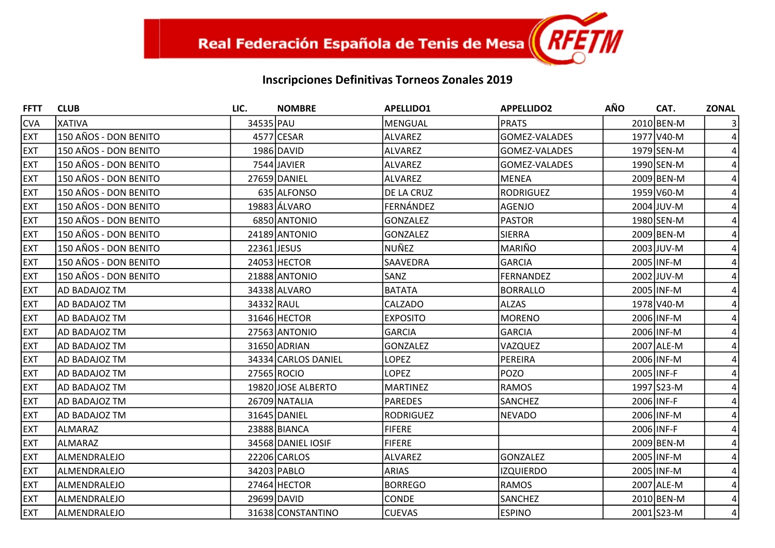| <b>FFTT</b> | <b>CLUB</b>           | LIC.        | <b>NOMBRE</b>       | <b>APELLIDO1</b> | <b>APPELLIDO2</b>    | <b>AÑO</b> | CAT.       | <b>ZONAL</b> |
|-------------|-----------------------|-------------|---------------------|------------------|----------------------|------------|------------|--------------|
| <b>CVA</b>  | <b>XATIVA</b>         | 34535 PAU   |                     | MENGUAL          | <b>PRATS</b>         |            | 2010 BEN-M |              |
| <b>EXT</b>  | 150 AÑOS - DON BENITO |             | 4577 CESAR          | ALVAREZ          | GOMEZ-VALADES        |            | 1977 V40-M |              |
| <b>EXT</b>  | 150 AÑOS - DON BENITO |             | 1986 DAVID          | ALVAREZ          | <b>GOMEZ-VALADES</b> |            | 1979 SEN-M |              |
| <b>EXT</b>  | 150 AÑOS - DON BENITO |             | 7544 JAVIER         | ALVAREZ          | GOMEZ-VALADES        |            | 1990 SEN-M |              |
| <b>EXT</b>  | 150 AÑOS - DON BENITO |             | 27659 DANIEL        | ALVAREZ          | <b>MENEA</b>         |            | 2009 BEN-M |              |
| <b>EXT</b>  | 150 AÑOS - DON BENITO |             | 635 ALFONSO         | DE LA CRUZ       | <b>RODRIGUEZ</b>     |            | 1959 V60-M |              |
| <b>EXT</b>  | 150 AÑOS - DON BENITO |             | 19883 ÁLVARO        | FERNÁNDEZ        | AGENJO               |            | 2004 JUV-M |              |
| <b>EXT</b>  | 150 AÑOS - DON BENITO |             | 6850 ANTONIO        | <b>GONZALEZ</b>  | <b>PASTOR</b>        |            | 1980 SEN-M |              |
| <b>EXT</b>  | 150 AÑOS - DON BENITO |             | 24189 ANTONIO       | <b>GONZALEZ</b>  | <b>SIERRA</b>        |            | 2009 BEN-M |              |
| <b>EXT</b>  | 150 AÑOS - DON BENITO | 22361 JESUS |                     | NUÑEZ            | MARIÑO               |            | 2003 JUV-M |              |
| <b>EXT</b>  | 150 AÑOS - DON BENITO |             | 24053 HECTOR        | SAAVEDRA         | <b>GARCIA</b>        |            | 2005 INF-M |              |
| <b>EXT</b>  | 150 AÑOS - DON BENITO |             | 21888 ANTONIO       | SANZ             | <b>FERNANDEZ</b>     |            | 2002 JUV-M |              |
| <b>EXT</b>  | <b>AD BADAJOZ TM</b>  |             | 34338 ALVARO        | <b>BATATA</b>    | <b>BORRALLO</b>      |            | 2005 INF-M |              |
| <b>EXT</b>  | <b>AD BADAJOZ TM</b>  | 34332 RAUL  |                     | CALZADO          | <b>ALZAS</b>         |            | 1978 V40-M |              |
| <b>EXT</b>  | <b>AD BADAJOZ TM</b>  |             | 31646 HECTOR        | <b>EXPOSITO</b>  | <b>MORENO</b>        |            | 2006 INF-M |              |
| <b>EXT</b>  | <b>AD BADAJOZ TM</b>  |             | 27563 ANTONIO       | <b>GARCIA</b>    | <b>GARCIA</b>        |            | 2006 INF-M |              |
| <b>EXT</b>  | <b>AD BADAJOZ TM</b>  |             | 31650 ADRIAN        | <b>GONZALEZ</b>  | VAZQUEZ              |            | 2007 ALE-M |              |
| <b>EXT</b>  | <b>AD BADAJOZ TM</b>  |             | 34334 CARLOS DANIEL | LOPEZ            | PEREIRA              |            | 2006 INF-M |              |
| <b>EXT</b>  | AD BADAJOZ TM         |             | 27565 ROCIO         | <b>LOPEZ</b>     | <b>POZO</b>          |            | 2005 INF-F |              |
| <b>EXT</b>  | AD BADAJOZ TM         |             | 19820 JOSE ALBERTO  | <b>MARTINEZ</b>  | <b>RAMOS</b>         |            | 1997 S23-M |              |
| <b>EXT</b>  | <b>AD BADAJOZ TM</b>  |             | 26709 NATALIA       | <b>PAREDES</b>   | SANCHEZ              |            | 2006 INF-F |              |
| <b>EXT</b>  | <b>AD BADAJOZ TM</b>  |             | 31645 DANIEL        | RODRIGUEZ        | <b>NEVADO</b>        |            | 2006 INF-M |              |
| <b>EXT</b>  | ALMARAZ               |             | 23888 BIANCA        | <b>FIFERE</b>    |                      |            | 2006 INF-F |              |
| <b>EXT</b>  | <b>ALMARAZ</b>        |             | 34568 DANIEL IOSIF  | <b>FIFERE</b>    |                      |            | 2009 BEN-M |              |
| <b>EXT</b>  | ALMENDRALEJO          |             | 22206 CARLOS        | ALVAREZ          | <b>GONZALEZ</b>      |            | 2005 INF-M |              |
| <b>EXT</b>  | ALMENDRALEJO          |             | 34203 PABLO         | <b>ARIAS</b>     | <b>IZQUIERDO</b>     |            | 2005 INF-M |              |
| <b>EXT</b>  | lALMENDRALEJO         |             | 27464 HECTOR        | <b>BORREGO</b>   | <b>RAMOS</b>         |            | 2007 ALE-M |              |
| <b>EXT</b>  | ALMENDRALEJO          |             | 29699 DAVID         | CONDE            | <b>SANCHEZ</b>       |            | 2010 BEN-M |              |
| <b>EXT</b>  | ALMENDRALEJO          |             | 31638 CONSTANTINO   | <b>CUEVAS</b>    | <b>ESPINO</b>        |            | 2001 S23-M | 4            |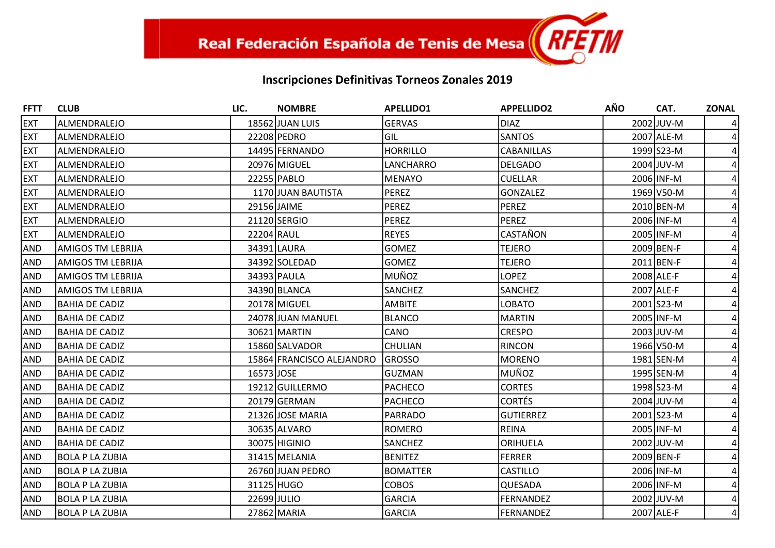| <b>FFTT</b> | <b>CLUB</b>              | LIC.        | <b>NOMBRE</b>             | <b>APELLIDO1</b> | <b>APPELLIDO2</b> | <b>AÑO</b> | CAT.       | <b>ZONAL</b> |
|-------------|--------------------------|-------------|---------------------------|------------------|-------------------|------------|------------|--------------|
| <b>EXT</b>  | ALMENDRALEJO             |             | 18562 JUAN LUIS           | <b>GERVAS</b>    | <b>DIAZ</b>       |            | 2002 JUV-M |              |
| <b>EXT</b>  | ALMENDRALEJO             |             | 22208 PEDRO               | <b>GIL</b>       | <b>SANTOS</b>     |            | 2007 ALE-M |              |
| <b>EXT</b>  | ALMENDRALEJO             |             | 14495 FERNANDO            | <b>HORRILLO</b>  | <b>CABANILLAS</b> |            | 1999 S23-M |              |
| <b>EXT</b>  | ALMENDRALEJO             |             | 20976 MIGUEL              | LANCHARRO        | <b>DELGADO</b>    |            | 2004 JUV-M |              |
| <b>EXT</b>  | ALMENDRALEJO             |             | 22255 PABLO               | MENAYO           | <b>CUELLAR</b>    |            | 2006 INF-M |              |
| <b>EXT</b>  | ALMENDRALEJO             |             | 1170 JUAN BAUTISTA        | PEREZ            | <b>GONZALEZ</b>   |            | 1969 V50-M |              |
| <b>EXT</b>  | ALMENDRALEJO             |             | 29156 JAIME               | <b>PEREZ</b>     | <b>PEREZ</b>      |            | 2010 BEN-M |              |
| <b>EXT</b>  | ALMENDRALEJO             |             | 21120 SERGIO              | <b>PEREZ</b>     | <b>PEREZ</b>      |            | 2006 INF-M |              |
| <b>EXT</b>  | ALMENDRALEJO             | 22204 RAUL  |                           | <b>REYES</b>     | CASTAÑON          |            | 2005 INF-M |              |
| <b>AND</b>  | <b>AMIGOS TM LEBRIJA</b> |             | 34391 LAURA               | <b>GOMEZ</b>     | <b>TEJERO</b>     |            | 2009 BEN-F |              |
| <b>AND</b>  | AMIGOS TM LEBRIJA        |             | 34392 SOLEDAD             | <b>GOMEZ</b>     | <b>TEJERO</b>     |            | 2011 BEN-F |              |
| <b>AND</b>  | AMIGOS TM LEBRIJA        |             | 34393 PAULA               | MUÑOZ            | <b>LOPEZ</b>      |            | 2008 ALE-F |              |
| <b>AND</b>  | <b>AMIGOS TM LEBRIJA</b> |             | 34390 BLANCA              | SANCHEZ          | <b>SANCHEZ</b>    |            | 2007 ALE-F |              |
| <b>AND</b>  | <b>BAHIA DE CADIZ</b>    |             | 20178 MIGUEL              | <b>AMBITE</b>    | <b>LOBATO</b>     |            | 2001 S23-M |              |
| <b>AND</b>  | BAHIA DE CADIZ           |             | 24078 JUAN MANUEL         | BLANCO           | <b>MARTIN</b>     |            | 2005 INF-M |              |
| <b>AND</b>  | <b>BAHIA DE CADIZ</b>    |             | 30621 MARTIN              | CANO             | <b>CRESPO</b>     |            | 2003 JUV-M |              |
| <b>AND</b>  | <b>BAHIA DE CADIZ</b>    |             | 15860 SALVADOR            | <b>CHULIAN</b>   | <b>RINCON</b>     |            | 1966 V50-M |              |
| <b>AND</b>  | BAHIA DE CADIZ           |             | 15864 FRANCISCO ALEJANDRO | <b>GROSSO</b>    | <b>MORENO</b>     |            | 1981 SEN-M |              |
| <b>AND</b>  | BAHIA DE CADIZ           | 16573 JOSE  |                           | GUZMAN           | MUÑOZ             |            | 1995 SEN-M |              |
| <b>AND</b>  | BAHIA DE CADIZ           |             | 19212 GUILLERMO           | <b>PACHECO</b>   | <b>CORTES</b>     |            | 1998 S23-M |              |
| <b>AND</b>  | <b>BAHIA DE CADIZ</b>    |             | 20179 GERMAN              | <b>PACHECO</b>   | <b>CORTÉS</b>     |            | 2004 JUV-M |              |
| <b>AND</b>  | BAHIA DE CADIZ           |             | 21326 JOSE MARIA          | PARRADO          | <b>GUTIERREZ</b>  |            | 2001 S23-M |              |
| <b>AND</b>  | <b>BAHIA DE CADIZ</b>    |             | 30635 ALVARO              | <b>ROMERO</b>    | <b>REINA</b>      |            | 2005 INF-M |              |
| <b>AND</b>  | BAHIA DE CADIZ           |             | 30075 HIGINIO             | SANCHEZ          | ORIHUELA          |            | 2002 JUV-M |              |
| <b>AND</b>  | <b>BOLA P LA ZUBIA</b>   |             | 31415 MELANIA             | <b>BENITEZ</b>   | <b>FERRER</b>     |            | 2009 BEN-F |              |
| <b>AND</b>  | <b>BOLA P LA ZUBIA</b>   |             | 26760 JUAN PEDRO          | <b>BOMATTER</b>  | <b>CASTILLO</b>   |            | 2006 INF-M |              |
| <b>AND</b>  | <b>BOLA P LA ZUBIA</b>   |             | 31125 HUGO                | <b>COBOS</b>     | QUESADA           |            | 2006 INF-M |              |
| <b>AND</b>  | <b>BOLA P LA ZUBIA</b>   | 22699 JULIO |                           | GARCIA           | <b>FERNANDEZ</b>  |            | 2002 JUV-M |              |
| AND         | <b>BOLA P LA ZUBIA</b>   |             | 27862 MARIA               | <b>GARCIA</b>    | <b>FERNANDEZ</b>  |            | 2007 ALE-F | 4            |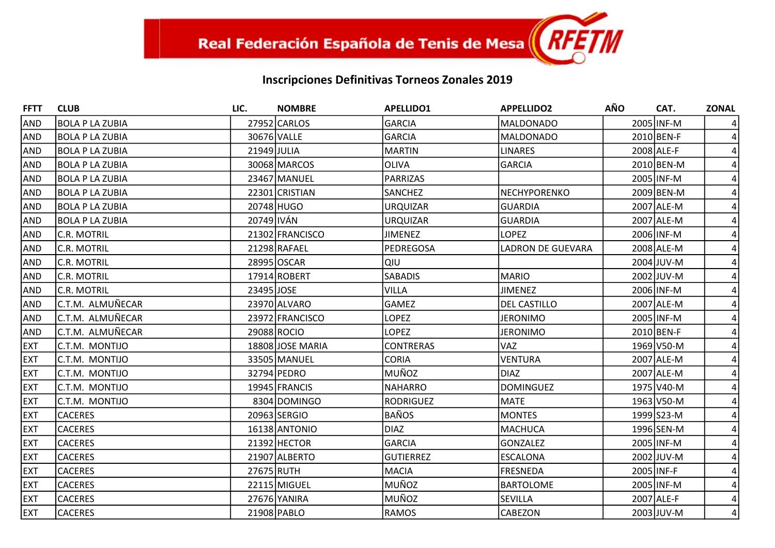| <b>FFTT</b> | <b>CLUB</b>            | LIC.        | <b>NOMBRE</b>    | <b>APELLIDO1</b> | <b>APPELLIDO2</b>        | AÑO        | CAT.       | <b>ZONAL</b> |
|-------------|------------------------|-------------|------------------|------------------|--------------------------|------------|------------|--------------|
| <b>AND</b>  | BOLA P LA ZUBIA        |             | 27952 CARLOS     | GARCIA           | <b>MALDONADO</b>         |            | 2005 INF-M |              |
| <b>AND</b>  | <b>BOLA P LA ZUBIA</b> | 30676 VALLE |                  | GARCIA           | <b>MALDONADO</b>         |            | 2010 BEN-F |              |
| <b>AND</b>  | <b>BOLA P LA ZUBIA</b> | 21949 JULIA |                  | MARTIN           | <b>LINARES</b>           |            | 2008 ALE-F |              |
| <b>AND</b>  | BOLA P LA ZUBIA        |             | 30068 MARCOS     | <b>OLIVA</b>     | <b>GARCIA</b>            |            | 2010 BEN-M |              |
| <b>AND</b>  | <b>BOLA P LA ZUBIA</b> |             | 23467 MANUEL     | PARRIZAS         |                          |            | 2005 INF-M |              |
| <b>AND</b>  | <b>BOLA P LA ZUBIA</b> |             | 22301 CRISTIAN   | <b>SANCHEZ</b>   | <b>NECHYPORENKO</b>      |            | 2009 BEN-M |              |
| <b>AND</b>  | BOLA P LA ZUBIA        |             | 20748 HUGO       | <b>URQUIZAR</b>  | <b>GUARDIA</b>           |            | 2007 ALE-M |              |
| <b>AND</b>  | <b>BOLA P LA ZUBIA</b> | 20749 IVÁN  |                  | <b>URQUIZAR</b>  | <b>GUARDIA</b>           |            | 2007 ALE-M |              |
| <b>AND</b>  | C.R. MOTRIL            |             | 21302 FRANCISCO  | <b>JIMENEZ</b>   | <b>LOPEZ</b>             |            | 2006 INF-M |              |
| <b>AND</b>  | <b>C.R. MOTRIL</b>     |             | 21298 RAFAEL     | PEDREGOSA        | <b>LADRON DE GUEVARA</b> |            | 2008 ALE-M |              |
| <b>AND</b>  | <b>C.R. MOTRIL</b>     |             | 28995 OSCAR      | ΙQΙU             |                          |            | 2004 JUV-M |              |
| <b>AND</b>  | C.R. MOTRIL            |             | 17914 ROBERT     | <b>SABADIS</b>   | <b>MARIO</b>             |            | 2002 JUV-M |              |
| <b>AND</b>  | <b>C.R. MOTRIL</b>     | 23495 JOSE  |                  | <b>VILLA</b>     | <b>JIMENEZ</b>           |            | 2006 INF-M |              |
| <b>AND</b>  | C.T.M. ALMUÑECAR       |             | 23970 ALVARO     | GAMEZ            | <b>DEL CASTILLO</b>      |            | 2007 ALE-M |              |
| <b>AND</b>  | C.T.M. ALMUÑECAR       |             | 23972 FRANCISCO  | <b>LOPEZ</b>     | <b>JERONIMO</b>          |            | 2005 INF-M |              |
| <b>AND</b>  | C.T.M. ALMUÑECAR       |             | 29088 ROCIO      | <b>LOPEZ</b>     | <b>JERONIMO</b>          |            | 2010 BEN-F |              |
| <b>EXT</b>  | C.T.M. MONTIJO         |             | 18808 JOSE MARIA | <b>CONTRERAS</b> | <b>VAZ</b>               |            | 1969 V50-M |              |
| <b>EXT</b>  | C.T.M. MONTIJO         |             | 33505 MANUEL     | <b>CORIA</b>     | <b>VENTURA</b>           |            | 2007 ALE-M |              |
| <b>EXT</b>  | C.T.M. MONTIJO         |             | 32794 PEDRO      | MUÑOZ            | <b>DIAZ</b>              |            | 2007 ALE-M |              |
| <b>EXT</b>  | C.T.M. MONTIJO         |             | 19945 FRANCIS    | NAHARRO          | <b>DOMINGUEZ</b>         |            | 1975 V40-M |              |
| <b>EXT</b>  | C.T.M. MONTIJO         |             | 8304 DOMINGO     | <b>RODRIGUEZ</b> | <b>MATE</b>              |            | 1963 V50-M |              |
| <b>EXT</b>  | <b>CACERES</b>         |             | 20963 SERGIO     | <b>BAÑOS</b>     | <b>MONTES</b>            |            | 1999 S23-M |              |
| <b>EXT</b>  | <b>CACERES</b>         |             | 16138 ANTONIO    | DIAZ             | <b>MACHUCA</b>           |            | 1996 SEN-M |              |
| <b>EXT</b>  | <b>CACERES</b>         |             | 21392 HECTOR     | GARCIA           | <b>GONZALEZ</b>          |            | 2005 INF-M |              |
| <b>EXT</b>  | <b>CACERES</b>         |             | 21907 ALBERTO    | <b>GUTIERREZ</b> | <b>ESCALONA</b>          |            | 2002 JUV-M |              |
| <b>EXT</b>  | <b>CACERES</b>         | 27675 RUTH  |                  | MACIA            | <b>FRESNEDA</b>          | 2005 INF-F |            |              |
| <b>EXT</b>  | <b>CACERES</b>         |             | 22115 MIGUEL     | MUÑOZ            | <b>BARTOLOME</b>         |            | 2005 INF-M |              |
| <b>EXT</b>  | <b>CACERES</b>         |             | 27676 YANIRA     | MUÑOZ            | SEVILLA                  |            | 2007 ALE-F |              |
| <b>EXT</b>  | <b>CACERES</b>         |             | 21908 PABLO      | <b>RAMOS</b>     | <b>CABEZON</b>           |            | 2003 JUV-M | 4            |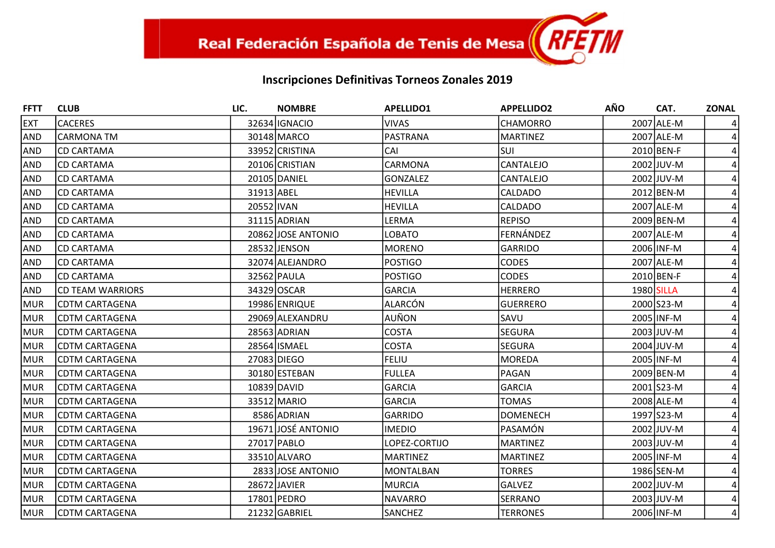| <b>FFTT</b> | <b>CLUB</b>           | LIC.       | <b>NOMBRE</b>      | <b>APELLIDO1</b> | <b>APPELLIDO2</b> | <b>AÑO</b> | CAT.       | <b>ZONAL</b>   |
|-------------|-----------------------|------------|--------------------|------------------|-------------------|------------|------------|----------------|
| <b>EXT</b>  | <b>CACERES</b>        |            | 32634 IGNACIO      | <b>VIVAS</b>     | <b>CHAMORRO</b>   |            | 2007 ALE-M |                |
| <b>AND</b>  | <b>CARMONA TM</b>     |            | 30148 MARCO        | PASTRANA         | <b>MARTINEZ</b>   |            | 2007 ALE-M |                |
| <b>AND</b>  | <b>CD CARTAMA</b>     |            | 33952 CRISTINA     | CAI              | <b>SUI</b>        |            | 2010 BEN-F |                |
| <b>AND</b>  | ICD CARTAMA           |            | 20106 CRISTIAN     | CARMONA          | <b>CANTALEJO</b>  |            | 2002 JUV-M |                |
| <b>AND</b>  | <b>CD CARTAMA</b>     |            | 20105 DANIEL       | <b>GONZALEZ</b>  | CANTALEJO         |            | 2002 JUV-M |                |
| <b>AND</b>  | <b>CD CARTAMA</b>     | 31913 ABEL |                    | <b>HEVILLA</b>   | CALDADO           |            | 2012 BEN-M |                |
| <b>AND</b>  | <b>CD CARTAMA</b>     | 20552 IVAN |                    | <b>HEVILLA</b>   | <b>CALDADO</b>    |            | 2007 ALE-M |                |
| <b>AND</b>  | <b>CD CARTAMA</b>     |            | 31115 ADRIAN       | LERMA            | <b>REPISO</b>     |            | 2009 BEN-M |                |
| <b>AND</b>  | CD CARTAMA            |            | 20862 JOSE ANTONIO | <b>LOBATO</b>    | FERNÁNDEZ         |            | 2007 ALE-M |                |
| <b>AND</b>  | <b>CD CARTAMA</b>     |            | 28532 JENSON       | <b>MORENO</b>    | <b>GARRIDO</b>    |            | 2006 INF-M |                |
| <b>AND</b>  | <b>CD CARTAMA</b>     |            | 32074 ALEJANDRO    | <b>POSTIGO</b>   | <b>CODES</b>      |            | 2007 ALE-M |                |
| <b>AND</b>  | <b>CD CARTAMA</b>     |            | 32562 PAULA        | <b>POSTIGO</b>   | <b>CODES</b>      |            | 2010 BEN-F |                |
| <b>AND</b>  | ICD TEAM WARRIORS     |            | 34329 OSCAR        | <b>GARCIA</b>    | <b>HERRERO</b>    | 1980 SILLA |            |                |
| MUR         | <b>CDTM CARTAGENA</b> |            | 19986 ENRIQUE      | ALARCÓN          | <b>GUERRERO</b>   |            | 2000 S23-M |                |
| MUR         | <b>CDTM CARTAGENA</b> |            | 29069 ALEXANDRU    | AUÑON            | SAVU              |            | 2005 INF-M |                |
| MUR         | <b>CDTM CARTAGENA</b> |            | 28563 ADRIAN       | <b>COSTA</b>     | <b>SEGURA</b>     |            | 2003 JUV-M |                |
| MUR         | CDTM CARTAGENA        |            | 28564 ISMAEL       | <b>COSTA</b>     | <b>SEGURA</b>     |            | 2004 JUV-M |                |
| MUR         | <b>CDTM CARTAGENA</b> |            | 27083 DIEGO        | <b>FELIU</b>     | <b>MOREDA</b>     |            | 2005 INF-M |                |
| <b>MUR</b>  | CDTM CARTAGENA        |            | 30180 ESTEBAN      | <b>FULLEA</b>    | PAGAN             |            | 2009 BEN-M |                |
| MUR         | <b>CDTM CARTAGENA</b> |            | 10839 DAVID        | <b>GARCIA</b>    | GARCIA            |            | 2001 S23-M |                |
| MUR         | <b>CDTM CARTAGENA</b> |            | 33512 MARIO        | <b>GARCIA</b>    | <b>TOMAS</b>      |            | 2008 ALE-M |                |
| MUR         | <b>CDTM CARTAGENA</b> |            | 8586 ADRIAN        | <b>GARRIDO</b>   | <b>DOMENECH</b>   |            | 1997 S23-M |                |
| MUR         | CDTM CARTAGENA        |            | 19671 JOSÉ ANTONIO | <b>IMEDIO</b>    | PASAMÓN           |            | 2002 JUV-M |                |
| MUR         | <b>CDTM CARTAGENA</b> |            | 27017 PABLO        | LOPEZ-CORTIJO    | <b>MARTINEZ</b>   |            | 2003 JUV-M |                |
| MUR         | CDTM CARTAGENA        |            | 33510 ALVARO       | <b>MARTINEZ</b>  | <b>MARTINEZ</b>   |            | 2005 INF-M |                |
| <b>MUR</b>  | <b>CDTM CARTAGENA</b> |            | 2833 JOSE ANTONIO  | <b>MONTALBAN</b> | <b>TORRES</b>     |            | 1986 SEN-M |                |
| MUR         | <b>CDTM CARTAGENA</b> |            | 28672 JAVIER       | MURCIA           | <b>GALVEZ</b>     |            | 2002 JUV-M |                |
| MUR         | <b>CDTM CARTAGENA</b> |            | 17801 PEDRO        | NAVARRO          | <b>SERRANO</b>    |            | 2003 JUV-M |                |
| <b>MUR</b>  | <b>CDTM CARTAGENA</b> |            | 21232 GABRIEL      | <b>SANCHEZ</b>   | <b>TERRONES</b>   |            | 2006 INF-M | $\overline{4}$ |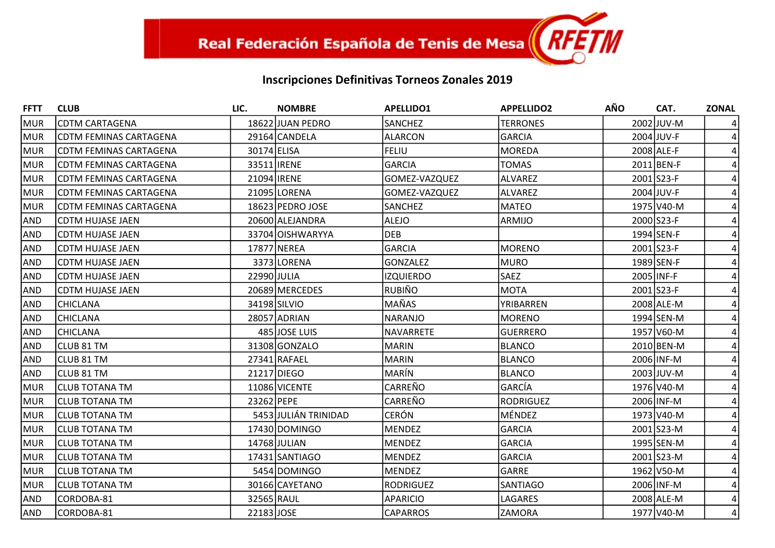| <b>FFTT</b>     | <b>CLUB</b>                   | LIC.        | <b>NOMBRE</b>        | <b>APELLIDO1</b> | <b>APPELLIDO2</b> | <b>AÑO</b> | CAT.       | <b>ZONAL</b> |
|-----------------|-------------------------------|-------------|----------------------|------------------|-------------------|------------|------------|--------------|
| MUR             | <b>CDTM CARTAGENA</b>         |             | 18622 JUAN PEDRO     | SANCHEZ          | <b>TERRONES</b>   |            | 2002 JUV-M |              |
| MUR             | <b>CDTM FEMINAS CARTAGENA</b> |             | 29164 CANDELA        | <b>ALARCON</b>   | <b>GARCIA</b>     |            | 2004 JUV-F |              |
| MUR             | CDTM FEMINAS CARTAGENA        | 30174 ELISA |                      | <b>FELIU</b>     | <b>MOREDA</b>     |            | 2008 ALE-F |              |
| <b>MUR</b>      | <b>CDTM FEMINAS CARTAGENA</b> |             | 33511 <b>IRENE</b>   | <b>GARCIA</b>    | <b>TOMAS</b>      |            | 2011 BEN-F |              |
| MUR             | CDTM FEMINAS CARTAGENA        |             | 21094 IRENE          | GOMEZ-VAZQUEZ    | <b>ALVAREZ</b>    |            | 2001 S23-F |              |
| MUR             | CDTM FEMINAS CARTAGENA        |             | 21095 LORENA         | GOMEZ-VAZQUEZ    | <b>ALVAREZ</b>    |            | 2004 JUV-F |              |
| MUR             | CDTM FEMINAS CARTAGENA        |             | 18623 PEDRO JOSE     | SANCHEZ          | <b>MATEO</b>      |            | 1975 V40-M |              |
| <b>AND</b>      | <b>CDTM HUJASE JAEN</b>       |             | 20600 ALEJANDRA      | ALEJO            | ARMIJO            |            | 2000 S23-F |              |
| <b>AND</b>      | CDTM HUJASE JAEN              |             | 33704 OISHWARYYA     | <b>DEB</b>       |                   |            | 1994 SEN-F |              |
| <b>AND</b>      | <b>CDTM HUJASE JAEN</b>       |             | 17877 NEREA          | <b>GARCIA</b>    | <b>MORENO</b>     |            | 2001 S23-F |              |
| <b>AND</b>      | CDTM HUJASE JAEN              |             | 3373 LORENA          | <b>GONZALEZ</b>  | <b>MURO</b>       |            | 1989 SEN-F |              |
| <b>AND</b>      | <b>CDTM HUJASE JAEN</b>       | 22990 JULIA |                      | <b>IZQUIERDO</b> | <b>SAEZ</b>       |            | 2005 INF-F |              |
| <b>AND</b>      | CDTM HUJASE JAEN              |             | 20689 MERCEDES       | RUBIÑO           | <b>MOTA</b>       |            | 2001 S23-F |              |
| <b>AND</b>      | <b>CHICLANA</b>               |             | 34198 SILVIO         | MAÑAS            | YRIBARREN         |            | 2008 ALE-M |              |
| <b>AND</b>      | <b>CHICLANA</b>               |             | 28057 ADRIAN         | <b>NARANJO</b>   | <b>MORENO</b>     |            | 1994 SEN-M |              |
| <b>AND</b>      | <b>CHICLANA</b>               |             | 485 JOSE LUIS        | <b>NAVARRETE</b> | <b>GUERRERO</b>   |            | 1957 V60-M |              |
| <b>AND</b>      | CLUB 81 TM                    |             | 31308 GONZALO        | MARIN            | <b>BLANCO</b>     |            | 2010 BEN-M |              |
| <b>AND</b>      | CLUB 81 TM                    |             | 27341 RAFAEL         | <b>MARIN</b>     | <b>BLANCO</b>     |            | 2006 INF-M |              |
| <b>AND</b>      | <b>CLUB 81 TM</b>             |             | 21217 DIEGO          | <b>MARÍN</b>     | <b>BLANCO</b>     |            | 2003 JUV-M |              |
| MUR             | <b>CLUB TOTANA TM</b>         |             | 11086 VICENTE        | CARREÑO          | <b>GARCÍA</b>     |            | 1976 V40-M |              |
| MUR <sup></sup> | <b>CLUB TOTANA TM</b>         | 23262 PEPE  |                      | CARREÑO          | <b>RODRIGUEZ</b>  |            | 2006 INF-M |              |
| MUR             | <b>CLUB TOTANA TM</b>         |             | 5453 JULIÁN TRINIDAD | <b>CERÓN</b>     | MÉNDEZ            |            | 1973 V40-M |              |
| MUR             | <b>CLUB TOTANA TM</b>         |             | 17430 DOMINGO        | MENDEZ           | <b>GARCIA</b>     |            | 2001 S23-M |              |
| MUR             | <b>CLUB TOTANA TM</b>         |             | 14768 JULIAN         | MENDEZ           | <b>GARCIA</b>     |            | 1995 SEN-M |              |
| MUR             | <b>CLUB TOTANA TM</b>         |             | 17431 SANTIAGO       | <b>MENDEZ</b>    | <b>GARCIA</b>     |            | 2001 S23-M |              |
| MUR             | CLUB TOTANA TM                |             | 5454 DOMINGO         | <b>MENDEZ</b>    | GARRE             |            | 1962 V50-M |              |
| <b>MUR</b>      | <b>CLUB TOTANA TM</b>         |             | 30166 CAYETANO       | <b>RODRIGUEZ</b> | SANTIAGO          |            | 2006 INF-M |              |
| AND             | CORDOBA-81                    | 32565 RAUL  |                      | APARICIO         | LAGARES           |            | 2008 ALE-M |              |
| AND             | CORDOBA-81                    | 22183 JOSE  |                      | <b>CAPARROS</b>  | <b>ZAMORA</b>     |            | 1977 V40-M | 4            |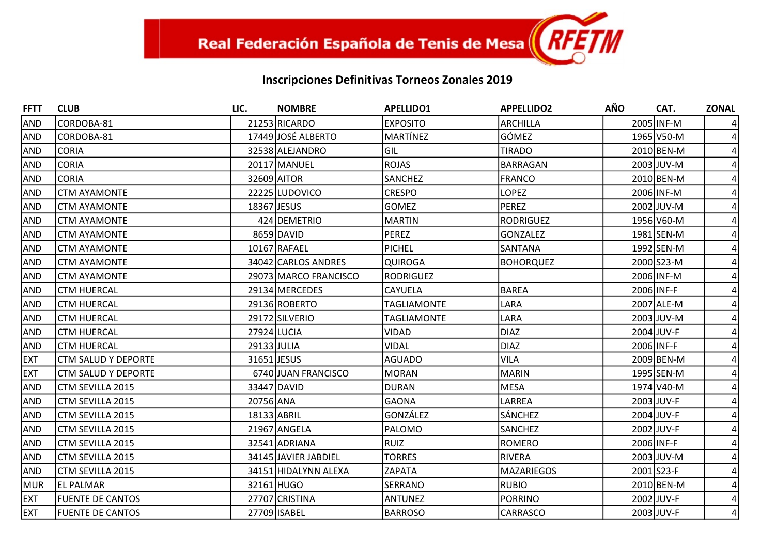| <b>FFTT</b> | <b>CLUB</b>                | LIC.        | <b>NOMBRE</b>         | <b>APELLIDO1</b>   | <b>APPELLIDO2</b> | <b>AÑO</b> | CAT.       | <b>ZONAL</b> |
|-------------|----------------------------|-------------|-----------------------|--------------------|-------------------|------------|------------|--------------|
| <b>AND</b>  | CORDOBA-81                 |             | 21253 RICARDO         | <b>EXPOSITO</b>    | <b>ARCHILLA</b>   |            | 2005 INF-M |              |
| <b>AND</b>  | CORDOBA-81                 |             | 17449 JOSÉ ALBERTO    | MARTÍNEZ           | GÓMEZ             |            | 1965 V50-M |              |
| <b>AND</b>  | <b>CORIA</b>               |             | 32538 ALEJANDRO       | GIL                | <b>TIRADO</b>     |            | 2010 BEN-M |              |
| <b>AND</b>  | <b>CORIA</b>               |             | 20117 MANUEL          | <b>ROJAS</b>       | <b>BARRAGAN</b>   |            | 2003 JUV-M |              |
| <b>AND</b>  | <b>CORIA</b>               |             | 32609 AITOR           | SANCHEZ            | <b>FRANCO</b>     |            | 2010 BEN-M |              |
| <b>AND</b>  | <b>CTM AYAMONTE</b>        |             | 22225 LUDOVICO        | <b>CRESPO</b>      | <b>LOPEZ</b>      |            | 2006 INF-M |              |
| <b>AND</b>  | <b>CTM AYAMONTE</b>        | 18367 JESUS |                       | <b>GOMEZ</b>       | <b>PEREZ</b>      |            | 2002 JUV-M |              |
| <b>AND</b>  | <b>CTM AYAMONTE</b>        |             | 424 DEMETRIO          | MARTIN             | <b>RODRIGUEZ</b>  |            | 1956 V60-M |              |
| <b>AND</b>  | <b>CTM AYAMONTE</b>        |             | 8659 DAVID            | <b>PEREZ</b>       | <b>GONZALEZ</b>   |            | 1981 SEN-M |              |
| <b>AND</b>  | <b>CTM AYAMONTE</b>        |             | 10167 RAFAEL          | PICHEL             | SANTANA           |            | 1992 SEN-M |              |
| <b>AND</b>  | <b>CTM AYAMONTE</b>        |             | 34042 CARLOS ANDRES   | <b>QUIROGA</b>     | <b>BOHORQUEZ</b>  |            | 2000 S23-M |              |
| <b>AND</b>  | <b>CTM AYAMONTE</b>        |             | 29073 MARCO FRANCISCO | RODRIGUEZ          |                   |            | 2006 INF-M |              |
| <b>AND</b>  | <b>CTM HUERCAL</b>         |             | 29134 MERCEDES        | CAYUELA            | <b>BAREA</b>      |            | 2006 INF-F |              |
| <b>AND</b>  | <b>CTM HUERCAL</b>         |             | 29136 ROBERTO         | <b>TAGLIAMONTE</b> | LARA              |            | 2007 ALE-M |              |
| <b>AND</b>  | <b>CTM HUERCAL</b>         |             | 29172 SILVERIO        | <b>TAGLIAMONTE</b> | LARA              |            | 2003 JUV-M |              |
| <b>AND</b>  | <b>CTM HUERCAL</b>         |             | 27924 LUCIA           | <b>VIDAD</b>       | <b>DIAZ</b>       |            | 2004 JUV-F |              |
| <b>AND</b>  | <b>CTM HUERCAL</b>         | 29133 JULIA |                       | <b>VIDAL</b>       | <b>DIAZ</b>       |            | 2006 INF-F |              |
| <b>EXT</b>  | <b>CTM SALUD Y DEPORTE</b> |             | 31651 JESUS           | <b>AGUADO</b>      | <b>VILA</b>       |            | 2009 BEN-M |              |
| <b>EXT</b>  | <b>CTM SALUD Y DEPORTE</b> |             | 6740 JUAN FRANCISCO   | <b>MORAN</b>       | <b>MARIN</b>      |            | 1995 SEN-M |              |
| <b>AND</b>  | CTM SEVILLA 2015           |             | 33447 DAVID           | <b>DURAN</b>       | <b>MESA</b>       |            | 1974 V40-M |              |
| <b>AND</b>  | CTM SEVILLA 2015           | 20756 ANA   |                       | <b>GAONA</b>       | LARREA            |            | 2003 JUV-F |              |
| <b>AND</b>  | CTM SEVILLA 2015           | 18133 ABRIL |                       | GONZÁLEZ           | <b>SÁNCHEZ</b>    |            | 2004 JUV-F |              |
| <b>AND</b>  | CTM SEVILLA 2015           |             | 21967 ANGELA          | PALOMO             | SANCHEZ           |            | 2002 JUV-F |              |
| <b>AND</b>  | CTM SEVILLA 2015           |             | 32541 ADRIANA         | <b>RUIZ</b>        | ROMERO            |            | 2006 INF-F |              |
| <b>AND</b>  | CTM SEVILLA 2015           |             | 34145 JAVIER JABDIEL  | <b>TORRES</b>      | <b>RIVERA</b>     |            | 2003 JUV-M |              |
| <b>AND</b>  | CTM SEVILLA 2015           |             | 34151 HIDALYNN ALEXA  | ZAPATA             | <b>MAZARIEGOS</b> |            | 2001 S23-F |              |
| <b>MUR</b>  | <b>EL PALMAR</b>           |             | 32161 HUGO            | SERRANO            | <b>RUBIO</b>      |            | 2010 BEN-M |              |
| <b>EXT</b>  | <b>FUENTE DE CANTOS</b>    |             | 27707 CRISTINA        | <b>ANTUNEZ</b>     | <b>PORRINO</b>    |            | 2002 JUV-F |              |
| <b>EXT</b>  | <b>FUENTE DE CANTOS</b>    |             | 27709 ISABEL          | <b>BARROSO</b>     | CARRASCO          |            | 2003 JUV-F | 4            |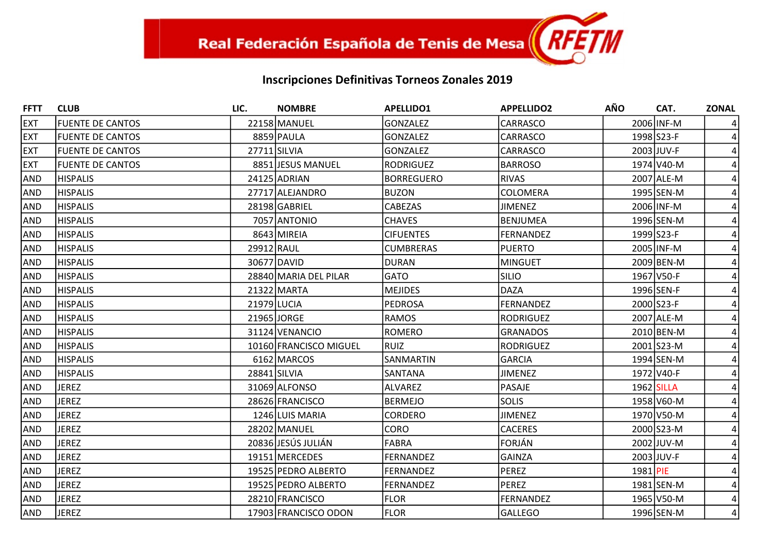| <b>FFTT</b> | <b>CLUB</b>             | LIC.        | <b>NOMBRE</b>          | <b>APELLIDO1</b>  | <b>APPELLIDO2</b> | <b>AÑO</b> | CAT.       | <b>ZONAL</b> |
|-------------|-------------------------|-------------|------------------------|-------------------|-------------------|------------|------------|--------------|
| <b>EXT</b>  | <b>FUENTE DE CANTOS</b> |             | 22158 MANUEL           | <b>GONZALEZ</b>   | <b>CARRASCO</b>   |            | 2006 INF-M |              |
| <b>EXT</b>  | <b>FUENTE DE CANTOS</b> |             | 8859 PAULA             | <b>GONZALEZ</b>   | <b>CARRASCO</b>   |            | 1998 S23-F |              |
| <b>EXT</b>  | <b>FUENTE DE CANTOS</b> |             | 27711 SILVIA           | <b>GONZALEZ</b>   | CARRASCO          |            | 2003 JUV-F |              |
| <b>EXT</b>  | <b>FUENTE DE CANTOS</b> |             | 8851 JESUS MANUEL      | <b>RODRIGUEZ</b>  | <b>BARROSO</b>    |            | 1974 V40-M |              |
| AND         | <b>HISPALIS</b>         |             | 24125 ADRIAN           | <b>BORREGUERO</b> | <b>RIVAS</b>      |            | 2007 ALE-M |              |
| <b>AND</b>  | <b>HISPALIS</b>         |             | 27717 ALEJANDRO        | <b>BUZON</b>      | <b>COLOMERA</b>   |            | 1995 SEN-M |              |
| AND         | <b>HISPALIS</b>         |             | 28198 GABRIEL          | CABEZAS           | <b>JIMENEZ</b>    |            | 2006 INF-M |              |
| <b>AND</b>  | <b>HISPALIS</b>         |             | 7057 ANTONIO           | <b>CHAVES</b>     | BENJUMEA          |            | 1996 SEN-M |              |
| AND         | <b>HISPALIS</b>         |             | 8643 MIREIA            | <b>CIFUENTES</b>  | <b>FERNANDEZ</b>  |            | 1999 S23-F |              |
| <b>AND</b>  | <b>HISPALIS</b>         | 29912 RAUL  |                        | <b>CUMBRERAS</b>  | <b>PUERTO</b>     |            | 2005 INF-M |              |
| AND         | <b>HISPALIS</b>         |             | 30677 DAVID            | <b>DURAN</b>      | <b>MINGUET</b>    |            | 2009 BEN-M |              |
| <b>AND</b>  | <b>HISPALIS</b>         |             | 28840 MARIA DEL PILAR  | <b>GATO</b>       | <b>SILIO</b>      |            | 1967 V50-F |              |
| <b>AND</b>  | <b>HISPALIS</b>         |             | 21322 MARTA            | <b>MEJIDES</b>    | <b>DAZA</b>       |            | 1996 SEN-F |              |
| <b>AND</b>  | <b>HISPALIS</b>         | 21979 LUCIA |                        | <b>PEDROSA</b>    | <b>FERNANDEZ</b>  |            | 2000 S23-F |              |
| AND         | <b>HISPALIS</b>         |             | 21965 JORGE            | <b>RAMOS</b>      | <b>RODRIGUEZ</b>  |            | 2007 ALE-M |              |
| <b>AND</b>  | <b>HISPALIS</b>         |             | 31124 VENANCIO         | <b>ROMERO</b>     | <b>GRANADOS</b>   |            | 2010 BEN-M |              |
| AND         | <b>HISPALIS</b>         |             | 10160 FRANCISCO MIGUEL | RUIZ              | <b>RODRIGUEZ</b>  |            | 2001 S23-M |              |
| AND         | <b>HISPALIS</b>         |             | 6162 MARCOS            | SANMARTIN         | <b>GARCIA</b>     |            | 1994 SEN-M |              |
| AND         | <b>HISPALIS</b>         |             | 28841 SILVIA           | SANTANA           | <b>JIMENEZ</b>    |            | 1972 V40-F |              |
| <b>AND</b>  | <b>JEREZ</b>            |             | 31069 ALFONSO          | <b>ALVAREZ</b>    | <b>PASAJE</b>     |            | 1962 SILLA |              |
| AND         | <b>JEREZ</b>            |             | 28626 FRANCISCO        | <b>BERMEJO</b>    | <b>SOLIS</b>      |            | 1958 V60-M |              |
| <b>AND</b>  | <b>JEREZ</b>            |             | 1246 LUIS MARIA        | <b>CORDERO</b>    | <b>JIMENEZ</b>    |            | 1970 V50-M |              |
| AND         | <b>JEREZ</b>            |             | 28202 MANUEL           | <b>CORO</b>       | <b>CACERES</b>    |            | 2000 S23-M |              |
| <b>AND</b>  | <b>JEREZ</b>            |             | 20836 JESÚS JULIÁN     | <b>FABRA</b>      | <b>FORJÁN</b>     |            | 2002 JUV-M |              |
| <b>AND</b>  | <b>JEREZ</b>            |             | 19151 MERCEDES         | <b>FERNANDEZ</b>  | <b>GAINZA</b>     |            | 2003 JUV-F |              |
| <b>AND</b>  | <b>JEREZ</b>            |             | 19525 PEDRO ALBERTO    | <b>FERNANDEZ</b>  | <b>PEREZ</b>      | 1981 PIE   |            |              |
| AND         | <b>JEREZ</b>            |             | 19525 PEDRO ALBERTO    | <b>FERNANDEZ</b>  | <b>PEREZ</b>      |            | 1981 SEN-M |              |
| <b>AND</b>  | <b>JEREZ</b>            |             | 28210 FRANCISCO        | <b>FLOR</b>       | <b>FERNANDEZ</b>  |            | 1965 V50-M |              |
| <b>AND</b>  | <b>JEREZ</b>            |             | 17903 FRANCISCO ODON   | <b>FLOR</b>       | <b>GALLEGO</b>    |            | 1996 SEN-M | 4            |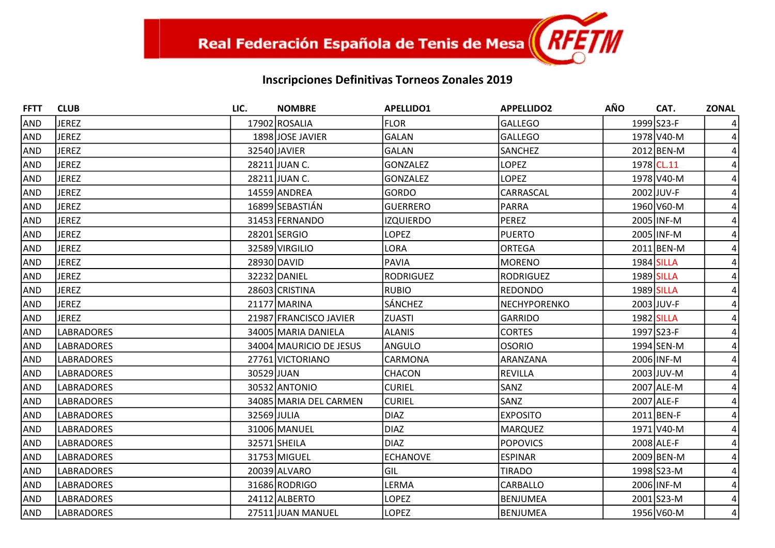| <b>FFTT</b> | <b>CLUB</b>       | LIC.        | <b>NOMBRE</b>           | <b>APELLIDO1</b> | <b>APPELLIDO2</b>   | <b>AÑO</b> | CAT.       | <b>ZONAL</b> |
|-------------|-------------------|-------------|-------------------------|------------------|---------------------|------------|------------|--------------|
| AND         | <b>JEREZ</b>      |             | 17902 ROSALIA           | <b>FLOR</b>      | <b>GALLEGO</b>      |            | 1999 S23-F |              |
| <b>AND</b>  | <b>JEREZ</b>      |             | 1898 JOSE JAVIER        | GALAN            | <b>GALLEGO</b>      |            | 1978 V40-M |              |
| <b>AND</b>  | <b>JEREZ</b>      |             | 32540 JAVIER            | <b>GALAN</b>     | <b>SANCHEZ</b>      |            | 2012 BEN-M |              |
| <b>AND</b>  | <b>JEREZ</b>      |             | 28211 JUAN C.           | <b>GONZALEZ</b>  | <b>LOPEZ</b>        |            | 1978 CL.11 |              |
| <b>AND</b>  | <b>JEREZ</b>      |             | 28211 JUAN C.           | <b>GONZALEZ</b>  | <b>LOPEZ</b>        |            | 1978 V40-M |              |
| <b>AND</b>  | <b>JEREZ</b>      |             | 14559 ANDREA            | <b>GORDO</b>     | <b>CARRASCAL</b>    |            | 2002 JUV-F |              |
| AND         | <b>JEREZ</b>      |             | 16899 SEBASTIÁN         | <b>GUERRERO</b>  | <b>PARRA</b>        |            | 1960 V60-M |              |
| <b>AND</b>  | <b>JEREZ</b>      |             | 31453 FERNANDO          | <b>IZQUIERDO</b> | PEREZ               |            | 2005 INF-M |              |
| AND         | <b>JEREZ</b>      |             | 28201 SERGIO            | <b>LOPEZ</b>     | <b>PUERTO</b>       |            | 2005 INF-M |              |
| <b>AND</b>  | <b>JEREZ</b>      |             | 32589 VIRGILIO          | <b>LORA</b>      | ORTEGA              |            | 2011 BEN-M |              |
| <b>AND</b>  | <b>JEREZ</b>      |             | 28930 DAVID             | <b>PAVIA</b>     | <b>MORENO</b>       |            | 1984 SILLA |              |
| <b>AND</b>  | <b>JEREZ</b>      |             | 32232 DANIEL            | <b>RODRIGUEZ</b> | RODRIGUEZ           |            | 1989 SILLA |              |
| AND         | <b>JEREZ</b>      |             | 28603 CRISTINA          | <b>RUBIO</b>     | <b>REDONDO</b>      |            | 1989 SILLA |              |
| <b>AND</b>  | <b>JEREZ</b>      |             | 21177 MARINA            | <b>SÁNCHEZ</b>   | <b>NECHYPORENKO</b> |            | 2003 JUV-F |              |
| <b>AND</b>  | <b>JEREZ</b>      |             | 21987 FRANCISCO JAVIER  | <b>ZUASTI</b>    | <b>GARRIDO</b>      |            | 1982 SILLA |              |
| <b>AND</b>  | LABRADORES        |             | 34005 MARIA DANIELA     | <b>ALANIS</b>    | <b>CORTES</b>       |            | 1997 S23-F |              |
| AND         | LABRADORES        |             | 34004 MAURICIO DE JESUS | <b>ANGULO</b>    | <b>OSORIO</b>       |            | 1994 SEN-M |              |
| <b>AND</b>  | <b>LABRADORES</b> |             | 27761 VICTORIANO        | CARMONA          | ARANZANA            |            | 2006 INF-M |              |
| AND         | LABRADORES        | 30529 JUAN  |                         | <b>CHACON</b>    | REVILLA             |            | 2003 JUV-M |              |
| <b>AND</b>  | LABRADORES        |             | 30532 ANTONIO           | <b>CURIEL</b>    | <b>SANZ</b>         |            | 2007 ALE-M |              |
| AND         | LABRADORES        |             | 34085 MARIA DEL CARMEN  | <b>CURIEL</b>    | SANZ                |            | 2007 ALE-F |              |
| AND         | <b>LABRADORES</b> | 32569 JULIA |                         | <b>DIAZ</b>      | <b>EXPOSITO</b>     |            | 2011 BEN-F |              |
| <b>AND</b>  | <b>LABRADORES</b> |             | 31006 MANUEL            | <b>DIAZ</b>      | MARQUEZ             |            | 1971 V40-M |              |
| <b>AND</b>  | <b>LABRADORES</b> |             | 32571 SHEILA            | <b>DIAZ</b>      | <b>POPOVICS</b>     |            | 2008 ALE-F |              |
| AND         | LABRADORES        |             | 31753 MIGUEL            | <b>ECHANOVE</b>  | ESPINAR             |            | 2009 BEN-M |              |
| <b>AND</b>  | LABRADORES        |             | 20039 ALVARO            | GIL              | <b>TIRADO</b>       |            | 1998 S23-M |              |
| <b>AND</b>  | LABRADORES        |             | 31686 RODRIGO           | LERMA            | CARBALLO            |            | 2006 INF-M |              |
| AND         | LABRADORES        |             | 24112 ALBERTO           | <b>LOPEZ</b>     | BENJUMEA            |            | 2001 S23-M |              |
| AND         | <b>LABRADORES</b> |             | 27511 JUAN MANUEL       | <b>LOPEZ</b>     | BENJUMEA            |            | 1956 V60-M | 4            |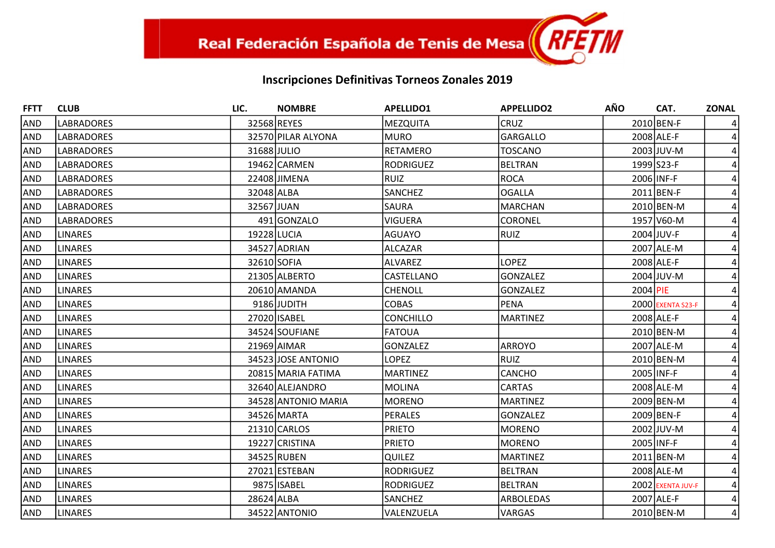| <b>FFTT</b> | <b>CLUB</b>       | LIC.        | <b>NOMBRE</b>       | <b>APELLIDO1</b> | <b>APPELLIDO2</b> | <b>AÑO</b> | CAT.              | <b>ZONAL</b> |
|-------------|-------------------|-------------|---------------------|------------------|-------------------|------------|-------------------|--------------|
| AND         | <b>LABRADORES</b> |             | 32568 REYES         | MEZQUITA         | <b>CRUZ</b>       |            | 2010 BEN-F        |              |
| <b>AND</b>  | <b>LABRADORES</b> |             | 32570 PILAR ALYONA  | <b>MURO</b>      | <b>GARGALLO</b>   |            | 2008 ALE-F        |              |
| <b>AND</b>  | <b>LABRADORES</b> | 31688 JULIO |                     | <b>RETAMERO</b>  | <b>TOSCANO</b>    |            | 2003 JUV-M        |              |
| <b>AND</b>  | <b>LABRADORES</b> |             | 19462 CARMEN        | RODRIGUEZ        | <b>BELTRAN</b>    |            | 1999 S23-F        |              |
| <b>AND</b>  | <b>LABRADORES</b> |             | 22408 JIMENA        | RUIZ             | <b>ROCA</b>       |            | 2006 INF-F        |              |
| <b>AND</b>  | <b>LABRADORES</b> | 32048 ALBA  |                     | SANCHEZ          | <b>OGALLA</b>     |            | 2011 BEN-F        |              |
| <b>AND</b>  | <b>LABRADORES</b> | 32567 JUAN  |                     | <b>SAURA</b>     | <b>MARCHAN</b>    |            | 2010 BEN-M        |              |
| <b>AND</b>  | <b>LABRADORES</b> |             | 491 GONZALO         | <b>VIGUERA</b>   | <b>CORONEL</b>    |            | 1957 V60-M        |              |
| <b>AND</b>  | <b>LINARES</b>    | 19228 LUCIA |                     | <b>AGUAYO</b>    | <b>RUIZ</b>       |            | 2004 JUV-F        |              |
| AND         | <b>LINARES</b>    |             | 34527 ADRIAN        | ALCAZAR          |                   |            | 2007 ALE-M        |              |
| <b>AND</b>  | LINARES           | 32610 SOFIA |                     | ALVAREZ          | <b>LOPEZ</b>      |            | 2008 ALE-F        |              |
| <b>AND</b>  | <b>LINARES</b>    |             | 21305 ALBERTO       | CASTELLANO       | <b>GONZALEZ</b>   |            | 2004 JUV-M        |              |
| <b>AND</b>  | <b>LINARES</b>    |             | 20610 AMANDA        | <b>CHENOLL</b>   | <b>GONZALEZ</b>   | 2004 PIE   |                   |              |
| <b>AND</b>  | <b>LINARES</b>    |             | 9186 JUDITH         | <b>COBAS</b>     | <b>PENA</b>       |            | 2000 EXENTA S23-F |              |
| <b>AND</b>  | <b>LINARES</b>    |             | 27020 ISABEL        | <b>CONCHILLO</b> | <b>MARTINEZ</b>   |            | 2008 ALE-F        |              |
| <b>AND</b>  | <b>LINARES</b>    |             | 34524 SOUFIANE      | <b>FATOUA</b>    |                   |            | 2010 BEN-M        |              |
| <b>AND</b>  | LINARES           |             | 21969 AIMAR         | <b>GONZALEZ</b>  | ARROYO            |            | 2007 ALE-M        |              |
| <b>AND</b>  | <b>LINARES</b>    |             | 34523 JOSE ANTONIO  | <b>LOPEZ</b>     | RUIZ              |            | 2010 BEN-M        |              |
| <b>AND</b>  | <b>LINARES</b>    |             | 20815 MARIA FATIMA  | <b>MARTINEZ</b>  | <b>CANCHO</b>     |            | 2005 INF-F        |              |
| <b>AND</b>  | <b>LINARES</b>    |             | 32640 ALEJANDRO     | MOLINA           | CARTAS            |            | 2008 ALE-M        |              |
| <b>AND</b>  | LINARES           |             | 34528 ANTONIO MARIA | MORENO           | <b>MARTINEZ</b>   |            | 2009 BEN-M        |              |
| <b>AND</b>  | <b>LINARES</b>    |             | 34526 MARTA         | PERALES          | <b>GONZALEZ</b>   |            | 2009 BEN-F        |              |
| <b>AND</b>  | <b>LINARES</b>    |             | 21310 CARLOS        | <b>PRIETO</b>    | <b>MORENO</b>     |            | 2002 JUV-M        |              |
| <b>AND</b>  | <b>LINARES</b>    |             | 19227 CRISTINA      | <b>PRIETO</b>    | <b>MORENO</b>     |            | 2005 INF-F        |              |
| <b>AND</b>  | <b>LINARES</b>    |             | 34525 RUBEN         | <b>QUILEZ</b>    | <b>MARTINEZ</b>   |            | 2011 BEN-M        |              |
| <b>AND</b>  | <b>LINARES</b>    |             | 27021 ESTEBAN       | <b>RODRIGUEZ</b> | <b>BELTRAN</b>    |            | 2008 ALE-M        |              |
| <b>AND</b>  | LINARES           |             | 9875 ISABEL         | RODRIGUEZ        | <b>BELTRAN</b>    |            | 2002 EXENTA JUV-F |              |
| <b>AND</b>  | <b>LINARES</b>    | 28624 ALBA  |                     | SANCHEZ          | ARBOLEDAS         |            | 2007 ALE-F        |              |
| AND         | <b>LINARES</b>    |             | 34522 ANTONIO       | VALENZUELA       | <b>VARGAS</b>     |            | 2010 BEN-M        | 4            |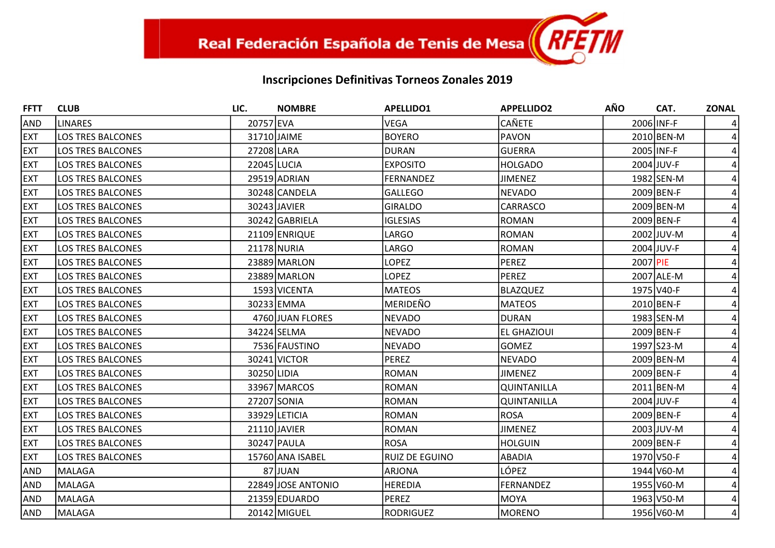| <b>FFTT</b> | <b>CLUB</b>              | LIC.        | <b>NOMBRE</b>      | <b>APELLIDO1</b>      | <b>APPELLIDO2</b>  | <b>AÑO</b> | CAT.       | <b>ZONAL</b> |
|-------------|--------------------------|-------------|--------------------|-----------------------|--------------------|------------|------------|--------------|
| <b>AND</b>  | <b>LINARES</b>           | 20757 EVA   |                    | <b>VEGA</b>           | <b>CAÑETE</b>      |            | 2006 INF-F |              |
| <b>EXT</b>  | <b>LOS TRES BALCONES</b> | 31710 JAIME |                    | <b>BOYERO</b>         | <b>PAVON</b>       |            | 2010 BEN-M |              |
| <b>EXT</b>  | <b>LOS TRES BALCONES</b> | 27208 LARA  |                    | <b>DURAN</b>          | <b>GUERRA</b>      |            | 2005 INF-F |              |
| <b>EXT</b>  | <b>LOS TRES BALCONES</b> | 22045 LUCIA |                    | <b>EXPOSITO</b>       | HOLGADO            |            | 2004 JUV-F |              |
| <b>EXT</b>  | <b>LOS TRES BALCONES</b> |             | 29519 ADRIAN       | FERNANDEZ             | <b>JIMENEZ</b>     |            | 1982 SEN-M |              |
| <b>EXT</b>  | <b>LOS TRES BALCONES</b> |             | 30248 CANDELA      | <b>GALLEGO</b>        | NEVADO             |            | 2009 BEN-F |              |
| <b>EXT</b>  | <b>LOS TRES BALCONES</b> |             | 30243 JAVIER       | <b>GIRALDO</b>        | CARRASCO           |            | 2009 BEN-M |              |
| <b>EXT</b>  | <b>LOS TRES BALCONES</b> |             | 30242 GABRIELA     | <b>IGLESIAS</b>       | ROMAN              |            | 2009 BEN-F |              |
| <b>EXT</b>  | <b>LOS TRES BALCONES</b> |             | 21109 ENRIQUE      | <b>LARGO</b>          | ROMAN              |            | 2002 JUV-M |              |
| <b>EXT</b>  | <b>LOS TRES BALCONES</b> |             | 21178 NURIA        | <b>LARGO</b>          | ROMAN              |            | 2004 JUV-F |              |
| <b>EXT</b>  | LOS TRES BALCONES        |             | 23889 MARLON       | LOPEZ                 | PEREZ              | 2007 PIE   |            |              |
| <b>EXT</b>  | <b>LOS TRES BALCONES</b> |             | 23889 MARLON       | <b>LOPEZ</b>          | PEREZ              |            | 2007 ALE-M |              |
| <b>EXT</b>  | <b>LOS TRES BALCONES</b> |             | 1593 VICENTA       | <b>MATEOS</b>         | BLAZQUEZ           |            | 1975 V40-F |              |
| <b>EXT</b>  | <b>LOS TRES BALCONES</b> |             | 30233 EMMA         | <b>MERIDEÑO</b>       | <b>MATEOS</b>      |            | 2010 BEN-F |              |
| <b>EXT</b>  | <b>LOS TRES BALCONES</b> |             | 4760 JUAN FLORES   | <b>NEVADO</b>         | DURAN              |            | 1983 SEN-M |              |
| <b>EXT</b>  | <b>LOS TRES BALCONES</b> |             | 34224 SELMA        | <b>NEVADO</b>         | <b>EL GHAZIOUI</b> |            | 2009 BEN-F |              |
| <b>EXT</b>  | <b>LOS TRES BALCONES</b> |             | 7536 FAUSTINO      | <b>NEVADO</b>         | <b>GOMEZ</b>       |            | 1997 S23-M |              |
| <b>EXT</b>  | <b>LOS TRES BALCONES</b> |             | 30241 VICTOR       | PEREZ                 | NEVADO             |            | 2009 BEN-M |              |
| <b>EXT</b>  | LOS TRES BALCONES        | 30250 LIDIA |                    | <b>ROMAN</b>          | <b>JIMENEZ</b>     |            | 2009 BEN-F |              |
| <b>EXT</b>  | <b>LOS TRES BALCONES</b> |             | 33967 MARCOS       | ROMAN                 | <b>QUINTANILLA</b> |            | 2011 BEN-M |              |
| <b>EXT</b>  | <b>LOS TRES BALCONES</b> |             | 27207 SONIA        | <b>ROMAN</b>          | QUINTANILLA        |            | 2004 JUV-F |              |
| <b>EXT</b>  | <b>LOS TRES BALCONES</b> |             | 33929 LETICIA      | ROMAN                 | <b>ROSA</b>        |            | 2009 BEN-F |              |
| <b>EXT</b>  | <b>LOS TRES BALCONES</b> |             | 21110 JAVIER       | ROMAN                 | <b>JIMENEZ</b>     |            | 2003 JUV-M |              |
| <b>EXT</b>  | <b>LOS TRES BALCONES</b> |             | 30247 PAULA        | <b>ROSA</b>           | <b>HOLGUIN</b>     |            | 2009 BEN-F |              |
| <b>EXT</b>  | <b>LOS TRES BALCONES</b> |             | 15760 ANA ISABEL   | <b>RUIZ DE EGUINO</b> | <b>ABADIA</b>      |            | 1970 V50-F |              |
| <b>AND</b>  | <b>MALAGA</b>            |             | 87JUAN             | ARJONA                | LÓPEZ              |            | 1944 V60-M |              |
| <b>AND</b>  | <b>MALAGA</b>            |             | 22849 JOSE ANTONIO | <b>HEREDIA</b>        | FERNANDEZ          |            | 1955 V60-M |              |
| <b>AND</b>  | <b>MALAGA</b>            |             | 21359 EDUARDO      | <b>PEREZ</b>          | MOYA               |            | 1963 V50-M |              |
| AND         | MALAGA                   |             | 20142 MIGUEL       | RODRIGUEZ             | MORENO             |            | 1956 V60-M | 4            |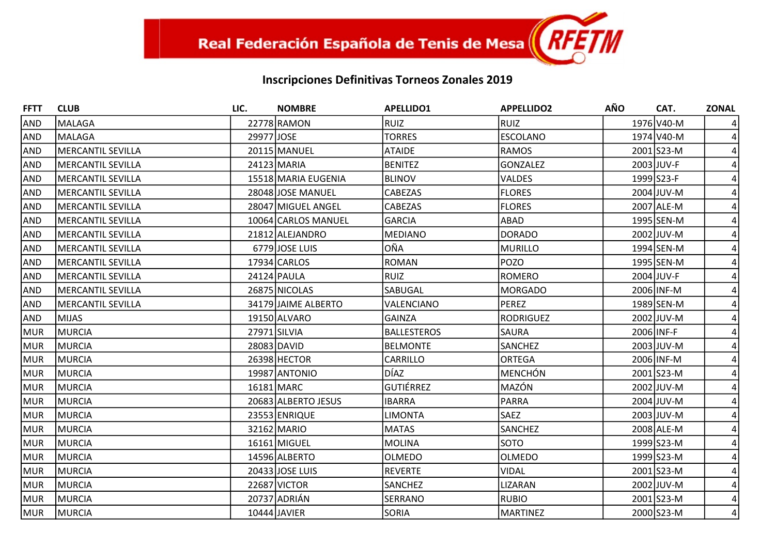| <b>FFTT</b> | <b>CLUB</b>              | LIC.       | <b>NOMBRE</b>       | <b>APELLIDO1</b>   | <b>APPELLIDO2</b> | <b>AÑO</b> | CAT.       | <b>ZONAL</b>   |
|-------------|--------------------------|------------|---------------------|--------------------|-------------------|------------|------------|----------------|
| <b>AND</b>  | <b>MALAGA</b>            |            | 22778 RAMON         | RUIZ               | <b>RUIZ</b>       |            | 1976 V40-M |                |
| <b>AND</b>  | <b>MALAGA</b>            | 29977JJOSE |                     | <b>TORRES</b>      | <b>ESCOLANO</b>   |            | 1974 V40-M |                |
| <b>AND</b>  | MERCANTIL SEVILLA        |            | 20115 MANUEL        | <b>ATAIDE</b>      | <b>RAMOS</b>      |            | 2001 S23-M |                |
| <b>AND</b>  | <b>MERCANTIL SEVILLA</b> |            | 24123 MARIA         | <b>BENITEZ</b>     | <b>GONZALEZ</b>   |            | 2003 JUV-F |                |
| <b>AND</b>  | <b>MERCANTIL SEVILLA</b> |            | 15518 MARIA EUGENIA | <b>BLINOV</b>      | <b>VALDES</b>     |            | 1999 S23-F |                |
| <b>AND</b>  | <b>MERCANTIL SEVILLA</b> |            | 28048 JOSE MANUEL   | CABEZAS            | <b>FLORES</b>     |            | 2004 JUV-M |                |
| <b>AND</b>  | <b>MERCANTIL SEVILLA</b> |            | 28047 MIGUEL ANGEL  | CABEZAS            | <b>FLORES</b>     |            | 2007 ALE-M |                |
| <b>AND</b>  | <b>MERCANTIL SEVILLA</b> |            | 10064 CARLOS MANUEL | GARCIA             | <b>ABAD</b>       |            | 1995 SEN-M |                |
| <b>AND</b>  | <b>MERCANTIL SEVILLA</b> |            | 21812 ALEJANDRO     | MEDIANO            | <b>DORADO</b>     |            | 2002 JUV-M |                |
| <b>AND</b>  | <b>MERCANTIL SEVILLA</b> |            | 6779 JOSE LUIS      | lOÑA               | <b>MURILLO</b>    |            | 1994 SEN-M |                |
| <b>AND</b>  | <b>MERCANTIL SEVILLA</b> |            | 17934 CARLOS        | <b>ROMAN</b>       | <b>POZO</b>       |            | 1995 SEN-M |                |
| <b>AND</b>  | <b>MERCANTIL SEVILLA</b> |            | 24124 PAULA         | <b>RUIZ</b>        | <b>ROMERO</b>     |            | 2004 JUV-F |                |
| <b>AND</b>  | MERCANTIL SEVILLA        |            | 26875 NICOLAS       | SABUGAL            | <b>MORGADO</b>    |            | 2006 INF-M |                |
| <b>AND</b>  | <b>MERCANTIL SEVILLA</b> |            | 34179 JAIME ALBERTO | VALENCIANO         | <b>PEREZ</b>      |            | 1989 SEN-M |                |
| <b>AND</b>  | <b>MIJAS</b>             |            | 19150 ALVARO        | <b>GAINZA</b>      | <b>RODRIGUEZ</b>  |            | 2002 JUV-M |                |
| MUR         | <b>MURCIA</b>            |            | 27971 SILVIA        | <b>BALLESTEROS</b> | <b>SAURA</b>      |            | 2006 INF-F |                |
| MUR         | <b>MURCIA</b>            |            | 28083 DAVID         | <b>BELMONTE</b>    | <b>SANCHEZ</b>    |            | 2003 JUV-M |                |
| MUR         | MURCIA                   |            | 26398 HECTOR        | CARRILLO           | <b>ORTEGA</b>     |            | 2006 INF-M |                |
| MUR         | <b>MURCIA</b>            |            | 19987 ANTONIO       | <b>DÍAZ</b>        | <b>MENCHÓN</b>    |            | 2001 S23-M |                |
| MUR         | <b>MURCIA</b>            |            | 16181 MARC          | lgutiérrez         | MAZÓN             |            | 2002 JUV-M |                |
| MUR         | MURCIA                   |            | 20683 ALBERTO JESUS | <b>IBARRA</b>      | PARRA             |            | 2004 JUV-M |                |
| MUR         | <b>MURCIA</b>            |            | 23553 ENRIQUE       | <b>LIMONTA</b>     | <b>SAEZ</b>       |            | 2003 JUV-M |                |
| MUR         | MURCIA                   |            | 32162 MARIO         | <b>MATAS</b>       | <b>SANCHEZ</b>    |            | 2008 ALE-M |                |
| MUR         | <b>MURCIA</b>            |            | 16161 MIGUEL        | <b>MOLINA</b>      | <b>SOTO</b>       |            | 1999 S23-M |                |
| MUR         | <b>MURCIA</b>            |            | 14596 ALBERTO       | <b>OLMEDO</b>      | <b>OLMEDO</b>     |            | 1999 S23-M |                |
| MUR         | <b>MURCIA</b>            |            | 20433 JOSE LUIS     | <b>REVERTE</b>     | <b>VIDAL</b>      |            | 2001 S23-M |                |
| MUR         | MURCIA                   |            | 22687 VICTOR        | SANCHEZ            | LIZARAN           |            | 2002 JUV-M |                |
| <b>MUR</b>  | <b>MURCIA</b>            |            | 20737 ADRIÁN        | SERRANO            | <b>RUBIO</b>      |            | 2001 S23-M |                |
| MUR         | MURCIA                   |            | 10444 JAVIER        | <b>SORIA</b>       | <b>MARTINEZ</b>   |            | 2000 S23-M | $\overline{4}$ |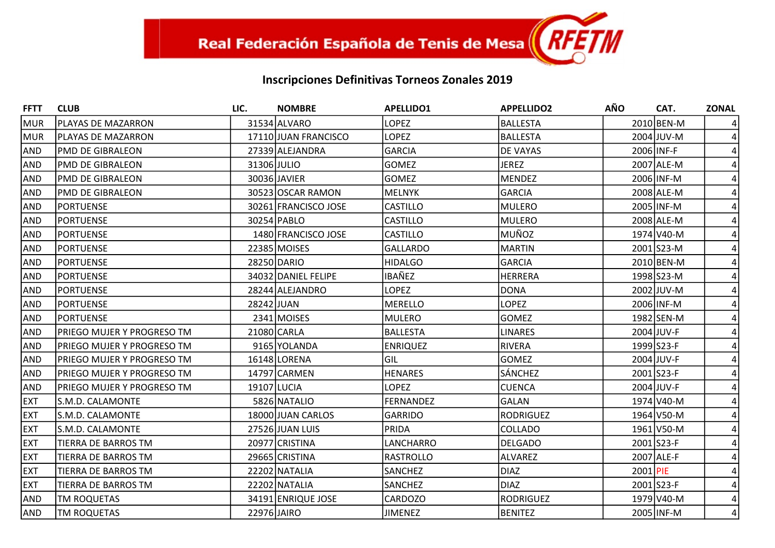| <b>FFTT</b> | <b>CLUB</b>                | LIC.        | <b>NOMBRE</b>        | <b>APELLIDO1</b> | <b>APPELLIDO2</b> | <b>AÑO</b> | CAT.       | <b>ZONAL</b> |
|-------------|----------------------------|-------------|----------------------|------------------|-------------------|------------|------------|--------------|
| <b>MUR</b>  | PLAYAS DE MAZARRON         |             | 31534 ALVARO         | <b>LOPEZ</b>     | <b>BALLESTA</b>   |            | 2010 BEN-M |              |
| MUR         | <b>PLAYAS DE MAZARRON</b>  |             | 17110 JUAN FRANCISCO | <b>LOPEZ</b>     | <b>BALLESTA</b>   |            | 2004 JUV-M |              |
| AND         | <b>PMD DE GIBRALEON</b>    |             | 27339 ALEJANDRA      | <b>GARCIA</b>    | DE VAYAS          |            | 2006 INF-F |              |
| <b>AND</b>  | PMD DE GIBRALEON           | 31306 JULIO |                      | <b>GOMEZ</b>     | <b>JEREZ</b>      |            | 2007 ALE-M |              |
| <b>AND</b>  | <b>PMD DE GIBRALEON</b>    |             | 30036 JAVIER         | <b>GOMEZ</b>     | <b>MENDEZ</b>     |            | 2006 INF-M |              |
| <b>AND</b>  | <b>PMD DE GIBRALEON</b>    |             | 30523 OSCAR RAMON    | MELNYK           | <b>GARCIA</b>     |            | 2008 ALE-M |              |
| <b>AND</b>  | PORTUENSE                  |             | 30261 FRANCISCO JOSE | <b>CASTILLO</b>  | <b>MULERO</b>     |            | 2005 INF-M |              |
| <b>AND</b>  | <b>PORTUENSE</b>           |             | 30254 PABLO          | <b>CASTILLO</b>  | <b>MULERO</b>     |            | 2008 ALE-M |              |
| <b>AND</b>  | <b>PORTUENSE</b>           |             | 1480 FRANCISCO JOSE  | <b>CASTILLO</b>  | MUÑOZ             |            | 1974 V40-M |              |
| <b>AND</b>  | <b>PORTUENSE</b>           |             | 22385 MOISES         | <b>GALLARDO</b>  | <b>MARTIN</b>     |            | 2001 S23-M |              |
| <b>AND</b>  | <b>PORTUENSE</b>           |             | 28250 DARIO          | <b>HIDALGO</b>   | <b>GARCIA</b>     |            | 2010 BEN-M |              |
| <b>AND</b>  | <b>PORTUENSE</b>           |             | 34032 DANIEL FELIPE  | IBAÑEZ           | <b>HERRERA</b>    |            | 1998 S23-M |              |
| <b>AND</b>  | <b>PORTUENSE</b>           |             | 28244 ALEJANDRO      | <b>LOPEZ</b>     | <b>DONA</b>       |            | 2002 JUV-M |              |
| <b>AND</b>  | <b>PORTUENSE</b>           | 28242 JUAN  |                      | <b>MERELLO</b>   | <b>LOPEZ</b>      |            | 2006 INF-M |              |
| <b>AND</b>  | <b>PORTUENSE</b>           |             | 2341 MOISES          | MULERO           | <b>GOMEZ</b>      |            | 1982 SEN-M |              |
| <b>AND</b>  | PRIEGO MUJER Y PROGRESO TM |             | 21080 CARLA          | BALLESTA         | <b>LINARES</b>    |            | 2004 JUV-F |              |
| <b>AND</b>  | PRIEGO MUJER Y PROGRESO TM |             | 9165 YOLANDA         | <b>ENRIQUEZ</b>  | <b>RIVERA</b>     |            | 1999 S23-F |              |
| <b>AND</b>  | PRIEGO MUJER Y PROGRESO TM |             | 16148 LORENA         | <b>GIL</b>       | <b>GOMEZ</b>      |            | 2004 JUV-F |              |
| <b>AND</b>  | PRIEGO MUJER Y PROGRESO TM |             | 14797 CARMEN         | HENARES          | SÁNCHEZ           |            | 2001 S23-F |              |
| <b>AND</b>  | PRIEGO MUJER Y PROGRESO TM | 19107 LUCIA |                      | <b>LOPEZ</b>     | <b>CUENCA</b>     |            | 2004 JUV-F |              |
| <b>EXT</b>  | S.M.D. CALAMONTE           |             | 5826 NATALIO         | <b>FERNANDEZ</b> | <b>GALAN</b>      |            | 1974 V40-M |              |
| <b>EXT</b>  | S.M.D. CALAMONTE           |             | 18000 JUAN CARLOS    | <b>GARRIDO</b>   | <b>RODRIGUEZ</b>  |            | 1964 V50-M |              |
| <b>EXT</b>  | S.M.D. CALAMONTE           |             | 27526 JUAN LUIS      | PRIDA            | COLLADO           |            | 1961 V50-M |              |
| <b>EXT</b>  | TIERRA DE BARROS TM        |             | 20977 CRISTINA       | LANCHARRO        | <b>DELGADO</b>    |            | 2001 S23-F |              |
| <b>EXT</b>  | TIERRA DE BARROS TM        |             | 29665 CRISTINA       | <b>RASTROLLO</b> | <b>ALVAREZ</b>    |            | 2007 ALE-F |              |
| <b>EXT</b>  | TIERRA DE BARROS TM        |             | 22202 NATALIA        | <b>SANCHEZ</b>   | <b>DIAZ</b>       |            | 2001 PIE   |              |
| <b>EXT</b>  | TIERRA DE BARROS TM        |             | 22202 NATALIA        | SANCHEZ          | <b>DIAZ</b>       |            | 2001 S23-F |              |
| <b>AND</b>  | <b>TM ROQUETAS</b>         |             | 34191 ENRIQUE JOSE   | <b>CARDOZO</b>   | <b>RODRIGUEZ</b>  |            | 1979 V40-M |              |
| <b>AND</b>  | <b>TM ROQUETAS</b>         | 22976 JAIRO |                      | <b>JIMENEZ</b>   | <b>BENITEZ</b>    |            | 2005 INF-M | 4            |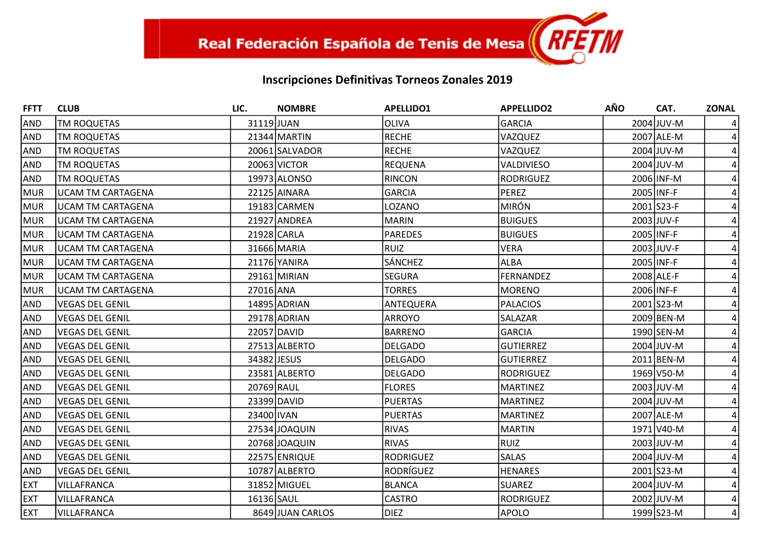| <b>FFTT</b> | <b>CLUB</b>              | LIC.        | <b>NOMBRE</b>    | <b>APELLIDO1</b> | <b>APPELLIDO2</b> | <b>AÑO</b> | CAT.       | <b>ZONAL</b>   |
|-------------|--------------------------|-------------|------------------|------------------|-------------------|------------|------------|----------------|
| AND         | <b>TM ROQUETAS</b>       | 31119JJUAN  |                  | <b>OLIVA</b>     | <b>GARCIA</b>     |            | 2004 JUV-M |                |
| <b>AND</b>  | <b>TM ROQUETAS</b>       |             | $21344$ MARTIN   | <b>RECHE</b>     | VAZQUEZ           |            | 2007 ALE-M |                |
| <b>AND</b>  | <b>TM ROQUETAS</b>       |             | 20061 SALVADOR   | <b>RECHE</b>     | VAZQUEZ           |            | 2004 JUV-M |                |
| <b>AND</b>  | TM ROQUETAS              |             | 20063 VICTOR     | <b>REQUENA</b>   | <b>VALDIVIESO</b> |            | 2004 JUV-M |                |
| <b>AND</b>  | <b>TM ROQUETAS</b>       |             | 19973 ALONSO     | <b>RINCON</b>    | <b>RODRIGUEZ</b>  |            | 2006 INF-M |                |
| MUR         | <b>UCAM TM CARTAGENA</b> |             | 22125 AINARA     | <b>GARCIA</b>    | <b>PEREZ</b>      | 2005 INF-F |            |                |
| MUR         | <b>UCAM TM CARTAGENA</b> |             | 19183 CARMEN     | LOZANO           | <b>MIRÓN</b>      |            | 2001 S23-F |                |
| MUR         | <b>UCAM TM CARTAGENA</b> |             | 21927 ANDREA     | MARIN            | <b>BUIGUES</b>    |            | 2003 JUV-F |                |
| MUR         | <b>UCAM TM CARTAGENA</b> |             | 21928 CARLA      | <b>PAREDES</b>   | <b>BUIGUES</b>    |            | 2005 INF-F |                |
| MUR         | <b>UCAM TM CARTAGENA</b> |             | 31666 MARIA      | <b>RUIZ</b>      | <b>VERA</b>       |            | 2003 JUV-F |                |
| MUR         | <b>UCAM TM CARTAGENA</b> |             | 21176 YANIRA     | <b>SÁNCHEZ</b>   | <b>ALBA</b>       |            | 2005 INF-F |                |
| MUR         | <b>UCAM TM CARTAGENA</b> |             | 29161 MIRIAN     | <b>SEGURA</b>    | <b>FERNANDEZ</b>  |            | 2008 ALE-F |                |
| MUR         | <b>UCAM TM CARTAGENA</b> | 27016 ANA   |                  | <b>TORRES</b>    | <b>MORENO</b>     |            | 2006 INF-F |                |
| <b>AND</b>  | <b>VEGAS DEL GENIL</b>   |             | 14895 ADRIAN     | ANTEQUERA        | <b>PALACIOS</b>   |            | 2001 S23-M |                |
| <b>AND</b>  | <b>VEGAS DEL GENIL</b>   |             | 29178 ADRIAN     | <b>ARROYO</b>    | SALAZAR           |            | 2009 BEN-M |                |
| <b>AND</b>  | <b>VEGAS DEL GENIL</b>   |             | 22057 DAVID      | BARRENO          | <b>GARCIA</b>     |            | 1990 SEN-M |                |
| <b>AND</b>  | <b>VEGAS DEL GENIL</b>   |             | 27513 ALBERTO    | <b>DELGADO</b>   | <b>GUTIERREZ</b>  |            | 2004 JUV-M |                |
| <b>AND</b>  | <b>VEGAS DEL GENIL</b>   | 34382 JESUS |                  | <b>DELGADO</b>   | <b>GUTIERREZ</b>  |            | 2011 BEN-M |                |
| <b>AND</b>  | <b>VEGAS DEL GENIL</b>   |             | 23581 ALBERTO    | <b>DELGADO</b>   | <b>RODRIGUEZ</b>  |            | 1969 V50-M |                |
| <b>AND</b>  | <b>VEGAS DEL GENIL</b>   | 20769 RAUL  |                  | <b>FLORES</b>    | <b>MARTINEZ</b>   |            | 2003 JUV-M |                |
| <b>AND</b>  | <b>VEGAS DEL GENIL</b>   |             | 23399 DAVID      | PUERTAS          | <b>MARTINEZ</b>   |            | 2004 JUV-M |                |
| <b>AND</b>  | <b>VEGAS DEL GENIL</b>   | 23400 IVAN  |                  | <b>PUERTAS</b>   | <b>MARTINEZ</b>   |            | 2007 ALE-M |                |
| <b>AND</b>  | <b>VEGAS DEL GENIL</b>   |             | 27534 JOAQUIN    | <b>RIVAS</b>     | <b>MARTIN</b>     |            | 1971 V40-M |                |
| <b>AND</b>  | <b>VEGAS DEL GENIL</b>   |             | 20768 JOAQUIN    | <b>RIVAS</b>     | RUIZ              |            | 2003 JUV-M |                |
| <b>AND</b>  | <b>VEGAS DEL GENIL</b>   |             | 22575 ENRIQUE    | RODRIGUEZ        | <b>SALAS</b>      |            | 2004 JUV-M |                |
| <b>AND</b>  | <b>VEGAS DEL GENIL</b>   |             | 10787 ALBERTO    | RODRÍGUEZ        | <b>HENARES</b>    |            | 2001 S23-M |                |
| <b>EXT</b>  | <b>VILLAFRANCA</b>       |             | 31852 MIGUEL     | <b>BLANCA</b>    | <b>SUAREZ</b>     |            | 2004 JUV-M |                |
| <b>EXT</b>  | <b>VILLAFRANCA</b>       | 16136 SAUL  |                  | <b>CASTRO</b>    | <b>RODRIGUEZ</b>  |            | 2002 JUV-M |                |
| <b>EXT</b>  | <b>VILLAFRANCA</b>       |             | 8649 JUAN CARLOS | <b>DIEZ</b>      | <b>APOLO</b>      |            | 1999 S23-M | $\overline{4}$ |